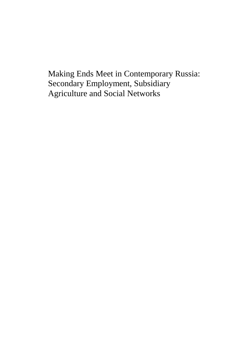Making Ends Meet in Contemporary Russia: Secondary Employment, Subsidiary Agriculture and Social Networks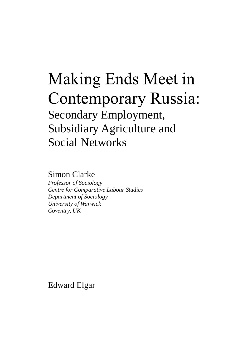# **Making Ends Meet in Contemporary Russia:** Secondary Employment, Subsidiary Agriculture and Social Networks

### Simon Clarke

*Professor of Sociology Centre for Comparative Labour Studies Department of Sociology University of Warwick Coventry, UK*

Edward Elgar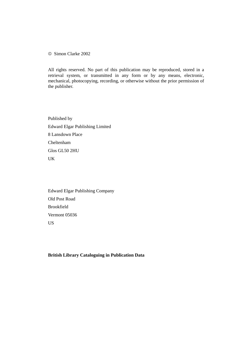Simon Clarke 2002

All rights reserved. No part of this publication may be reproduced, stored in a retrieval system, or transmitted in any form or by any means, electronic, mechanical, photocopying, recording, or otherwise without the prior permission of the publisher.

Published by Edward Elgar Publishing Limited 8 Lansdown Place Cheltenham Glos GL50 2HU UK

Edward Elgar Publishing Company Old Post Road Brookfield Vermont 05036 US

**British Library Cataloguing in Publication Data**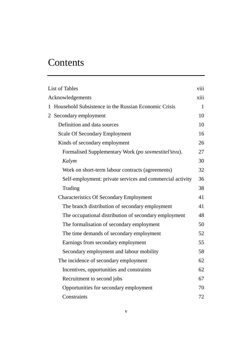# Contents

|              | <b>List of Tables</b>                                     | viii         |
|--------------|-----------------------------------------------------------|--------------|
|              | Acknowledgements                                          | xiii         |
| $\mathbf{1}$ | Household Subsistence in the Russian Economic Crisis      | $\mathbf{1}$ |
|              | 2 Secondary employment                                    | 10           |
|              | Definition and data sources                               | 10           |
|              | <b>Scale Of Secondary Employment</b>                      | 16           |
|              | Kinds of secondary employment                             | 26           |
|              | Formalised Supplementary Work (po sovmestitel'stvu).      | 27           |
|              | Kalym                                                     | 30           |
|              | Work on short-term labour contracts (agreements)          | 32           |
|              | Self-employment: private services and commercial activity | 36           |
|              | Trading                                                   | 38           |
|              | <b>Characteristics Of Secondary Employment</b>            | 41           |
|              | The branch distribution of secondary employment           | 41           |
|              | The occupational distribution of secondary employment     | 48           |
|              | The formalisation of secondary employment                 | 50           |
|              | The time demands of secondary employment                  | 52           |
|              | Earnings from secondary employment                        | 55           |
|              | Secondary employment and labour mobility                  | 58           |
|              | The incidence of secondary employment                     | 62           |
|              | Incentives, opportunities and constraints                 | 62           |
|              | Recruitment to second jobs                                | 67           |
|              | Opportunities for secondary employment                    | 70           |
|              | Constraints                                               | 72           |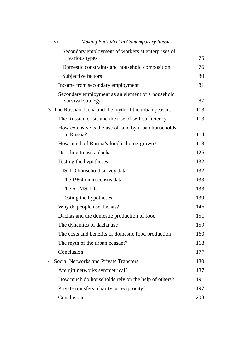| vi | Making Ends Meet in Contemporary Russia                                |     |
|----|------------------------------------------------------------------------|-----|
|    | Secondary employment of workers at enterprises of<br>various types     | 75  |
|    | Domestic constraints and household composition                         | 76  |
|    | Subjective factors                                                     | 80  |
|    | Income from secondary employment                                       | 81  |
|    | Secondary employment as an element of a household<br>survival strategy | 87  |
| 3  | The Russian dacha and the myth of the urban peasant                    | 113 |
|    | The Russian crisis and the rise of self-sufficiency                    | 113 |
|    | How extensive is the use of land by urban households<br>in Russia?     | 114 |
|    | How much of Russia's food is home-grown?                               | 118 |
|    | Deciding to use a dacha                                                | 125 |
|    | Testing the hypotheses                                                 | 132 |
|    | ISITO household survey data                                            | 132 |
|    | The 1994 microcensus data                                              | 133 |
|    | The RLMS data                                                          | 133 |
|    | Testing the hypotheses                                                 | 139 |
|    | Why do people use dachas?                                              | 146 |
|    | Dachas and the domestic production of food                             | 151 |
|    | The dynamics of dacha use                                              | 159 |
|    | The costs and benefits of domestic food production                     | 160 |
|    | The myth of the urban peasant?                                         | 168 |
|    | Conclusion                                                             | 177 |
|    | 4 Social Networks and Private Transfers                                | 180 |
|    | Are gift networks symmetrical?                                         | 187 |
|    | How much do households rely on the help of others?                     | 191 |
|    | Private transfers: charity or reciprocity?                             | 197 |
|    | Conclusion                                                             | 208 |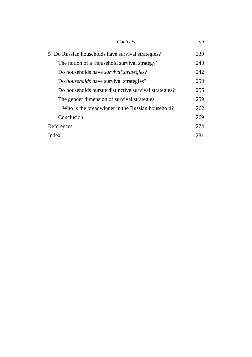| Contents                                              |     |  |  |  |  |
|-------------------------------------------------------|-----|--|--|--|--|
| 5 Do Russian households have survival strategies?     | 239 |  |  |  |  |
| The notion of a 'household survival strategy'         | 240 |  |  |  |  |
| Do households have <i>survival strategies</i> ?       | 242 |  |  |  |  |
| Do <i>households</i> have survival strategies?        | 250 |  |  |  |  |
| Do households pursue distinctive survival strategies? |     |  |  |  |  |
| The gender dimension of survival strategies           | 259 |  |  |  |  |
| Who is the breadwinner in the Russian household?      | 262 |  |  |  |  |
| Conclusion                                            | 269 |  |  |  |  |
| References                                            | 274 |  |  |  |  |
| Index                                                 | 281 |  |  |  |  |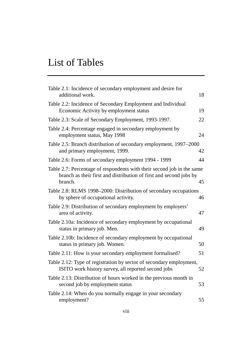## List of Tables

| Table 2.1: Incidence of secondary employment and desire for<br>additional work.                                                                         | 18 |
|---------------------------------------------------------------------------------------------------------------------------------------------------------|----|
| Table 2.2: Incidence of Secondary Employment and Individual<br>Economic Activity by employment status                                                   | 19 |
| Table 2.3: Scale of Secondary Employment, 1993-1997.                                                                                                    | 22 |
| Table 2.4: Percentage engaged in secondary employment by<br>employment status, May 1998                                                                 | 24 |
| Table 2.5: Branch distribution of secondary employment, 1997–2000<br>and primary employment, 1999.                                                      | 42 |
| Table 2.6: Forms of secondary employment 1994 - 1999                                                                                                    | 44 |
| Table 2.7: Percentage of respondents with their second job in the same<br>branch as their first and distribution of first and second jobs by<br>branch. | 45 |
| Table 2.8: RLMS 1998–2000: Distribution of secondary occupations<br>by sphere of occupational activity.                                                 | 46 |
| Table 2.9: Distribution of secondary employment by employers'<br>area of activity.                                                                      | 47 |
| Table 2.10a: Incidence of secondary employment by occupational<br>status in primary job. Men.                                                           | 49 |
| Table 2.10b: Incidence of secondary employment by occupational<br>status in primary job. Women.                                                         | 50 |
| Table 2.11: How is your secondary employment formalised?                                                                                                | 51 |
| Table 2.12: Type of registration by sector of secondary employment,<br>ISITO work history survey, all reported second jobs                              | 52 |
| Table 2.13: Distribution of hours worked in the previous month in<br>second job by employment status                                                    | 53 |
| Table 2.14: When do you normally engage in your secondary<br>employment?                                                                                | 55 |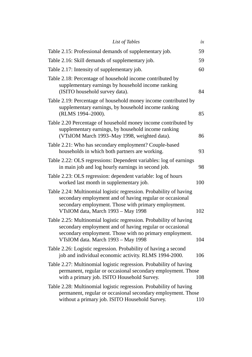| List of Tables                                                                                                                                                                                                                  | ix  |
|---------------------------------------------------------------------------------------------------------------------------------------------------------------------------------------------------------------------------------|-----|
| Table 2.15: Professional demands of supplementary job.                                                                                                                                                                          | 59  |
| Table 2.16: Skill demands of supplementary job.                                                                                                                                                                                 | 59  |
| Table 2.17: Intensity of supplementary job.                                                                                                                                                                                     | 60  |
| Table 2.18: Percentage of household income contributed by<br>supplementary earnings by household income ranking<br>(ISITO household survey data).                                                                               | 84  |
| Table 2.19: Percentage of household money income contributed by<br>supplementary earnings, by household income ranking<br>(RLMS 1994-2000).                                                                                     | 85  |
| Table 2.20 Percentage of household money income contributed by<br>supplementary earnings, by household income ranking<br>(VTsIOM March 1993–May 1998, weighted data).                                                           | 86  |
| Table 2.21: Who has secondary employment? Couple-based<br>households in which both partners are working.                                                                                                                        | 93  |
| Table 2.22: OLS regressions: Dependent variables: log of earnings<br>in main job and log hourly earnings in second job.                                                                                                         | 98  |
| Table 2.23: OLS regression: dependent variable: log of hours<br>worked last month in supplementary job.                                                                                                                         | 100 |
| Table 2.24: Multinomial logistic regression. Probability of having<br>secondary employment and of having regular or occasional<br>secondary employment. Those with primary employment.<br>VTsIOM data, March 1993 - May 1998    | 102 |
| Table 2.25: Multinomial logistic regression. Probability of having<br>secondary employment and of having regular or occasional<br>secondary employment. Those with no primary employment.<br>VTsIOM data. March 1993 - May 1998 | 104 |
| Table 2.26: Logistic regression. Probability of having a second<br>job and individual economic activity. RLMS 1994-2000.                                                                                                        | 106 |
| Table 2.27: Multinomial logistic regression. Probability of having<br>permanent, regular or occasional secondary employment. Those<br>with a primary job. ISITO Household Survey.                                               | 108 |
| Table 2.28: Multinomial logistic regression. Probability of having<br>permanent, regular or occasional secondary employment. Those<br>without a primary job. ISITO Household Survey.                                            | 110 |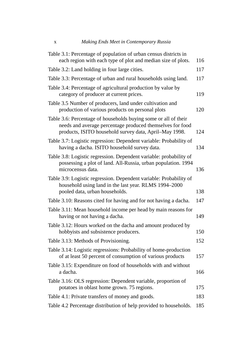| Table 3.1: Percentage of population of urban census districts in<br>each region with each type of plot and median size of plots.                                                       | 116 |
|----------------------------------------------------------------------------------------------------------------------------------------------------------------------------------------|-----|
| Table 3.2: Land holding in four large cities.                                                                                                                                          | 117 |
| Table 3.3: Percentage of urban and rural households using land.                                                                                                                        | 117 |
| Table 3.4: Percentage of agricultural production by value by<br>category of producer at current prices.                                                                                | 119 |
| Table 3.5 Number of producers, land under cultivation and<br>production of various products on personal plots                                                                          | 120 |
| Table 3.6: Percentage of households buying some or all of their<br>needs and average percentage produced themselves for food<br>products, ISITO household survey data, April–May 1998. | 124 |
| Table 3.7: Logistic regression: Dependent variable: Probability of<br>having a dacha. ISITO household survey data.                                                                     | 134 |
| Table 3.8: Logistic regression. Dependent variable: probability of<br>possessing a plot of land. All-Russia, urban population. 1994<br>microcensus data.                               | 136 |
| Table 3.9: Logistic regression. Dependent variable: Probability of<br>household using land in the last year. RLMS 1994-2000<br>pooled data, urban households.                          | 138 |
| Table 3.10: Reasons cited for having and for not having a dacha.                                                                                                                       | 147 |
| Table 3.11: Mean household income per head by main reasons for<br>having or not having a dacha.                                                                                        | 149 |
| Table 3.12: Hours worked on the dacha and amount produced by<br>hobbyists and subsistence producers.                                                                                   | 150 |
| Table 3.13: Methods of Provisioning.                                                                                                                                                   | 152 |
| Table 3.14: Logistic regressions: Probability of home-production<br>of at least 50 percent of consumption of various products                                                          | 157 |
| Table 3.15: Expenditure on food of households with and without<br>a dacha.                                                                                                             | 166 |
| Table 3.16: OLS regression: Dependent variable, proportion of<br>potatoes in oblast home grown. 75 regions.                                                                            | 175 |
| Table 4.1: Private transfers of money and goods.                                                                                                                                       | 183 |
| Table 4.2 Percentage distribution of help provided to households.                                                                                                                      | 185 |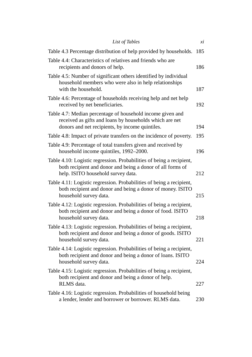| List of Tables                                                                                                                                                           | xi  |
|--------------------------------------------------------------------------------------------------------------------------------------------------------------------------|-----|
| Table 4.3 Percentage distribution of help provided by households.                                                                                                        | 185 |
| Table 4.4: Characteristics of relatives and friends who are<br>recipients and donors of help.                                                                            | 186 |
| Table 4.5: Number of significant others identified by individual<br>household members who were also in help relationships<br>with the household.                         | 187 |
| Table 4.6: Percentage of households receiving help and net help<br>received by net beneficiaries.                                                                        | 192 |
| Table 4.7: Median percentage of household income given and<br>received as gifts and loans by households which are net<br>donors and net recipients, by income quintiles. | 194 |
| Table 4.8: Impact of private transfers on the incidence of poverty.                                                                                                      | 195 |
| Table 4.9: Percentage of total transfers given and received by<br>household income quintiles, 1992-2000.                                                                 | 196 |
| Table 4.10: Logistic regression. Probabilities of being a recipient,<br>both recipient and donor and being a donor of all forms of<br>help. ISITO household survey data. | 212 |
| Table 4.11: Logistic regression. Probabilities of being a recipient,<br>both recipient and donor and being a donor of money. ISITO<br>household survey data.             | 215 |
| Table 4.12: Logistic regression. Probabilities of being a recipient,<br>both recipient and donor and being a donor of food. ISITO<br>household survey data.              | 218 |
| Table 4.13: Logistic regression. Probabilities of being a recipient,<br>both recipient and donor and being a donor of goods. ISITO<br>household survey data.             | 221 |
| Table 4.14: Logistic regression. Probabilities of being a recipient,<br>both recipient and donor and being a donor of loans. ISITO<br>household survey data.             | 224 |
| Table 4.15: Logistic regression. Probabilities of being a recipient,<br>both recipient and donor and being a donor of help.<br>RLMS data.                                | 227 |
| Table 4.16: Logistic regression. Probabilities of household being<br>a lender, lender and borrower or borrower. RLMS data.                                               | 230 |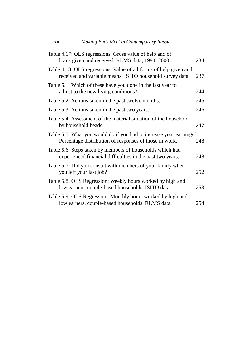| Table 4.17: OLS regressions. Gross value of help and of<br>loans given and received. RLMS data, 1994–2000.                     | 234 |
|--------------------------------------------------------------------------------------------------------------------------------|-----|
| Table 4.18: OLS regressions. Value of all forms of help given and<br>received and variable means. ISITO household survey data. | 237 |
| Table 5.1: Which of these have you done in the last year to<br>adjust to the new living conditions?                            | 244 |
| Table 5.2: Actions taken in the past twelve months.                                                                            | 245 |
| Table 5.3: Actions taken in the past two years.                                                                                | 246 |
| Table 5.4: Assessment of the material situation of the household<br>by household heads.                                        | 247 |
| Table 5.5: What you would do if you had to increase your earnings?<br>Percentage distribution of responses of those in work.   | 248 |
| Table 5.6: Steps taken by members of households which had<br>experienced financial difficulties in the past two years.         | 248 |
| Table 5.7: Did you consult with members of your family when<br>you left your last job?                                         | 252 |
| Table 5.8: OLS Regression: Weekly hours worked by high and<br>low earners, couple-based households. ISITO data.                | 253 |
| Table 5.9: OLS Regression: Monthly hours worked by high and<br>low earners, couple-based households. RLMS data.                | 254 |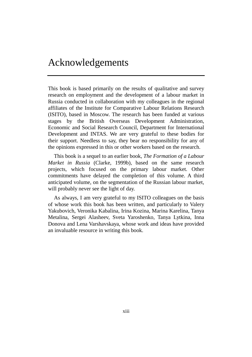### Acknowledgements

This book is based primarily on the results of qualitative and survey research on employment and the development of a labour market in Russia conducted in collaboration with my colleagues in the regional affiliates of the Institute for Comparative Labour Relations Research (ISITO), based in Moscow. The research has been funded at various stages by the British Overseas Development Administration, Economic and Social Research Council, Department for International Development and INTAS. We are very grateful to these bodies for their support. Needless to say, they bear no responsibility for any of the opinions expressed in this or other workers based on the research.

This book is a sequel to an earlier book, *The Formation of a Labour Market in Russia* (Clarke, 1999b), based on the same research projects, which focused on the primary labour market. Other commitments have delayed the completion of this volume. A third anticipated volume, on the segmentation of the Russian labour market, will probably never see the light of day.

As always, I am very grateful to my ISITO colleagues on the basis of whose work this book has been written, and particularly to Valery Yakubovich, Veronika Kabalina, Irina Kozina, Marina Karelina, Tanya Metalina, Sergei Alasheev, Sveta Yaroshenko, Tanya Lytkina, Inna Donova and Lena Varshavskaya, whose work and ideas have provided an invaluable resource in writing this book.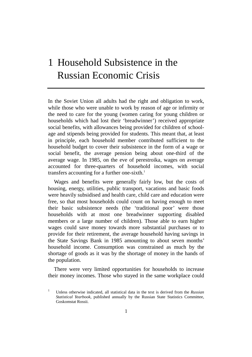# 1 Household Subsistence in the Russian Economic Crisis

In the Soviet Union all adults had the right and obligation to work, while those who were unable to work by reason of age or infirmity or the need to care for the young (women caring for young children or households which had lost their 'breadwinner') received appropriate social benefits, with allowances being provided for children of schoolage and stipends being provided for students. This meant that, at least in principle, each household member contributed sufficient to the household budget to cover their subsistence in the form of a wage or social benefit, the average pension being about one-third of the average wage. In 1985, on the eve of perestroika, wages on average accounted for three-quarters of household incomes, with social transfers accounting for a further one-sixth.<sup>1</sup>

Wages and benefits were generally fairly low, but the costs of housing, energy, utilities, public transport, vacations and basic foods were heavily subsidised and health care, child care and education were free, so that most households could count on having enough to meet their basic subsistence needs (the 'traditional poor' were those households with at most one breadwinner supporting disabled members or a large number of children). Those able to earn higher wages could save money towards more substantial purchases or to provide for their retirement, the average household having savings in the State Savings Bank in 1985 amounting to about seven months' household income. Consumption was constrained as much by the shortage of goods as it was by the shortage of money in the hands of the population.

There were very limited opportunities for households to increase their money incomes. Those who stayed in the same workplace could

1

Unless otherwise indicated, all statistical data in the text is derived from the *Russian Statistical Yearbook*, published annually by the Russian State Statistics Committee, Goskomstat Rossii.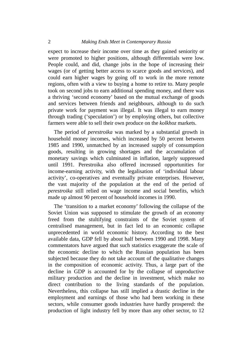expect to increase their income over time as they gained seniority or were promoted to higher positions, although differentials were low. People could, and did, change jobs in the hope of increasing their wages (or of getting better access to scarce goods and services), and could earn higher wages by going off to work in the more remote regions, often with a view to buying a home to retire to. Many people took on second jobs to earn additional spending money, and there was a thriving 'second economy' based on the mutual exchange of goods and services between friends and neighbours, although to do such private work for payment was illegal. It was illegal to earn money through trading ('speculation') or by employing others, but collective farmers were able to sell their own produce on the *kolkhoz* markets.

The period of *perestroika* was marked by a substantial growth in household money incomes, which increased by 50 percent between 1985 and 1990, unmatched by an increased supply of consumption goods, resulting in growing shortages and the accumulation of monetary savings which culminated in inflation, largely suppressed until 1991. Perestroika also offered increased opportunities for income-earning activity, with the legalisation of 'individual labour activity', co-operatives and eventually private enterprises. However, the vast majority of the population at the end of the period of *perestroika* still relied on wage income and social benefits, which made up almost 90 percent of household incomes in 1990.

The 'transition to a market economy' following the collapse of the Soviet Union was supposed to stimulate the growth of an economy freed from the stultifying constraints of the Soviet system of centralised management, but in fact led to an economic collapse unprecedented in world economic history. According to the best available data, GDP fell by about half between 1990 and 1998. Many commentators have argued that such statistics exaggerate the scale of the economic decline to which the Russian population has been subjected because they do not take account of the qualitative changes in the composition of economic activity. Thus, a large part of the decline in GDP is accounted for by the collapse of unproductive military production and the decline in investment, which make no direct contribution to the living standards of the population. Nevertheless, this collapse has still implied a drastic decline in the employment and earnings of those who had been working in these sectors, while consumer goods industries have hardly prospered: the production of light industry fell by more than any other sector, to 12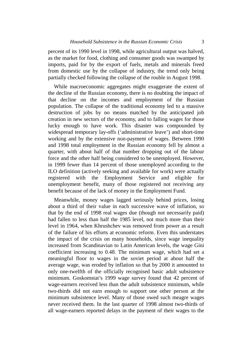percent of its 1990 level in 1998, while agricultural output was halved, as the market for food, clothing and consumer goods was swamped by imports, paid for by the export of fuels, metals and minerals freed from domestic use by the collapse of industry, the trend only being partially checked following the collapse of the rouble in August 1998.

While macroeconomic aggregates might exaggerate the extent of the decline of the Russian economy, there is no doubting the impact of that decline on the incomes and employment of the Russian population. The collapse of the traditional economy led to a massive destruction of jobs by no means matched by the anticipated job creation in new sectors of the economy, and to falling wages for those lucky enough to have work. This disaster was compounded by widespread temporary lay-offs ('administrative leave') and short-time working and by the extensive non-payment of wages. Between 1990 and 1998 total employment in the Russian economy fell by almost a quarter, with about half of that number dropping out of the labour force and the other half being considered to be unemployed. However, in 1999 fewer than 14 percent of those unemployed according to the ILO definition (actively seeking and available for work) were actually registered with the Employment Service and eligible for unemployment benefit, many of those registered not receiving any benefit because of the lack of money in the Employment Fund.

Meanwhile, money wages lagged seriously behind prices, losing about a third of their value in each successive wave of inflation, so that by the end of 1998 real wages due (though not necessarily paid) had fallen to less than half the 1985 level, not much more than their level in 1964, when Khrushchev was removed from power as a result of the failure of his efforts at economic reform. Even this understates the impact of the crisis on many households, since wage inequality increased from Scandinavian to Latin American levels, the wage Gini coefficient increasing to 0.48. The minimum wage, which had set a meaningful floor to wages in the soviet period at about half the average wage, was eroded by inflation so that by 2000 it amounted to only one-twelfth of the officially recognised basic adult subsistence minimum. Goskomstat's 1999 wage survey found that 42 percent of wage-earners received less than the adult subsistence minimum, while two-thirds did not earn enough to support one other person at the minimum subsistence level. Many of those owed such meagre wages never received them. In the last quarter of 1998 almost two-thirds of all wage-earners reported delays in the payment of their wages to the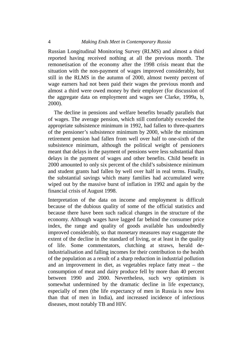Russian Longitudinal Monitoring Survey (RLMS) and almost a third reported having received nothing at all the previous month. The remonetisation of the economy after the 1998 crisis meant that the situation with the non-payment of wages improved considerably, but still in the RLMS in the autumn of 2000, almost twenty percent of wage earners had not been paid their wages the previous month and almost a third were owed money by their employer (for discussion of the aggregate data on employment and wages see Clarke, 1999a, b, 2000).

The decline in pensions and welfare benefits broadly parallels that of wages. The average pension, which still comfortably exceeded the appropriate subsistence minimum in 1992, had fallen to three-quarters of the pensioner's subsistence minimum by 2000, while the minimum retirement pension had fallen from well over half to one-sixth of the subsistence minimum, although the political weight of pensioners meant that delays in the payment of pensions were less substantial than delays in the payment of wages and other benefits. Child benefit in 2000 amounted to only six percent of the child's subsistence minimum and student grants had fallen by well over half in real terms. Finally, the substantial savings which many families had accumulated were wiped out by the massive burst of inflation in 1992 and again by the financial crisis of August 1998.

Interpretation of the data on income and employment is difficult because of the dubious quality of some of the official statistics and because there have been such radical changes in the structure of the economy. Although wages have lagged far behind the consumer price index, the range and quality of goods available has undoubtedly improved considerably, so that monetary measures may exaggerate the extent of the decline in the standard of living, or at least in the quality of life. Some commentators, clutching at straws, herald deindustrialisation and falling incomes for their contribution to the health of the population as a result of a sharp reduction in industrial pollution and an improvement in diet, as vegetables replace fatty meat – the consumption of meat and dairy produce fell by more than 40 percent between 1990 and 2000. Nevertheless, such wry optimism is somewhat undermined by the dramatic decline in life expectancy, especially of men (the life expectancy of men in Russia is now less than that of men in India), and increased incidence of infectious diseases, most notably TB and HIV.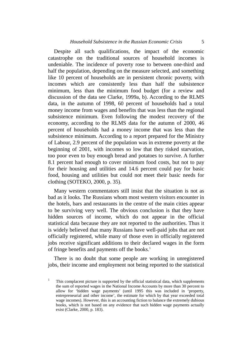Despite all such qualifications, the impact of the economic catastrophe on the traditional sources of household incomes is undeniable. The incidence of poverty rose to between one-third and half the population, depending on the measure selected, and something like 10 percent of households are in persistent chronic poverty, with incomes which are consistently less than half the subsistence minimum, less than the minimum food budget (for a review and discussion of the data see Clarke, 1999a, b). According to the RLMS data, in the autumn of 1998, 60 percent of households had a total money income from wages and benefits that was less than the regional subsistence minimum. Even following the modest recovery of the economy, according to the RLMS data for the autumn of 2000, 46 percent of households had a money income that was less than the subsistence minimum. According to a report prepared for the Ministry of Labour, 2.9 percent of the population was in extreme poverty at the beginning of 2001, with incomes so low that they risked starvation, too poor even to buy enough bread and potatoes to survive. A further 8.1 percent had enough to cover minimum food costs, but not to pay for their housing and utilities and 14.6 percent could pay for basic food, housing and utilities but could not meet their basic needs for clothing (SOTEKO, 2000, p. 35).

Many western commentators still insist that the situation is not as bad as it looks. The Russians whom most western visitors encounter in the hotels, bars and restaurants in the centre of the main cities appear to be surviving very well. The obvious conclusion is that they have hidden sources of income, which do not appear in the official statistical data because they are not reported to the authorities. Thus it is widely believed that many Russians have well-paid jobs that are not officially registered, while many of those even in officially registered jobs receive significant additions to their declared wages in the form of fringe benefits and payments off the books.<sup>1</sup>

There is no doubt that some people are working in unregistered jobs, their income and employment not being reported to the statistical

<sup>1</sup> This complacent picture is supported by the official statistical data, which supplements the sum of reported wages in the National Income Accounts by more than 30 percent to allow for 'hidden wage payments' (until 1995 this was included in 'property, entrepreneurial and other income', the estimate for which by that year exceeded total wage incomes). However, this is an accounting fiction to balance the extremely dubious books, which is not based on any evidence that such hidden wage payments actually exist (Clarke, 2000, p. 183).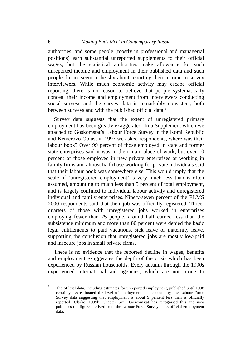authorities, and some people (mostly in professional and managerial positions) earn substantial unreported supplements to their official wages, but the statistical authorities make allowance for such unreported income and employment in their published data and such people do not seem to be shy about reporting their income to survey interviewers. While much economic activity may escape official reporting, there is no reason to believe that people systematically conceal their income and employment from interviewers conducting social surveys and the survey data is remarkably consistent, both between surveys and with the published official data.<sup>1</sup>

Survey data suggests that the extent of unregistered primary employment has been greatly exaggerated. In a Supplement which we attached to Goskomstat's Labour Force Survey in the Komi Republic and Kemerovo Oblast in 1997 we asked respondents, where was their labour book? Over 99 percent of those employed in state and former state enterprises said it was in their main place of work, but over 10 percent of those employed in new private enterprises or working in family firms and almost half those working for private individuals said that their labour book was somewhere else. This would imply that the scale of 'unregistered employment' is very much less than is often assumed, amounting to much less than 5 percent of total employment, and is largely confined to individual labour activity and unregistered individual and family enterprises. Ninety-seven percent of the RLMS 2000 respondents said that their job was officially registered. Threequarters of those with unregistered jobs worked in enterprises employing fewer than 25 people, around half earned less than the subsistence minimum and more than 80 percent were denied the basic legal entitlements to paid vacations, sick leave or maternity leave, supporting the conclusion that unregistered jobs are mostly low-paid and insecure jobs in small private firms.

There is no evidence that the reported decline in wages, benefits and employment exaggerates the depth of the crisis which has been experienced by Russian households. Every autumn through the 1990s experienced international aid agencies, which are not prone to

<sup>1</sup> The official data, including estimates for unreported employment, published until 1998 certainly overestimated the level of employment in the economy, the Labour Force Survey data suggesting that employment is about 9 percent less than is officially reported (Clarke, 1999b, Chapter Six). Goskomstat has recognised this and now publishes the figures derived from the Labour Force Survey as its official employment data.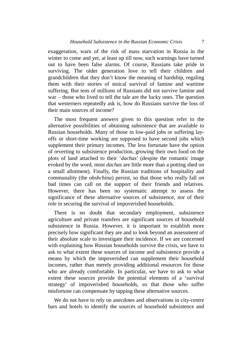exaggeration, warn of the risk of mass starvation in Russia in the winter to come and yet, at least up till now, such warnings have turned out to have been false alarms. Of course, Russians take pride in surviving. The older generation love to tell their children and grandchildren that they don't know the meaning of hardship, regaling them with their stories of stoical survival of famine and wartime suffering. But tens of millions of Russians did not survive famine and war – those who lived to tell the tale are the lucky ones. The question that westerners repeatedly ask is, how do Russians survive the loss of their main sources of income?

The most frequent answers given to this question refer to the alternative possibilities of obtaining subsistence that are available to Russian households. Many of those in low-paid jobs or suffering layoffs or short-time working are supposed to have second jobs which supplement their primary incomes. The less fortunate have the option of reverting to subsistence production, growing their own food on the plots of land attached to their '*dachas*' (despite the romantic image evoked by the word, most *dachas* are little more than a potting shed on a small allotment). Finally, the Russian traditions of hospitality and communality (the *obshchina*) persist, so that those who really fall on bad times can call on the support of their friends and relatives. However, there has been no systematic attempt to assess the significance of these alternative sources of subsistence, nor of their role in securing the survival of impoverished households.

There is no doubt that secondary employment, subsistence agriculture and private transfers are significant sources of household subsistence in Russia. However, it is important to establish more precisely how significant they are and to look beyond an assessment of their absolute scale to investigate their incidence. If we are concerned with explaining how Russian households survive the crisis, we have to ask to what extent these sources of income and subsistence provide a means by which the impoverished can supplement their household incomes, rather than merely providing additional resources for those who are already comfortable. In particular, we have to ask to what extent these sources provide the potential elements of a 'survival strategy' of impoverished households, so that those who suffer misfortune can compensate by tapping these alternative sources.

We do not have to rely on anecdotes and observations in city-centre bars and hotels to identify the sources of household subsistence and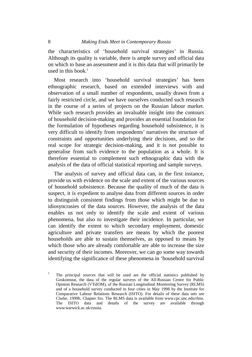the characteristics of 'household survival strategies' in Russia. Although its quality is variable, there is ample survey and official data on which to base an assessment and it is this data that will primarily be used in this book. $<sup>1</sup>$ </sup>

Most research into 'household survival strategies' has been ethnographic research, based on extended interviews with and observation of a small number of respondents, usually drawn from a fairly restricted circle, and we have ourselves conducted such research in the course of a series of projects on the Russian labour market. While such research provides an invaluable insight into the contours of household decision-making and provides an essential foundation for the formulation of hypotheses regarding household subsistence, it is very difficult to identify from respondents' narratives the structure of constraints and opportunities underlying their decisions, and so the real scope for strategic decision-making, and it is not possible to generalise from such evidence to the population as a whole. It is therefore essential to complement such ethnographic data with the analysis of the data of official statistical reporting and sample surveys.

The analysis of survey and official data can, in the first instance, provide us with evidence on the scale and extent of the various sources of household subsistence. Because the quality of much of the data is suspect, it is expedient to analyse data from different sources in order to distinguish consistent findings from those which might be due to idiosyncrasies of the data sources. However, the analysis of the data enables us not only to identify the scale and extent of various phenomena, but also to investigate their incidence. In particular, we can identify the extent to which secondary employment, domestic agriculture and private transfers are means by which the poorest households are able to sustain themselves, as opposed to means by which those who are already comfortable are able to increase the size and security of their incomes. Moreover, we can go some way towards identifying the significance of these phenomena in 'household survival

1

The principal sources that will be used are the official statistics published by Goskomstat, the data of the regular surveys of the All-Russian Centre for Public Opinion Research (VTsIOM), of the Russian Longitudinal Monitoring Survey (RLMS) and of a household survey conducted in four cities in May 1998 by the Institute for Comparative Labour Relations Research (ISITO). For details of these data sets see Clarke, 1999b, Chapter Six. The RLMS data is available from www.cpc.unc.edu/rlms. The ISITO data and details of the survey are available through www.warwick.ac.uk/russia.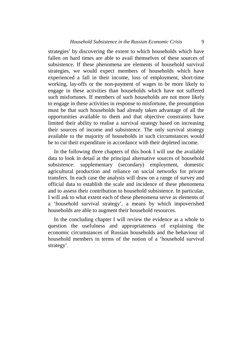strategies' by discovering the extent to which households which have fallen on hard times are able to avail themselves of these sources of subsistence. If these phenomena are elements of household survival strategies, we would expect members of households which have experienced a fall in their income, loss of employment, short-time working, lay-offs or the non-payment of wages to be more likely to engage in these activities than households which have not suffered such misfortunes. If members of such households are not more likely to engage in these activities in response to misfortune, the presumption must be that such households had already taken advantage of all the opportunities available to them and that objective constraints have limited their ability to realise a survival strategy based on increasing their sources of income and subsistence. The only survival strategy available to the majority of households in such circumstances would be to cut their expenditure in accordance with their depleted income.

In the following three chapters of this book I will use the available data to look in detail at the principal alternative sources of household subsistence: supplementary (secondary) employment, domestic agricultural production and reliance on social networks for private transfers. In each case the analysis will draw on a range of survey and official data to establish the scale and incidence of these phenomena and to assess their contribution to household subsistence. In particular, I will ask to what extent each of these phenomena serve as elements of a 'household survival strategy', a means by which impoverished households are able to augment their household resources.

In the concluding chapter I will review the evidence as a whole to question the usefulness and appropriateness of explaining the economic circumstances of Russian households and the behaviour of household members in terms of the notion of a 'household survival strategy'.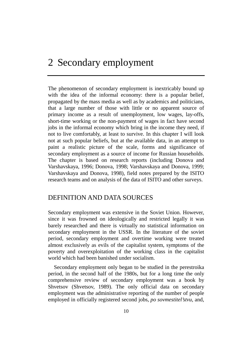### 2 Secondary employment

The phenomenon of secondary employment is inextricably bound up with the idea of the informal economy: there is a popular belief, propagated by the mass media as well as by academics and politicians, that a large number of those with little or no apparent source of primary income as a result of unemployment, low wages, lay-offs, short-time working or the non-payment of wages in fact have second jobs in the informal economy which bring in the income they need, if not to live comfortably, at least to survive. In this chapter I will look not at such popular beliefs, but at the available data, in an attempt to paint a realistic picture of the scale, forms and significance of secondary employment as a source of income for Russian households. The chapter is based on research reports (including Donova and Varshavskaya, 1996; Donova, 1998; Varshavskaya and Donova, 1999; Varshavskaya and Donova, 1998), field notes prepared by the ISITO research teams and on analysis of the data of ISITO and other surveys.

### DEFINITION AND DATA SOURCES

Secondary employment was extensive in the Soviet Union. However, since it was frowned on ideologically and restricted legally it was barely researched and there is virtually no statistical information on secondary employment in the USSR. In the literature of the soviet period, secondary employment and overtime working were treated almost exclusively as evils of the capitalist system, symptoms of the poverty and overexploitation of the working class in the capitalist world which had been banished under socialism.

Secondary employment only began to be studied in the perestroika period, in the second half of the 1980s, but for a long time the only comprehensive review of secondary employment was a book by Shvetsov (Shvetsov, 1989). The only official data on secondary employment was the administrative reporting of the number of people employed in officially registered second jobs, *po sovmestitel'stvu*, and,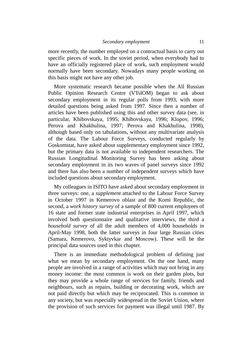more recently, the number employed on a contractual basis to carry out specific pieces of work. In the soviet period, when everybody had to have an officially registered place of work, such employment would normally have been secondary. Nowadays many people working on this basis might not have any other job.

More systematic research became possible when the All Russian Public Opinion Research Centre (VTsIOM) began to ask about secondary employment in its regular polls from 1993, with more detailed questions being asked from 1997. Since then a number of articles have been published using this and other survey data (see, in particular, Khibovskaya, 1995; Khibovskaya, 1996; Klopov, 1996; Perova and Khakhulina, 1997; Perova and Khakhulina, 1998), although based only on tabulations, without any multivariate analysis of the data. The Labour Force Surveys, conducted regularly by Goskomstat, have asked about supplementary employment since 1992, but the primary data is not available to independent researchers. The Russian Longitudinal Monitoring Survey has been asking about secondary employment in its two waves of panel surveys since 1992 and there has also been a number of independent surveys which have included questions about secondary employment.

My colleagues in ISITO have asked about secondary employment in three surveys: one, a *supplement* attached to the Labour Force Survey in October 1997 in Kemerovo oblast and the Komi Republic, the second, a *work history survey* of a sample of 800 current employees of 16 state and former state industrial enterprises in April 1997, which involved both questionnaire and qualitative interviews, the third a *household survey* of all the adult members of 4,000 households in April-May 1998, both the latter surveys in four large Russian cities (Samara, Kemerovo, Syktyvkar and Moscow). These will be the principal data sources used in this chapter.

There is an immediate methodological problem of defining just what we mean by secondary employment. On the one hand, many people are involved in a range of activities which may not bring in any money income: the most common is work on their garden plots, but they may provide a whole range of services for family, friends and neighbours, such as repairs, building or decorating work, which are not paid directly but which may be reciprocated. This is common in any society, but was especially widespread in the Soviet Union, where the provision of such services for payment was illegal until 1987. By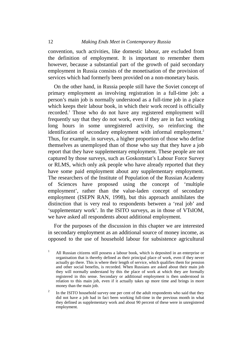#### 12 *Making Ends Meet in Contemporary Russia*

convention, such activities, like domestic labour, are excluded from the definition of employment. It is important to remember them however, because a substantial part of the growth of paid secondary employment in Russia consists of the monetisation of the provision of services which had formerly been provided on a non-monetary basis.

On the other hand, in Russia people still have the Soviet concept of primary employment as involving registration in a full-time job: a person's main job is normally understood as a full-time job in a place which keeps their labour book, in which their work record is officially recorded.<sup>1</sup> Those who do not have any registered employment will frequently say that they do not work, even if they are in fact working long hours in some unregistered activity, so reinforcing the identification of secondary employment with informal employment.<sup>2</sup> Thus, for example, in surveys, a higher proportion of those who define themselves as unemployed than of those who say that they have a job report that they have supplementary employment. These people are not captured by those surveys, such as Goskomstat's Labour Force Survey or RLMS, which only ask people who have already reported that they have some paid employment about any supplementary employment. The researchers of the Institute of Population of the Russian Academy of Sciences have proposed using the concept of 'multiple employment', rather than the value-laden concept of secondary employment (ISEPN RAN, 1998), but this approach annihilates the distinction that is very real to respondents between a 'real job' and 'supplementary work'. In the ISITO surveys, as in those of VTsIOM, we have asked all respondents about additional employment.

For the purposes of the discussion in this chapter we are interested in secondary employment as an additional source of money income, as opposed to the use of household labour for subsistence agricultural

<sup>1</sup> All Russian citizens still possess a labour book, which is deposited in an enterprise or organisation that is thereby defined as their principal place of work, even if they never actually go there. This is where their length of service, which qualifies them for pension and other social benefits, is recorded. When Russians are asked about their main job they will normally understand by this the place of work at which they are formally registered in this sense. Secondary or additional employment is then understood in relation to this main job, even if it actually takes up more time and brings in more money than the main job.

<sup>2</sup> In the ISITO household survey one per cent of the adult respondents who said that they did not have a job had in fact been working full-time in the previous month in what they defined as supplementary work and about 90 percent of these were in unregistered employment.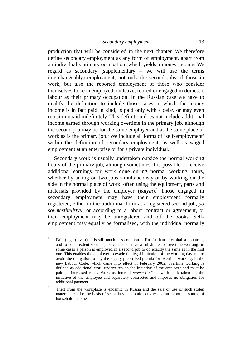production that will be considered in the next chapter. We therefore define secondary employment as any form of employment, apart from an individual's primary occupation, which yields a money income. We regard as secondary (supplementary – we will use the terms interchangeably) employment, not only the second jobs of those in work, but also the reported employment of those who consider themselves to be unemployed, on leave, retired or engaged in domestic labour as their primary occupation. In the Russian case we have to qualify the definition to include those cases in which the money income is in fact paid in kind, is paid only with a delay or may even remain unpaid indefinitely. This definition does not include additional income earned through working overtime in the primary job, although the second job may be for the same employer and at the same place of work as is the primary job.<sup>1</sup> We include all forms of 'self-employment' within the definition of secondary employment, as well as waged employment at an enterprise or for a private individual.

Secondary work is usually undertaken outside the normal working hours of the primary job, although sometimes it is possible to receive additional earnings for work done during normal working hours, whether by taking on two jobs simultaneously or by working on the side in the normal place of work, often using the equipment, parts and materials provided by the employer (kalym).<sup>2</sup> Those engaged in secondary employment may have their employment formally registered, either in the traditional form as a registered second job, *po sovmestitel'stvu*, or according to a labour contract or agreement, or their employment may be unregistered and off the books. Selfemployment may equally be formalised, with the individual normally

<sup>1</sup> Paid (legal) overtime is still much less common in Russia than in capitalist countries, and to some extent second jobs can be seen as a substitute for overtime working: in some cases a person is employed in a second job to do exactly the same as in the first one. This enables the employer to evade the legal limitation of the working day and to avoid the obligation to pay the legally prescribed premia for overtime working. In the new Labour Code, which came into effect in February 2002, overtime working is defined as additional work undertaken on the initiative of the employer and must be paid at increased rates. Work as internal *sovmestitel'* is work undertaken on the initiative of the employee and separately contracted and imposes no obligation for additional payment.

<sup>2</sup> Theft from the workplace is endemic in Russia and the sale or use of such stolen materials can be the basis of secondary economic activity and an important source of household income.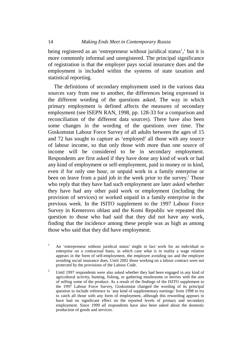being registered as an 'entrepreneur without juridical status',<sup>1</sup> but it is more commonly informal and unregistered. The principal significance of registration is that the employer pays social insurance dues and the employment is included within the systems of state taxation and statistical reporting.

The definitions of secondary employment used in the various data sources vary from one to another, the differences being expressed in the different wording of the questions asked. The way in which primary employment is defined affects the measures of secondary employment (see ISEPN RAN, 1998, pp. 128-33 for a comparison and reconciliation of the different data sources). There have also been some changes in the wording of the questions over time. The Goskomstat Labour Force Survey of all adults between the ages of 15 and 72 has sought to capture as 'employed' all those with any source of labour income, so that only those with more than one source of income will be considered to be in secondary employment. Respondents are first asked if they have done any kind of work or had any kind of employment or self-employment, paid in money or in kind, even if for only one hour, or unpaid work in a family enterprise or been on leave from a paid job in the week prior to the survey.<sup>2</sup> Those who reply that they have had such employment are later asked whether they have had any other paid work or employment (including the provision of services) or worked unpaid in a family enterprise in the previous week. In the ISITO supplement to the 1997 Labour Force Survey in Kemerovo oblast and the Komi Republic we repeated this question to those who had said that they did not have any work, finding that the incidence among these people was as high as among those who said that they did have employment.

<sup>1</sup> An 'entrepreneur without juridical status' might in fact work for an individual or enterprise on a contractual basis, in which case what is in reality a wage relation appears in the form of self-employment, the employee avoiding tax and the employer avoiding social insurance dues. Until 2002 those working on a labour contract were not protected by the provisions of the Labour Code.

 $\overline{2}$  Until 1997 respondents were also asked whether they had been engaged in any kind of agricultural activity, hunting, fishing, or gathering mushrooms or berries with the aim of selling some of the produce. As a result of the findings of the ISITO supplement to the 1997 Labour Force Survey, Goskomstat changed the wording of its principal question to include reference to 'any kind of supplementary earnings' from 1998 to try to catch all those with any form of employment, although this rewording appears to have had no significant effect on the reported levels of primary and secondary employment. Since 1999 all respondents have also been asked about the domestic production of goods and services.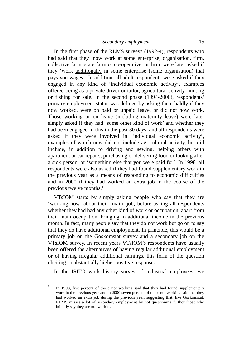In the first phase of the RLMS surveys (1992-4), respondents who had said that they 'now work at some enterprise, organisation, firm, collective farm, state farm or co-operative, or firm' were later asked if they 'work additionally in some enterprise (some organisation) that pays you wages'. In addition, all adult respondents were asked if they engaged in any kind of 'individual economic activity', examples offered being as a private driver or tailor, agricultural activity, hunting or fishing for sale. In the second phase (1994-2000), respondents' primary employment status was defined by asking them baldly if they now worked, were on paid or unpaid leave, or did not now work. Those working or on leave (including maternity leave) were later simply asked if they had 'some other kind of work' and whether they had been engaged in this in the past 30 days, and all respondents were asked if they were involved in 'individual economic activity', examples of which now did not include agricultural activity, but did include, in addition to driving and sewing, helping others with apartment or car repairs, purchasing or delivering food or looking after a sick person, or 'something else that you were paid for'. In 1998, all respondents were also asked if they had found supplementary work in the previous year as a means of responding to economic difficulties and in 2000 if they had worked an extra job in the course of the previous twelve months.<sup>1</sup>

VTsIOM starts by simply asking people who say that they are 'working now' about their 'main' job, before asking all respondents whether they had had any other kind of work or occupation, apart from their main occupation, bringing in additional income in the previous month. In fact, many people say that they do not work but go on to say that they do have additional employment. In principle, this would be a primary job on the Goskomstat survey and a secondary job on the VTsIOM survey. In recent years VTsIOM's respondents have usually been offered the alternatives of having regular additional employment or of having irregular additional earnings, this form of the question eliciting a substantially higher positive response.

In the ISITO work history survey of industrial employees, we

<sup>1</sup> In 1998, five percent of those not working said that they had found supplementary work in the previous year and in 2000 seven percent of those not working said that they had worked an extra job during the previous year, suggesting that, like Goskomstat, RLMS misses a lot of secondary employment by not questioning further those who initially say they are not working.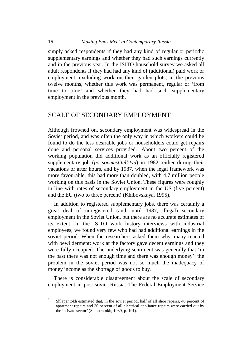#### 16 *Making Ends Meet in Contemporary Russia*

simply asked respondents if they had any kind of regular or periodic supplementary earnings and whether they had such earnings currently and in the previous year. In the ISITO household survey we asked all adult respondents if they had had any kind of (additional) paid work or employment, excluding work on their garden plots, in the previous twelve months, whether this work was permanent, regular or 'from time to time' and whether they had had such supplementary employment in the previous month.

### SCALE OF SECONDARY EMPLOYMENT

Although frowned on, secondary employment was widespread in the Soviet period, and was often the only way in which workers could be found to do the less desirable jobs or householders could get repairs done and personal services provided.<sup>1</sup> About two percent of the working population did additional work as an officially registered supplementary job (*po sovmestitel'stvu*) in 1982, either during their vacations or after hours, and by 1987, when the legal framework was more favourable, this had more than doubled, with 4.7 million people working on this basis in the Soviet Union. These figures were roughly in line with rates of secondary employment in the US (five percent) and the EU (two to three percent) (Khibovskaya, 1995).

In addition to registered supplementary jobs, there was certainly a great deal of unregistered (and, until 1987, illegal) secondary employment in the Soviet Union, but there are no accurate estimates of its extent. In the ISITO work history interviews with industrial employees, we found very few who had had additional earnings in the soviet period. When the researchers asked them why, many reacted with bewilderment: work at the factory gave decent earnings and they were fully occupied. The underlying sentiment was generally that 'in the past there was not enough time and there was enough money': the problem in the soviet period was not so much the inadequacy of money income as the shortage of goods to buy.

There is considerable disagreement about the scale of secondary employment in post-soviet Russia. The Federal Employment Service

<sup>1</sup> Shlapentokh estimated that, in the soviet period, half of all shoe repairs, 40 percent of apartment repairs and 30 percent of all electrical appliance repairs were carried out by the 'private sector' (Shlapentokh, 1989, p. 191).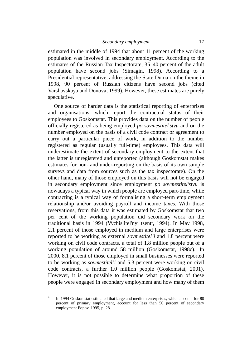estimated in the middle of 1994 that about 11 percent of the working population was involved in secondary employment. According to the estimates of the Russian Tax Inspectorate, 35–40 percent of the adult population have second jobs (Simagin, 1998). According to a Presidential representative, addressing the State Duma on the theme in 1998, 90 percent of Russian citizens have second jobs (cited Varshavskaya and Donova, 1999). However, these estimates are purely speculative.

One source of harder data is the statistical reporting of enterprises and organisations, which report the contractual status of their employees to Goskomstat. This provides data on the number of people officially registered as being employed *po sovmestitel'stvu* and on the number employed on the basis of a civil code contract or agreement to carry out a particular piece of work, in addition to the number registered as regular (usually full-time) employees. This data will underestimate the extent of secondary employment to the extent that the latter is unregistered and unreported (although Goskomstat makes estimates for non- and under-reporting on the basis of its own sample surveys and data from sources such as the tax inspectorate). On the other hand, many of those employed on this basis will not be engaged in secondary employment since employment *po sovmestitel'stvu* is nowadays a typical way in which people are employed part-time, while contracting is a typical way of formalising a short-term employment relationship and/or avoiding payroll and income taxes. With those reservations, from this data it was estimated by Goskomstat that two per cent of the working population did secondary work on the traditional basis in 1994 (Vychislitel'nyi tsentr, 1994). In May 1998, 2.1 percent of those employed in medium and large enterprises were reported to be working as external *sovmestitel'i* and 1.8 percent were working on civil code contracts, a total of 1.8 million people out of a working population of around 58 million (Goskomstat, 1998c).<sup>1</sup> In 2000, 8.1 percent of those employed in small businesses were reported to be working as *sovmestitel'i* and 5.3 percent were working on civil code contracts, a further 1.0 million people (Goskomstat, 2001). However, it is not possible to determine what proportion of these people were engaged in secondary employment and how many of them

<sup>1</sup> In 1994 Goskomstat estimated that large and medium enterprises, which account for 80 percent of primary employment, account for less than 50 percent of secondary employment Popov, 1995, p. 28.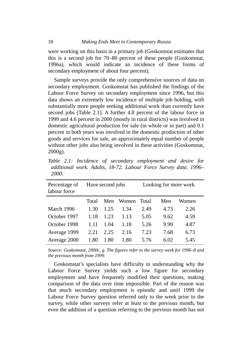were working on this basis in a primary job (Goskomstat estimates that this is a second job for 70–80 percent of these people (Goskomstat, 1996a), which would indicate an incidence of these forms of secondary employment of about four percent).

Sample surveys provide the only comprehensive sources of data on secondary employment. Goskomstat has published the findings of the Labour Force Survey on secondary employment since 1996, but this data shows an extremely low incidence of multiple job holding, with substantially more people seeking additional work than currently have second jobs (Table 2.1). A further 4.8 percent of the labour force in 1999 and 4.6 percent in 2000 (mostly in rural districts) was involved in domestic agricultural production for sale (in whole or in part) and 0.1 percent in both years was involved in the domestic production of other goods and services for sale, an approximately equal number of people without other jobs also being involved in these activities (Goskomstat, 2000g).

*Table 2.1: Incidence of secondary employment and desire for additional work. Adults, 18-72. Labour Force Survey data. 1996– 2000.* 

| Percentage of<br>labour force | Have second jobs |      |              |       | Looking for more work |       |
|-------------------------------|------------------|------|--------------|-------|-----------------------|-------|
|                               | Total            | Men  | <b>Women</b> | Total | Men                   | Women |
| March 1996                    | 1.30             | 1 25 | 1.34         | 2.49  | 4.73                  | 2.26  |
| October 1997                  | 1.18             | 1 23 | 1.13         | 5.05  | 9.62                  | 4.59  |
| October 1998                  | 1 1 1            | 1.04 | 1.18         | 5.26  | 9.99                  | 4.87  |
| Average 1999                  | 2.21             | 2.25 | 2.16         | 7.23  | 7.68                  | 6.73  |
| Average 2000                  | 1.80             | 1.80 | 1.80         | 5.76  | 6.02                  | 5.45  |

*Source: Goskomstat, 2000c, g. The figures refer to the survey week for 1996–8 and the previous month from 1999.*

Goskomstat's specialists have difficulty in understanding why the Labour Force Survey yields such a low figure for secondary employment and have frequently modified their questions, making comparison of the data over time impossible. Part of the reason was that much secondary employment is episodic and until 1999 the Labour Force Survey question referred only to the week prior to the survey, while other surveys refer at least to the previous month, but even the addition of a question referring to the previous month has not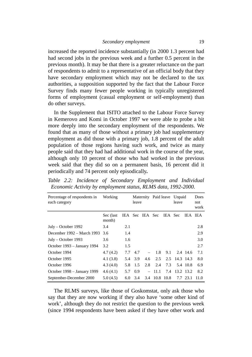increased the reported incidence substantially (in 2000 1.3 percent had had second jobs in the previous week and a further 0.5 percent in the previous month). It may be that there is a greater reluctance on the part of respondents to admit to a representative of an official body that they have secondary employment which may not be declared to the tax authorities, a supposition supported by the fact that the Labour Force Survey finds many fewer people working in typically unregistered forms of employment (casual employment or self-employment) than do other surveys.

In the Supplement that ISITO attached to the Labour Force Survey in Kemerovo and Komi in October 1997 we were able to probe a bit more deeply into the secondary employment of the respondents. We found that as many of those without a primary job had supplementary employment as did those with a primary job, 1.8 percent of the adult population of those regions having such work, and twice as many people said that they had had additional work in the course of the year, although only 10 percent of those who had worked in the previous week said that they did so on a permanent basis, 16 percent did it periodically and 74 percent only episodically*.*

| Percentage of respondents in<br>each category | Working              |     | leave |                          | Maternity Paid leave |     | Unpaid<br>leave |           | Does<br>not<br>work |
|-----------------------------------------------|----------------------|-----|-------|--------------------------|----------------------|-----|-----------------|-----------|---------------------|
|                                               | Sec (last)<br>month) |     |       | IEA Sec IEA Sec IEA Sec  |                      |     |                 | IEA IEA   |                     |
| July - October 1992                           | 3.4                  | 2.1 |       |                          |                      |     |                 |           | 2.8                 |
| December $1992 - March 1993$                  | 3.6                  | 1.4 |       |                          |                      |     |                 |           | 2.9                 |
| $July - October 1993$                         | 3.6                  | 1.6 |       |                          |                      |     |                 |           | 3.0                 |
| October 1993 – January 1994                   | 3.2                  | 1.5 |       |                          |                      |     |                 |           | 2.7                 |
| October 1994                                  | 4.7(4.2)             | 7.7 | 4.7   | $\overline{\phantom{0}}$ | 1.8                  | 9.1 |                 | 2.4 14.6  | 7.1                 |
| October 1995                                  | 4.1(3.8)             | 5.4 | 3.9   | 4.6                      | 2.5                  |     | 2.5 14.3 14.3   |           | 8.0                 |
| October 1996                                  | 4.3(4.0)             | 5.8 | 1.5   | 2.8                      | 2.4                  | 7.3 |                 | 5.4 10.8  | 6.9                 |
| October 1998 – January 1999                   | 4.6(4.1)             | 5.7 | 0.9   | $-$                      | 11.1                 | 7.4 |                 | 13.2 13.2 | 8.2                 |
| September-December 2000                       | 5.0(4.5)             | 6.0 | 3.4   | 3.4                      | 10.8 10.8            |     |                 | 7.7 23.1  | 11.0                |

*Table 2.2: Incidence of Secondary Employment and Individual Economic Activity by employment status, RLMS data, 1992-2000.* 

The RLMS surveys, like those of Goskomstat, only ask those who say that they are now working if they also have 'some other kind of work', although they do not restrict the question to the previous week (since 1994 respondents have been asked if they have other work and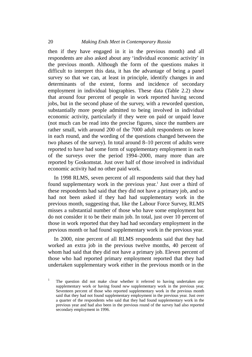then if they have engaged in it in the previous month) and all respondents are also asked about any 'individual economic activity' in the previous month. Although the form of the questions makes it difficult to interpret this data, it has the advantage of being a panel survey so that we can, at least in principle, identify changes in and determinants of the extent, forms and incidence of secondary employment in individual biographies. These data (Table 2.2) show that around four percent of people in work reported having second jobs, but in the second phase of the survey, with a reworded question, substantially more people admitted to being involved in individual economic activity, particularly if they were on paid or unpaid leave (not much can be read into the precise figures, since the numbers are rather small, with around 200 of the 7000 adult respondents on leave in each round, and the wording of the questions changed between the two phases of the survey). In total around 8–10 percent of adults were reported to have had some form of supplementary employment in each of the surveys over the period 1994–2000, many more than are reported by Goskomstat. Just over half of those involved in individual economic activity had no other paid work.

In 1998 RLMS, seven percent of all respondents said that they had found supplementary work in the previous year.<sup>1</sup> Just over a third of these respondents had said that they did not have a primary job, and so had not been asked if they had had supplementary work in the previous month, suggesting that, like the Labour Force Survey, RLMS misses a substantial number of those who have some employment but do not consider it to be their main job. In total, just over 10 percent of those in work reported that they had had secondary employment in the previous month or had found supplementary work in the previous year.

In 2000, nine percent of all RLMS respondents said that they had worked an extra job in the previous twelve months, 40 percent of whom had said that they did not have a primary job. Eleven percent of those who had reported primary employment reported that they had undertaken supplementary work either in the previous month or in the

<sup>1</sup> The question did not make clear whether it referred to having undertaken *any* supplementary work or having found *new* supplementary work in the previous year. Seventeen percent of those who reported supplementary work in the previous month said that they had not found supplementary employment in the previous year. Just over a quarter of the respondents who said that they had found supplementary work in the previous year and had also been in the previous round of the survey had also reported secondary employment in 1996.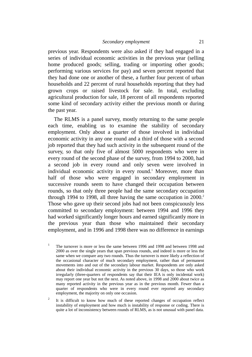previous year. Respondents were also asked if they had engaged in a series of individual economic activities in the previous year (selling home produced goods; selling, trading or importing other goods; performing various services for pay) and seven percent reported that they had done one or another of these, a further four percent of urban households and 22 percent of rural households reporting that they had grown crops or raised livestock for sale. In total, excluding agricultural production for sale, 18 percent of all respondents reported some kind of secondary activity either the previous month or during the past year.

The RLMS is a panel survey, mostly returning to the same people each time, enabling us to examine the stability of secondary employment. Only about a quarter of those involved in individual economic activity in any one round and a third of those with a second job reported that they had such activity in the subsequent round of the survey, so that only five of almost 5000 respondents who were in every round of the second phase of the survey, from 1994 to 2000, had a second job in every round and only seven were involved in individual economic activity in every round.<sup>1</sup> Moreover, more than half of those who were engaged in secondary employment in successive rounds seem to have changed their occupation between rounds, so that only three people had the same secondary occupation through 1994 to 1998, all three having the same occupation in  $2000<sup>2</sup>$ Those who gave up their second jobs had not been conspicuously less committed to secondary employment: between 1994 and 1996 they had worked significantly longer hours and earned significantly more in the previous year than those who maintained their secondary employment, and in 1996 and 1998 there was no difference in earnings

- 1 The turnover is more or less the same between 1996 and 1998 and between 1998 and 2000 as over the single years that span previous rounds, and indeed is more or less the same when we compare any two rounds. Thus the turnover is more likely a reflection of the occasional character of much secondary employment, rather than of permanent movements into and out of the secondary labour market. Respondents are only asked about their individual economic activity in the previous 30 days, so those who work irregularly (three-quarters of respondents say that their IEA is only incidental work) may report one year but not the next. As noted above, in 1998 and 2000 about twice as many reported activity in the previous year as in the previous month. Fewer than a quarter of respondents who were in every round ever reported any secondary employment, the majority on only one occasion.
- 2 It is difficult to know how much of these reported changes of occupation reflect instability of employment and how much is instability of response or coding. There is quite a lot of inconsistency between rounds of RLMS, as is not unusual with panel data.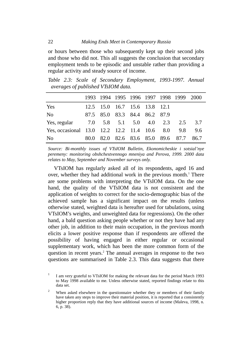#### 22 *Making Ends Meet in Contemporary Russia*

or hours between those who subsequently kept up their second jobs and those who did not. This all suggests the conclusion that secondary employment tends to be episodic and unstable rather than providing a regular activity and steady source of income.

*Table 2.3: Scale of Secondary Employment, 1993-1997. Annual averages of published VTsIOM data.* 

|                                                  |      |  |                               |  | 1993 1994 1995 1996 1997 1998 1999 2000 |     |
|--------------------------------------------------|------|--|-------------------------------|--|-----------------------------------------|-----|
| Yes                                              |      |  | 12.5 15.0 16.7 15.6 13.8 12.1 |  |                                         |     |
| N <sub>0</sub>                                   |      |  | 87.5 85.0 83.3 84.4 86.2 87.9 |  |                                         |     |
| Yes, regular 7.0 5.8 5.1 5.0 4.0 2.3 2.5         |      |  |                               |  |                                         | 3.7 |
| Yes, occasional 13.0 12.2 12.2 11.4 10.6 8.0 9.8 |      |  |                               |  |                                         | 9.6 |
| N <sub>0</sub>                                   | 80.O |  |                               |  | 82.0 82.6 83.6 85.0 89.6 87.7 86.7      |     |

*Source: Bi-monthly issues of VTsIOM Bulletin, Ekonomicheskie i sotsial'nye peremeny: monitoring obshchestvennogo mneniya and Perova, 1999. 2000 data relates to May, September and November surveys only.*

VTsIOM has regularly asked all of its respondents, aged 16 and over, whether they had additional work in the previous month.<sup>1</sup> There are some problems with interpreting the VTsIOM data. On the one hand, the quality of the VTsIOM data is not consistent and the application of weights to correct for the socio-demographic bias of the achieved sample has a significant impact on the results (unless otherwise stated, weighted data is hereafter used for tabulations, using VTsIOM's weights, and unweighted data for regressions). On the other hand, a bald question asking people whether or not they have had any other job, in addition to their main occupation, in the previous month elicits a lower positive response than if respondents are offered the possibility of having engaged in either regular or occasional supplementary work, which has been the more common form of the question in recent years.<sup>2</sup> The annual averages in response to the two questions are summarised in Table 2.3. This data suggests that there

<sup>1</sup> I am very grateful to VTsIOM for making the relevant data for the period March 1993 to May 1998 available to me. Unless otherwise stated, reported findings relate to this data set.

<sup>2</sup> When asked elsewhere in the questionnaire whether they or members of their family have taken any steps to improve their material position, it is reported that a consistently higher proportion reply that they have additional sources of income (Maleva, 1998, n. 6, p. 38).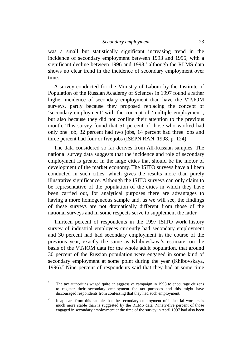was a small but statistically significant increasing trend in the incidence of secondary employment between 1993 and 1995, with a significant decline between  $1996$  and  $1998$ ,<sup>1</sup> although the RLMS data shows no clear trend in the incidence of secondary employment over time.

A survey conducted for the Ministry of Labour by the Institute of Population of the Russian Academy of Sciences in 1997 found a rather higher incidence of secondary employment than have the VTsIOM surveys, partly because they proposed replacing the concept of 'secondary employment' with the concept of 'multiple employment', but also because they did not confine their attention to the previous month. This survey found that 51 percent of those who worked had only one job, 32 percent had two jobs, 14 percent had three jobs and three percent had four or five jobs (ISEPN RAN, 1998, p. 124).

The data considered so far derives from All-Russian samples. The national survey data suggests that the incidence and role of secondary employment is greater in the large cities that should be the motor of development of the market economy. The ISITO surveys have all been conducted in such cities, which gives the results more than purely illustrative significance. Although the ISITO surveys can only claim to be representative of the population of the cities in which they have been carried out, for analytical purposes there are advantages to having a more homogeneous sample and, as we will see, the findings of these surveys are not dramatically different from those of the national surveys and in some respects serve to supplement the latter.

Thirteen percent of respondents in the 1997 ISITO work history survey of industrial employees currently had secondary employment and 30 percent had had secondary employment in the course of the previous year, exactly the same as Khibovskaya's estimate, on the basis of the VTsIOM data for the whole adult population, that around 30 percent of the Russian population were engaged in some kind of secondary employment at some point during the year (Khibovskaya, 1996).<sup>2</sup> Nine percent of respondents said that they had at some time

2 It appears from this sample that the secondary employment of industrial workers is much more stable than is suggested by the RLMS data. Ninety-five percent of those engaged in secondary employment at the time of the survey in April 1997 had also been

<sup>1</sup> The tax authorities waged quite an aggressive campaign in 1998 to encourage citizens to register their secondary employment for tax purposes and this might have discouraged respondents from confessing that they had such employment.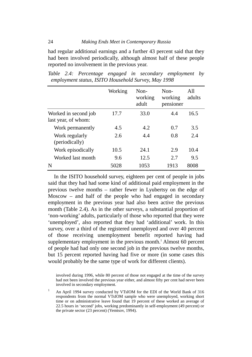had regular additional earnings and a further 43 percent said that they had been involved periodically, although almost half of these people reported no involvement in the previous year.

*Table 2.4: Percentage engaged in secondary employment by employment status, ISITO Household Survey, May 1998* 

|                                             | Working | Non-<br>working<br>adult | Non-<br>working<br>pensioner | All<br>adults |
|---------------------------------------------|---------|--------------------------|------------------------------|---------------|
| Worked in second job<br>last year, of whom: | 17.7    | 33.0                     | 4.4                          | 16.5          |
| Work permanently                            | 4.5     | 4.2                      | 0.7                          | 3.5           |
|                                             |         |                          |                              |               |
| Work regularly<br>(periodically)            | 2.6     | 4.4                      | 0.8                          | 2.4           |
| Work episodically                           | 10.5    | 24.1                     | 2.9                          | 10.4          |
| Worked last month                           | 9.6     | 12.5                     | 2.7                          | 9.5           |
| N                                           | 5028    | 1053                     | 1913                         | 8008          |

In the ISITO household survey, eighteen per cent of people in jobs said that they had had some kind of additional paid employment in the previous twelve months – rather fewer in Lyubertsy on the edge of Moscow – and half of the people who had engaged in secondary employment in the previous year had also been active the previous month (Table 2.4). As in the other surveys, a substantial proportion of 'non-working' adults, particularly of those who reported that they were 'unemployed', also reported that they had 'additional' work. In this survey, over a third of the registered unemployed and over 40 percent of those receiving unemployment benefit reported having had supplementary employment in the previous month.<sup>1</sup> Almost 60 percent of people had had only one second job in the previous twelve months, but 15 percent reported having had five or more (in some cases this would probably be the same type of work for different clients).

involved during 1996, while 80 percent of those not engaged at the time of the survey had not been involved the previous year either, and almost fifty per cent had never been involved in secondary employment.

<sup>1</sup> An April 1994 survey conducted by VTsIOM for the EDI of the World Bank of 316 respondents from the normal VTsIOM sample who were unemployed, working short time or on administrative leave found that 19 percent of these worked an average of 22.5 hours in 'second' jobs, working predominantly in self-employment (49 percent) or the private sector (23 percent) (Yemtsov, 1994).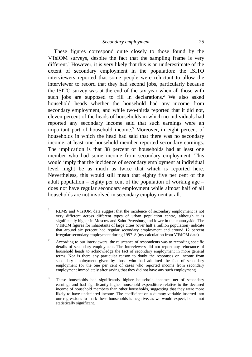These figures correspond quite closely to those found by the VTsIOM surveys, despite the fact that the sampling frame is very different.<sup>1</sup> However, it is very likely that this is an underestimate of the extent of secondary employment in the population: the ISITO interviewers reported that some people were reluctant to allow the interviewer to record that they had second jobs, particularly because the ISITO survey was at the end of the tax year when all those with such jobs are supposed to fill in declarations.<sup>2</sup> We also asked household heads whether the household had any income from secondary employment, and while two-thirds reported that it did not, eleven percent of the heads of households in which no individuals had reported any secondary income said that such earnings were an important part of household income.<sup>3</sup> Moreover, in eight percent of households in which the head had said that there was no secondary income, at least one household member reported secondary earnings. The implication is that 38 percent of households had at least one member who had some income from secondary employment. This would imply that the incidence of secondary employment at individual level might be as much as twice that which is reported here. Nevertheless, this would still mean that eighty five per cent of the adult population – eighty per cent of the population of working age – does not have regular secondary employment while almost half of all households are not involved in secondary employment at all.

- 1 RLMS and VTsIOM data suggest that the incidence of secondary employment is not very different across different types of urban population centre, although it is significantly higher in Moscow and Saint Petersburg and lower in the countryside. The VTsIOM figures for inhabitants of large cities (over half a million population) indicate that around six percent had regular secondary employment and around 12 percent irregular secondary employment during 1997–8 (my calculation from VTsIOM data).
- 2 According to our interviewers, the reluctance of respondents was to recording specific details of secondary employment. The interviewers did not report any reluctance of household heads to acknowledge the fact of secondary employment in more general terms. Nor is there any particular reason to doubt the responses on income from secondary employment given by those who had admitted the fact of secondary employment (or the one per cent of cases who reported income from secondary employment immediately after saying that they did not have any such employment).
- 3 These households had significantly higher household incomes net of secondary earnings and had significantly higher household expenditure relative to the declared income of household members than other households, suggesting that they were more likely to have undeclared income. The coefficient on a dummy variable inserted into our regressions to mark these households is negative, as we would expect, but is not statistically significant.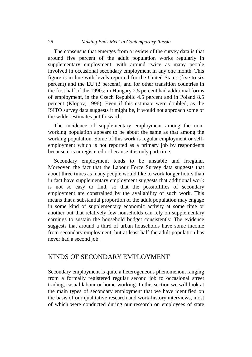#### 26 *Making Ends Meet in Contemporary Russia*

The consensus that emerges from a review of the survey data is that around five percent of the adult population works regularly in supplementary employment, with around twice as many people involved in occasional secondary employment in any one month. This figure is in line with levels reported for the United States (five to six percent) and the EU (3 percent), and for other transition countries in the first half of the 1990s: in Hungary 2.5 percent had additional forms of employment, in the Czech Republic 4.5 percent and in Poland 8.5 percent (Klopov, 1996). Even if this estimate were doubled, as the ISITO survey data suggests it might be, it would not approach some of the wilder estimates put forward.

The incidence of supplementary employment among the nonworking population appears to be about the same as that among the working population. Some of this work is regular employment or selfemployment which is not reported as a primary job by respondents because it is unregistered or because it is only part-time.

Secondary employment tends to be unstable and irregular. Moreover, the fact that the Labour Force Survey data suggests that about three times as many people would like to work longer hours than in fact have supplementary employment suggests that additional work is not so easy to find, so that the possibilities of secondary employment are constrained by the availability of such work. This means that a substantial proportion of the adult population may engage in some kind of supplementary economic activity at some time or another but that relatively few households can rely on supplementary earnings to sustain the household budget consistently. The evidence suggests that around a third of urban households have some income from secondary employment, but at least half the adult population has never had a second job.

## KINDS OF SECONDARY EMPLOYMENT

Secondary employment is quite a heterogeneous phenomenon, ranging from a formally registered regular second job to occasional street trading, casual labour or home-working. In this section we will look at the main types of secondary employment that we have identified on the basis of our qualitative research and work-history interviews, most of which were conducted during our research on employees of state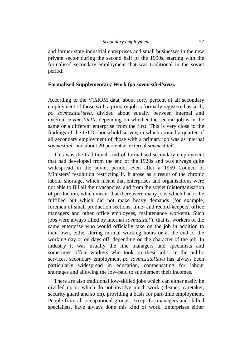and former state industrial enterprises and small businesses in the new private sector during the second half of the 1990s, starting with the formalised secondary employment that was traditional in the soviet period.

#### **Formalised Supplementary Work (***po sovmestitel'stvu***).**

According to the VTsIOM data, about forty percent of all secondary employment of those with a primary job is formally registered as such, *po sovmestitel'stvu*, divided about equally between internal and external *sovmestitel'i*, depending on whether the second job is in the same or a different enterprise from the first. This is very close to the findings of the ISITO household survey, in which around a quarter of all secondary employment of those with a primary job was as internal *sovmestitel'* and about 20 percent as external *sovmestitel'*.

This was the traditional kind of formalised secondary employment that had developed from the end of the 1920s and was always quite widespread in the soviet period, even after a 1959 Council of Ministers' resolution restricting it. It arose as a result of the chronic labour shortage, which meant that enterprises and organisations were not able to fill all their vacancies, and from the soviet (dis)organisation of production, which meant that there were many jobs which had to be fulfilled but which did not make heavy demands (for example, foremen of small production sections, time- and record-keepers, office managers and other office employees, maintenance workers). Such jobs were always filled by internal *sovmestitel'i*, that is, workers of the same enterprise who would officially take on the job in addition to their own, either during normal working hours or at the end of the working day or on days off, depending on the character of the job. In industry it was usually the line managers and specialists and sometimes office workers who took on these jobs. In the public services, secondary employment *po sovmestitel'stvu* has always been particularly widespread in education, compensating for labour shortages and allowing the low-paid to supplement their incomes.

There are also traditional low-skilled jobs which can either easily be divided up or which do not involve much work (cleaner, caretaker, security guard and so on), providing a basis for part-time employment. People from all occupational groups, except for managers and skilled specialists, have always done this kind of work. Enterprises either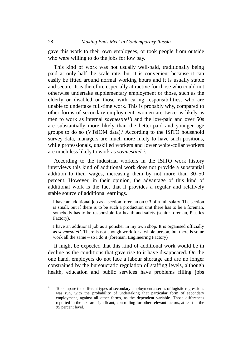gave this work to their own employees, or took people from outside who were willing to do the jobs for low pay.

This kind of work was not usually well-paid, traditionally being paid at only half the scale rate, but it is convenient because it can easily be fitted around normal working hours and it is usually stable and secure. It is therefore especially attractive for those who could not otherwise undertake supplementary employment or those, such as the elderly or disabled or those with caring responsibilities, who are unable to undertake full-time work. This is probably why, compared to other forms of secondary employment, women are twice as likely as men to work as internal *sovmestitel'i* and the low-paid and over 50s are substantially more likely than the better-paid and younger age groups to do so  $(VTsIOM data)$ .<sup>1</sup> According to the ISITO household survey data, managers are much more likely to have such positions, while professionals, unskilled workers and lower white-collar workers are much less likely to work as *sovmestitel'i*.

According to the industrial workers in the ISITO work history interviews this kind of additional work does not provide a substantial addition to their wages, increasing them by not more than 30–50 percent. However, in their opinion, the advantage of this kind of additional work is the fact that it provides a regular and relatively stable source of additional earnings.

I have an additional job as a section foreman on 0.3 of a full salary. The section is small, but if there is to be such a production unit there has to be a foreman, somebody has to be responsible for health and safety (senior foreman, Plastics Factory).

I have an additional job as a polisher in my own shop. It is organised officially as *sovmestitel'*. There is not enough work for a whole person, but there is some work all the same – so I do it (foreman, Engineering Factory)

It might be expected that this kind of additional work would be in decline as the conditions that gave rise to it have disappeared. On the one hand, employers do not face a labour shortage and are no longer constrained by the bureaucratic regulation of staffing levels, although health, education and public services have problems filling jobs

<sup>1</sup> To compare the different types of secondary employment a series of logistic regressions was run, with the probability of undertaking that particular form of secondary employment, against all other forms, as the dependent variable. Those differences reported in the text are significant, controlling for other relevant factors, at least at the 95 percent level.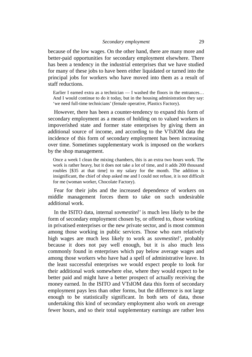because of the low wages. On the other hand, there are many more and better-paid opportunities for secondary employment elsewhere. There has been a tendency in the industrial enterprises that we have studied for many of these jobs to have been either liquidated or turned into the principal jobs for workers who have moved into them as a result of staff reductions.

Earlier I earned extra as a technician — I washed the floors in the entrances... And I would continue to do it today, but in the housing administration they say: 'we need full-time technicians' (female operative, Plastics Factory).

However, there has been a counter-tendency to expand this form of secondary employment as a means of holding on to valued workers in impoverished state and former state enterprises by giving them an additional source of income, and according to the VTsIOM data the incidence of this form of secondary employment has been increasing over time. Sometimes supplementary work is imposed on the workers by the shop management.

Once a week I clean the mixing chambers, this is an extra two hours work. The work is rather heavy, but it does not take a lot of time, and it adds 200 thousand roubles [\$35 at that time] to my salary for the month. The addition is insignificant, the chief of shop asked me and I could not refuse, it is not difficult for me (woman worker, Chocolate Factory).

Fear for their jobs and the increased dependence of workers on middle management forces them to take on such undesirable additional work.

In the ISITO data, internal *sovmestitel'* is much less likely to be the form of secondary employment chosen by, or offered to, those working in privatised enterprises or the new private sector, and is most common among those working in public services. Those who earn relatively high wages are much less likely to work as *sovmestitel'*, probably because it does not pay well enough, but it is also much less commonly found in enterprises which pay below average wages and among those workers who have had a spell of administrative leave. In the least successful enterprises we would expect people to look for their additional work somewhere else, where they would expect to be better paid and might have a better prospect of actually receiving the money earned. In the ISITO and VTsIOM data this form of secondary employment pays less than other forms, but the difference is not large enough to be statistically significant. In both sets of data, those undertaking this kind of secondary employment also work on average fewer hours, and so their total supplementary earnings are rather less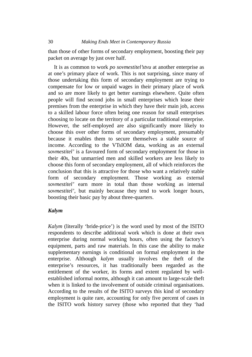than those of other forms of secondary employment, boosting their pay packet on average by just over half.

It is as common to work *po sovmestitel'stvu* at another enterprise as at one's primary place of work. This is not surprising, since many of those undertaking this form of secondary employment are trying to compensate for low or unpaid wages in their primary place of work and so are more likely to get better earnings elsewhere. Quite often people will find second jobs in small enterprises which lease their premises from the enterprise in which they have their main job, access to a skilled labour force often being one reason for small enterprises choosing to locate on the territory of a particular traditional enterprise. However, the self-employed are also significantly more likely to choose this over other forms of secondary employment, presumably because it enables them to secure themselves a stable source of income. According to the VTsIOM data, working as an external *sovmestitel'* is a favoured form of secondary employment for those in their 40s, but unmarried men and skilled workers are less likely to choose this form of secondary employment, all of which reinforces the conclusion that this is attractive for those who want a relatively stable form of secondary employment. Those working as external *sovmestitel'* earn more in total than those working as internal *sovmestitel'*, but mainly because they tend to work longer hours, boosting their basic pay by about three-quarters.

## *Kalym*

*Kalym* (literally 'bride-price') is the word used by most of the ISITO respondents to describe additional work which is done at their own enterprise during normal working hours, often using the factory's equipment, parts and raw materials. In this case the ability to make supplementary earnings is conditional on formal employment in the enterprise. Although *kalym* usually involves the theft of the enterprise's resources, it has traditionally been regarded as the entitlement of the worker, its forms and extent regulated by wellestablished informal norms, although it can amount to large-scale theft when it is linked to the involvement of outside criminal organisations. According to the results of the ISITO surveys this kind of secondary employment is quite rare, accounting for only five percent of cases in the ISITO work history survey (those who reported that they 'had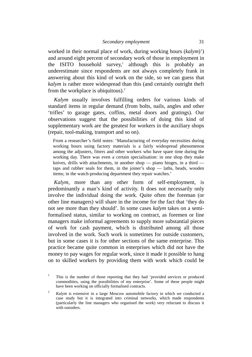worked in their normal place of work, during working hours (*kalym*)') and around eight percent of secondary work of those in employment in the ISITO household survey,<sup>1</sup> although this is probably an underestimate since respondents are not always completely frank in answering about this kind of work on the side, so we can guess that *kalym* is rather more widespread than this (and certainly outright theft from the workplace is ubiquitous). $^{2}$ 

*Kalym* usually involves fulfilling orders for various kinds of standard items in regular demand (from bolts, nails, angles and other 'trifles' to garage gates, coffins, metal doors and gratings). Our observations suggest that the possibilities of doing this kind of supplementary work are the greatest for workers in the auxiliary shops (repair, tool-making, transport and so on).

From a researcher's field notes: 'Manufacturing of everyday necessities during working hours using factory materials is a fairly widespread phenomenon among the adjusters, fitters and other workers who have spare time during the working day. There was even a certain specialisation: in one shop they make knives, drills with attachments, in another shop — piano hinges, in a third taps and rubber seals for them, in the joiner's shop — laths, beads, wooden items; in the watch-producing department they repair watches.'

*Kalym*, more than any other form of self-employment, is predominantly a man's kind of activity. It does not necessarily only involve the individual doing the work. Quite often the foreman (or other line managers) will share in the income for the fact that 'they do not see more than they should'. In some cases *kalym* takes on a semiformalised status, similar to working on contract, as foremen or line managers make informal agreements to supply more substantial pieces of work for cash payment, which is distributed among all those involved in the work. Such work is sometimes for outside customers, but in some cases it is for other sections of the same enterprise. This practice became quite common in enterprises which did not have the money to pay wages for regular work, since it made it possible to hang on to skilled workers by providing them with work which could be

<sup>1</sup> This is the number of those reporting that they had 'provided services or produced commodities, using the possibilities of my enterprise'. Some of these people might have been working on officially formalised contracts.

<sup>2</sup> *Kalym* is extensive in a large Moscow automobile factory in which we conducted a case study but it is integrated into criminal networks, which made respondents (particularly the line managers who organised the work) very reluctant to discuss it with outsiders.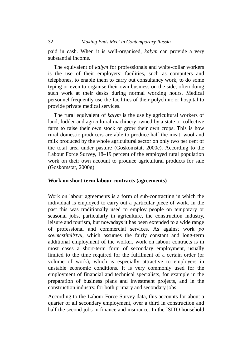paid in cash. When it is well-organised, *kalym* can provide a very substantial income.

The equivalent of *kalym* for professionals and white-collar workers is the use of their employers' facilities, such as computers and telephones, to enable them to carry out consultancy work, to do some typing or even to organise their own business on the side, often doing such work at their desks during normal working hours. Medical personnel frequently use the facilities of their polyclinic or hospital to provide private medical services.

The rural equivalent of *kalym* is the use by agricultural workers of land, fodder and agricultural machinery owned by a state or collective farm to raise their own stock or grow their own crops. This is how rural domestic producers are able to produce half the meat, wool and milk produced by the whole agricultural sector on only two per cent of the total area under pasture (Goskomstat, 2000e). According to the Labour Force Survey, 18–19 percent of the employed rural population work on their own account to produce agricultural products for sale (Goskomstat, 2000g).

### **Work on short-term labour contracts (agreements)**

Work on labour agreements is a form of sub-contracting in which the individual is employed to carry out a particular piece of work. In the past this was traditionally used to employ people on temporary or seasonal jobs, particularly in agriculture, the construction industry, leisure and tourism, but nowadays it has been extended to a wide range of professional and commercial services. As against work *po sovmestitel'stvu*, which assumes the fairly constant and long-term additional employment of the worker, work on labour contracts is in most cases a short-term form of secondary employment, usually limited to the time required for the fulfilment of a certain order (or volume of work), which is especially attractive to employers in unstable economic conditions. It is very commonly used for the employment of financial and technical specialists, for example in the preparation of business plans and investment projects, and in the construction industry, for both primary and secondary jobs.

According to the Labour Force Survey data, this accounts for about a quarter of all secondary employment, over a third in construction and half the second jobs in finance and insurance. In the ISITO household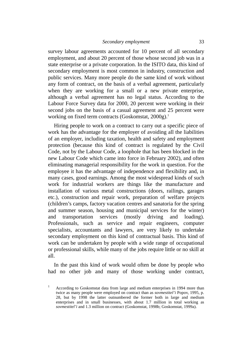survey labour agreements accounted for 10 percent of all secondary employment, and about 20 percent of those whose second job was in a state enterprise or a private corporation. In the ISITO data, this kind of secondary employment is most common in industry, construction and public services. Many more people do the same kind of work without any form of contract, on the basis of a verbal agreement, particularly when they are working for a small or a new private enterprise, although a verbal agreement has no legal status. According to the Labour Force Survey data for 2000, 20 percent were working in their second jobs on the basis of a casual agreement and 25 percent were working on fixed term contracts (Goskomstat,  $2000g$ ).<sup>1</sup>

Hiring people to work on a contract to carry out a specific piece of work has the advantage for the employer of avoiding all the liabilities of an employer, including taxation, health and safety and employment protection (because this kind of contract is regulated by the Civil Code, not by the Labour Code, a loophole that has been blocked in the new Labour Code which came into force in February 2002), and often eliminating managerial responsibility for the work in question. For the employee it has the advantage of independence and flexibility and, in many cases, good earnings. Among the most widespread kinds of such work for industrial workers are things like the manufacture and installation of various metal constructions (doors, railings, garages etc.), construction and repair work, preparation of welfare projects (children's camps, factory vacation centres and sanatoria for the spring and summer season, housing and municipal services for the winter) and transportation services (mostly driving and loading). Professionals, such as service and repair engineers, computer specialists, accountants and lawyers, are very likely to undertake secondary employment on this kind of contractual basis. This kind of work can be undertaken by people with a wide range of occupational or professional skills, while many of the jobs require little or no skill at all.

In the past this kind of work would often be done by people who had no other job and many of those working under contract,

<sup>1</sup> According to Goskomstat data from large and medium enterprises in 1994 more than twice as many people were employed on contract than as *sovmestitel'i* Popov, 1995, p. 28, but by 1998 the latter outnumbered the former both in large and medium enterprises and in small businesses, with about 1.7 million in total working as *sovmestitel'i* and 1.3 million on contract (Goskomstat, 1998b; Goskomstat, 1999a).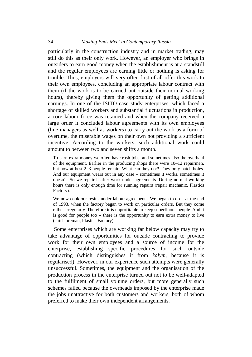particularly in the construction industry and in market trading, may still do this as their only work. However, an employer who brings in outsiders to earn good money when the establishment is at a standstill and the regular employees are earning little or nothing is asking for trouble. Thus, employers will very often first of all offer this work to their own employees, concluding an appropriate labour contract with them (if the work is to be carried out outside their normal working hours), thereby giving them the opportunity of getting additional earnings. In one of the ISITO case study enterprises, which faced a shortage of skilled workers and substantial fluctuations in production, a core labour force was retained and when the company received a large order it concluded labour agreements with its own employees (line managers as well as workers) to carry out the work as a form of overtime, the miserable wages on their own not providing a sufficient incentive. According to the workers, such additional work could amount to between two and seven shifts a month.

To earn extra money we often have rush jobs, and sometimes also the overhaul of the equipment. Earlier in the producing shops there were 10–12 repairmen, but now at best 2–3 people remain. What can they do?! They only patch holes. And our equipment wears out in any case – sometimes it works, sometimes it doesn't. So we repair it after work under agreements. During normal working hours there is only enough time for running repairs (repair mechanic, Plastics Factory).

We now cook our resins under labour agreements. We began to do it at the end of 1993, when the factory began to work on particular orders. But they come rather irregularly. Therefore it is unprofitable to keep superfluous people. And it is good for people too – there is the opportunity to earn extra money to live (shift foreman, Plastics Factory).

Some enterprises which are working far below capacity may try to take advantage of opportunities for outside contracting to provide work for their own employees and a source of income for the enterprise, establishing specific procedures for such outside contracting (which distinguishes it from *kalym*, because it is regularised). However, in our experience such attempts were generally unsuccessful. Sometimes, the equipment and the organisation of the production process in the enterprise turned out not to be well-adapted to the fulfilment of small volume orders, but more generally such schemes failed because the overheads imposed by the enterprise made the jobs unattractive for both customers and workers, both of whom preferred to make their own independent arrangements.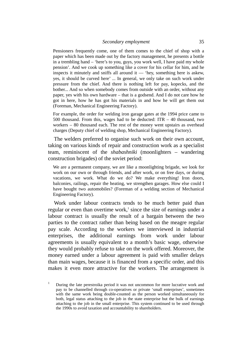Pensioners frequently come, one of them comes to the chief of shop with a paper which has been made out by the factory management, he presents a bottle in a trembling hand – 'here's to you, guys, you work well, I have paid my whole pension'. And we cook up something like a cover for his cellar for him, and he inspects it minutely and sniffs all around it — 'hey, something here is askew, yes, it should be curved here' ... In general, we only take on such work under pressure from the chief. And there is nothing left for pay, kopecks, and the bother... And so when somebody comes from outside with an order, without any paper, yes with his own hardware – that is a godsend. And I do not care how he got in here, how he has got his materials in and how he will get them out (Foreman, Mechanical Engineering Factory).

For example, the order for welding iron garage gates at the 1994 price came to 500 thousand. From this, wages had to be deducted: ITR – 40 thousand, two workers – 80 thousand each. The rest of the money went upstairs as overhead charges (Deputy chief of welding shop, Mechanical Engineering Factory).

The welders preferred to organise such work on their own account, taking on various kinds of repair and construction work as a specialist team, reminiscent of the *shabashniki* (moonlighters – wandering construction brigades) of the soviet period:

We are a permanent company, we are like a moonlighting brigade, we look for work on our own or through friends, and after work, or on free days, or during vacations, we work. What do we do? We make everything! Iron doors, balconies, railings, repair the heating, we strengthen garages. How else could I have bought two automobiles? (Foreman of a welding section of Mechanical Engineering Factory).

Work under labour contracts tends to be much better paid than regular or even than overtime work, $\frac{1}{2}$  since the size of earnings under a labour contract is usually the result of a bargain between the two parties to the contract rather than being based on the meagre regular pay scale. According to the workers we interviewed in industrial enterprises, the additional earnings from work under labour agreements is usually equivalent to a month's basic wage, otherwise they would probably refuse to take on the work offered. Moreover, the money earned under a labour agreement is paid with smaller delays than main wages, because it is financed from a specific order, and this makes it even more attractive for the workers. The arrangement is

<sup>1</sup> During the late perestroika period it was not uncommon for more lucrative work and pay to be channelled through co-operatives or private 'small enterprises', sometimes with the same work being double-counted as the person worked simultaneously for both, legal status attaching to the job in the state enterprise but the bulk of earnings attaching to the job in the small enterprise. This system continued to be used through the 1990s to avoid taxation and accountability to shareholders.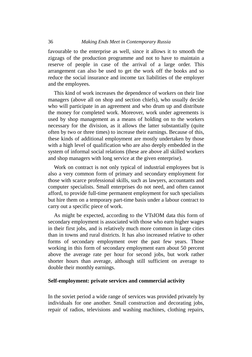#### 36 *Making Ends Meet in Contemporary Russia*

favourable to the enterprise as well, since it allows it to smooth the zigzags of the production programme and not to have to maintain a reserve of people in case of the arrival of a large order. This arrangement can also be used to get the work off the books and so reduce the social insurance and income tax liabilities of the employer and the employees.

This kind of work increases the dependence of workers on their line managers (above all on shop and section chiefs), who usually decide who will participate in an agreement and who drum up and distribute the money for completed work. Moreover, work under agreements is used by shop management as a means of holding on to the workers necessary for the division, as it allows the latter substantially (quite often by two or three times) to increase their earnings. Because of this, these kinds of additional employment are mostly undertaken by those with a high level of qualification who are also deeply embedded in the system of informal social relations (these are above all skilled workers and shop managers with long service at the given enterprise).

Work on contract is not only typical of industrial employees but is also a very common form of primary and secondary employment for those with scarce professional skills, such as lawyers, accountants and computer specialists. Small enterprises do not need, and often cannot afford, to provide full-time permanent employment for such specialists but hire them on a temporary part-time basis under a labour contract to carry out a specific piece of work.

As might be expected, according to the VTsIOM data this form of secondary employment is associated with those who earn higher wages in their first jobs, and is relatively much more common in large cities than in towns and rural districts. It has also increased relative to other forms of secondary employment over the past few years. Those working in this form of secondary employment earn about 50 percent above the average rate per hour for second jobs, but work rather shorter hours than average, although still sufficient on average to double their monthly earnings.

## **Self-employment: private services and commercial activity**

In the soviet period a wide range of services was provided privately by individuals for one another. Small construction and decorating jobs, repair of radios, televisions and washing machines, clothing repairs,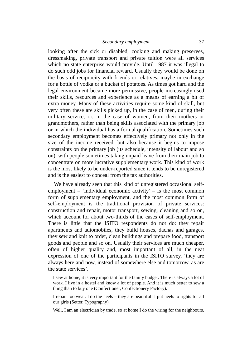looking after the sick or disabled, cooking and making preserves, dressmaking, private transport and private tuition were all services which no state enterprise would provide. Until 1987 it was illegal to do such odd jobs for financial reward. Usually they would be done on the basis of reciprocity with friends or relatives, maybe in exchange for a bottle of vodka or a bucket of potatoes. As times got hard and the legal environment became more permissive, people increasingly used their skills, resources and experience as a means of earning a bit of extra money. Many of these activities require some kind of skill, but very often these are skills picked up, in the case of men, during their military service, or, in the case of women, from their mothers or grandmothers, rather than being skills associated with the primary job or in which the individual has a formal qualification. Sometimes such secondary employment becomes effectively primary not only in the size of the income received, but also because it begins to impose constraints on the primary job (its schedule, intensity of labour and so on), with people sometimes taking unpaid leave from their main job to concentrate on more lucrative supplementary work. This kind of work is the most likely to be under-reported since it tends to be unregistered and is the easiest to conceal from the tax authorities.

We have already seen that this kind of unregistered occasional selfemployment – 'individual economic activity' – is the most common form of supplementary employment, and the most common form of self-employment is the traditional provision of private services: construction and repair, motor transport, sewing, cleaning and so on, which account for about two-thirds of the cases of self-employment. There is little that the ISITO respondents do not do: they repair apartments and automobiles, they build houses, dachas and garages, they sew and knit to order, clean buildings and prepare food, transport goods and people and so on. Usually their services are much cheaper, often of higher quality and, most important of all, in the neat expression of one of the participants in the ISITO survey, 'they are always here and now, instead of somewhere else and tomorrow, as are the state services'.

I sew at home, it is very important for the family budget. There is always a lot of work. I live in a hostel and know a lot of people. And it is much better to sew a thing than to buy one (Confectioner, Confectionery Factory).

I repair footwear. I do the heels – they are beautiful! I put heels to rights for all our girls (Setter, Typography).

Well, I am an electrician by trade, so at home I do the wiring for the neighbours.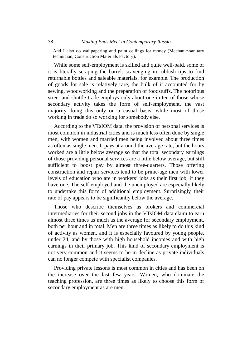And I also do wallpapering and paint ceilings for money (Mechanic-sanitary technician, Construction Materials Factory).

While some self-employment is skilled and quite well-paid, some of it is literally scraping the barrel: scavenging in rubbish tips to find returnable bottles and saleable materials, for example. The production of goods for sale is relatively rare, the bulk of it accounted for by sewing, woodworking and the preparation of foodstuffs. The notorious street and shuttle trade employs only about one in ten of those whose secondary activity takes the form of self-employment, the vast majority doing this only on a casual basis, while most of those working in trade do so working for somebody else.

According to the VTsIOM data, the provision of personal services is most common in industrial cities and is much less often done by single men, with women and married men being involved about three times as often as single men. It pays at around the average rate, but the hours worked are a little below average so that the total secondary earnings of those providing personal services are a little below average, but still sufficient to boost pay by almost three-quarters. Those offering construction and repair services tend to be prime-age men with lower levels of education who are in workers' jobs as their first job, if they have one. The self-employed and the unemployed are especially likely to undertake this form of additional employment. Surprisingly, their rate of pay appears to be significantly below the average.

Those who describe themselves as brokers and commercial intermediaries for their second jobs in the VTsIOM data claim to earn almost three times as much as the average for secondary employment, both per hour and in total. Men are three times as likely to do this kind of activity as women, and it is especially favoured by young people, under 24, and by those with high household incomes and with high earnings in their primary job. This kind of secondary employment is not very common and it seems to be in decline as private individuals can no longer compete with specialist companies.

Providing private lessons is most common in cities and has been on the increase over the last few years. Women, who dominate the teaching profession, are three times as likely to choose this form of secondary employment as are men.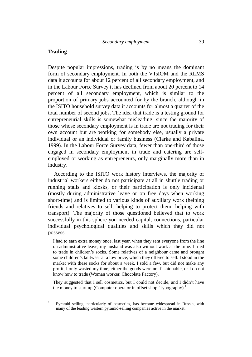## **Trading**

Despite popular impressions, trading is by no means the dominant form of secondary employment. In both the VTsIOM and the RLMS data it accounts for about 12 percent of all secondary employment, and in the Labour Force Survey it has declined from about 20 percent to 14 percent of all secondary employment, which is similar to the proportion of primary jobs accounted for by the branch, although in the ISITO household survey data it accounts for almost a quarter of the total number of second jobs. The idea that trade is a testing ground for entrepreneurial skills is somewhat misleading, since the majority of those whose secondary employment is in trade are not trading for their own account but are working for somebody else, usually a private individual or an individual or family business (Clarke and Kabalina, 1999). In the Labour Force Survey data, fewer than one-third of those engaged in secondary employment in trade and catering are selfemployed or working as entrepreneurs, only marginally more than in industry.

According to the ISITO work history interviews, the majority of industrial workers either do not participate at all in shuttle trading or running stalls and kiosks, or their participation is only incidental (mostly during administrative leave or on free days when working short-time) and is limited to various kinds of auxiliary work (helping friends and relatives to sell, helping to protect them, helping with transport). The majority of those questioned believed that to work successfully in this sphere you needed capital, connections, particular individual psychological qualities and skills which they did not possess.

I had to earn extra money once, last year, when they sent everyone from the line on administrative leave, my husband was also without work at the time. I tried to trade in children's socks. Some relatives of a neighbour came and brought some children's knitwear at a low price, which they offered to sell. I stood in the market with these socks for about a week, I sold a few, but did not make any profit, I only wasted my time, either the goods were not fashionable, or I do not know how to trade (Woman worker, Chocolate Factory).

They suggested that I sell cosmetics, but I could not decide, and I didn't have the money to start up (Computer operator in offset shop,  $Typeography$ ).<sup>1</sup>

1 Pyramid selling, particularly of cosmetics, has become widespread in Russia, with many of the leading western pyramid-selling companies active in the market.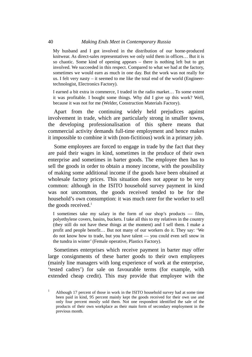My husband and I got involved in the distribution of our home-produced knitwear. As direct-sales representatives we only sold them in offices… But it is so chaotic. Some kind of opening appears – there is nothing left but to get involved. We succeeded in this respect. Compared to what we had at the factory, sometimes we would earn as much in one day. But the work was not really for us. I felt very nasty – it seemed to me like the total end of the world (Engineertechnologist, Electronics Factory).

I earned a bit extra in commerce, I traded in the radio market… To some extent it was profitable. I bought some things. Why did I give up this work? Well, because it was not for me (Welder, Construction Materials Factory).

Apart from the continuing widely held prejudices against involvement in trade, which are particularly strong in smaller towns, the developing professionalisation of this sphere means that commercial activity demands full-time employment and hence makes it impossible to combine it with (non-fictitious) work in a primary job.

Some employees are forced to engage in trade by the fact that they are paid their wages in kind, sometimes in the produce of their own enterprise and sometimes in barter goods. The employee then has to sell the goods in order to obtain a money income, with the possibility of making some additional income if the goods have been obtained at wholesale factory prices. This situation does not appear to be very common: although in the ISITO household survey payment in kind was not uncommon, the goods received tended to be for the household's own consumption: it was much rarer for the worker to sell the goods received. $<sup>1</sup>$ </sup>

I sometimes take my salary in the form of our shop's products — film, polyethylene covers, basins, buckets. I take all this to my relatives in the country (they still do not have these things at the moment) and I sell them. I make a profit and people benefit… But not many of our workers do it. They say: 'We do not know how to trade, but you have talent — you could even sell snow in the tundra in winter' (Female operative, Plastics Factory).

Sometimes enterprises which receive payment in barter may offer large consignments of these barter goods to their own employees (mainly line managers with long experience of work at the enterprise, 'tested cadres') for sale on favourable terms (for example, with extended cheap credit). This may provide that employee with the

<sup>1</sup> Although 17 percent of those in work in the ISITO household survey had at some time been paid in kind, 95 percent mainly kept the goods received for their own use and only four percent mostly sold them. Not one respondent identified the sale of the products of their own workplace as their main form of secondary employment in the previous month.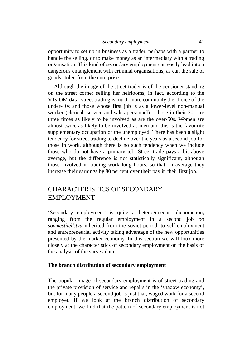opportunity to set up in business as a trader, perhaps with a partner to handle the selling, or to make money as an intermediary with a trading organisation. This kind of secondary employment can easily lead into a dangerous entanglement with criminal organisations, as can the sale of goods stolen from the enterprise.

Although the image of the street trader is of the pensioner standing on the street corner selling her heirlooms, in fact, according to the VTsIOM data, street trading is much more commonly the choice of the under-40s and those whose first job is as a lower-level non-manual worker (clerical, service and sales personnel) – those in their 30s are three times as likely to be involved as are the over-50s. Women are almost twice as likely to be involved as men and this is the favourite supplementary occupation of the unemployed. There has been a slight tendency for street trading to decline over the years as a second job for those in work, although there is no such tendency when we include those who do not have a primary job. Street trade pays a bit above average, but the difference is not statistically significant, although those involved in trading work long hours, so that on average they increase their earnings by 80 percent over their pay in their first job.

# CHARACTERISTICS OF SECONDARY EMPLOYMENT

'Secondary employment' is quite a heterogeneous phenomenon, ranging from the regular employment in a second job *po sovmestitel'stvu* inherited from the soviet period, to self-employment and entrepreneurial activity taking advantage of the new opportunities presented by the market economy. In this section we will look more closely at the characteristics of secondary employment on the basis of the analysis of the survey data.

## **The branch distribution of secondary employment**

The popular image of secondary employment is of street trading and the private provision of service and repairs in the 'shadow economy', but for many people a second job is just that, waged work for a second employer. If we look at the branch distribution of secondary employment, we find that the pattern of secondary employment is not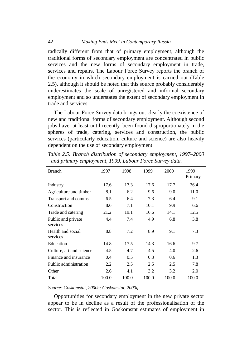#### 42 *Making Ends Meet in Contemporary Russia*

radically different from that of primary employment, although the traditional forms of secondary employment are concentrated in public services and the new forms of secondary employment in trade, services and repairs. The Labour Force Survey reports the branch of the economy in which secondary employment is carried out (Table 2.5), although it should be noted that this source probably considerably underestimates the scale of unregistered and informal secondary employment and so understates the extent of secondary employment in trade and services.

The Labour Force Survey data brings out clearly the coexistence of new and traditional forms of secondary employment. Although second jobs have, at least until recently, been found disproportionately in the spheres of trade, catering, services and construction, the public services (particularly education, culture and science) are also heavily dependent on the use of secondary employment.

| <b>Branch</b>                  | 1997  | 1998  | 1999  | 2000          | 1999<br>Primary |
|--------------------------------|-------|-------|-------|---------------|-----------------|
| Industry                       | 17.6  | 17.3  | 17.6  | 17.7          | 26.4            |
| Agriculture and timber         | 8.1   | 6.2   | 9.6   | 9.0           | 11.0            |
| Transport and comms            | 6.5   | 6.4   | 7.3   | 6.4           | 9.1             |
| Construction                   | 8.6   | 7.1   | 10.1  | 9.9           | 6.6             |
| Trade and catering             | 21.2  | 19.1  | 16.6  | 14.1          | 12.5            |
| Public and private<br>services | 4.4   | 7.4   | 4.9   | 6.8           | 3.8             |
| Health and social<br>services  | 8.8   | 7.2   | 8.9   | 9.1           | 7.3             |
| Education                      | 14.8  | 17.5  | 14.3  | 16.6          | 9.7             |
| Culture, art and science       | 4.5   | 4.7   | 4.5   | 4.0           | 2.6             |
| Finance and insurance          | 0.4   | 0.5   | 0.3   | $0.6^{\circ}$ | 1.3             |
| Public administration          | 2.2   | 2.5   | 2.5   | 2.5           | 7.8             |
| Other                          | 2.6   | 4.1   | 3.2   | 3.2           | 2.0             |
| Total                          | 100.0 | 100.0 | 100.0 | 100.0         | 100.0           |

*Table 2.5: Branch distribution of secondary employment, 1997–2000 and primary employment, 1999, Labour Force Survey data.* 

*Source: Goskomstat, 2000c; Goskomstat, 2000g.*

Opportunities for secondary employment in the new private sector appear to be in decline as a result of the professionalisation of the sector. This is reflected in Goskomstat estimates of employment in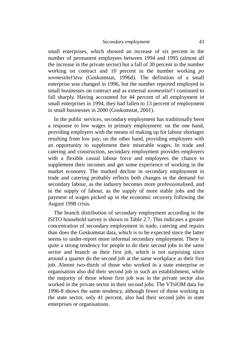small enterprises, which showed an increase of six percent in the number of permanent employees between 1994 and 1995 (almost all the increase in the private sector) but a fall of 30 percent in the number working on contract and 10 percent in the number working *po sovmestitel'stvu* (Goskomstat, 1996d). The definition of a small enterprise was changed in 1996, but the number reported employed in small businesses on contract and as external *sovmestitel'i* continued to fall sharply. Having accounted for 44 percent of all employment in small enterprises in 1994, they had fallen to 13 percent of employment in small businesses in 2000 (Goskomstat, 2001).

In the public services, secondary employment has traditionally been a response to low wages in primary employment: on the one hand, providing employers with the means of making up for labour shortages resulting from low pay; on the other hand, providing employees with an opportunity to supplement their miserable wages. In trade and catering and construction, secondary employment provides employers with a flexible casual labour force and employees the chance to supplement their incomes and get some experience of working in the market economy. The marked decline in secondary employment in trade and catering probably reflects both changes in the demand for secondary labour, as the industry becomes more professionalised, and in the supply of labour, as the supply of more stable jobs and the payment of wages picked up in the economic recovery following the August 1998 crisis.

The branch distribution of secondary employment according to the ISITO household survey is shown in Table 2.7. This indicates a greater concentration of secondary employment in trade, catering and repairs than does the Goskomstat data, which is to be expected since the latter seems to under-report more informal secondary employment. There is quite a strong tendency for people to do their second jobs in the same sector and branch as their first job, which is not surprising since around a quarter do the second job at the same workplace as their first job. Almost two-thirds of those who worked in a state enterprise or organisation also did their second job in such an establishment, while the majority of those whose first job was in the private sector also worked in the private sector in their second jobs. The VTsIOM data for 1996-8 shows the same tendency, although fewer of those working in the state sector, only 41 percent, also had their second jobs in state enterprises or organisations.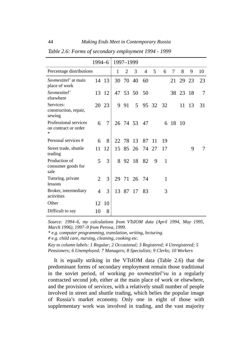|                                                    | 1994-6         |       | 1997-1999 |                |                |                |       |              |     |          |    |    |
|----------------------------------------------------|----------------|-------|-----------|----------------|----------------|----------------|-------|--------------|-----|----------|----|----|
| Percentage distributions                           |                |       | 1         | $\overline{2}$ | 3              | $\overline{4}$ | 5     | 6            | 7   | 8        | 9  | 10 |
| <i>Sovmestitel'</i> at main<br>place of work       |                | 14 13 | 30        | 70             | 40             | 60             |       |              | 21  | 29 23    |    | 23 |
| Sovmestitel'<br>elsewhere                          |                | 13 12 |           | 47 53 50       |                | 50             |       |              |     | 38 23 18 |    | 7  |
| Services:<br>construction, repair,<br>sewing       | 20 23          |       | 9         | 91             | 5 <sup>5</sup> |                | 95 32 | 32           |     | 11       | 13 | 31 |
| Professional services<br>on contract or order<br>* | 6              | 7     |           |                | 26 74 53 47    |                |       | 6            | -18 | 10       |    |    |
| Personal services #                                | 6              | 8     | 22        | 78             | 13             | 87             | 11    | 19           |     |          |    |    |
| Street trade, shuttle<br>trading                   | 11             | 12    | 15        |                | 85 26          | 74 27          |       | 17           |     |          | 9  |    |
| Production of<br>consumer goods for<br>sale        | 5              | 3     | 8         | 92 18          |                | 82             | 9     | $\mathbf{1}$ |     |          |    |    |
| Tutoring, private<br>lessons                       | $\overline{2}$ | 3     |           |                | 29 71 26 74    |                |       | 1            |     |          |    |    |
| Broker, intermediary<br>activities                 | $\overline{4}$ | 3     | 13        | 87             | 17             | 83             |       | 3            |     |          |    |    |
| Other                                              | 12             | 10    |           |                |                |                |       |              |     |          |    |    |
| Difficult to say                                   | 10             | 8     |           |                |                |                |       |              |     |          |    |    |

*Table 2.6: Forms of secondary employment 1994 - 1999* 

*Source: 1994–6, my calculations from VTsIOM data (April 1994, May 1995, March 1996), 1997–9 from Perova, 1999.* 

*\* e.g. computer programming, translation, writing, lecturing.* 

*# e.g. child care, nursing, cleaning, cooking etc.* 

*Key to column labels: 1 Regular; 2 Occasional; 3 Registered; 4 Unregistered; 5 Pensioners; 6 Unemployed; 7 Managers; 8 Specialists; 9 Clerks; 10 Workers* 

It is equally striking in the VTsIOM data (Table 2.6) that the predominant forms of secondary employment remain those traditional in the soviet period, of working *po sovmestitel'vu* in a regularly contracted second job, either at the main place of work or elsewhere, and the provision of services, with a relatively small number of people involved in street and shuttle trading, which belies the popular image of Russia's market economy. Only one in eight of those with supplementary work was involved in trading, and the vast majority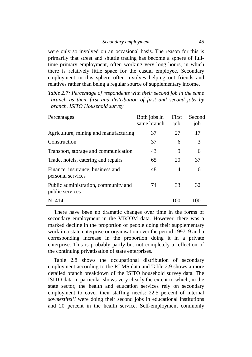were only so involved on an occasional basis. The reason for this is primarily that street and shuttle trading has become a sphere of fulltime primary employment, often working very long hours, in which there is relatively little space for the casual employee. Secondary employment in this sphere often involves helping out friends and relatives rather than being a regular source of supplementary income.

| Percentages                                             | Both jobs in<br>same branch | First<br>job | Second<br>job |
|---------------------------------------------------------|-----------------------------|--------------|---------------|
| Agriculture, mining and manufacturing                   | 37                          | 27           | 17            |
| Construction                                            | 37                          | 6            | 3             |
| Transport, storage and communication                    | 43                          | 9            | 6             |
| Trade, hotels, catering and repairs                     | 65                          | 20           | 37            |
| Finance, insurance, business and<br>personal services   | 48                          | 4            | 6             |
| Public administration, community and<br>public services | 74                          | 33           | 32            |
| $N = 414$                                               |                             | 100          |               |

*Table 2.7: Percentage of respondents with their second job in the same branch as their first and distribution of first and second jobs by branch. ISITO Household survey* 

There have been no dramatic changes over time in the forms of secondary employment in the VTsIOM data. However, there was a marked decline in the proportion of people doing their supplementary work in a state enterprise or organisation over the period 1997–9 and a corresponding increase in the proportion doing it in a private enterprise. This is probably partly but not completely a reflection of the continuing privatisation of state enterprises.

Table 2.8 shows the occupational distribution of secondary employment according to the RLMS data and Table 2.9 shows a more detailed branch breakdown of the ISITO household survey data. The ISITO data in particular shows very clearly the extent to which, in the state sector, the health and education services rely on secondary employment to cover their staffing needs: 22.5 percent of internal *sovmestitel'i* were doing their second jobs in educational institutions and 20 percent in the health service. Self-employment commonly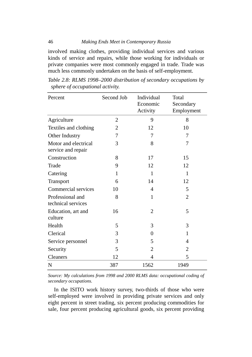## 46 *Making Ends Meet in Contemporary Russia*

involved making clothes, providing individual services and various kinds of service and repairs, while those working for individuals or private companies were most commonly engaged in trade. Trade was much less commonly undertaken on the basis of self-employment.

| Percent                                    | Second Job     | Individual<br>Economic<br>Activity | Total<br>Secondary<br>Employment |
|--------------------------------------------|----------------|------------------------------------|----------------------------------|
| Agriculture                                | $\overline{2}$ | 9                                  | 8                                |
| Textiles and clothing                      | $\overline{2}$ | 12                                 | 10                               |
| Other Industry                             | 7              | 7                                  | 7                                |
| Motor and electrical<br>service and repair | 3              | 8                                  | 7                                |
| Construction                               | 8              | 17                                 | 15                               |
| Trade                                      | 9              | 12                                 | 12                               |
| Catering                                   | $\mathbf{1}$   | $\mathbf{1}$                       | $\mathbf{1}$                     |
| Transport                                  | 6              | 14                                 | 12                               |
| <b>Commercial services</b>                 | 10             | 4                                  | 5                                |
| Professional and<br>technical services     | 8              | $\mathbf{1}$                       | $\overline{2}$                   |
| Education, art and<br>culture              | 16             | $\overline{2}$                     | 5                                |
| Health                                     | 5              | 3                                  | 3                                |
| Clerical                                   | 3              | $\overline{0}$                     | 1                                |
| Service personnel                          | 3              | 5                                  | 4                                |
| Security                                   | 5              | $\overline{2}$                     | $\overline{2}$                   |
| <b>Cleaners</b>                            | 12             | 4                                  | 5                                |
| N                                          | 387            | 1562                               | 1949                             |

*Table 2.8: RLMS 1998–2000 distribution of secondary occupations by sphere of occupational activity.* 

*Source: My calculations from 1998 and 2000 RLMS data: occupational coding of secondary occupations.*

In the ISITO work history survey, two-thirds of those who were self-employed were involved in providing private services and only eight percent in street trading, six percent producing commodities for sale, four percent producing agricultural goods, six percent providing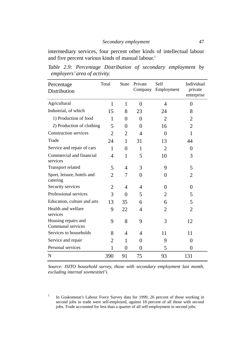intermediary services, four percent other kinds of intellectual labour and five percent various kinds of manual labour.<sup>1</sup>

*Table 2.9: Percentage Distribution of secondary employment by employers' area of activity.* 

| Percentage<br>Distribution               | Total          | <b>State</b>     | Private<br>Company | Self<br>Employment | Individual<br>private<br>enterprise |
|------------------------------------------|----------------|------------------|--------------------|--------------------|-------------------------------------|
| Agricultural                             | $\mathbf{1}$   | $\mathbf{1}$     | $\overline{0}$     | 4                  | $\overline{0}$                      |
| Industrial, of which                     | 15             | 8                | 23                 | 24                 | 8                                   |
| 1) Production of food                    | $\mathbf{1}$   | $\theta$         | $\theta$           | $\overline{2}$     | $\overline{2}$                      |
| 2) Production of clothing                | 5              | 0                | 0                  | 16                 | $\overline{2}$                      |
| <b>Construction services</b>             | $\overline{2}$ | 2                | 4                  | $\theta$           | $\mathbf{1}$                        |
| Trade                                    | 24             | 1                | 31                 | 13                 | 44                                  |
| Service and repair of cars               | $\mathbf{1}$   | $\theta$         | 1                  | $\overline{2}$     | $\theta$                            |
| Commercial and financial<br>services     | 4              | 1                | 5                  | 10                 | 3                                   |
| <b>Transport related</b>                 | 5              | 4                | 3                  | 9                  | 5                                   |
| Sport, leisure, hotels and<br>catering   | $\overline{2}$ | 7                | $\overline{0}$     | $\overline{0}$     | $\overline{2}$                      |
| Security services                        | $\overline{2}$ | 4                | 4                  | $\Omega$           | $\theta$                            |
| Professional services                    | 3              | 0                | 5                  | 2                  | 5                                   |
| Education, culture and arts              | 13             | 35               | 6                  | 6                  | 5                                   |
| Health and welfare<br>services           | 9              | 22               | 4                  | 2                  | $\overline{2}$                      |
| Housing repairs and<br>Communal services | 9              | 8                | 9                  | 3                  | 12                                  |
| Services to households                   | 8              | $\overline{4}$   | 4                  | 11                 | 11                                  |
| Service and repair                       | $\overline{2}$ | 1                | 0                  | 9                  | $\overline{0}$                      |
| Personal services                        | 1              | $\boldsymbol{0}$ | $\overline{0}$     | 5                  | $\theta$                            |
| N                                        | 390            | 91               | 75                 | 93                 | 131                                 |

*Source: ISITO household survey, those with secondary employment last month, excluding internal sovmestitel'i.* 

<sup>1</sup> In Goskomstat's Labour Force Survey data for 1999, 26 percent of those working in second jobs in trade were self-employed, against 18 percent of all those with second jobs. Trade accounted for less than a quarter of all self-employment in second jobs.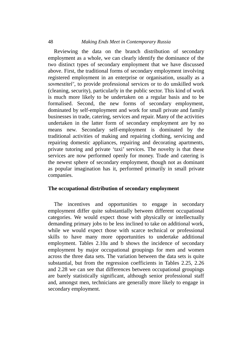Reviewing the data on the branch distribution of secondary employment as a whole, we can clearly identify the dominance of the two distinct types of secondary employment that we have discussed above. First, the traditional forms of secondary employment involving registered employment in an enterprise or organisation, usually as a *sovmestitel'*, to provide professional services or to do unskilled work (cleaning, security), particularly in the public sector. This kind of work is much more likely to be undertaken on a regular basis and to be formalised. Second, the new forms of secondary employment, dominated by self-employment and work for small private and family businesses in trade, catering, services and repair. Many of the activities undertaken in the latter form of secondary employment are by no means new. Secondary self-employment is dominated by the traditional activities of making and repairing clothing, servicing and repairing domestic appliances, repairing and decorating apartments, private tutoring and private 'taxi' services. The novelty is that these services are now performed openly for money. Trade and catering is the newest sphere of secondary employment, though not as dominant as popular imagination has it, performed primarily in small private companies.

## **The occupational distribution of secondary employment**

The incentives and opportunities to engage in secondary employment differ quite substantially between different occupational categories. We would expect those with physically or intellectually demanding primary jobs to be less inclined to take on additional work, while we would expect those with scarce technical or professional skills to have many more opportunities to undertake additional employment. Tables 2.10a and b shows the incidence of secondary employment by major occupational groupings for men and women across the three data sets. The variation between the data sets is quite substantial, but from the regression coefficients in Tables 2.25, 2.26 and 2.28 we can see that differences between occupational groupings are barely statistically significant, although senior professional staff and, amongst men, technicians are generally more likely to engage in secondary employment.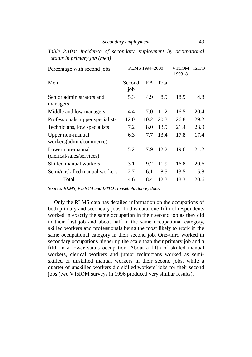| Percentage with second jobs                   |               | RLMS 1994-2000 |       | <b>VTsIOM</b><br>$1993 - 8$ | <b>ISITO</b> |
|-----------------------------------------------|---------------|----------------|-------|-----------------------------|--------------|
| Men                                           | Second<br>job | <b>IEA</b>     | Total |                             |              |
| Senior administrators and<br>managers         | 5.3           | 4.9            | 8.9   | 18.9                        | 4.8          |
| Middle and low managers                       | 4.4           | 7.0            | 11.2  | 16.5                        | 20.4         |
| Professionals, upper specialists              | 12.0          | 10.2           | 20.3  | 26.8                        | 29.2         |
| Technicians, low specialists                  | 7.2           | 8.0            | 13.9  | 21.4                        | 23.9         |
| Upper non-manual<br>workers(admin/commerce)   | 6.3           | 7.7            | 13.4  | 17.8                        | 17.4         |
| Lower non-manual<br>(clerical/sales/services) | 5.2           | 7.9            | 12.2  | 19.6                        | 21.2         |
| Skilled manual workers                        | 3.1           | 9.2            | 11.9  | 16.8                        | 20.6         |
| Semi/unskilled manual workers                 | 2.7           | 6.1            | 8.5   | 13.5                        | 15.8         |
| Total                                         | 4.6           | 8.4            | 12.3  | 18.3                        | 20.6         |

*Table 2.10a: Incidence of secondary employment by occupational status in primary job (men)* 

*Source: RLMS, VTsIOM and ISITO Household Survey data.* 

Only the RLMS data has detailed information on the occupations of both primary and secondary jobs. In this data, one-fifth of respondents worked in exactly the same occupation in their second job as they did in their first job and about half in the same occupational category, skilled workers and professionals being the most likely to work in the same occupational category in their second job. One-third worked in secondary occupations higher up the scale than their primary job and a fifth in a lower status occupation. About a fifth of skilled manual workers, clerical workers and junior technicians worked as semiskilled or unskilled manual workers in their second jobs, while a quarter of unskilled workers did skilled workers' jobs for their second jobs (two VTsIOM surveys in 1996 produced very similar results).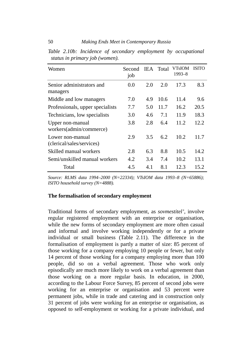| Women                                         | Second<br>job | IEA. | Total | VTsIOM<br>$1993 - 8$ | <b>ISITO</b> |
|-----------------------------------------------|---------------|------|-------|----------------------|--------------|
| Senior administrators and<br>managers         | 0.0           | 2.0  | 2.0   | 17.3                 | 8.3          |
| Middle and low managers                       | 7.0           | 4.9  | 10.6  | 11.4                 | 9.6          |
| Professionals, upper specialists              | 7.7           | 5.0  | 11.7  | 16.2                 | 20.5         |
| Technicians, low specialists                  | 3.0           | 4.6  | 7.1   | 11.9                 | 18.3         |
| Upper non-manual<br>workers(admin/commerce)   | 3.8           | 2.8  | 6.4   | 11.2                 | 12.2         |
| Lower non-manual<br>(clerical/sales/services) | 2.9           | 3.5  | 6.2   | 10.2                 | 11.7         |
| Skilled manual workers                        | 2.8           | 6.3  | 8.8   | 10.5                 | 14.2         |
| Semi/unskilled manual workers                 | 4.2           | 3.4  | 7.4   | 10.2                 | 13.1         |
| Total                                         | 4.5           | 4.1  | 8.1   | 12.3                 | 15.2         |

*Table 2.10b: Incidence of secondary employment by occupational status in primary job (women).*

*Source: RLMS data 1994–2000 (N=22334); VTsIOM data 1993–8 (N=65886); ISITO household survey (N=4888).* 

## **The formalisation of secondary employment**

Traditional forms of secondary employment, as *sovmestitel'*, involve regular registered employment with an enterprise or organisation, while the new forms of secondary employment are more often casual and informal and involve working independently or for a private individual or small business (Table 2.11). The difference in the formalisation of employment is partly a matter of size: 85 percent of those working for a company employing 10 people or fewer, but only 14 percent of those working for a company employing more than 100 people, did so on a verbal agreement. Those who work only episodically are much more likely to work on a verbal agreement than those working on a more regular basis. In education, in 2000, according to the Labour Force Survey, 85 percent of second jobs were working for an enterprise or organisation and 53 percent were permanent jobs, while in trade and catering and in construction only 31 percent of jobs were working for an enterprise or organisation, as opposed to self-employment or working for a private individual, and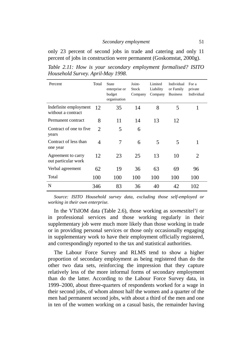only 23 percent of second jobs in trade and catering and only 11 percent of jobs in construction were permanent (Goskomstat, 2000g).

*Table 2.11: How is your secondary employment formalised? ISITO Household Survey. April-May 1998.* 

| Percent                                     | Total          | <b>State</b><br>enterprise or<br>budget<br>organisation | Joint-<br>Stock<br>Company | Limited<br>Liability<br>Company | Individual<br>or Family<br><b>Business</b> | For a<br>private<br>Individual |
|---------------------------------------------|----------------|---------------------------------------------------------|----------------------------|---------------------------------|--------------------------------------------|--------------------------------|
| Indefinite employment<br>without a contract | 12             | 35                                                      | 14                         | 8                               | 5                                          |                                |
| Permanent contract                          | 8              | 11                                                      | 14                         | 13                              | 12                                         |                                |
| Contract of one to five.<br>years           | $\overline{2}$ | 5                                                       | 6                          |                                 |                                            |                                |
| Contract of less than<br>one year           | $\overline{4}$ | 7                                                       | 6                          | 5                               | 5                                          | 1                              |
| Agreement to carry<br>out particular work   | 12             | 23                                                      | 25                         | 13                              | 10                                         | $\mathcal{D}_{\cdot}$          |
| Verbal agreement                            | 62             | 19                                                      | 36                         | 63                              | 69                                         | 96                             |
| Total                                       | 100            | 100                                                     | 100                        | 100                             | 100                                        | 100                            |
| N                                           | 346            | 83                                                      | 36                         | 40                              | 42                                         | 102                            |

*Source: ISITO Household survey data, excluding those self-employed or working in their own enterprise.*

In the VTsIOM data (Table 2.6), those working as *sovmestitel'i* or in professional services and those working regularly in their supplementary job were much more likely than those working in trade or in providing personal services or those only occasionally engaging in supplementary work to have their employment officially registered, and correspondingly reported to the tax and statistical authorities.

The Labour Force Survey and RLMS tend to show a higher proportion of secondary employment as being registered than do the other two data sets, reinforcing the impression that they capture relatively less of the more informal forms of secondary employment than do the latter. According to the Labour Force Survey data, in 1999–2000, about three-quarters of respondents worked for a wage in their second jobs, of whom almost half the women and a quarter of the men had permanent second jobs, with about a third of the men and one in ten of the women working on a casual basis, the remainder having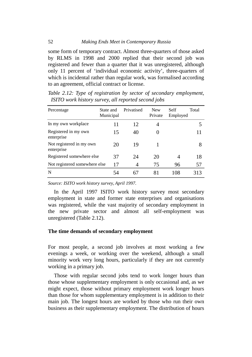## 52 *Making Ends Meet in Contemporary Russia*

some form of temporary contract. Almost three-quarters of those asked by RLMS in 1998 and 2000 replied that their second job was registered and fewer than a quarter that it was unregistered, although only 11 percent of 'individual economic activity', three-quarters of which is incidental rather than regular work, was formalised according to an agreement, official contract or license.

| Percentage                             | State and<br>Municipal | Privatised | <b>New</b><br>Private | <b>Self</b><br>Employed | Total |
|----------------------------------------|------------------------|------------|-----------------------|-------------------------|-------|
| In my own workplace                    | 11                     | 12         | 4                     |                         |       |
| Registered in my own<br>enterprise     | 15                     | 40         | $\left( \right)$      |                         | 11    |
| Not registered in my own<br>enterprise | 20                     | 19         |                       |                         | 8     |
| Registered somewhere else              | 37                     | 24         | 20                    | 4                       | 18    |
| Not registered somewhere else          | 17                     | 4          | 75                    | 96                      | 57    |
| N                                      | 54                     | 67         | 81                    | 108                     | 313   |

*Table 2.12: Type of registration by sector of secondary employment, ISITO work history survey, all reported second jobs* 

*Source: ISITO work history survey, April 1997.*

In the April 1997 ISITO work history survey most secondary employment in state and former state enterprises and organisations was registered, while the vast majority of secondary employment in the new private sector and almost all self-employment was unregistered (Table 2.12).

## **The time demands of secondary employment**

For most people, a second job involves at most working a few evenings a week, or working over the weekend, although a small minority work very long hours, particularly if they are not currently working in a primary job.

Those with regular second jobs tend to work longer hours than those whose supplementary employment is only occasional and, as we might expect, those without primary employment work longer hours than those for whom supplementary employment is in addition to their main job. The longest hours are worked by those who run their own business as their supplementary employment. The distribution of hours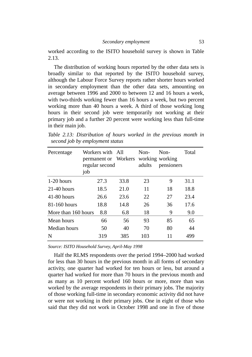worked according to the ISITO household survey is shown in Table 2.13.

The distribution of working hours reported by the other data sets is broadly similar to that reported by the ISITO household survey, although the Labour Force Survey reports rather shorter hours worked in secondary employment than the other data sets, amounting on average between 1996 and 2000 to between 12 and 16 hours a week, with two-thirds working fewer than 16 hours a week, but two percent working more than 40 hours a week. A third of those working long hours in their second job were temporarily not working at their primary job and a further 20 percent were working less than full-time in their main job.

*Table 2.13: Distribution of hours worked in the previous month in second job by employment status* 

| Percentage          | Workers with All<br>permanent or Workers<br>regular second<br>job |      | $Non-$<br>adults | $Non-$<br>working working<br>pensioners | Total |
|---------------------|-------------------------------------------------------------------|------|------------------|-----------------------------------------|-------|
| $1-20$ hours        | 27.3                                                              | 33.8 | 23               | 9                                       | 31.1  |
| $21-40$ hours       | 18.5                                                              | 21.0 | 11               | 18                                      | 18.8  |
| $41-80$ hours       | 26.6                                                              | 23.6 | 22               | 27                                      | 23.4  |
| 81-160 hours        | 18.8                                                              | 14.8 | 26               | 36                                      | 17.6  |
| More than 160 hours | 8.8                                                               | 6.8  | 18               | 9                                       | 9.0   |
| Mean hours          | 66                                                                | 56   | 93               | 85                                      | 65    |
| Median hours        | 50                                                                | 40   | 70               | 80                                      | 44    |
| N                   | 319                                                               | 385  | 103              | 11                                      | 499   |

*Source: ISITO Household Survey, April-May 1998*

Half the RLMS respondents over the period 1994–2000 had worked for less than 30 hours in the previous month in all forms of secondary activity, one quarter had worked for ten hours or less, but around a quarter had worked for more than 70 hours in the previous month and as many as 10 percent worked 160 hours or more, more than was worked by the average respondents in their primary jobs. The majority of those working full-time in secondary economic activity did not have or were not working in their primary jobs. One in eight of those who said that they did not work in October 1998 and one in five of those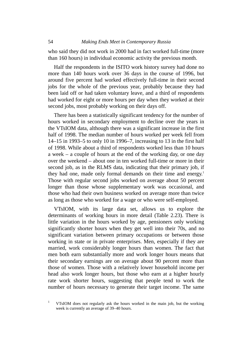who said they did not work in 2000 had in fact worked full-time (more than 160 hours) in individual economic activity the previous month.

Half the respondents in the ISITO work history survey had done no more than 140 hours work over 36 days in the course of 1996, but around five percent had worked effectively full-time in their second jobs for the whole of the previous year, probably because they had been laid off or had taken voluntary leave, and a third of respondents had worked for eight or more hours per day when they worked at their second jobs, most probably working on their days off.

There has been a statistically significant tendency for the number of hours worked in secondary employment to decline over the years in the VTsIOM data, although there was a significant increase in the first half of 1998. The median number of hours worked per week fell from 14–15 in 1993–5 to only 10 in 1996–7, increasing to 13 in the first half of 1998. While about a third of respondents worked less than 10 hours a week – a couple of hours at the end of the working day, or one day over the weekend – about one in ten worked full-time or more in their second job, as in the RLMS data, indicating that their primary job, if they had one, made only formal demands on their time and energy.<sup>1</sup> Those with regular second jobs worked on average about 50 percent longer than those whose supplementary work was occasional, and those who had their own business worked on average more than twice as long as those who worked for a wage or who were self-employed.

VTsIOM, with its large data set, allows us to explore the determinants of working hours in more detail (Table 2.23). There is little variation in the hours worked by age, pensioners only working significantly shorter hours when they get well into their 70s, and no significant variation between primary occupations or between those working in state or in private enterprises. Men, especially if they are married, work considerably longer hours than women. The fact that men both earn substantially more and work longer hours means that their secondary earnings are on average about 90 percent more than those of women. Those with a relatively lower household income per head also work longer hours, but those who earn at a higher hourly rate work shorter hours, suggesting that people tend to work the number of hours necessary to generate their target income. The same

<sup>1</sup> VTsIOM does not regularly ask the hours worked in the main job, but the working week is currently an average of 39–40 hours.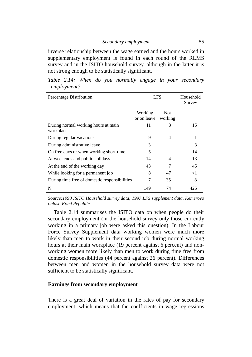inverse relationship between the wage earned and the hours worked in supplementary employment is found in each round of the RLMS survey and in the ISITO household survey, although in the latter it is not strong enough to be statistically significant.

*Table 2.14: When do you normally engage in your secondary employment?* 

| Percentage Distribution                          | <b>LFS</b>             | Household<br>Survey   |        |
|--------------------------------------------------|------------------------|-----------------------|--------|
|                                                  | Working<br>or on leave | <b>Not</b><br>working |        |
| During normal working hours at main<br>workplace | 11                     | 3                     | 15     |
| During regular vacations                         | 9                      | $\overline{4}$        | 1      |
| During administrative leave                      | 3                      |                       | 3      |
| On free days or when working short-time          | 5                      |                       | 14     |
| At weekends and public holidays                  | 14                     | 4                     | 13     |
| At the end of the working day                    | 43                     | 7                     | 45     |
| While looking for a permanent job                | 8                      | 47                    | ${<}1$ |
| During time free of domestic responsibilities    |                        | 35                    | 8      |
| N                                                | 149                    | 74                    | 425    |

*Source:1998 ISITO Household survey data; 1997 LFS supplement data, Kemerovo oblast, Komi Republic.*

Table 2.14 summarises the ISITO data on when people do their secondary employment (in the household survey only those currently working in a primary job were asked this question). In the Labour Force Survey Supplement data working women were much more likely than men to work in their second job during normal working hours at their main workplace (19 percent against 6 percent) and nonworking women more likely than men to work during time free from domestic responsibilities (44 percent against 26 percent). Differences between men and women in the household survey data were not sufficient to be statistically significant.

## **Earnings from secondary employment**

There is a great deal of variation in the rates of pay for secondary employment, which means that the coefficients in wage regressions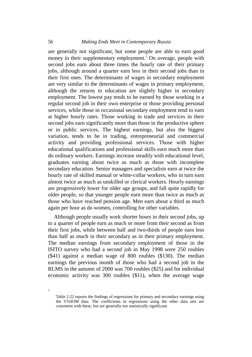#### 56 *Making Ends Meet in Contemporary Russia*

are generally not significant, but some people are able to earn good money in their supplementary employment.<sup>1</sup> On average, people with second jobs earn about three times the hourly rate of their primary jobs, although around a quarter earn less in their second jobs than in their first ones. The determinants of wages in secondary employment are very similar to the determinants of wages in primary employment, although the returns to education are slightly higher in secondary employment. The lowest pay tends to be earned by those working in a regular second job in their own enterprise or those providing personal services, while those in occasional secondary employment tend to earn at higher hourly rates. Those working in trade and services in their second jobs earn significantly more than those in the productive sphere or in public services. The highest earnings, but also the biggest variation, tends to be in trading, entrepreneurial and commercial activity and providing professional services. Those with higher educational qualifications and professional skills earn much more than do ordinary workers. Earnings increase steadily with educational level, graduates earning about twice as much as those with incomplete secondary education. Senior managers and specialists earn at twice the hourly rate of skilled manual or white-collar workers, who in turn earn almost twice as much as unskilled or clerical workers. Hourly earnings are progressively lower for older age groups, and fall quite rapidly for older people, so that younger people earn more than twice as much as those who have reached pension age. Men earn about a third as much again per hour as do women, controlling for other variables.

Although people usually work shorter hours in their second jobs, up to a quarter of people earn as much or more from their second as from their first jobs, while between half and two-thirds of people earn less than half as much in their secondary as in their primary employment. The median earnings from secondary employment of those in the ISITO survey who had a second job in May 1998 were 250 roubles (\$41) against a median wage of 800 roubles (\$130). The median earnings the previous month of those who had a second job in the RLMS in the autumn of 2000 was 700 roubles (\$25) and for individual economic activity was 300 roubles (\$11), when the average wage

Table 2.22 reports the findings of regressions for primary and secondary earnings using the VTsIOM data. The coefficients in regressions using the other data sets are consistent with these, but are generally not statistically significant.

1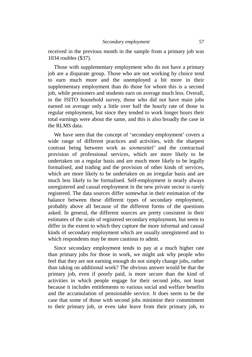received in the previous month in the sample from a primary job was 1034 roubles (\$37).

Those with supplementary employment who do not have a primary job are a disparate group. Those who are not working by choice tend to earn much more and the unemployed a bit more in their supplementary employment than do those for whom this is a second job, while pensioners and students earn on average much less. Overall, in the ISITO household survey, those who did not have main jobs earned on average only a little over half the hourly rate of those in regular employment, but since they tended to work longer hours their total earnings were about the same, and this is also broadly the case in the RLMS data.

We have seen that the concept of 'secondary employment' covers a wide range of different practices and activities, with the sharpest contrast being between work as *sovmestitel'* and the contractual provision of professional services, which are more likely to be undertaken on a regular basis and are much more likely to be legally formalised, and trading and the provision of other kinds of services, which are more likely to be undertaken on an irregular basis and are much less likely to be formalised. Self-employment is nearly always unregistered and casual employment in the new private sector is rarely registered. The data sources differ somewhat in their estimation of the balance between these different types of secondary employment, probably above all because of the different forms of the questions asked. In general, the different sources are pretty consistent in their estimates of the scale of registered secondary employment, but seem to differ in the extent to which they capture the more informal and casual kinds of secondary employment which are usually unregistered and to which respondents may be more cautious to admit.

Since secondary employment tends to pay at a much higher rate than primary jobs for those in work, we might ask why people who feel that they are not earning enough do not simply change jobs, rather than taking on additional work? The obvious answer would be that the primary job, even if poorly paid, is more secure than the kind of activities in which people engage for their second jobs, not least because it includes entitlements to various social and welfare benefits and the accumulation of pensionable service. It does seem to be the case that some of those with second jobs minimise their commitment to their primary job, or even take leave from their primary job, to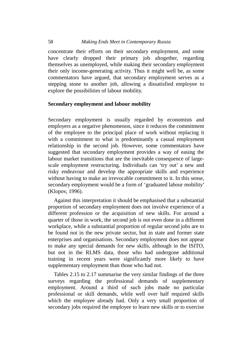## 58 *Making Ends Meet in Contemporary Russia*

concentrate their efforts on their secondary employment, and some have clearly dropped their primary job altogether, regarding themselves as unemployed, while making their secondary employment their only income-generating activity. Thus it might well be, as some commentators have argued, that secondary employment serves as a stepping stone to another job, allowing a dissatisfied employee to explore the possibilities of labour mobility.

## **Secondary employment and labour mobility**

Secondary employment is usually regarded by economists and employers as a negative phenomenon, since it reduces the commitment of the employee to the principal place of work without replacing it with a commitment to what is predominantly a casual employment relationship in the second job. However, some commentators have suggested that secondary employment provides a way of easing the labour market transitions that are the inevitable consequence of largescale employment restructuring. Individuals can 'try out' a new and risky endeavour and develop the appropriate skills and experience without having to make an irrevocable commitment to it. In this sense, secondary employment would be a form of 'graduated labour mobility' (Klopov, 1996).

Against this interpretation it should be emphasised that a substantial proportion of secondary employment does not involve experience of a different profession or the acquisition of new skills. For around a quarter of those in work, the second job is not even done in a different workplace, while a substantial proportion of regular second jobs are to be found not in the new private sector, but in state and former state enterprises and organisations. Secondary employment does not appear to make any special demands for new skills, although in the ISITO, but not in the RLMS data, those who had undergone additional training in recent years were significantly more likely to have supplementary employment than those who had not.

Tables 2.15 to 2.17 summarise the very similar findings of the three surveys regarding the professional demands of supplementary employment. Around a third of such jobs made no particular professional or skill demands, while well over half required skills which the employee already had. Only a very small proportion of secondary jobs required the employee to learn new skills or to exercise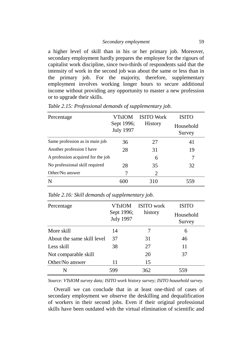a higher level of skill than in his or her primary job. Moreover, secondary employment hardly prepares the employee for the rigours of capitalist work discipline, since two-thirds of respondents said that the intensity of work in the second job was about the same or less than in the primary job. For the majority, therefore, supplementary employment involves working longer hours to secure additional income without providing any opportunity to master a new profession or to upgrade their skills.

| Percentage                        | VTsIOM                         | <b>ISITO Work</b> | <b>ISITO</b>        |
|-----------------------------------|--------------------------------|-------------------|---------------------|
|                                   | Sept 1996;<br><b>July 1997</b> | <b>History</b>    | Household<br>Survey |
| Same profession as in main job    | 36                             | 27                | 41                  |
| Another profession I have         | 28                             | 31                | 19                  |
| A profession acquired for the job |                                | 6                 |                     |
| No professional skill required    | 28                             | 35                | 32                  |
| Other/No answer                   |                                | $\overline{2}$    |                     |
|                                   | 600                            | 310               | 559                 |

*Table 2.15: Professional demands of supplementary job.* 

| Percentage                 | VTsIOM                         | <b>ISITO</b> work | <b>ISITO</b>        |
|----------------------------|--------------------------------|-------------------|---------------------|
|                            | Sept 1996;<br><b>July 1997</b> | history           | Household<br>Survey |
| More skill                 | 14                             |                   | 6                   |
| About the same skill level | 37                             | 31                | 46                  |
| Less skill                 | 38                             | 27                | 11                  |
| Not comparable skill       |                                | 20                | 37                  |
| Other/No answer            | 11                             | 15                |                     |
| N                          | 599                            | 362               | 559                 |

*Table 2.16: Skill demands of supplementary job.* 

*Source: VTsIOM survey data; ISITO work history survey; ISITO household survey.* 

Overall we can conclude that in at least one-third of cases of secondary employment we observe the deskilling and dequalification of workers in their second jobs. Even if their original professional skills have been outdated with the virtual elimination of scientific and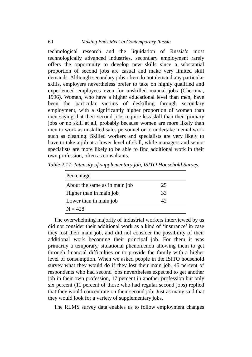## 60 *Making Ends Meet in Contemporary Russia*

technological research and the liquidation of Russia's most technologically advanced industries, secondary employment rarely offers the opportunity to develop new skills since a substantial proportion of second jobs are casual and make very limited skill demands. Although secondary jobs often do not demand any particular skills, employers nevertheless prefer to take on highly qualified and experienced employees even for unskilled manual jobs (Chernina, 1996). Women, who have a higher educational level than men, have been the particular victims of deskilling through secondary employment, with a significantly higher proportion of women than men saying that their second jobs require less skill than their primary jobs or no skill at all, probably because women are more likely than men to work as unskilled sales personnel or to undertake menial work such as cleaning. Skilled workers and specialists are very likely to have to take a job at a lower level of skill, while managers and senior specialists are more likely to be able to find additional work in their own profession, often as consultants.

| Percentage                    |    |
|-------------------------------|----|
| About the same as in main job | 25 |
| Higher than in main job       | 33 |
| Lower than in main job        | 47 |
| $N = 428$                     |    |

*Table 2.17: Intensity of supplementary job, ISITO Household Survey.* 

The overwhelming majority of industrial workers interviewed by us did not consider their additional work as a kind of 'insurance' in case they lost their main job, and did not consider the possibility of their additional work becoming their principal job. For them it was primarily a temporary, situational phenomenon allowing them to get through financial difficulties or to provide the family with a higher level of consumption. When we asked people in the ISITO household survey what they would do if they lost their main job, 45 percent of respondents who had second jobs nevertheless expected to get another job in their own profession, 17 percent in another profession but only six percent (11 percent of those who had regular second jobs) replied that they would concentrate on their second job. Just as many said that they would look for a variety of supplementary jobs.

The RLMS survey data enables us to follow employment changes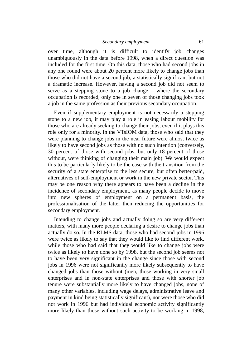over time, although it is difficult to identify job changes unambiguously in the data before 1998, when a direct question was included for the first time. On this data, those who had second jobs in any one round were about 20 percent more likely to change jobs than those who did not have a second job, a statistically significant but not a dramatic increase. However, having a second job did not seem to serve as a stepping stone to a job change – where the secondary occupation is recorded, only one in seven of those changing jobs took a job in the same profession as their previous secondary occupation.

Even if supplementary employment is not necessarily a stepping stone to a new job, it may play a role in easing labour mobility for those who are already seeking to change their jobs, even if it plays this role only for a minority. In the VTsIOM data, those who said that they were planning to change jobs in the near future were almost twice as likely to have second jobs as those with no such intention (conversely, 30 percent of those with second jobs, but only 18 percent of those without, were thinking of changing their main job). We would expect this to be particularly likely to be the case with the transition from the security of a state enterprise to the less secure, but often better-paid, alternatives of self-employment or work in the new private sector. This may be one reason why there appears to have been a decline in the incidence of secondary employment, as many people decide to move into new spheres of employment on a permanent basis, the professionalisation of the latter then reducing the opportunities for secondary employment.

Intending to change jobs and actually doing so are very different matters, with many more people declaring a desire to change jobs than actually do so. In the RLMS data, those who had second jobs in 1996 were twice as likely to say that they would like to find different work, while those who had said that they would like to change jobs were twice as likely to have done so by 1998, but the second job seems not to have been very significant in the change since those with second jobs in 1996 were not significantly more likely subsequently to have changed jobs than those without (men, those working in very small enterprises and in non-state enterprises and those with shorter job tenure were substantially more likely to have changed jobs, none of many other variables, including wage delays, administrative leave and payment in kind being statistically significant), nor were those who did not work in 1996 but had individual economic activity significantly more likely than those without such activity to be working in 1998,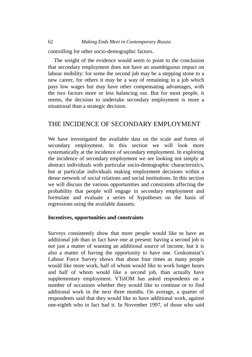controlling for other socio-demographic factors.

The weight of the evidence would seem to point to the conclusion that secondary employment does not have an unambiguous impact on labour mobility: for some the second job may be a stepping stone to a new career, for others it may be a way of remaining in a job which pays low wages but may have other compensating advantages, with the two factors more or less balancing out. But for most people, it seems, the decision to undertake secondary employment is more a situational than a strategic decision.

# THE INCIDENCE OF SECONDARY EMPLOYMENT

We have investigated the available data on the scale and forms of secondary employment. In this section we will look more systematically at the incidence of secondary employment. In exploring the incidence of secondary employment we are looking not simply at abstract individuals with particular socio-demographic characteristics, but at particular individuals making employment decisions within a dense network of social relations and social institutions. In this section we will discuss the various opportunities and constraints affecting the probability that people will engage in secondary employment and formulate and evaluate a series of hypotheses on the basis of regressions using the available datasets.

# **Incentives, opportunities and constraints**

Surveys consistently show that more people would like to have an additional job than in fact have one at present: having a second job is not just a matter of wanting an additional source of income, but it is also a matter of having the opportunity to have one. Goskomstat's Labour Force Survey shows that about four times as many people would like more work, half of whom would like to work longer hours and half of whom would like a second job, than actually have supplementary employment. VTsIOM has asked respondents on a number of occasions whether they would like to continue or to find additional work in the next three months. On average, a quarter of respondents said that they would like to have additional work, against one-eighth who in fact had it. In November 1997, of those who said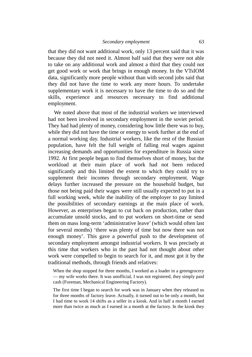that they did not want additional work, only 13 percent said that it was because they did not need it. Almost half said that they were not able to take on any additional work and almost a third that they could not get good work or work that brings in enough money. In the VTsIOM data, significantly more people without than with second jobs said that they did not have the time to work any more hours. To undertake supplementary work it is necessary to have the time to do so and the skills, experience and resources necessary to find additional employment.

We noted above that most of the industrial workers we interviewed had not been involved in secondary employment in the soviet period. They had had plenty of money, considering how little there was to buy, while they did not have the time or energy to work further at the end of a normal working day. Industrial workers, like the rest of the Russian population, have felt the full weight of falling real wages against increasing demands and opportunities for expenditure in Russia since 1992. At first people began to find themselves short of money, but the workload at their main place of work had not been reduced significantly and this limited the extent to which they could try to supplement their incomes through secondary employment. Wage delays further increased the pressure on the household budget, but those not being paid their wages were still usually expected to put in a full working week, while the inability of the employer to pay limited the possibilities of secondary earnings at the main place of work. However, as enterprises began to cut back on production, rather than accumulate unsold stocks, and to put workers on short-time or send them on mass long-term 'administrative leave' (which would often last for several months) 'there was plenty of time but now there was not enough money'. This gave a powerful push to the development of secondary employment amongst industrial workers. It was precisely at this time that workers who in the past had not thought about other work were compelled to begin to search for it, and most got it by the traditional methods, through friends and relatives:

When the shop stopped for three months, I worked as a loader in a greengrocery — my wife works there. It was unofficial, I was not registered, they simply paid cash (Foreman, Mechanical Engineering Factory).

The first time I began to search for work was in January when they released us for three months of factory leave. Actually, it turned out to be only a month, but I had time to work 14 shifts as a seller in a kiosk. And in half a month I earned more than twice as much as I earned in a month at the factory. In the kiosk they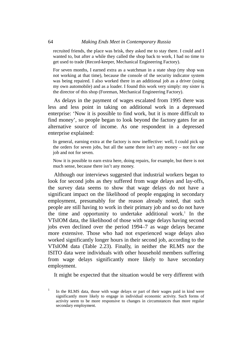recruited friends, the place was brisk, they asked me to stay there. I could and I wanted to, but after a while they called the shop back to work, I had no time to get used to trade (Record-keeper, Mechanical Engineering Factory).

For seven months, I earned extra as a watchman in a state shop (my shop was not working at that time), because the console of the security indicator system was being repaired. I also worked there in an additional job as a driver (using my own automobile) and as a loader. I found this work very simply: my sister is the director of this shop (Foreman, Mechanical Engineering Factory).

As delays in the payment of wages escalated from 1995 there was less and less point in taking on additional work in a depressed enterprise: 'Now it is possible to find work, but it is more difficult to find money', so people began to look beyond the factory gates for an alternative source of income. As one respondent in a depressed enterprise explained:

In general, earning extra at the factory is now ineffective: well, I could pick up the orders for seven jobs, but all the same there isn't any money – not for one job and not for seven.

Now it is possible to earn extra here, doing repairs, for example, but there is not much sense, because there isn't any money.

Although our interviews suggested that industrial workers began to look for second jobs as they suffered from wage delays and lay-offs, the survey data seems to show that wage delays do not have a significant impact on the likelihood of people engaging in secondary employment, presumably for the reason already noted, that such people are still having to work in their primary job and so do not have the time and opportunity to undertake additional work.<sup>1</sup> In the VTsIOM data, the likelihood of those with wage delays having second jobs even declined over the period 1994–7 as wage delays became more extensive. Those who had not experienced wage delays also worked significantly longer hours in their second job, according to the VTsIOM data (Table 2.23). Finally, in neither the RLMS nor the ISITO data were individuals with other household members suffering from wage delays significantly more likely to have secondary employment.

It might be expected that the situation would be very different with

<sup>1</sup> In the RLMS data, those with wage delays or part of their wages paid in kind were significantly more likely to engage in individual economic activity. Such forms of activity seem to be more responsive to changes in circumstances than more regular secondary employment.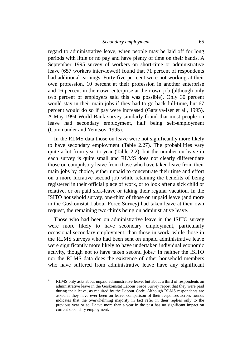regard to administrative leave, when people may be laid off for long periods with little or no pay and have plenty of time on their hands. A September 1995 survey of workers on short-time or administrative leave (657 workers interviewed) found that 71 percent of respondents had additional earnings. Forty-five per cent were not working at their own profession, 10 percent at their profession in another enterprise and 16 percent in their own enterprise at their own job (although only two percent of employers said this was possible). Only 30 percent would stay in their main jobs if they had to go back full-time, but 67 percent would do so if pay were increased (Garsiya-Iser et al., 1995). A May 1994 World Bank survey similarly found that most people on leave had secondary employment, half being self-employment (Commander and Yemtsov, 1995).

In the RLMS data those on leave were not significantly more likely to have secondary employment (Table 2.27). The probabilities vary quite a lot from year to year (Table 2.2), but the number on leave in each survey is quite small and RLMS does not clearly differentiate those on compulsory leave from those who have taken leave from their main jobs by choice, either unpaid to concentrate their time and effort on a more lucrative second job while retaining the benefits of being registered in their official place of work, or to look after a sick child or relative, or on paid sick-leave or taking their regular vacation. In the ISITO household survey, one-third of those on unpaid leave (and more in the Goskomstat Labour Force Survey) had taken leave at their own request, the remaining two-thirds being on administrative leave.

Those who had been on administrative leave in the ISITO survey were more likely to have secondary employment, particularly occasional secondary employment, than those in work, while those in the RLMS surveys who had been sent on unpaid administrative leave were significantly more likely to have undertaken individual economic activity, though not to have taken second jobs.<sup>1</sup> In neither the ISITO nor the RLMS data does the existence of other household members who have suffered from administrative leave have any significant

<sup>1</sup> RLMS only asks about unpaid administrative leave, but about a third of respondents on administrative leave in the Goskomstat Labour Force Survey report that they were paid during their leave, as required by the Labour Code. Although RLMS respondents are asked if they have ever been on leave, comparison of their responses across rounds indicates that the overwhelming majority in fact refer in their replies only to the previous year or so. Leave more than a year in the past has no significant impact on current secondary employment.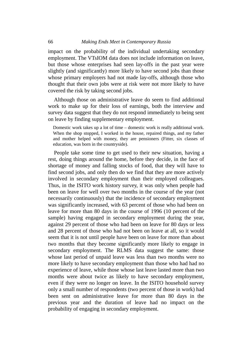impact on the probability of the individual undertaking secondary employment. The VTsIOM data does not include information on leave, but those whose enterprises had seen lay-offs in the past year were slightly (and significantly) more likely to have second jobs than those whose primary employers had not made lay-offs, although those who thought that their own jobs were at risk were not more likely to have covered the risk by taking second jobs.

Although those on administrative leave do seem to find additional work to make up for their loss of earnings, both the interview and survey data suggest that they do not respond immediately to being sent on leave by finding supplementary employment.

Domestic work takes up a lot of time – domestic work is really additional work. When the shop stopped, I worked in the house, repaired things, and my father and mother helped with money, they are pensioners (Fitter, six classes of education, was born in the countryside).

People take some time to get used to their new situation, having a rest, doing things around the home, before they decide, in the face of shortage of money and falling stocks of food, that they will have to find second jobs, and only then do we find that they are more actively involved in secondary employment than their employed colleagues. Thus, in the ISITO work history survey, it was only when people had been on leave for well over two months in the course of the year (not necessarily continuously) that the incidence of secondary employment was significantly increased, with 63 percent of those who had been on leave for more than 80 days in the course of 1996 (10 percent of the sample) having engaged in secondary employment during the year, against 29 percent of those who had been on leave for 80 days or less and 28 percent of those who had not been on leave at all, so it would seem that it is not until people have been on leave for more than about two months that they become significantly more likely to engage in secondary employment. The RLMS data suggest the same: those whose last period of unpaid leave was less than two months were no more likely to have secondary employment than those who had had no experience of leave, while those whose last leave lasted more than two months were about twice as likely to have secondary employment, even if they were no longer on leave. In the ISITO household survey only a small number of respondents (two percent of those in work) had been sent on administrative leave for more than 80 days in the previous year and the duration of leave had no impact on the probability of engaging in secondary employment.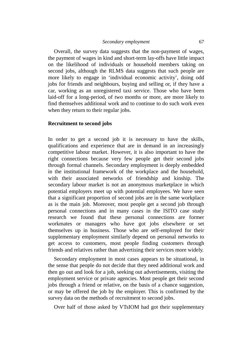Overall, the survey data suggests that the non-payment of wages, the payment of wages in kind and short-term lay-offs have little impact on the likelihood of individuals or household members taking on second jobs, although the RLMS data suggests that such people are more likely to engage in 'individual economic activity', doing odd jobs for friends and neighbours, buying and selling or, if they have a car, working as an unregistered taxi service. Those who have been laid-off for a long-period, of two months or more, are more likely to find themselves additional work and to continue to do such work even when they return to their regular jobs.

# **Recruitment to second jobs**

In order to get a second job it is necessary to have the skills, qualifications and experience that are in demand in an increasingly competitive labour market. However, it is also important to have the right connections because very few people get their second jobs through formal channels. Secondary employment is deeply embedded in the institutional framework of the workplace and the household, with their associated networks of friendship and kinship. The secondary labour market is not an anonymous marketplace in which potential employers meet up with potential employees. We have seen that a significant proportion of second jobs are in the same workplace as is the main job. Moreover, most people get a second job through personal connections and in many cases in the ISITO case study research we found that these personal connections are former workmates or managers who have got jobs elsewhere or set themselves up in business. Those who are self-employed for their supplementary employment similarly depend on personal networks to get access to customers, most people finding customers through friends and relatives rather than advertising their services more widely.

Secondary employment in most cases appears to be situational, in the sense that people do not decide that they need additional work and then go out and look for a job, seeking out advertisements, visiting the employment service or private agencies. Most people get their second jobs through a friend or relative, on the basis of a chance suggestion, or may be offered the job by the employer. This is confirmed by the survey data on the methods of recruitment to second jobs.

Over half of those asked by VTsIOM had got their supplementary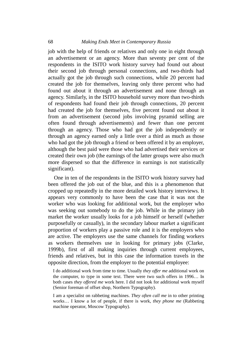## 68 *Making Ends Meet in Contemporary Russia*

job with the help of friends or relatives and only one in eight through an advertisement or an agency. More than seventy per cent of the respondents in the ISITO work history survey had found out about their second job through personal connections, and two-thirds had actually got the job through such connections, while 20 percent had created the job for themselves, leaving only three percent who had found out about it through an advertisement and none through an agency. Similarly, in the ISITO household survey more than two-thirds of respondents had found their job through connections, 20 percent had created the job for themselves, five percent found out about it from an advertisement (second jobs involving pyramid selling are often found through advertisements) and fewer than one percent through an agency. Those who had got the job independently or through an agency earned only a little over a third as much as those who had got the job through a friend or been offered it by an employer. although the best paid were those who had advertised their services or created their own job (the earnings of the latter groups were also much more dispersed so that the difference in earnings is not statistically significant).

One in ten of the respondents in the ISITO work history survey had been offered the job out of the blue, and this is a phenomenon that cropped up repeatedly in the more detailed work history interviews. It appears very commonly to have been the case that it was not the worker who was looking for additional work, but the employer who was seeking out somebody to do the job. While in the primary job market the worker usually looks for a job himself or herself (whether purposefully or casually), in the secondary labour market a significant proportion of workers play a passive role and it is the employers who are active. The employers use the same channels for finding workers as workers themselves use in looking for primary jobs (Clarke, 1999b), first of all making inquiries through current employees, friends and relatives, but in this case the information travels in the opposite direction, from the employer to the potential employee:

I do additional work from time to time. Usually *they offer me* additional work on the computer, to type in some text. There were two such offers in 1996… In both cases *they offered me* work here. I did not look for additional work myself (Senior foreman of offset shop, Northern Typography).

I am a specialist on rabbeting machines. *They often call me* in to other printing works… I know a lot of people, if there is work, *they phone me* (Rabbeting machine operator, Moscow Typography).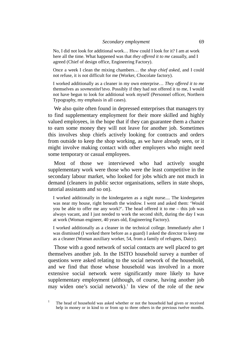No, I did not look for additional work… How could I look for it? I am at work here all the time. What happened was that *they offered it to me* casually, and I agreed (Chief of design office, Engineering Factory).

Once a week I clean the mixing chambers… the *shop chief asked*, and I could not refuse, it is not difficult for me (Worker, Chocolate factory).

I worked additionally as a cleaner in my own enterprise… *They offered it to me* themselves as *sovmestitel'stvo*. Possibly if they had not offered it to me, I would not have begun to look for additional work myself (Personnel officer, Northern Typography, my emphasis in all cases).

We also quite often found in depressed enterprises that managers try to find supplementary employment for their more skilled and highly valued employees, in the hope that if they can guarantee them a chance to earn some money they will not leave for another job. Sometimes this involves shop chiefs actively looking for contracts and orders from outside to keep the shop working, as we have already seen, or it might involve making contact with other employers who might need some temporary or casual employees.

Most of those we interviewed who had actively sought supplementary work were those who were the least competitive in the secondary labour market, who looked for jobs which are not much in demand (cleaners in public sector organisations, sellers in state shops, tutorial assistants and so on).

I worked additionally in the kindergarten as a night nurse.... The kindergarten was near my house, right beneath the window. I went and asked them: 'Would you be able to offer me any work?'. The head offered it to me – this job was always vacant, and I just needed to work the second shift, during the day I was at work (Woman engineer, 40 years old, Engineering Factory).

I worked additionally as a cleaner in the technical college. Immediately after I was dismissed (I worked there before as a guard) I asked the director to keep me as a cleaner (Woman auxiliary worker, 54, from a family of refugees, Dairy).

Those with a good network of social contacts are well placed to get themselves another job. In the ISITO household survey a number of questions were asked relating to the social network of the household, and we find that those whose household was involved in a more extensive social network were significantly more likely to have supplementary employment (although, of course, having another job may widen one's social network).<sup>1</sup> In view of the role of the new

<sup>1</sup> The head of household was asked whether or not the household had given or received help in money or in kind to or from up to three others in the previous twelve months.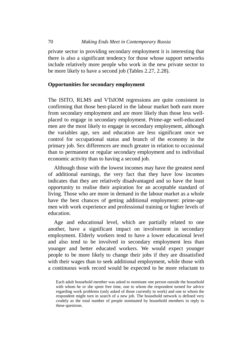## 70 *Making Ends Meet in Contemporary Russia*

private sector in providing secondary employment it is interesting that there is also a significant tendency for those whose support networks include relatively more people who work in the new private sector to be more likely to have a second job (Tables 2.27, 2.28).

# **Opportunities for secondary employment**

The ISITO, RLMS and VTsIOM regressions are quite consistent in confirming that those best-placed in the labour market both earn more from secondary employment and are more likely than those less wellplaced to engage in secondary employment. Prime-age well-educated men are the most likely to engage in secondary employment, although the variables age, sex and education are less significant once we control for occupational status and branch of the economy in the primary job. Sex differences are much greater in relation to occasional than to permanent or regular secondary employment and to individual economic activity than to having a second job.

Although those with the lowest incomes may have the greatest need of additional earnings, the very fact that they have low incomes indicates that they are relatively disadvantaged and so have the least opportunity to realise their aspiration for an acceptable standard of living. Those who are more in demand in the labour market as a whole have the best chances of getting additional employment: prime-age men with work experience and professional training or higher levels of education.

Age and educational level, which are partially related to one another, have a significant impact on involvement in secondary employment. Elderly workers tend to have a lower educational level and also tend to be involved in secondary employment less than younger and better educated workers. We would expect younger people to be more likely to change their jobs if they are dissatisfied with their wages than to seek additional employment, while those with a continuous work record would be expected to be more reluctant to

Each adult household member was asked to nominate one person outside the household with whom he or she spent free time, one to whom the respondent turned for advice regarding work problems (only asked of those currently in work) and one to whom the respondent might turn in search of a new job. The household network is defined very crudely as the total number of people nominated by household members in reply to these questions.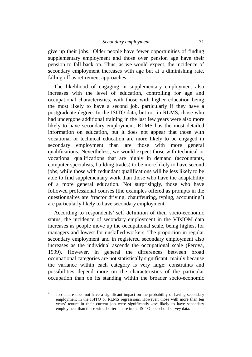give up their jobs.<sup>1</sup> Older people have fewer opportunities of finding supplementary employment and those over pension age have their pension to fall back on. Thus, as we would expect, the incidence of secondary employment increases with age but at a diminishing rate, falling off as retirement approaches.

The likelihood of engaging in supplementary employment also increases with the level of education, controlling for age and occupational characteristics, with those with higher education being the most likely to have a second job, particularly if they have a postgraduate degree. In the ISITO data, but not in RLMS, those who had undergone additional training in the last few years were also more likely to have secondary employment. RLMS has the most detailed information on education, but it does not appear that those with vocational or technical education are more likely to be engaged in secondary employment than are those with more general qualifications. Nevertheless, we would expect those with technical or vocational qualifications that are highly in demand (accountants, computer specialists, building trades) to be more likely to have second jobs, while those with redundant qualifications will be less likely to be able to find supplementary work than those who have the adaptability of a more general education. Not surprisingly, those who have followed professional courses (the examples offered as prompts in the questionnaires are 'tractor driving, chauffeuring, typing, accounting') are particularly likely to have secondary employment.

According to respondents' self definition of their socio-economic status, the incidence of secondary employment in the VTsIOM data increases as people move up the occupational scale, being highest for managers and lowest for unskilled workers. The proportion in regular secondary employment and in registered secondary employment also increases as the individual ascends the occupational scale (Perova, 1999). However, in general the differences between broad occupational categories are not statistically significant, mainly because the variance within each category is very large: constraints and possibilities depend more on the characteristics of the particular occupation than on its standing within the broader socio-economic

<sup>1</sup> Job tenure does not have a significant impact on the probability of having secondary employment in the ISITO or RLMS regressions. However, those with more than ten years' tenure in their current job were significantly *less* likely to have secondary employment than those with shorter tenure in the ISITO household survey data.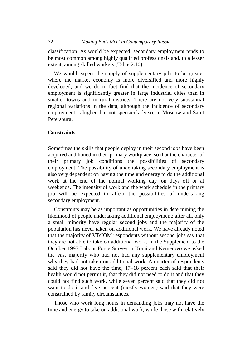classification. As would be expected, secondary employment tends to be most common among highly qualified professionals and, to a lesser extent, among skilled workers (Table 2.10).

We would expect the supply of supplementary jobs to be greater where the market economy is more diversified and more highly developed, and we do in fact find that the incidence of secondary employment is significantly greater in large industrial cities than in smaller towns and in rural districts. There are not very substantial regional variations in the data, although the incidence of secondary employment is higher, but not spectacularly so, in Moscow and Saint Petersburg.

# **Constraints**

Sometimes the skills that people deploy in their second jobs have been acquired and honed in their primary workplace, so that the character of their primary job conditions the possibilities of secondary employment. The possibility of undertaking secondary employment is also very dependent on having the time and energy to do the additional work at the end of the normal working day, on days off or at weekends. The intensity of work and the work schedule in the primary job will be expected to affect the possibilities of undertaking secondary employment.

Constraints may be as important as opportunities in determining the likelihood of people undertaking additional employment: after all, only a small minority have regular second jobs and the majority of the population has never taken on additional work. We have already noted that the majority of VTsIOM respondents without second jobs say that they are not able to take on additional work. In the Supplement to the October 1997 Labour Force Survey in Komi and Kemerovo we asked the vast majority who had not had any supplementary employment why they had not taken on additional work. A quarter of respondents said they did not have the time, 17–18 percent each said that their health would not permit it, that they did not need to do it and that they could not find such work, while seven percent said that they did not want to do it and five percent (mostly women) said that they were constrained by family circumstances.

Those who work long hours in demanding jobs may not have the time and energy to take on additional work, while those with relatively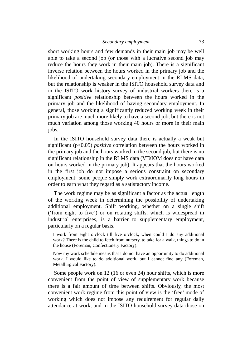short working hours and few demands in their main job may be well able to take a second job (or those with a lucrative second job may reduce the hours they work in their main job). There is a significant inverse relation between the hours worked in the primary job and the likelihood of undertaking secondary employment in the RLMS data, but the relationship is weaker in the ISITO household survey data and in the ISITO work history survey of industrial workers there is a significant *positive* relationship between the hours worked in the primary job and the likelihood of having secondary employment. In general, those working a significantly reduced working week in their primary job are much more likely to have a second job, but there is not much variation among those working 40 hours or more in their main iobs.

In the ISITO household survey data there is actually a weak but significant (p<0.05) *positive* correlation between the hours worked in the primary job and the hours worked in the second job, but there is no significant relationship in the RLMS data (VTsIOM does not have data on hours worked in the primary job). It appears that the hours worked in the first job do not impose a serious constraint on secondary employment: some people simply work extraordinarily long hours in order to earn what they regard as a satisfactory income.

The work regime may be as significant a factor as the actual length of the working week in determining the possibility of undertaking additional employment. Shift working, whether on a single shift ('from eight to five') or on rotating shifts, which is widespread in industrial enterprises, is a barrier to supplementary employment, particularly on a regular basis.

I work from eight o'clock till five o'clock, when could I do any additional work? There is the child to fetch from nursery, to take for a walk, things to do in the house (Foreman, Confectionery Factory).

Now my work schedule means that I do not have an opportunity to do additional work. I would like to do additional work, but I cannot find any (Foreman, Metallurgical Factory).

Some people work on 12 (16 or even 24) hour shifts, which is more convenient from the point of view of supplementary work because there is a fair amount of time between shifts. Obviously, the most convenient work regime from this point of view is the 'free' mode of working which does not impose any requirement for regular daily attendance at work, and in the ISITO household survey data those on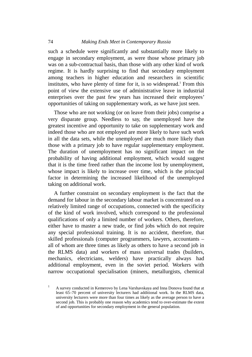## 74 *Making Ends Meet in Contemporary Russia*

such a schedule were significantly and substantially more likely to engage in secondary employment, as were those whose primary job was on a sub-contractual basis, than those with any other kind of work regime. It is hardly surprising to find that secondary employment among teachers in higher education and researchers in scientific institutes, who have plenty of time for it, is so widespread.<sup>1</sup> From this point of view the extensive use of administrative leave in industrial enterprises over the past few years has increased their employees' opportunities of taking on supplementary work, as we have just seen.

Those who are not working (or on leave from their jobs) comprise a very disparate group. Needless to say, the unemployed have the greatest incentive and opportunity to take on supplementary work and indeed those who are not employed are more likely to have such work in all the data sets, while the unemployed are much more likely than those with a primary job to have regular supplementary employment. The duration of unemployment has no significant impact on the probability of having additional employment, which would suggest that it is the time freed rather than the income lost by unemployment, whose impact is likely to increase over time, which is the principal factor in determining the increased likelihood of the unemployed taking on additional work.

A further constraint on secondary employment is the fact that the demand for labour in the secondary labour market is concentrated on a relatively limited range of occupations, connected with the specificity of the kind of work involved, which correspond to the professional qualifications of only a limited number of workers. Others, therefore, either have to master a new trade, or find jobs which do not require any special professional training. It is no accident, therefore, that skilled professionals (computer programmers, lawyers, accountants – all of whom are three times as likely as others to have a second job in the RLMS data) and workers of mass universal trades (builders, mechanics, electricians, welders) have practically always had additional employment, even in the soviet period. Workers with narrow occupational specialisation (miners, metallurgists, chemical

<sup>1</sup> A survey conducted in Kemerovo by Lena Varshavskaya and Inna Donova found that at least 65–70 percent of university lecturers had additional work. In the RLMS data, university lecturers were more than four times as likely as the average person to have a second job. This is probably one reason why academics tend to over-estimate the extent of and opportunities for secondary employment in the general population.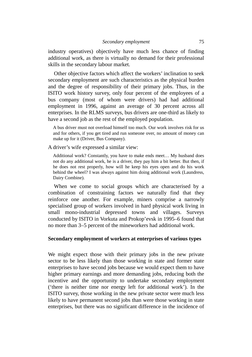industry operatives) objectively have much less chance of finding additional work, as there is virtually no demand for their professional skills in the secondary labour market.

Other objective factors which affect the workers' inclination to seek secondary employment are such characteristics as the physical burden and the degree of responsibility of their primary jobs. Thus, in the ISITO work history survey, only four percent of the employees of a bus company (most of whom were drivers) had had additional employment in 1996, against an average of 30 percent across all enterprises. In the RLMS surveys, bus drivers are one-third as likely to have a second job as the rest of the employed population.

A bus driver must not overload himself too much. Our work involves risk for us and for others, if you get tired and run someone over, no amount of money can make up for it (Driver, Bus Company).

A driver's wife expressed a similar view:

Additional work? Constantly, you have to make ends meet… My husband does not do any additional work, he is a driver, they pay him a bit better. But then, if he does not rest properly, how will he keep his eyes open and do his work behind the wheel? I was always against him doing additional work (Laundress, Dairy Combine).

When we come to social groups which are characterised by a combination of constraining factors we naturally find that they reinforce one another. For example, miners comprise a narrowly specialised group of workers involved in hard physical work living in small mono-industrial depressed towns and villages. Surveys conducted by ISITO in Vorkuta and Prokop'evsk in 1995–6 found that no more than 3–5 percent of the mineworkers had additional work.

# **Secondary employment of workers at enterprises of various types**

We might expect those with their primary jobs in the new private sector to be less likely than those working in state and former state enterprises to have second jobs because we would expect them to have higher primary earnings and more demanding jobs, reducing both the incentive and the opportunity to undertake secondary employment ('there is neither time nor energy left for additional work'). In the ISITO survey, those working in the new private sector were much less likely to have permanent second jobs than were those working in state enterprises, but there was no significant difference in the incidence of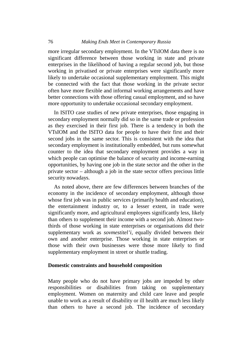## 76 *Making Ends Meet in Contemporary Russia*

more irregular secondary employment. In the VTsIOM data there is no significant difference between those working in state and private enterprises in the likelihood of having a regular second job, but those working in privatised or private enterprises were significantly more likely to undertake occasional supplementary employment. This might be connected with the fact that those working in the private sector often have more flexible and informal working arrangements and have better connections with those offering casual employment, and so have more opportunity to undertake occasional secondary employment.

In ISITO case studies of new private enterprises, those engaging in secondary employment normally did so in the same trade or profession as they exercised in their first job. There is a tendency in both the VTsIOM and the ISITO data for people to have their first and their second jobs in the same sector. This is consistent with the idea that secondary employment is institutionally embedded, but runs somewhat counter to the idea that secondary employment provides a way in which people can optimise the balance of security and income-earning opportunities, by having one job in the state sector and the other in the private sector – although a job in the state sector offers precious little security nowadays.

As noted above, there are few differences between branches of the economy in the incidence of secondary employment, although those whose first job was in public services (primarily health and education), the entertainment industry or, to a lesser extent, in trade were significantly more, and agricultural employees significantly less, likely than others to supplement their income with a second job. Almost twothirds of those working in state enterprises or organisations did their supplementary work as *sovmestitel'i*, equally divided between their own and another enterprise. Those working in state enterprises or those with their own businesses were those more likely to find supplementary employment in street or shuttle trading.

#### **Domestic constraints and household composition**

Many people who do not have primary jobs are impeded by other responsibilities or disabilities from taking on supplementary employment. Women on maternity and child care leave and people unable to work as a result of disability or ill health are much less likely than others to have a second job. The incidence of secondary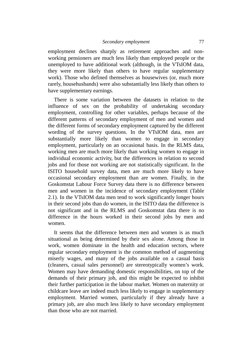employment declines sharply as retirement approaches and nonworking pensioners are much less likely than employed people or the unemployed to have additional work (although, in the VTsIOM data, they were more likely than others to have regular supplementary work). Those who defined themselves as housewives (or, much more rarely, househusbands) were also substantially less likely than others to have supplementary earnings.

There is some variation between the datasets in relation to the influence of sex on the probability of undertaking secondary employment, controlling for other variables, perhaps because of the different patterns of secondary employment of men and women and the different forms of secondary employment captured by the different wording of the survey questions. In the VTsIOM data, men are substantially more likely than women to engage in secondary employment, particularly on an occasional basis. In the RLMS data, working men are much more likely than working women to engage in individual economic activity, but the differences in relation to second jobs and for those not working are not statistically significant. In the ISITO household survey data, men are much more likely to have occasional secondary employment than are women. Finally, in the Goskomstat Labour Force Survey data there is no difference between men and women in the incidence of secondary employment (Table 2.1). In the VTsIOM data men tend to work significantly longer hours in their second jobs than do women, in the ISITO data the difference is not significant and in the RLMS and Goskomstat data there is no difference in the hours worked in their second jobs by men and women.

It seems that the difference between men and women is as much situational as being determined by their sex alone. Among those in work, women dominate in the health and education sectors, where regular secondary employment is the common method of augmenting miserly wages, and many of the jobs available on a casual basis (cleaners, casual sales personnel) are stereotypically women's work. Women may have demanding domestic responsibilities, on top of the demands of their primary job, and this might be expected to inhibit their further participation in the labour market. Women on maternity or childcare leave are indeed much less likely to engage in supplementary employment. Married women, particularly if they already have a primary job, are also much less likely to have secondary employment than those who are not married.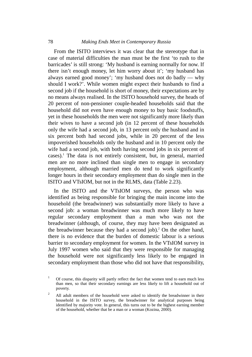From the ISITO interviews it was clear that the stereotype that in case of material difficulties the man must be the first 'to rush to the barricades' is still strong: 'My husband is earning normally for now. If there isn't enough money, let him worry about it'; 'my husband has always earned good money'; 'my husband does not do badly — why should I work?'. While women might expect their husbands to find a second job if the household is short of money, their expectations are by no means always realised. In the ISITO household survey, the heads of 20 percent of non-pensioner couple-headed households said that the household did not even have enough money to buy basic foodstuffs, yet in these households the men were not significantly more likely than their wives to have a second job (in 12 percent of these households only the wife had a second job, in 13 percent only the husband and in six percent both had second jobs, while in 20 percent of the less impoverished households only the husband and in 10 percent only the wife had a second job, with both having second jobs in six percent of cases).<sup>1</sup> The data is not entirely consistent, but, in general, married men are no more inclined than single men to engage in secondary employment, although married men do tend to work significantly longer hours in their secondary employment than do single men in the ISITO and VTsIOM, but not in the RLMS, data (Table 2.23).

In the ISITO and the VTsIOM surveys, the person who was identified as being responsible for bringing the main income into the household (the breadwinner) was substantially more likely to have a second job: a woman breadwinner was much more likely to have regular secondary employment than a man who was not the breadwinner (although, of course, they may have been designated as the breadwinner because they had a second job).<sup>2</sup> On the other hand, there is no evidence that the burden of domestic labour is a serious barrier to secondary employment for women. In the VTsIOM survey in July 1997 women who said that they were responsible for managing the household were not significantly less likely to be engaged in secondary employment than those who did not have that responsibility,

<sup>1</sup> Of course, this disparity will partly reflect the fact that women tend to earn much less than men, so that their secondary earnings are less likely to lift a household out of poverty.

 $2<sup>2</sup>$  All adult members of the household were asked to identify the breadwinner in their household in the ISITO survey, the breadwinner for analytical purposes being identified by majority vote. In general, this turns out to be the highest earning member of the household, whether that be a man or a woman (Kozina, 2000).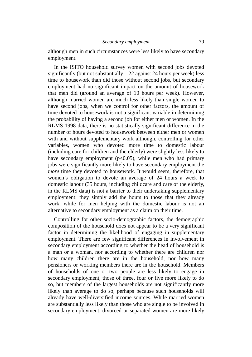although men in such circumstances were less likely to have secondary employment.

In the ISITO household survey women with second jobs devoted significantly (but not substantially  $-22$  against 24 hours per week) less time to housework than did those without second jobs, but secondary employment had no significant impact on the amount of housework that men did (around an average of 10 hours per week). However, although married women are much less likely than single women to have second jobs, when we control for other factors, the amount of time devoted to housework is not a significant variable in determining the probability of having a second job for either men or women. In the RLMS 1998 data, there is no statistically significant difference in the number of hours devoted to housework between either men or women with and without supplementary work although, controlling for other variables, women who devoted more time to domestic labour (including care for children and the elderly) were slightly less likely to have secondary employment  $(p<0.05)$ , while men who had primary jobs were significantly more likely to have secondary employment the *more* time they devoted to housework. It would seem, therefore, that women's obligation to devote an average of 24 hours a week to domestic labour (35 hours, including childcare and care of the elderly, in the RLMS data) is not a barrier to their undertaking supplementary employment: they simply add the hours to those that they already work, while for men helping with the domestic labour is not an alternative to secondary employment as a claim on their time.

Controlling for other socio-demographic factors, the demographic composition of the household does not appear to be a very significant factor in determining the likelihood of engaging in supplementary employment. There are few significant differences in involvement in secondary employment according to whether the head of household is a man or a woman, nor according to whether there are children nor how many children there are in the household, nor how many pensioners or working members there are in the household. Members of households of one or two people are less likely to engage in secondary employment, those of three, four or five more likely to do so, but members of the largest households are not significantly more likely than average to do so, perhaps because such households will already have well-diversified income sources. While married women are substantially less likely than those who are single to be involved in secondary employment, divorced or separated women are more likely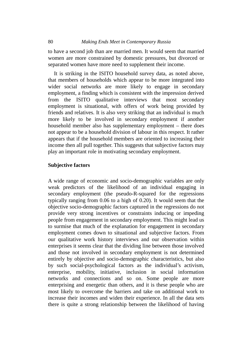to have a second job than are married men. It would seem that married women are more constrained by domestic pressures, but divorced or separated women have more need to supplement their income.

It is striking in the ISITO household survey data, as noted above, that members of households which appear to be more integrated into wider social networks are more likely to engage in secondary employment, a finding which is consistent with the impression derived from the ISITO qualitative interviews that most secondary employment is situational, with offers of work being provided by friends and relatives. It is also very striking that an individual is much more likely to be involved in secondary employment if another household member also has supplementary employment – there does not appear to be a household division of labour in this respect. It rather appears that if the household members are oriented to increasing their income then all pull together. This suggests that subjective factors may play an important role in motivating secondary employment.

# **Subjective factors**

A wide range of economic and socio-demographic variables are only weak predictors of the likelihood of an individual engaging in secondary employment (the pseudo-R-squared for the regressions typically ranging from 0.06 to a high of 0.20). It would seem that the objective socio-demographic factors captured in the regressions do not provide very strong incentives or constraints inducing or impeding people from engagement in secondary employment. This might lead us to surmise that much of the explanation for engagement in secondary employment comes down to situational and subjective factors. From our qualitative work history interviews and our observation within enterprises it seems clear that the dividing line between those involved and those not involved in secondary employment is not determined entirely by objective and socio-demographic characteristics, but also by such social-psychological factors as the individual's activism, enterprise, mobility, initiative, inclusion in social information networks and connections and so on. Some people are more enterprising and energetic than others, and it is these people who are most likely to overcome the barriers and take on additional work to increase their incomes and widen their experience. In all the data sets there is quite a strong relationship between the likelihood of having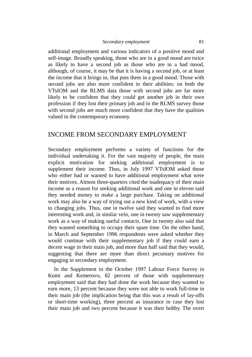additional employment and various indicators of a positive mood and self-image. Broadly speaking, those who are in a good mood are twice as likely to have a second job as those who are in a bad mood, although, of course, it may be that it is having a second job, or at least the income that it brings in, that puts them in a good mood. Those with second jobs are also more confident in their abilities: on both the VTsIOM and the RLMS data those with second jobs are far more likely to be confident that they could get another job in their own profession if they lost their primary job and in the RLMS survey those with second jobs are much more confident that they have the qualities valued in the contemporary economy.

# INCOME FROM SECONDARY EMPLOYMENT

Secondary employment performs a variety of functions for the individual undertaking it. For the vast majority of people, the main explicit motivation for seeking additional employment is to supplement their income. Thus, in July 1997 VTsIOM asked those who either had or wanted to have additional employment what were their motives. Almost three-quarters cited the inadequacy of their main income as a reason for seeking additional work and one in eleven said they needed money to make a large purchase. Taking on additional work may also be a way of trying out a new kind of work, with a view to changing jobs. Thus, one in twelve said they wanted to find more interesting work and, in similar vein, one in twenty saw supplementary work as a way of making useful contacts. One in twenty also said that they wanted something to occupy their spare time. On the other hand, in March and September 1996 respondents were asked whether they would continue with their supplementary job if they could earn a decent wage in their main job, and more than half said that they would, suggesting that there are more than direct pecuniary motives for engaging in secondary employment.

In the Supplement to the October 1997 Labour Force Survey in Komi and Kemerovo, 82 percent of those with supplementary employment said that they had done the work because they wanted to earn more, 13 percent because they were not able to work full-time in their main job (the implication being that this was a result of lay-offs or short-time working), three percent as insurance in case they lost their main job and two percent because it was their hobby. The overt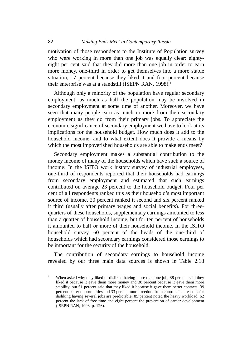#### 82 *Making Ends Meet in Contemporary Russia*

motivation of those respondents to the Institute of Population survey who were working in more than one job was equally clear: eightyeight per cent said that they did more than one job in order to earn more money, one-third in order to get themselves into a more stable situation, 17 percent because they liked it and four percent because their enterprise was at a standstill (ISEPN RAN, 1998).<sup>1</sup>

Although only a minority of the population have regular secondary employment, as much as half the population may be involved in secondary employment at some time of another. Moreover, we have seen that many people earn as much or more from their secondary employment as they do from their primary jobs. To appreciate the economic significance of secondary employment we have to look at its implications for the household budget. How much does it add to the household income, and to what extent does it provide a means by which the most impoverished households are able to make ends meet?

Secondary employment makes a substantial contribution to the money income of many of the households which have such a source of income. In the ISITO work history survey of industrial employees, one-third of respondents reported that their households had earnings from secondary employment and estimated that such earnings contributed on average 23 percent to the household budget. Four per cent of all respondents ranked this as their household's most important source of income, 20 percent ranked it second and six percent ranked it third (usually after primary wages and social benefits). For threequarters of these households, supplementary earnings amounted to less than a quarter of household income, but for ten percent of households it amounted to half or more of their household income. In the ISITO household survey, 60 percent of the heads of the one-third of households which had secondary earnings considered those earnings to be important for the security of the household.

The contribution of secondary earnings to household income revealed by our three main data sources is shown in Table 2.18

<sup>1</sup> When asked why they liked or disliked having more than one job, 88 percent said they liked it because it gave them more money and 38 percent because it gave them more stability, but 61 percent said that they liked it because it gave them better contacts, 39 percent better opportunities and 33 percent more freedom from control. The reasons for disliking having several jobs are predictable: 85 percent noted the heavy workload, 62 percent the lack of free time and eight percent the prevention of career development (ISEPN RAN, 1998, p. 126).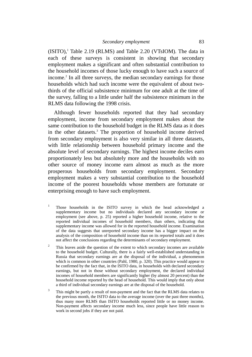$(ISITO)$ , Table 2.19 (RLMS) and Table 2.20 (VTsIOM). The data in each of these surveys is consistent in showing that secondary employment makes a significant and often substantial contribution to the household incomes of those lucky enough to have such a source of income.2 In all three surveys, the median secondary earnings for those households which had such income were the equivalent of about twothirds of the official subsistence minimum for one adult at the time of the survey, falling to a little under half the subsistence minimum in the RLMS data following the 1998 crisis.

Although fewer households reported that they had secondary employment, income from secondary employment makes about the same contribution to the household budget in the RLMS data as it does in the other datasets.<sup>3</sup> The proportion of household income derived from secondary employment is also very similar in all three datasets, with little relationship between household primary income and the absolute level of secondary earnings. The highest income deciles earn proportionately less but absolutely more and the households with no other source of money income earn almost as much as the more prosperous households from secondary employment. Secondary employment makes a very substantial contribution to the household income of the poorest households whose members are fortunate or enterprising enough to have such employment.

- 1 Those households in the ISITO survey in which the head acknowledged a supplementary income but no individuals declared any secondary income or employment (see above, p. 25) reported a higher household income, relative to the reported individual incomes of household members, than others, indicating that supplementary income was allowed for in the reported household income. Examination of the data suggests that unreported secondary income has a bigger impact on the analysis of the composition of household income than on its reported totals and it does not affect the conclusions regarding the determinants of secondary employment.
- 2 This leaves aside the question of the extent to which secondary incomes are available to the household budget. Culturally, there is a fairly well-established understanding in Russia that secondary earnings are at the disposal of the individual, a phenomenon which is common in other countries (Pahl, 1980, p. 320). This practice would appear to be confirmed by the fact that, in the ISITO data, in households with declared secondary earnings, but not in those without secondary employment, the declared individual incomes of household members are significantly higher (by almost 20 percent) than the household income reported by the head of household. This would imply that only about a third of individual secondary earnings are at the disposal of the household.
- 3 This might be partly a result of non-payment and the fact that the RLMS data relates to the previous month, the ISITO data to the average income (over the past three months), thus many more RLMS than ISITO households reported little or no money income. Non-payment affects secondary income much less, since people have little reason to work in second jobs if they are not paid.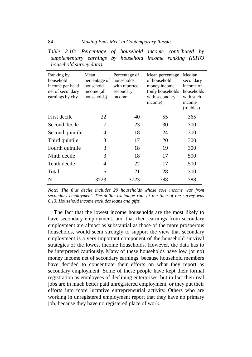*Table 2.18: Percentage of household income contributed by supplementary earnings by household income ranking (ISITO household survey data).* 

| Ranking by<br>household<br>income per head<br>net of secondary<br>earnings by city | Mean<br>percentage of<br>household<br>income (all<br>households) | Percentage of<br>households<br>with reported<br>secondary<br>income | Mean percentage<br>of household<br>money income<br>(only households)<br>with secondary<br>income) | Median<br>secondary<br>income of<br>households<br>with such<br>income<br>(roubles) |
|------------------------------------------------------------------------------------|------------------------------------------------------------------|---------------------------------------------------------------------|---------------------------------------------------------------------------------------------------|------------------------------------------------------------------------------------|
| First decile                                                                       | 22                                                               | 40                                                                  | 55                                                                                                | 365                                                                                |
| Second decile                                                                      | 7                                                                | 23                                                                  | 30                                                                                                | 300                                                                                |
| Second quintile                                                                    | 4                                                                | 18                                                                  | 24                                                                                                | 300                                                                                |
| Third quintile                                                                     | 3                                                                | 17                                                                  | 20                                                                                                | 300                                                                                |
| Fourth quintile                                                                    | 3                                                                | 18                                                                  | 19                                                                                                | 300                                                                                |
| Ninth decile                                                                       | 3                                                                | 18                                                                  | 17                                                                                                | 500                                                                                |
| Tenth decile                                                                       | 4                                                                | 22                                                                  | 17                                                                                                | 500                                                                                |
| Total                                                                              | 6                                                                | 21                                                                  | 28                                                                                                | 300                                                                                |
| N                                                                                  | 3723                                                             | 3723                                                                | 788                                                                                               | 788                                                                                |

*Note: The first decile includes 29 households whose sole income was from secondary employment. The dollar exchange rate at the time of the survey was 6.13. Household income excludes loans and gifts.* 

The fact that the lowest income households are the most likely to have secondary employment, and that their earnings from secondary employment are almost as substantial as those of the more prosperous households, would seem strongly to support the view that secondary employment is a very important component of the household survival strategies of the lowest income households. However, the data has to be interpreted cautiously. Many of these households have low (or no) money income net of secondary earnings because household members have decided to concentrate their efforts on what they report as secondary employment. Some of these people have kept their formal registration as employees of declining enterprises, but in fact their real jobs are in much better paid unregistered employment, or they put their efforts into more lucrative entrepreneurial activity. Others who are working in unregistered employment report that they have no primary job, because they have no registered place of work.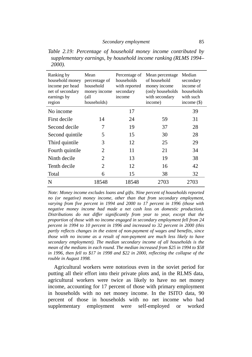|        |  | Table 2.19: Percentage of household money income contributed by |  |  |
|--------|--|-----------------------------------------------------------------|--|--|
|        |  | supplementary earnings, by household income ranking (RLMS 1994– |  |  |
| 2000). |  |                                                                 |  |  |

| Ranking by<br>household money<br>income per head<br>net of secondary<br>earnings by<br>region | Mean<br>percentage of<br>household<br>money income<br>(all<br>households) | Percentage of<br>households<br>with reported<br>secondary<br>income | Mean percentage<br>of household<br>money income<br>(only households)<br>with secondary<br>income) | Median<br>secondary<br>income of<br>households<br>with such<br>income $(\$)$ |
|-----------------------------------------------------------------------------------------------|---------------------------------------------------------------------------|---------------------------------------------------------------------|---------------------------------------------------------------------------------------------------|------------------------------------------------------------------------------|
| No income                                                                                     |                                                                           | 17                                                                  |                                                                                                   | 39                                                                           |
| First decile                                                                                  | 14                                                                        | 24                                                                  | 59                                                                                                | 31                                                                           |
| Second decile                                                                                 | 7                                                                         | 19                                                                  | 37                                                                                                | 28                                                                           |
| Second quintile                                                                               | 5                                                                         | 15                                                                  | 30                                                                                                | 28                                                                           |
| Third quintile                                                                                | 3                                                                         | 12                                                                  | 25                                                                                                | 29                                                                           |
| Fourth quintile                                                                               | $\overline{2}$                                                            | 11                                                                  | 21                                                                                                | 34                                                                           |
| Ninth decile                                                                                  | 2                                                                         | 13                                                                  | 19                                                                                                | 38                                                                           |
| Tenth decile                                                                                  | $\overline{2}$                                                            | 12                                                                  | 16                                                                                                | 42                                                                           |
| Total                                                                                         | 6                                                                         | 15                                                                  | 38                                                                                                | 32                                                                           |
| N                                                                                             | 18548                                                                     | 18548                                                               | 2703                                                                                              | 2703                                                                         |

*Note: Money income excludes loans and gifts. Nine percent of households reported no (or negative) money income, other than that from secondary employment, varying from five percent in 1994 and 2000 to 17 percent in 1996 (those with negative money income had made a net cash loss on domestic production). Distributions do not differ significantly from year to year, except that the proportion of those with no income engaged in secondary employment fell from 24 percent in 1994 to 10 percent in 1996 and increased to 32 percent in 2000 (this partly reflects changes in the extent of non-payment of wages and benefits, since those with no income as a result of non-payment are much less likely to have secondary employment). The median secondary income of all households is the mean of the medians in each round. The median increased from \$25 in 1994 to \$58 in 1996, then fell to \$17 in 1998 and \$22 in 2000, reflecting the collapse of the rouble in August 1998.* 

Agricultural workers were notorious even in the soviet period for putting all their effort into their private plots and, in the RLMS data, agricultural workers were twice as likely to have no net money income, accounting for 17 percent of those with primary employment in households with no net money income. In the ISITO data, 90 percent of those in households with no net income who had supplementary employment were self-employed or worked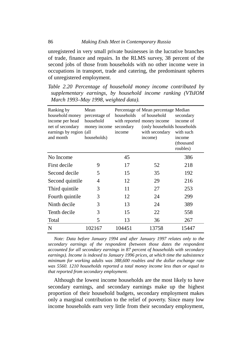## 86 *Making Ends Meet in Contemporary Russia*

unregistered in very small private businesses in the lucrative branches of trade, finance and repairs. In the RLMS survey, 38 percent of the second jobs of those from households with no other income were in occupations in transport, trade and catering, the predominant spheres of unregistered employment.

*Table 2.20 Percentage of household money income contributed by supplementary earnings, by household income ranking (VTsIOM March 1993–May 1998, weighted data).* 

| Ranking by<br>household money<br>income per head<br>net of secondary<br>earnings by region (all<br>and month | Mean<br>percentage of<br>household<br>money income<br>households) | households<br>secondary<br>income | Percentage of Mean percentage Median<br>of household<br>with reported money income<br>(only households households<br>with secondary<br>income) | secondary<br>income of<br>with such<br>income<br>(thousand<br>roubles) |
|--------------------------------------------------------------------------------------------------------------|-------------------------------------------------------------------|-----------------------------------|------------------------------------------------------------------------------------------------------------------------------------------------|------------------------------------------------------------------------|
| No Income                                                                                                    |                                                                   | 45                                |                                                                                                                                                | 386                                                                    |
| First decile                                                                                                 | 9                                                                 | 17                                | 52                                                                                                                                             | 218                                                                    |
| Second decile                                                                                                | 5                                                                 | 15                                | 35                                                                                                                                             | 192                                                                    |
| Second quintile                                                                                              | 4                                                                 | 12                                | 29                                                                                                                                             | 216                                                                    |
| Third quintile                                                                                               | 3                                                                 | 11                                | 27                                                                                                                                             | 253                                                                    |
| Fourth quintile                                                                                              | 3                                                                 | 12                                | 24                                                                                                                                             | 299                                                                    |
| Ninth decile                                                                                                 | 3                                                                 | 13                                | 24                                                                                                                                             | 389                                                                    |
| Tenth decile                                                                                                 | 3                                                                 | 15                                | 22                                                                                                                                             | 558                                                                    |
| Total                                                                                                        | 5                                                                 | 13                                | 36                                                                                                                                             | 267                                                                    |
| N                                                                                                            | 102167                                                            | 104451                            | 13758                                                                                                                                          | 15447                                                                  |

*Note: Data before January 1994 and after January 1997 relates only to the secondary earnings of the respondent (between those dates the respondent accounted for all secondary earnings in 87 percent of households with secondary earnings). Income is indexed to January 1996 prices, at which time the subsistence minimum for working adults was 388,600 roubles and the dollar exchange rate was 5560. 1210 households reported a total money income less than or equal to that reported from secondary employment.* 

Although the lowest income households are the most likely to have secondary earnings, and secondary earnings make up the highest proportion of their household budgets, secondary employment makes only a marginal contribution to the relief of poverty. Since many low income households earn very little from their secondary employment,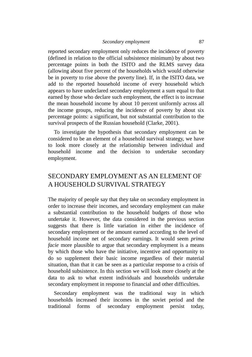reported secondary employment only reduces the incidence of poverty (defined in relation to the official subsistence minimum) by about two percentage points in both the ISITO and the RLMS survey data (allowing about five percent of the households which would otherwise be in poverty to rise above the poverty line). If, in the ISITO data, we add to the reported household income of every household which appears to have undeclared secondary employment a sum equal to that earned by those who declare such employment, the effect is to increase the mean household income by about 10 percent uniformly across all the income groups, reducing the incidence of poverty by about six percentage points: a significant, but not substantial contribution to the survival prospects of the Russian household (Clarke, 2001).

To investigate the hypothesis that secondary employment can be considered to be an element of a household survival strategy, we have to look more closely at the relationship between individual and household income and the decision to undertake secondary employment.

# SECONDARY EMPLOYMENT AS AN ELEMENT OF A HOUSEHOLD SURVIVAL STRATEGY

The majority of people say that they take on secondary employment in order to increase their incomes, and secondary employment can make a substantial contribution to the household budgets of those who undertake it. However, the data considered in the previous section suggests that there is little variation in either the incidence of secondary employment or the amount earned according to the level of household income net of secondary earnings. It would seem *prima facie* more plausible to argue that secondary employment is a means by which those who have the initiative, incentive and opportunity to do so supplement their basic income regardless of their material situation, than that it can be seen as a particular response to a crisis of household subsistence. In this section we will look more closely at the data to ask to what extent individuals and households undertake secondary employment in response to financial and other difficulties.

Secondary employment was the traditional way in which households increased their incomes in the soviet period and the traditional forms of secondary employment persist today,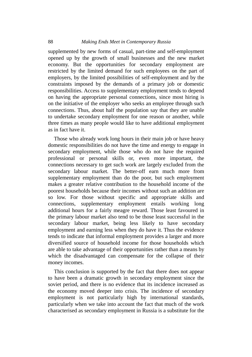supplemented by new forms of casual, part-time and self-employment opened up by the growth of small businesses and the new market economy. But the opportunities for secondary employment are restricted by the limited demand for such employees on the part of employers, by the limited possibilities of self-employment and by the constraints imposed by the demands of a primary job or domestic responsibilities. Access to supplementary employment tends to depend on having the appropriate personal connections, since most hiring is on the initiative of the employer who seeks an employee through such connections. Thus, about half the population say that they are unable to undertake secondary employment for one reason or another, while three times as many people would like to have additional employment as in fact have it.

Those who already work long hours in their main job or have heavy domestic responsibilities do not have the time and energy to engage in secondary employment, while those who do not have the required professional or personal skills or, even more important, the connections necessary to get such work are largely excluded from the secondary labour market. The better-off earn much more from supplementary employment than do the poor, but such employment makes a greater relative contribution to the household income of the poorest households because their incomes without such an addition are so low. For those without specific and appropriate skills and connections, supplementary employment entails working long additional hours for a fairly meagre reward. Those least favoured in the primary labour market also tend to be those least successful in the secondary labour market, being less likely to have secondary employment and earning less when they do have it. Thus the evidence tends to indicate that informal employment provides a larger and more diversified source of household income for those households which are able to take advantage of their opportunities rather than a means by which the disadvantaged can compensate for the collapse of their money incomes.

This conclusion is supported by the fact that there does not appear to have been a dramatic growth in secondary employment since the soviet period, and there is no evidence that its incidence increased as the economy moved deeper into crisis. The incidence of secondary employment is not particularly high by international standards, particularly when we take into account the fact that much of the work characterised as secondary employment in Russia is a substitute for the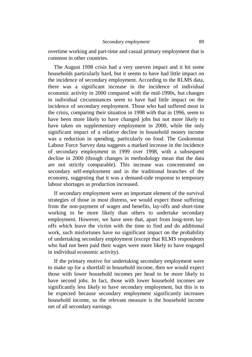overtime working and part-time and casual primary employment that is common in other countries.

The August 1998 crisis had a very uneven impact and it hit some households particularly hard, but it seems to have had little impact on the incidence of secondary employment. According to the RLMS data, there was a significant increase in the incidence of individual economic activity in 2000 compared with the mid-1990s, but changes in individual circumstances seem to have had little impact on the incidence of secondary employment. Those who had suffered most in the crisis, comparing their situation in 1998 with that in 1996, seem to have been more likely to have changed jobs but not more likely to have taken on supplementary employment in 2000, while the only significant impact of a relative decline in household money income was a reduction in spending, particularly on food. The Goskomstat Labour Force Survey data suggests a marked increase in the incidence of secondary employment in 1999 over 1998, with a subsequent decline in 2000 (though changes in methodology mean that the data are not strictly comparable). This increase was concentrated on secondary self-employment and in the traditional branches of the economy, suggesting that it was a demand-side response to temporary labour shortages as production increased.

If secondary employment were an important element of the survival strategies of those in most distress, we would expect those suffering from the non-payment of wages and benefits, lay-offs and short-time working to be more likely than others to undertake secondary employment. However, we have seen that, apart from long-term layoffs which leave the victim with the time to find and do additional work, such misfortunes have no significant impact on the probability of undertaking secondary employment (except that RLMS respondents who had not been paid their wages were more likely to have engaged in individual economic activity).

If the primary motive for undertaking secondary employment were to make up for a shortfall in household income, then we would expect those with lower household incomes per head to be more likely to have second jobs. In fact, those with lower household incomes are significantly less likely to have secondary employment, but this is to be expected because secondary employment significantly increases household income, so the relevant measure is the household income net of all secondary earnings.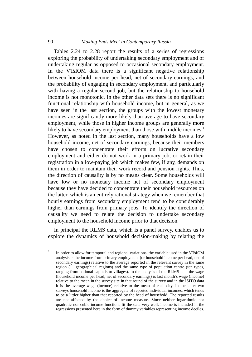Tables 2.24 to 2.28 report the results of a series of regressions exploring the probability of undertaking secondary employment and of undertaking regular as opposed to occasional secondary employment. In the VTsIOM data there is a significant negative relationship between household income per head, net of secondary earnings, and the probability of engaging in secondary employment, and particularly with having a regular second job, but the relationship to household income is not monotonic. In the other data sets there is no significant functional relationship with household income, but in general, as we have seen in the last section, the groups with the lowest monetary incomes are significantly more likely than average to have secondary employment, while those in higher income groups are generally more likely to have secondary employment than those with middle incomes. $<sup>1</sup>$ </sup> However, as noted in the last section, many households have a low household income, net of secondary earnings, because their members have chosen to concentrate their efforts on lucrative secondary employment and either do not work in a primary job, or retain their registration in a low-paying job which makes few, if any, demands on them in order to maintain their work record and pension rights. Thus, the direction of causality is by no means clear. Some households will have low or no monetary income net of secondary employment because they have decided to concentrate their household resources on the latter, which is an entirely rational strategy when we remember that hourly earnings from secondary employment tend to be considerably higher than earnings from primary jobs. To identify the direction of causality we need to relate the decision to undertake secondary employment to the household income prior to that decision.

In principal the RLMS data, which is a panel survey, enables us to explore the dynamics of household decision-making by relating the

1

In order to allow for temporal and regional variations, the variable used in the VTsIOM analysis is the income from primary employment (or household income per head, net of secondary earnings) relative to the average reported in the relevant survey in the same region (11 geographical regions) and the same type of population centre (ten types, ranging from national capitals to villages). In the analysis of the RLMS data the wage (household income per head, net of secondary earnings) is last month's wage (income) relative to the mean in the survey site in that round of the survey and in the ISITO data it is the average wage (income) relative to the mean of each city. In the latter two surveys household income is the aggregate of reported individual incomes, which tends to be a littler higher than that reported by the head of household. The reported results are not affected by the choice of income measure. Since neither logarithmic nor quadratic nor cubic income functions fit the data very well, income is included in the regressions presented here in the form of dummy variables representing income deciles.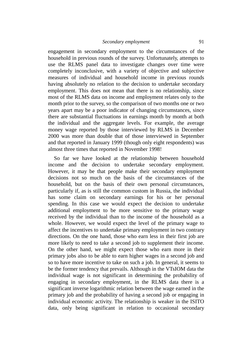engagement in secondary employment to the circumstances of the household in previous rounds of the survey. Unfortunately, attempts to use the RLMS panel data to investigate changes over time were completely inconclusive, with a variety of objective and subjective measures of individual and household income in previous rounds having absolutely no relation to the decision to undertake secondary employment. This does not mean that there is no relationship, since most of the RLMS data on income and employment relates only to the month prior to the survey, so the comparison of two months one or two years apart may be a poor indicator of changing circumstances, since there are substantial fluctuations in earnings month by month at both the individual and the aggregate levels. For example, the average money wage reported by those interviewed by RLMS in December 2000 was more than double that of those interviewed in September and that reported in January 1999 (though only eight respondents) was almost three times that reported in November 1998!

So far we have looked at the relationship between household income and the decision to undertake secondary employment. However, it may be that people make their secondary employment decisions not so much on the basis of the circumstances of the household, but on the basis of their own personal circumstances, particularly if, as is still the common custom in Russia, the individual has some claim on secondary earnings for his or her personal spending. In this case we would expect the decision to undertake additional employment to be more sensitive to the primary wage received by the individual than to the income of the household as a whole. However, we would expect the level of the primary wage to affect the incentives to undertake primary employment in two contrary directions. On the one hand, those who earn less in their first job are more likely to need to take a second job to supplement their income. On the other hand, we might expect those who earn more in their primary jobs also to be able to earn higher wages in a second job and so to have more incentive to take on such a job. In general, it seems to be the former tendency that prevails. Although in the VTsIOM data the individual wage is not significant in determining the probability of engaging in secondary employment, in the RLMS data there is a significant inverse logarithmic relation between the wage earned in the primary job and the probability of having a second job or engaging in individual economic activity. The relationship is weaker in the ISITO data, only being significant in relation to occasional secondary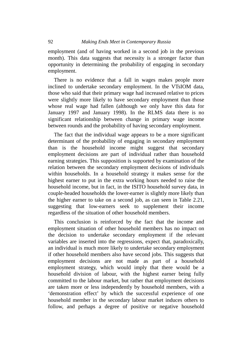employment (and of having worked in a second job in the previous month). This data suggests that necessity is a stronger factor than opportunity in determining the probability of engaging in secondary employment.

There is no evidence that a fall in wages makes people more inclined to undertake secondary employment. In the VTsIOM data, those who said that their primary wage had increased relative to prices were slightly more likely to have secondary employment than those whose real wage had fallen (although we only have this data for January 1997 and January 1998). In the RLMS data there is no significant relationship between change in primary wage income between rounds and the probability of having secondary employment.

The fact that the individual wage appears to be a more significant determinant of the probability of engaging in secondary employment than is the household income might suggest that secondary employment decisions are part of individual rather than household earning strategies. This supposition is supported by examination of the relation between the secondary employment decisions of individuals within households. In a household strategy it makes sense for the highest earner to put in the extra working hours needed to raise the household income, but in fact, in the ISITO household survey data, in couple-headed households the lower-earner is slightly more likely than the higher earner to take on a second job, as can seen in Table 2.21, suggesting that low-earners seek to supplement their income regardless of the situation of other household members.

This conclusion is reinforced by the fact that the income and employment situation of other household members has no impact on the decision to undertake secondary employment if the relevant variables are inserted into the regressions, expect that, paradoxically, an individual is much more likely to undertake secondary employment if other household members also have second jobs. This suggests that employment decisions are not made as part of a household employment strategy, which would imply that there would be a household division of labour, with the highest earner being fully committed to the labour market, but rather that employment decisions are taken more or less independently by household members, with a 'demonstration effect' by which the successful experience of one household member in the secondary labour market induces others to follow, and perhaps a degree of positive or negative household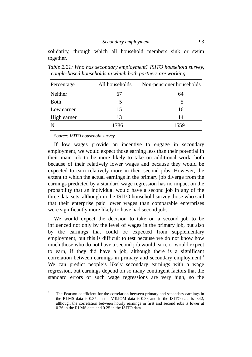solidarity, through which all household members sink or swim together.

*Table 2.21: Who has secondary employment? ISITO household survey, couple-based households in which both partners are working.* 

| Percentage  | All households | Non-pensioner households |
|-------------|----------------|--------------------------|
| Neither     | 67             | 64                       |
| <b>Both</b> | 5              |                          |
| Low earner  | 15             | 16                       |
| High earner | 13             | 14                       |
| N           | 1786           | 1559                     |

*Source: ISITO household survey.* 

If low wages provide an incentive to engage in secondary employment, we would expect those earning less than their potential in their main job to be more likely to take on additional work, both because of their relatively lower wages and because they would be expected to earn relatively more in their second jobs. However, the extent to which the actual earnings in the primary job diverge from the earnings predicted by a standard wage regression has no impact on the probability that an individual would have a second job in any of the three data sets, although in the ISITO household survey those who said that their enterprise paid lower wages than comparable enterprises were significantly more likely to have had second jobs.

We would expect the decision to take on a second job to be influenced not only by the level of wages in the primary job, but also by the earnings that could be expected from supplementary employment, but this is difficult to test because we do not know how much those who do not have a second job would earn, or would expect to earn, if they did have a job, although there is a significant correlation between earnings in primary and secondary employment.<sup>1</sup> We can predict people's likely secondary earnings with a wage regression, but earnings depend on so many contingent factors that the standard errors of such wage regressions are very high, so the

<sup>1</sup> The Pearson coefficient for the correlation between primary and secondary earnings in the RLMS data is 0.35, in the VTsIOM data is 0.33 and in the ISITO data is 0.42, although the correlation between hourly earnings in first and second jobs is lower at 0.26 in the RLMS data and 0.25 in the ISITO data.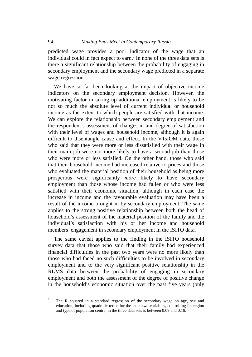predicted wage provides a poor indicator of the wage that an individual could in fact expect to earn.<sup>1</sup> In none of the three data sets is there a significant relationship between the probability of engaging in secondary employment and the secondary wage predicted in a separate wage regression.

We have so far been looking at the impact of objective income indicators on the secondary employment decision. However, the motivating factor in taking up additional employment is likely to be not so much the absolute level of current individual or household income as the extent to which people are satisfied with that income. We can explore the relationship between secondary employment and the respondent's assessment of changes in and degree of satisfaction with their level of wages and household income, although it is again difficult to disentangle cause and effect. In the VTsIOM data, those who said that they were more or less dissatisfied with their wage in their main job were not more likely to have a second job than those who were more or less satisfied. On the other hand, those who said that their household income had increased relative to prices and those who evaluated the material position of their household as being more prosperous were significantly *more* likely to have secondary employment than those whose income had fallen or who were less satisfied with their economic situation, although in each case the increase in income and the favourable evaluation may have been a result of the income brought in by secondary employment. The same applies to the strong positive relationship between both the head of household's assessment of the material position of the family and the individual's satisfaction with his or her income and household members' engagement in secondary employment in the ISITO data.

The same caveat applies to the finding in the ISITO household survey data that those who said that their family had experienced financial difficulties in the past two years were no more likely than those who had faced no such difficulties to be involved in secondary employment and to the very significant positive relationship in the RLMS data between the probability of engaging in secondary employment and both the assessment of the degree of positive change in the household's economic situation over the past five years (only

<sup>1</sup> The R squared in a standard regression of the secondary wage on age, sex and education, including quadratic terms for the latter two variables, controlling for region and type of population centre, in the three data sets is between 0.09 and 0.19.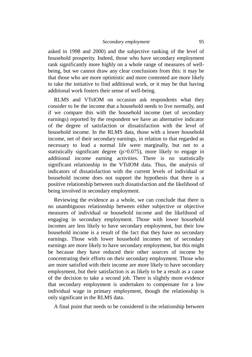asked in 1998 and 2000) and the subjective ranking of the level of household prosperity. Indeed, those who have secondary employment rank significantly more highly on a whole range of measures of wellbeing, but we cannot draw any clear conclusions from this: it may be that those who are more optimistic and more contented are more likely to take the initiative to find additional work, or it may be that having additional work fosters their sense of well-being.

RLMS and VTsIOM on occasion ask respondents what they consider to be the income that a household needs to live normally, and if we compare this with the household income (net of secondary earnings) reported by the respondent we have an alternative indicator of the degree of satisfaction or dissatisfaction with the level of household income. In the RLMS data, those with a lower household income, net of their secondary earnings, in relation to that regarded as necessary to lead a normal life were marginally, but not to a statistically significant degree (p>0.075), more likely to engage in additional income earning activities. There is no statistically significant relationship in the VTsIOM data. Thus, the analysis of indicators of dissatisfaction with the current levels of individual or household income does not support the hypothesis that there is a positive relationship between such dissatisfaction and the likelihood of being involved in secondary employment.

Reviewing the evidence as a whole, we can conclude that there is no unambiguous relationship between either subjective or objective measures of individual or household income and the likelihood of engaging in secondary employment. Those with lower household incomes are less likely to have secondary employment, but their low household income is a result of the fact that they have no secondary earnings. Those with lower household incomes net of secondary earnings are more likely to have secondary employment, but this might be because they have reduced their other sources of income by concentrating their efforts on their secondary employment. Those who are more satisfied with their income are more likely to have secondary employment, but their satisfaction is as likely to be a result as a cause of the decision to take a second job. There is slightly more evidence that secondary employment is undertaken to compensate for a low individual wage in primary employment, though the relationship is only significant in the RLMS data.

A final point that needs to be considered is the relationship between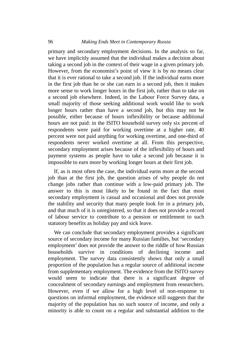primary and secondary employment decisions. In the analysis so far, we have implicitly assumed that the individual makes a decision about taking a second job in the context of their wage in a given primary job. However, from the economist's point of view it is by no means clear that it is ever rational to take a second job. If the individual earns more in the first job than he or she can earn in a second job, then it makes more sense to work longer hours in the first job, rather than to take on a second job elsewhere. Indeed, in the Labour Force Survey data, a small majority of those seeking additional work would like to work longer hours rather than have a second job, but this may not be possible, either because of hours inflexibility or because additional hours are not paid: in the ISITO household survey only six percent of respondents were paid for working overtime at a higher rate, 40 percent were not paid anything for working overtime, and one-third of respondents never worked overtime at all. From this perspective, secondary employment arises because of the inflexibility of hours and payment systems as people have to take a second job because it is impossible to earn more by working longer hours at their first job.

If, as is most often the case, the individual earns more at the second job than at the first job, the question arises of why people do not change jobs rather than continue with a low-paid primary job. The answer to this is most likely to be found in the fact that most secondary employment is casual and occasional and does not provide the stability and security that many people look for in a primary job, and that much of it is unregistered, so that it does not provide a record of labour service to contribute to a pension or entitlement to such statutory benefits as holiday pay and sick leave.

We can conclude that secondary employment provides a significant source of secondary income for many Russian families, but 'secondary employment' does not provide the answer to the riddle of how Russian households survive in conditions of declining income and employment. The survey data consistently shows that only a small proportion of the population has a regular source of additional income from supplementary employment. The evidence from the ISITO survey would seem to indicate that there is a significant degree of concealment of secondary earnings and employment from researchers. However, even if we allow for a high level of non-response to questions on informal employment, the evidence still suggests that the majority of the population has no such source of income, and only a minority is able to count on a regular and substantial addition to the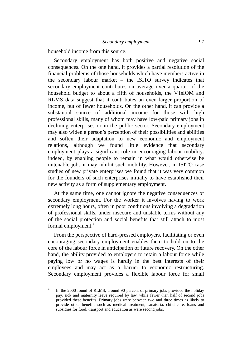household income from this source.

Secondary employment has both positive and negative social consequences. On the one hand, it provides a partial resolution of the financial problems of those households which have members active in the secondary labour market – the ISITO survey indicates that secondary employment contributes on average over a quarter of the household budget to about a fifth of households, the VTsIOM and RLMS data suggest that it contributes an even larger proportion of income, but of fewer households. On the other hand, it can provide a substantial source of additional income for those with high professional skills, many of whom may have low-paid primary jobs in declining enterprises or in the public sector. Secondary employment may also widen a person's perception of their possibilities and abilities and soften their adaptation to new economic and employment relations, although we found little evidence that secondary employment plays a significant role in encouraging labour mobility: indeed, by enabling people to remain in what would otherwise be untenable jobs it may inhibit such mobility. However, in ISITO case studies of new private enterprises we found that it was very common for the founders of such enterprises initially to have established their new activity as a form of supplementary employment.

At the same time, one cannot ignore the negative consequences of secondary employment. For the worker it involves having to work extremely long hours, often in poor conditions involving a degradation of professional skills, under insecure and unstable terms without any of the social protection and social benefits that still attach to most formal employment.<sup>1</sup>

From the perspective of hard-pressed employers, facilitating or even encouraging secondary employment enables them to hold on to the core of the labour force in anticipation of future recovery. On the other hand, the ability provided to employers to retain a labour force while paying low or no wages is hardly in the best interests of their employees and may act as a barrier to economic restructuring. Secondary employment provides a flexible labour force for small

<sup>1</sup> In the 2000 round of RLMS, around 90 percent of primary jobs provided the holiday pay, sick and maternity leave required by law, while fewer than half of second jobs provided these benefits. Primary jobs were between two and three times as likely to provide other benefits such as medical treatment, sanatoria, child care, loans and subsidies for food, transport and education as were second jobs.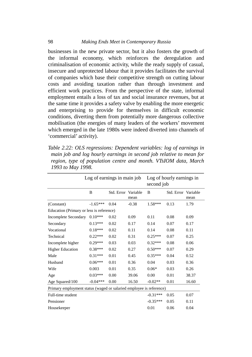businesses in the new private sector, but it also fosters the growth of the informal economy, which reinforces the deregulation and criminalisation of economic activity, while the ready supply of casual, insecure and unprotected labour that it provides facilitates the survival of companies which base their competitive strength on cutting labour costs and avoiding taxation rather than through investment and efficient work practices. From the perspective of the state, informal employment entails a loss of tax and social insurance revenues, but at the same time it provides a safety valve by enabling the more energetic and enterprising to provide for themselves in difficult economic conditions, diverting them from potentially more dangerous collective mobilisation (the energies of many leaders of the workers' movement which emerged in the late 1980s were indeed diverted into channels of 'commercial' activity).

*Table 2.22: OLS regressions: Dependent variables: log of earnings in main job and log hourly earnings in second job relative to mean for region, type of population centre and month. VTsIOM data, March 1993 to May 1998.* 

|                                                                     |            | Log of earnings in main job |         |            | Log of hourly earnings in<br>second job |       |  |
|---------------------------------------------------------------------|------------|-----------------------------|---------|------------|-----------------------------------------|-------|--|
|                                                                     | B          | Std. Error Variable         | mean    | B          | Std. Error Variable                     | mean  |  |
| (Constant)                                                          | $-1.65***$ | 0.04                        | $-0.38$ | $1.58***$  | 0.13                                    | 1.79  |  |
| Education (Primary or less is reference)                            |            |                             |         |            |                                         |       |  |
| <b>Incomplete Secondary</b>                                         | $0.10***$  | 0.02                        | 0.09    | 0.11       | 0.08                                    | 0.09  |  |
| Secondary                                                           | $0.13***$  | 0.02                        | 0.17    | 0.14       | 0.07                                    | 0.17  |  |
| Vocational                                                          | $0.18***$  | 0.02                        | 0.11    | 0.14       | 0.08                                    | 0.11  |  |
| Technical                                                           | $0.22***$  | 0.02                        | 0.31    | $0.25***$  | 0.07                                    | 0.25  |  |
| Incomplete higher                                                   | $0.29***$  | 0.03                        | 0.03    | $0.32***$  | 0.08                                    | 0.06  |  |
| <b>Higher Education</b>                                             | $0.38***$  | 0.02                        | 0.27    | $0.50***$  | 0.07                                    | 0.29  |  |
| Male                                                                | $0.31***$  | 0.01                        | 0.45    | $0.35***$  | 0.04                                    | 0.52  |  |
| Husband                                                             | $0.06***$  | 0.01                        | 0.36    | 0.04       | 0.03                                    | 0.36  |  |
| Wife                                                                | 0.003      | 0.01                        | 0.35    | $0.06*$    | 0.03                                    | 0.26  |  |
| Age                                                                 | $0.03***$  | 0.00                        | 39.06   | 0.00       | 0.01                                    | 38.37 |  |
| Age Squared/100                                                     | $-0.04***$ | 0.00                        | 16.50   | $-0.02**$  | 0.01                                    | 16.60 |  |
| Primary employment status (waged or salaried employee is reference) |            |                             |         |            |                                         |       |  |
| Full-time student                                                   |            |                             |         | $-0.31***$ | 0.05                                    | 0.07  |  |
| Pensioner                                                           |            |                             |         | $-0.35***$ | 0.05                                    | 0.11  |  |
| Housekeeper                                                         |            |                             |         | 0.01       | 0.06                                    | 0.04  |  |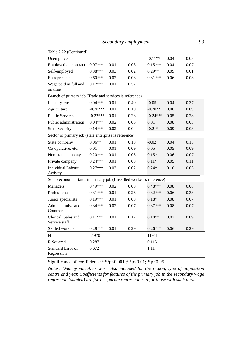| Table 2.22 (Continued)                                               |            |      |      |            |      |      |  |  |  |
|----------------------------------------------------------------------|------------|------|------|------------|------|------|--|--|--|
| Unemployed                                                           |            |      |      | $-0.11**$  | 0.04 | 0.08 |  |  |  |
| Employed on contract                                                 | $0.07***$  | 0.01 | 0.08 | $0.15***$  | 0.04 | 0.07 |  |  |  |
| Self-employed                                                        | $0.38***$  | 0.03 | 0.02 | $0.29**$   | 0.09 | 0.01 |  |  |  |
| Entrepreneur                                                         | $0.60***$  | 0.02 | 0.03 | $0.81***$  | 0.06 | 0.03 |  |  |  |
| Wage paid in full and<br>on time                                     | $0.17***$  | 0.01 | 0.52 |            |      |      |  |  |  |
| Branch of primary job (Trade and services is reference)              |            |      |      |            |      |      |  |  |  |
| Industry. etc.                                                       | $0.04***$  | 0.01 | 0.40 | $-0.05$    | 0.04 | 0.37 |  |  |  |
| Agriculture                                                          | $-0.30***$ | 0.01 | 0.10 | $-0.20**$  | 0.06 | 0.09 |  |  |  |
| <b>Public Services</b>                                               | $-0.22***$ | 0.01 | 0.23 | $-0.24***$ | 0.05 | 0.28 |  |  |  |
| Public administration                                                | $0.04***$  | 0.02 | 0.05 | 0.01       | 0.08 | 0.03 |  |  |  |
| <b>State Security</b>                                                | $0.14***$  | 0.02 | 0.04 | $-0.21*$   | 0.09 | 0.03 |  |  |  |
| Sector of primary job (state enterprise is reference)                |            |      |      |            |      |      |  |  |  |
| State company                                                        | $0.06**$   | 0.01 | 0.18 | $-0.02$    | 0.04 | 0.15 |  |  |  |
| Co-operative. etc.                                                   | 0.01       | 0.01 | 0.09 | 0.05       | 0.05 | 0.09 |  |  |  |
| Non-state company                                                    | $0.20***$  | 0.01 | 0.05 | $0.15*$    | 0.06 | 0.07 |  |  |  |
| Private company                                                      | $0.24***$  | 0.01 | 0.08 | $0.11*$    | 0.05 | 0.11 |  |  |  |
| <b>Individual Labour</b><br>Activity                                 | $0.27***$  | 0.03 | 0.02 | $0.24*$    | 0.10 | 0.03 |  |  |  |
| Socio-economic status in primary job (Unskilled worker is reference) |            |      |      |            |      |      |  |  |  |
| Managers                                                             | $0.49***$  | 0.02 | 0.08 | $0.48***$  | 0.08 | 0.08 |  |  |  |
| Professionals                                                        | $0.31***$  | 0.01 | 0.26 | $0.32***$  | 0.06 | 0.33 |  |  |  |
| Junior specialists                                                   | $0.19***$  | 0.01 | 0.08 | $0.18*$    | 0.08 | 0.07 |  |  |  |
| Administrative and<br>Commercial                                     | $0.34***$  | 0.02 | 0.07 | $0.37***$  | 0.08 | 0.07 |  |  |  |
| Clerical. Sales and<br>Service staff                                 | $0.11***$  | 0.01 | 0.12 | $0.18**$   | 0.07 | 0.09 |  |  |  |
| Skilled workers                                                      | $0.28***$  | 0.01 | 0.29 | $0.26***$  | 0.06 | 0.29 |  |  |  |
| $\mathbf N$                                                          | 54970      |      |      | 11911      |      |      |  |  |  |
| R Squared                                                            | 0.287      |      |      | 0.115      |      |      |  |  |  |
| Standard Error of<br>Regression                                      | 0.672      |      |      | 1.11       |      |      |  |  |  |

Significance of coefficients: \*\*\*p<0.001 ;\*\*p<0.01; \* p<0.05

*Notes: Dummy variables were also included for the region, type of population centre and year. Coefficients for features of the primary job in the secondary wage regression (shaded) are for a separate regression run for those with such a job.*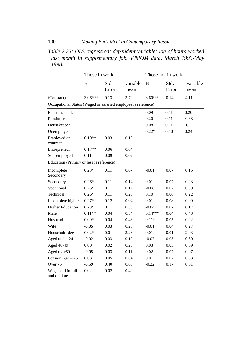*Table 2.23: OLS regression; dependent variable: log of hours worked last month in supplementary job. VTsIOM data, March 1993-May 1998.* 

|                                                               | Those in work |               |                  | Those not in work |               |                  |
|---------------------------------------------------------------|---------------|---------------|------------------|-------------------|---------------|------------------|
|                                                               | B             | Std.<br>Error | variable<br>mean | B                 | Std.<br>Error | variable<br>mean |
| (Constant)                                                    | 3.06***       | 0.13          | 3.79             | $3.60***$         | 0.14          | 4.11             |
| Occupational Status (Waged or salaried employee is reference) |               |               |                  |                   |               |                  |
| Full-time student                                             |               |               |                  | 0.09              | 0.11          | 0.20             |
| Pensioner                                                     |               |               |                  | 0.20              | 0.11          | 0.38             |
| Housekeeper                                                   |               |               |                  | 0.08              | 0.11          | 0.11             |
| Unemployed                                                    |               |               |                  | $0.22*$           | 0.10          | 0.24             |
| Employed on<br>contract                                       | $0.10**$      | 0.03          | 0.10             |                   |               |                  |
| Entrepreneur                                                  | $0.17**$      | 0.06          | 0.04             |                   |               |                  |
| Self-employed                                                 | 0.11          | 0.09          | 0.02             |                   |               |                  |
| Education (Primary or less is reference)                      |               |               |                  |                   |               |                  |
| Incomplete<br>Secondary                                       | $0.23*$       | 0.11          | 0.07             | $-0.01$           | 0.07          | 0.15             |
| Secondary                                                     | $0.26*$       | 0.11          | 0.14             | 0.01              | 0.07          | 0.23             |
| Vocational                                                    | $0.25*$       | 0.11          | 0.12             | $-0.08$           | 0.07          | 0.09             |
| Technical                                                     | $0.26*$       | 0.11          | 0.28             | 0.10              | 0.06          | 0.22             |
| Incomplete higher                                             | $0.27*$       | 0.12          | 0.04             | 0.01              | 0.08          | 0.09             |
| <b>Higher Education</b>                                       | $0.23*$       | 0.11          | 0.36             | $-0.04$           | 0.07          | 0.17             |
| Male                                                          | $0.11**$      | 0.04          | 0.54             | $0.14***$         | 0.04          | 0.43             |
| Husband                                                       | $0.09*$       | 0.04          | 0.43             | $0.11*$           | 0.05          | 0.22             |
| Wife                                                          | $-0.05$       | 0.03          | 0.26             | $-0.01$           | 0.04          | 0.27             |
| Household size                                                | $0.02*$       | 0.01          | 3.26             | 0.01              | 0.01          | 2.93             |
| Aged under 24                                                 | $-0.02$       | 0.03          | 0.12             | $-0.07$           | 0.05          | 0.30             |
| Aged 40-49                                                    | 0.00          | 0.02          | 0.28             | 0.03              | 0.05          | 0.09             |
| Aged over50                                                   | $-0.05$       | 0.03          | 0.11             | 0.02              | 0.07          | 0.07             |
| Pension Age - 75                                              | 0.03          | 0.05          | 0.04             | 0.01              | 0.07          | 0.33             |
| Over 75                                                       | $-0.59$       | 0.40          | 0.00             | $-0.22$           | 0.17          | 0.01             |
| Wage paid in full<br>and on time                              | 0.02          | 0.02          | 0.49             |                   |               |                  |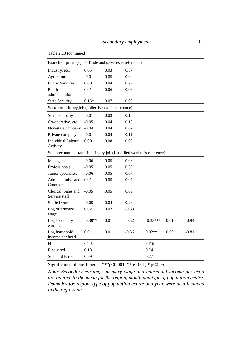|  | Table 2.23 (continued) |
|--|------------------------|
|--|------------------------|

| Branch of primary job (Trade and services is reference)              |           |      |         |            |      |         |
|----------------------------------------------------------------------|-----------|------|---------|------------|------|---------|
| Industry. etc.                                                       | 0.05      | 0.03 | 0.37    |            |      |         |
| Agriculture                                                          | $-0.01$   | 0.05 | 0.09    |            |      |         |
| <b>Public Services</b>                                               | 0.00      | 0.04 | 0.29    |            |      |         |
| Public                                                               | 0.01      | 0.06 | 0.03    |            |      |         |
| administration                                                       |           |      |         |            |      |         |
| <b>State Security</b>                                                | $0.15*$   | 0.07 | 0.03    |            |      |         |
| Sector of primary job (collective etc. is reference)                 |           |      |         |            |      |         |
| State company                                                        | $-0.01$   | 0.03 | 0.15    |            |      |         |
| Co-operative. etc.                                                   | $-0.05$   | 0.04 | 0.10    |            |      |         |
| Non-state company                                                    | $-0.04$   | 0.04 | 0.07    |            |      |         |
| Private company                                                      | $-0.01$   | 0.04 | 0.11    |            |      |         |
| <b>Individual Labour</b><br>Activity                                 | 0.00      | 0.08 | 0.03    |            |      |         |
| Socio-economic status in primary job (Unskilled worker is reference) |           |      |         |            |      |         |
| Managers                                                             | $-0.06$   | 0.05 | 0.08    |            |      |         |
| Professionals                                                        | $-0.05$   | 0.05 | 0.33    |            |      |         |
| Junior specialists                                                   | $-0.06$   | 0.05 | 0.07    |            |      |         |
| Administrative and<br>Commercial                                     | 0.01      | 0.05 | 0.07    |            |      |         |
| Clerical. Sales and<br>Service staff                                 | $-0.05$   | 0.05 | 0.09    |            |      |         |
| Skilled workers                                                      | $-0.05$   | 0.04 | 0.28    |            |      |         |
| Log of primary<br>wage                                               | 0.02      | 0.02 | $-0.33$ |            |      |         |
| Log secondary<br>earnings                                            | $-0.30**$ | 0.01 | $-0.52$ | $-0.33***$ | 0.01 | $-0.94$ |
| Log household<br>income per head                                     | 0.01      | 0.01 | $-0.36$ | $0.02**$   | 0.00 | $-0.81$ |
| N                                                                    | 6448      |      |         | 3416       |      |         |
| R squared                                                            | 0.18      |      |         | 0.24       |      |         |
| <b>Standard Error</b>                                                | 0.79      |      |         | 0.77       |      |         |

Significance of coefficients: \*\*\*p<0.001 ;\*\*p<0.01; \* p<0.05

*Note: Secondary earnings, primary wage and household income per head are relative to the mean for the region, month and type of population centre. Dummies for region, type of population centre and year were also included in the regression.*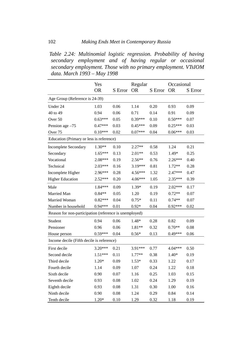*Table 2.24: Multinomial logistic regression. Probability of having secondary employment and of having regular or occasional secondary employment. Those with no primary employment. VTsIOM data. March 1993 – May 1998* 

|                                                        | Yes<br><b>OR</b> | S Error | Regular<br><b>OR</b> | S Error | Occasional<br><b>OR</b> | S Error |
|--------------------------------------------------------|------------------|---------|----------------------|---------|-------------------------|---------|
|                                                        |                  |         |                      |         |                         |         |
| Age Group (Reference is 24-39)                         |                  |         |                      |         |                         |         |
| Under 24                                               | 1.03             | 0.06    | 1.14                 | 0.20    | 0.93                    | 0.09    |
| 40 to 49                                               | 0.94             | 0.06    | 0.71                 | 0.14    | 0.91                    | 0.09    |
| Over 50                                                | $0.63***$        | 0.05    | 0.39***              | 0.10    | $0.50***$               | 0.07    |
| Pension age $-75$                                      | $0.47***$        | 0.03    | $0.45***$            | 0.09    | $0.25***$               | 0.03    |
| Over 75                                                | $0.10***$        | 0.02    | $0.07***$            | 0.04    | $0.06***$               | 0.03    |
| Education (Primary or less is reference)               |                  |         |                      |         |                         |         |
| Incomplete Secondary                                   | $1.30**$         | 0.10    | $2.27**$             | 0.58    | 1.24                    | 0.21    |
| Secondary                                              | $1.65***$        | 0.13    | $2.01**$             | 0.53    | 1.49*                   | 0.25    |
| Vocational                                             | $2.08***$        | 0.19    | $2.56**$             | 0.76    | $2.26***$               | 0.40    |
| Technical                                              | $2.03***$        | 0.16    | 3.19***              | 0.81    | $1.72**$                | 0.28    |
| Incomplete Higher                                      | 2.96***          | 0.28    | 4.56***              | 1.32    | $2.47***$               | 0.47    |
| <b>Higher Education</b>                                | $2.52***$        | 0.20    | 4.06***              | 1.05    | 2.35***                 | 0.39    |
| Male                                                   | 1.84***          | 0.09    | 1.39*                | 0.19    | $2.02***$               | 0.17    |
| Married Man                                            | $0.84**$         | 0.05    | 1.20                 | 0.19    | $0.72**$                | 0.07    |
| Married Woman                                          | $0.82***$        | 0.04    | $0.75*$              | 0.11    | $0.74**$                | 0.07    |
| Number in household                                    | $0.94***$        | 0.01    | $0.92*$              | 0.04    | 0.92***                 | 0.02    |
| Reason for non-participation (reference is unemployed) |                  |         |                      |         |                         |         |
| Student                                                | 0.94             | 0.06    | 1.48*                | 0.28    | 0.82                    | 0.09    |
| Pensioner                                              | 0.96             | 0.06    | 1.81**               | 0.32    | $0.70**$                | 0.08    |
| House person                                           | $0.59***$        | 0.04    | $0.56*$              | 0.13    | $0.49***$               | 0.06    |
| Income decile (Fifth decile is reference)              |                  |         |                      |         |                         |         |
| First decile                                           | $3.20***$        | 0.21    | $3.91***$            | 0.77    | $4.04***$               | 0.50    |
| Second decile                                          | $1.51***$        | 0.11    | $1.77**$             | 0.38    | $1.40*$                 | 0.19    |
| Third decile                                           | $1.20*$          | 0.09    | $1.53*$              | 0.33    | 1.22                    | 0.17    |
| Fourth decile                                          | 1.14             | 0.09    | 1.07                 | 0.24    | 1.22                    | 0.18    |
| Sixth decile                                           | 0.90             | 0.07    | 1.16                 | 0.25    | 1.03                    | 0.15    |
| Seventh decile                                         | 0.93             | 0.08    | 1.02                 | 0.24    | 1.29                    | 0.19    |
| Eighth decile                                          | 0.93             | 0.08    | 1.31                 | 0.30    | 1.00                    | 0.16    |
| Ninth decile                                           | 0.90             | 0.08    | 1.24                 | 0.29    | 0.84                    | 0.14    |
| Tenth decile                                           | $1.20*$          | 0.10    | 1.29                 | 0.32    | 1.18                    | 0.19    |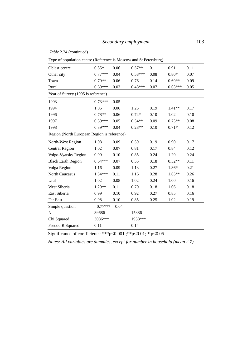| Type of population centre (Reference is Moscow and St Petersburg) |           |      |           |      |           |      |  |  |  |
|-------------------------------------------------------------------|-----------|------|-----------|------|-----------|------|--|--|--|
| Oblast centre                                                     | $0.85*$   | 0.06 | $0.57**$  | 0.11 | 0.91      | 0.11 |  |  |  |
| Other city                                                        | $0.77***$ | 0.04 | $0.58***$ | 0.08 | $0.80*$   | 0.07 |  |  |  |
| Town                                                              | $0.79**$  | 0.06 | 0.76      | 0.14 | $0.69**$  | 0.09 |  |  |  |
| Rural                                                             | $0.69***$ | 0.03 | $0.48***$ | 0.07 | $0.63***$ | 0.05 |  |  |  |
| Year of Survey (1995 is reference)                                |           |      |           |      |           |      |  |  |  |
| 1993                                                              | $0.73***$ | 0.05 |           |      |           |      |  |  |  |
| 1994                                                              | 1.05      | 0.06 | 1.25      | 0.19 | $1.41**$  | 0.17 |  |  |  |
| 1996                                                              | $0.78**$  | 0.06 | $0.74*$   | 0.10 | 1.02      | 0.10 |  |  |  |
| 1997                                                              | $0.59***$ | 0.05 | $0.54**$  | 0.09 | $0.75**$  | 0.08 |  |  |  |
| 1998                                                              | $0.39***$ | 0.04 | $0.28**$  | 0.10 | $0.71*$   | 0.12 |  |  |  |
| Region (North European Region is reference)                       |           |      |           |      |           |      |  |  |  |
| North-West Region                                                 | 1.08      | 0.09 | 0.59      | 0.19 | 0.90      | 0.17 |  |  |  |
| <b>Central Region</b>                                             | 1.02      | 0.07 | 0.81      | 0.17 | 0.84      | 0.12 |  |  |  |
| Volgo-Vyatsky Region                                              | 0.99      | 0.10 | 0.85      | 0.24 | 1.29      | 0.24 |  |  |  |
| <b>Black Earth Region</b>                                         | $0.64***$ | 0.07 | 0.55      | 0.18 | $0.52**$  | 0.11 |  |  |  |
| Volga Region                                                      | 1.16      | 0.09 | 1.13      | 0.27 | $1.36*$   | 0.21 |  |  |  |
| North Caucasus                                                    | $1.34***$ | 0.11 | 1.16      | 0.28 | $1.65**$  | 0.26 |  |  |  |
| Ural                                                              | 1.02      | 0.08 | 1.02      | 0.24 | 1.00      | 0.16 |  |  |  |
| West Siberia                                                      | $1.29**$  | 0.11 | 0.70      | 0.18 | 1.06      | 0.18 |  |  |  |
| East Siberia                                                      | 0.99      | 0.10 | 0.92      | 0.27 | 0.85      | 0.16 |  |  |  |
| Far East                                                          | 0.98      | 0.10 | 0.85      | 0.25 | 1.02      | 0.19 |  |  |  |
| Simple question                                                   | $0.77***$ | 0.04 |           |      |           |      |  |  |  |
| N                                                                 | 39686     |      | 15386     |      |           |      |  |  |  |
| Chi Squared                                                       | 3086***   |      | 1958***   |      |           |      |  |  |  |
| Pseudo R Squared                                                  | 0.11      |      | 0.14      |      |           |      |  |  |  |
|                                                                   |           |      |           |      |           |      |  |  |  |

 *Table* 2.24 (continued)

Significance of coefficients: \*\*\*p<0.001 ;\*\*p<0.01; \* p<0.05

*Notes: All variables are dummies, except for number in household (mean 2.7).*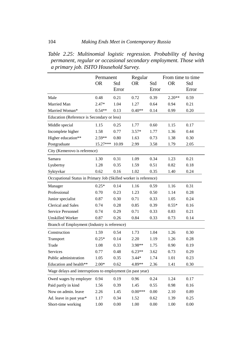*Table 2.25: Multinomial logistic regression. Probability of having permanent, regular or occasional secondary employment. Those with a primary job. ISITO Household Survey.* 

|                                                                  | Permanent<br><b>OR</b> | Std<br>Error | Regular<br><b>OR</b> | Std<br>Error | From time to time<br><b>OR</b> | Std<br>Error |
|------------------------------------------------------------------|------------------------|--------------|----------------------|--------------|--------------------------------|--------------|
| Male                                                             | 0.48                   | 0.21         | 0.72                 | 0.39         | $2.20**$                       | 0.59         |
| Married Man                                                      | $2.47*$                | 1.04         | 1.27                 | 0.64         | 0.94                           | 0.21         |
| Married Woman*                                                   | $0.54**$               | 0.13         | $0.40**$             | 0.14         | 0.99                           | 0.20         |
| Education (Reference is Secondary or less)                       |                        |              |                      |              |                                |              |
| Middle special                                                   | 1.15                   | 0.25         | 1.77                 | 0.60         | 1.15                           | 0.17         |
| Incomplete higher                                                | 1.58                   | 0.77         | $3.57*$              | 1.77         | 1.36                           | 0.44         |
| Higher education**                                               | 2.59**                 | 0.80         | 1.63                 | 0.73         | 1.38                           | 0.30         |
| Postgraduate                                                     | 15.27***               | 10.09        | 2.99                 | 3.58         | 1.79                           | 2.05         |
| City (Kemerovo is reference)                                     |                        |              |                      |              |                                |              |
| Samara                                                           | 1.30                   | 0.31         | 1.09                 | 0.34         | 1.23                           | 0.21         |
| Lyubertsy                                                        | 1.28                   | 0.35         | 1.59                 | 0.51         | 0.82                           | 0.18         |
| Syktyvkar                                                        | 0.62                   | 0.16         | 1.02                 | 0.35         | 1.40                           | 0.24         |
| Occupational Status in Primary Job (Skilled worker is reference) |                        |              |                      |              |                                |              |
| Manager                                                          | $0.25*$                | 0.14         | 1.16                 | 0.59         | 1.16                           | 0.31         |
| Professional                                                     | 0.70                   | 0.23         | 1.23                 | 0.50         | 1.14                           | 0.28         |
| Junior specialist                                                | 0.87                   | 0.30         | 0.71                 | 0.33         | 1.05                           | 0.24         |
| <b>Clerical and Sales</b>                                        | 0.74                   | 0.28         | 0.85                 | 0.39         | $0.55*$                        | 0.16         |
| Service Personnel                                                | 0.74                   | 0.29         | 0.71                 | 0.33         | 0.83                           | 0.21         |
| <b>Unskilled Worker</b>                                          | 0.87                   | 0.26         | 0.84                 | 0.33         | 0.73                           | 0.14         |
| Branch of Employment (Industry is reference)                     |                        |              |                      |              |                                |              |
| Construction                                                     | 1.59                   | 0.54         | 1.73                 | 1.04         | 1.26                           | 0.30         |
| Transport                                                        | $0.25*$                | 0.14         | 2.20                 | 1.19         | 1.26                           | 0.28         |
| Trade                                                            | 1.08                   | 0.33         | 3.98**               | 1.75         | 0.90                           | 0.19         |
| Services                                                         | 0.77                   | 0.48         | $6.23**$             | 3.62         | 0.73                           | 0.29         |
| Public administration                                            | 1.05                   | 0.35         | $3.44*$              | 1.74         | 1.01                           | 0.23         |
| Education and health**                                           | $2.00*$                | 0.62         | 4.89**               | 2.36         | 1.41                           | 0.30         |
| Wage delays and interruptions to employment (in past year)       |                        |              |                      |              |                                |              |
| Owed wages by employer                                           | 0.94                   | 0.19         | 0.96                 | 0.24         | 1.24                           | 0.17         |
| Paid partly in kind                                              | 1.56                   | 0.39         | 1.45                 | 0.55         | 0.98                           | 0.16         |
| Now on admin. leave                                              | 2.26                   | 1.45         | $0.00***$            | 0.00         | 2.10                           | 0.89         |
| Ad. leave in past year*                                          | 1.17                   | 0.34         | 1.52                 | 0.62         | 1.39                           | 0.25         |
| Short-time working                                               | 1.00                   | 0.00         | 1.00                 | 0.00         | 1.00                           | 0.00         |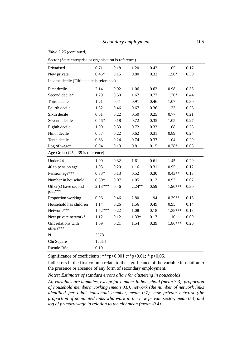| Sector (State enterprise or organisation is reference) |           |      |          |      |          |      |  |  |  |  |
|--------------------------------------------------------|-----------|------|----------|------|----------|------|--|--|--|--|
| Privatised                                             | 0.71      | 0.18 | 1.20     | 0.42 | 1.05     | 0.17 |  |  |  |  |
| New private                                            | $0.45*$   | 0.15 | 0.80     | 0.32 | $1.50*$  | 0.30 |  |  |  |  |
| Income decile (Fifth decile is reference)              |           |      |          |      |          |      |  |  |  |  |
| First decile                                           | 2.14      | 0.92 | 1.06     | 0.62 | 0.98     | 0.33 |  |  |  |  |
| Second decile*                                         | 1.29      | 0.50 | 1.67     | 0.77 | $1.70*$  | 0.44 |  |  |  |  |
| Third decile                                           | 1.21      | 0.41 | 0.91     | 0.46 | 1.07     | 0.30 |  |  |  |  |
| Fourth decile                                          | 1.32      | 0.46 | 0.67     | 0.36 | 1.33     | 0.36 |  |  |  |  |
| Sixth decile                                           | 0.61      | 0.22 | 0.50     | 0.25 | 0.77     | 0.21 |  |  |  |  |
| Seventh decile                                         | $0.46*$   | 0.18 | 0.72     | 0.35 | 1.05     | 0.27 |  |  |  |  |
| Eighth decile                                          | 1.00      | 0.33 | 0.72     | 0.33 | 1.08     | 0.28 |  |  |  |  |
| Ninth decile                                           | 0.57      | 0.22 | 0.62     | 0.31 | 0.89     | 0.24 |  |  |  |  |
| Tenth decile                                           | 0.63      | 0.24 | 0.74     | 0.37 | 1.04     | 0.29 |  |  |  |  |
| Log of wage*                                           | 0.94      | 0.13 | 0.81     | 0.15 | $0.78*$  | 0.08 |  |  |  |  |
| Age Group $(25 – 39)$ is reference)                    |           |      |          |      |          |      |  |  |  |  |
| Under 24                                               | 1.00      | 0.32 | 1.61     | 0.61 | 1.45     | 0.29 |  |  |  |  |
| 40 to pension age                                      | 1.03      | 0.20 | 1.16     | 0.31 | 0.95     | 0.12 |  |  |  |  |
| Pension age***                                         | $0.33*$   | 0.13 | 0.52     | 0.30 | $0.43**$ | 0.13 |  |  |  |  |
| Number in household                                    | $0.80*$   | 0.07 | 1.05     | 0.13 | 0.93     | 0.07 |  |  |  |  |
| Other(s) have second<br>jobs***                        | $2.13***$ | 0.46 | $2.24**$ | 0.59 | 1.90***  | 0.30 |  |  |  |  |
| Proportion working                                     | 0.96      | 0.46 | 2.80     | 1.94 | $0.39**$ | 0.13 |  |  |  |  |
| Household has children                                 | 1.14      | 0.26 | 1.56     | 0.49 | 0.95     | 0.14 |  |  |  |  |
| Network***                                             | 1.72***   | 0.22 | 1.08     | 0.18 | 1.38***  | 0.13 |  |  |  |  |
| New private network*                                   | 1.12      | 0.12 | $1.33*$  | 0.17 | 1.10     | 0.09 |  |  |  |  |
| Gift relations with<br>others***                       | 1.09      | 0.21 | 1.54     | 0.39 | 1.86***  | 0.26 |  |  |  |  |
| $\mathbf N$                                            | 3578      |      |          |      |          |      |  |  |  |  |
| Chi Square                                             | 15514     |      |          |      |          |      |  |  |  |  |
| Pseudo RSq                                             | 0.10      |      |          |      |          |      |  |  |  |  |

*Table 2.25* (continued)

Significance of coefficients: \*\*\*p<0.001 ;\*\*p<0.01; \* p<0.05.

Indicators in the first column relate to the significance of the variable in relation to the presence or absence of any form of secondary employment.

*Notes: Estimates of standard errors allow for clustering in households* 

*All variables are dummies, except for number in household (mean 3.3), proportion of household members working (mean 0.6), network (the number of network links identified per adult household member, mean 0.7), new private network (the proportion of nominated links who work in the new private sector, mean 0.3) and log of primary wage in relation to the city mean (mean -0.4).*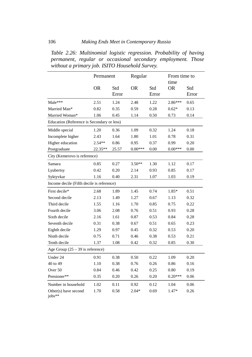|                                            | Permanent |              |           | Regular      |                   | From time to |
|--------------------------------------------|-----------|--------------|-----------|--------------|-------------------|--------------|
|                                            | <b>OR</b> | Std<br>Error | <b>OR</b> | Std<br>Error | time<br><b>OR</b> | Std<br>Error |
| Male***                                    | 2.51      | 1.24         | 2.48      | 1.22         | 2.86***           | 0.65         |
| Married Man*                               | 0.82      | 0.35         | 0.59      | 0.28         | $0.62*$           | 0.13         |
| Married Woman*                             | 1.06      | 0.45         | 1.14      | 0.50         | 0.73              | 0.14         |
| Education (Reference is Secondary or less) |           |              |           |              |                   |              |
| Middle special                             | 1.20      | 0.36         | 1.09      | 0.32         | 1.24              | 0.18         |
| Incomplete higher                          | 2.43      | 1.64         | 1.80      | 1.01         | 0.78              | 0.31         |
| Higher education                           | $2.54**$  | 0.86         | 0.95      | 0.37         | 0.99              | 0.20         |
| Postgraduate                               | 22.35**   | 25.57        | $0.00***$ | 0.00         | $0.00***$         | 0.00         |
| City (Kemerovo is reference)               |           |              |           |              |                   |              |
| Samara                                     | 0.85      | 0.27         | $3.50**$  | 1.30         | 1.12              | 0.17         |
| Lyubertsy                                  | 0.42      | 0.20         | 2.14      | 0.93         | 0.85              | 0.17         |
| Syktyvkar                                  | 1.16      | 0.40         | 2.31      | 1.07         | 1.03              | 0.19         |
| Income decile (Fifth decile is reference)  |           |              |           |              |                   |              |
| First decile*                              | 2.68      | 1.89         | 1.45      | 0.74         | 1.85*             | 0.51         |
| Second decile                              | 2.13      | 1.49         | 1.27      | 0.67         | 1.13              | 0.32         |
| Third decile                               | 1.55      | 1.16         | 1.70      | 0.85         | 0.75              | 0.22         |
| Fourth decile                              | 3.06      | 2.08         | 0.76      | 0.51         | 0.93              | 0.28         |
| Sixth decile                               | 2.16      | 1.61         | 0.87      | 0.53         | 0.84              | 0.28         |
| Seventh decile                             | 0.31      | 0.38         | 0.67      | 0.51         | 0.65              | 0.23         |
| Eighth decile                              | 1.29      | 0.97         | 0.45      | 0.32         | 0.53              | 0.20         |
| Ninth decile                               | 0.75      | 0.71         | 0.46      | 0.38         | 0.53              | 0.21         |
| Tenth decile                               | 1.37      | 1.08         | 0.42      | 0.32         | 0.85              | 0.30         |
| Age Group $(25 – 39)$ is reference)        |           |              |           |              |                   |              |
| Under 24                                   | 0.91      | 0.38         | 0.50      | 0.22         | 1.09              | 0.20         |
| 40 to 49                                   | 1.10      | 0.38         | 0.76      | 0.26         | 0.86              | 0.16         |
| Over 50                                    | 0.84      | 0.46         | 0.42      | 0.25         | 0.80              | 0.19         |
| Pensioner**                                | 0.35      | 0.20         | 0.26      | 0.20         | $0.20***$         | 0.06         |
| Number in household                        | 1.02      | 0.11         | 0.92      | 0.12         | 1.04              | 0.06         |
| Other(s) have second                       | 1.70      | 0.58         | $2.04*$   | 0.69         | $1.47*$           | 0.26         |

*Table 2.26: Multinomial logistic regression. Probability of having permanent, regular or occasional secondary employment. Those without a primary job. ISITO Household Survey.* 

jobs\*\*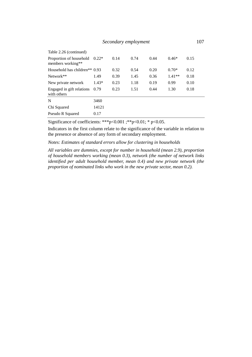| Table 2.26 (continued)                       |         |      |      |      |          |      |
|----------------------------------------------|---------|------|------|------|----------|------|
| Proportion of household<br>members working** | $0.22*$ | 0.14 | 0.74 | 0.44 | $0.46*$  | 0.15 |
| Household has children <sup>**</sup> $0.93$  |         | 0.32 | 0.54 | 0.20 | $0.70*$  | 0.12 |
| Network**                                    | 1.49    | 0.39 | 1.45 | 0.36 | $1.41**$ | 0.18 |
| New private network                          | $1.43*$ | 0.23 | 1.18 | 0.19 | 0.99     | 0.10 |
| Engaged in gift relations<br>with others     | 0.79    | 0.23 | 1.51 | 0.44 | 1.30     | 0.18 |
| N                                            | 3460    |      |      |      |          |      |
| Chi Squared                                  | 14121   |      |      |      |          |      |
| Pseudo R Squared                             | 0.17    |      |      |      |          |      |

Significance of coefficients: \*\*\*p<0.001; \*\*p<0.01; \* p<0.05.

Indicators in the first column relate to the significance of the variable in relation to the presence or absence of any form of secondary employment.

*Notes: Estimates of standard errors allow for clustering in households* 

*All variables are dummies, except for number in household (mean 2.9), proportion of household members working (mean 0.3), network (the number of network links identified per adult household member, mean 0.4) and new private network (the proportion of nominated links who work in the new private sector, mean 0.2).*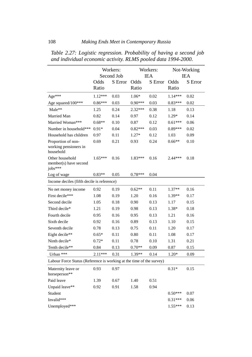|                                                                      | Workers:<br>Second Job |         | Workers:<br><b>IEA</b> |         | Not-Working<br><b>IEA</b> |         |
|----------------------------------------------------------------------|------------------------|---------|------------------------|---------|---------------------------|---------|
|                                                                      | Odds<br>Ratio          | S Error | Odds<br>Ratio          | S Error | Odds<br>Ratio             | S Error |
| Age***                                                               | 1.12***                | 0.03    | $1.06*$                | 0.02    | $1.14***$                 | 0.02    |
| Age squared/100***                                                   | $0.86***$              | 0.03    | $0.90***$              | 0.03    | $0.83***$                 | 0.02    |
| Male**                                                               | 1.25                   | 0.24    | $2.32***$              | 0.38    | 1.18                      | 0.13    |
| Married Man                                                          | 0.82                   | 0.14    | 0.97                   | 0.12    | 1.29*                     | 0.14    |
| Married Woman***                                                     | $0.68**$               | 0.10    | 0.87                   | 0.12    | $0.61***$                 | 0.06    |
| Number in household***                                               | $0.91*$                | 0.04    | $0.82***$              | 0.03    | $0.89***$                 | 0.02    |
| Household has children                                               | 0.97                   | 0.11    | $1.27*$                | 0.12    | 1.03                      | 0.09    |
| Proportion of non-<br>working pensioners in<br>household             | 0.69                   | 0.21    | 0.93                   | 0.24    | $0.66**$                  | 0.10    |
| Other household<br>member(s) have second<br>jobs***                  | $1.65***$              | 0.16    | 1.83***                | 0.16    | 2.44***                   | 0.18    |
| Log of wage                                                          | $0.83**$               | 0.05    | $0.78***$              | 0.04    |                           |         |
| Income deciles (fifth decile is reference)                           |                        |         |                        |         |                           |         |
| No net money income                                                  | 0.92                   | 0.19    | $0.62**$               | 0.11    | $1.37**$                  | 0.16    |
| First decile***                                                      | 1.08                   | 0.19    | 1.20                   | 0.16    | $1.39**$                  | 0.17    |
| Second decile                                                        | 1.05                   | 0.18    | 0.90                   | 0.13    | 1.17                      | 0.15    |
| Third decile*                                                        | 1.21                   | 0.19    | 0.98                   | 0.13    | $1.38*$                   | 0.18    |
| Fourth decile                                                        | 0.95                   | 0.16    | 0.95                   | 0.13    | 1.21                      | 0.16    |
| Sixth decile                                                         | 0.92                   | 0.16    | 0.89                   | 0.13    | 1.10                      | 0.15    |
| Seventh decile                                                       | 0.78                   | 0.13    | 0.75                   | 0.11    | 1.20                      | 0.17    |
| Eight decile**                                                       | $0.65*$                | 0.11    | 0.80                   | 0.11    | 1.08                      | 0.17    |
| Ninth decile*                                                        | $0.72*$                | 0.11    | 0.78                   | 0.10    | 1.31                      | 0.21    |
| Tenth decile**                                                       | 0.84                   | 0.13    | $0.70**$               | 0.09    | 0.87                      | 0.15    |
| Urban ***                                                            | $2.11***$              | 0.31    | 1.39**                 | 0.14    | $1.20*$                   | 0.09    |
| Labour Force Status (Reference is working at the time of the survey) |                        |         |                        |         |                           |         |
| Maternity leave or<br>horseperson**                                  | 0.93                   | 0.97    |                        |         | $0.31*$                   | 0.15    |
| Paid leave                                                           | 1.39                   | 0.67    | 1.40                   | 0.51    |                           |         |
| Unpaid leave**                                                       | 0.92                   | 0.91    | 1.58                   | 0.94    |                           |         |
| Student                                                              |                        |         |                        |         | $0.50***$                 | 0.07    |
| Invalid***                                                           |                        |         |                        |         | $0.31***$                 | 0.06    |
| Unemployed***                                                        |                        |         |                        |         | 1.55***                   | 0.13    |

*Table 2.27: Logistic regression. Probability of having a second job and individual economic activity. RLMS pooled data 1994-2000.*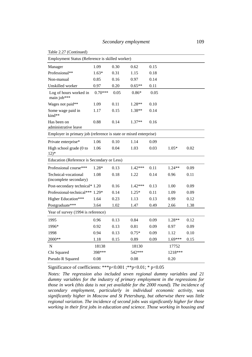| Employment Status (Reference is skilled worker)                  |           |      |           |      |          |      |
|------------------------------------------------------------------|-----------|------|-----------|------|----------|------|
| Manager                                                          | 1.09      | 0.30 | 0.62      | 0.15 |          |      |
| Professional**                                                   | $1.63*$   | 0.31 | 1.15      | 0.18 |          |      |
| Non-manual                                                       | 0.85      | 0.16 | 0.97      | 0.14 |          |      |
| Unskilled worker                                                 | 0.97      | 0.20 | $0.65**$  | 0.11 |          |      |
| Log of hours worked in<br>main job***                            | $0.70***$ | 0.05 | $0.86*$   | 0.05 |          |      |
| Wages not paid**                                                 | 1.09      | 0.11 | 1.28**    | 0.10 |          |      |
| Some wage paid in<br>kind**                                      | 1.17      | 0.15 | 1.38**    | 0.14 |          |      |
| Has been on<br>administrative leave                              | 0.88      | 0.14 | $1.37**$  | 0.16 |          |      |
| Employer in primary job (reference is state or mixed enterprise) |           |      |           |      |          |      |
| Private enterprise*                                              | 1.06      | 0.10 | 1.14      | 0.09 |          |      |
| High school grade (0 to<br>$12)*$                                | 1.06      | 0.04 | 1.03      | 0.03 | $1.05*$  | 0.02 |
| Education (Reference is Secondary or Less)                       |           |      |           |      |          |      |
| Professional course***                                           | $1.28*$   | 0.13 | $1.42***$ | 0.11 | $1.24**$ | 0.09 |
| Technical-vocational<br>(incomplete secondary)                   | 1.08      | 0.18 | 1.22      | 0.14 | 0.96     | 0.11 |
| Post-secondary technical* 1.20                                   |           | 0.16 | $1.42***$ | 0.13 | 1.00     | 0.09 |
| Professional-technical*** 1.29*                                  |           | 0.14 | $1.25*$   | 0.11 | 1.09     | 0.09 |
| Higher Education***                                              | 1.64      | 0.23 | 1.13      | 0.13 | 0.99     | 0.12 |
| Postgraduate***                                                  | 3.64      | 1.02 | 1.47      | 0.49 | 2.66     | 1.38 |
| Year of survey (1994 is reference)                               |           |      |           |      |          |      |
| 1995                                                             | 0.96      | 0.13 | 0.84      | 0.09 | 1.28**   | 0.12 |
| 1996*                                                            | 0.92      | 0.13 | 0.81      | 0.09 | 0.97     | 0.09 |
| 1998                                                             | 0.94      | 0.13 | $0.75*$   | 0.09 | 1.12     | 0.10 |
| $2000**$                                                         | 1.18      | 0.15 | 0.89      | 0.09 | 1.69***  | 0.15 |
| $\mathbf N$                                                      | 18138     |      | 18130     |      | 17752    |      |
| Chi Squared                                                      | 398***    |      | 542***    |      | 1218***  |      |
| Pseudo R Squared                                                 | 0.08      |      | 0.08      |      | 0.20     |      |

Table 2.27 (Continued)

Significance of coefficients: \*\*\*p<0.001 ;\*\*p<0.01; \* p<0.05

*Notes: The regression also included seven regional dummy variables and 21 dummy variables for the industry of primary employment in the regressions for those in work (this data is not yet available for the 2000 round). The incidence of secondary employment, particularly in individual economic activity, was significantly higher in Moscow and St Petersburg, but otherwise there was little regional variation. The incidence of second jobs was significantly higher for those working in their first jobs in education and science. Those working in housing and*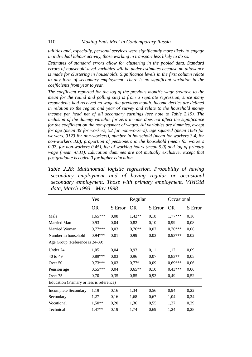*utilities and, especially, personal services were significantly more likely to engage in individual labour activity, those working in transport less likely to do so.* 

*Estimates of standard errors allow for clustering in the pooled data. Standard errors of household-level variables will be under-estimates because no allowance is made for clustering in households. Significance levels in the first column relate to any form of secondary employment. There is no significant variation in the coefficients from year to year.* 

*The coefficient reported for the log of the previous month's wage (relative to the mean for the round and polling site) is from a separate regression, since many respondents had received no wage the previous month. Income deciles are defined in relation to the region and year of survey and relate to the household money income per head net of all secondary earnings (see note to Table 2.19). The inclusion of the dummy variable for zero income does not affect the significance for the coefficient on the non-payment of wages. All variables are dummies, except for age (mean 39 for workers, 52 for non-workers), age squared (mean 1685 for workers, 3123 for non-workers), number in household (mean for workers 3.4, for non-workers 3.0), proportion of pensioners in the household (mean for workers 0.07, for non-workers 0.45), log of working hours (mean 5.0) and log of primary wage (mean -0.31). Education dummies are not mutually exclusive, except that postgraduate is coded 0 for higher education.* 

*Table 2.28: Multinomial logistic regression. Probability of having secondary employment and of having regular or occasional secondary employment. Those with primary employment. VTsIOM data, March 1993 – May 1998* 

|                                          | Yes       |         | Regular   |         | Occasional |         |  |
|------------------------------------------|-----------|---------|-----------|---------|------------|---------|--|
|                                          | <b>OR</b> | S Error | <b>OR</b> | S Error | <b>OR</b>  | S Error |  |
| Male                                     | $1,65***$ | 0,08    | $1,42**$  | 0,18    | $1,77***$  | 0,16    |  |
| Married Man                              | 0,93      | 0,04    | 0,82      | 0,10    | 0,99       | 0,08    |  |
| <b>Married Woman</b>                     | $0.77***$ | 0,03    | $0.76**$  | 0,07    | $0.76***$  | 0,06    |  |
| Number in household                      | $0.94***$ | 0.01    | 0.99      | 0.03    | $0.93***$  | 0.02    |  |
| Age Group (Reference is 24-39)           |           |         |           |         |            |         |  |
| Under 24                                 | 1,05      | 0,04    | 0,93      | 0,11    | 1,12       | 0,09    |  |
| 40 to 49                                 | $0.89***$ | 0,03    | 0,96      | 0,07    | $0.83**$   | 0,05    |  |
| Over 50                                  | $0.73***$ | 0,03    | $0.77*$   | 0,09    | $0.69***$  | 0,06    |  |
| Pension age                              | $0.55***$ | 0,04    | $0,65**$  | 0,10    | $0.43***$  | 0,06    |  |
| Over 75                                  | 0,70      | 0,35    | 0,85      | 0,93    | 0,49       | 0,52    |  |
| Education (Primary or less is reference) |           |         |           |         |            |         |  |
| <b>Incomplete Secondary</b>              | 1,19      | 0,16    | 1,34      | 0,56    | 0,94       | 0,22    |  |
| Secondary                                | 1,27      | 0,16    | 1,68      | 0,67    | 1,04       | 0,24    |  |
| Vocational                               | $1,50**$  | 0,20    | 1,36      | 0,55    | 1,27       | 0,29    |  |
| Technical                                | 1,47**    | 0,19    | 1,74      | 0,69    | 1,24       | 0,28    |  |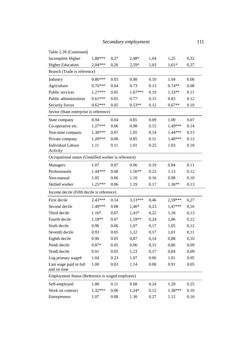| Table 2.28 (Continued)                              |           |      |           |      |           |      |  |  |  |  |  |
|-----------------------------------------------------|-----------|------|-----------|------|-----------|------|--|--|--|--|--|
| Incomplete Higher                                   | 1,88***   | 0,27 | $2,48*$   | 1,04 | 1,25      | 0,32 |  |  |  |  |  |
| <b>Higher Education</b>                             | $2,04***$ | 0,26 | $2,59*$   | 1,03 | $1,61*$   | 0,37 |  |  |  |  |  |
| Branch (Trade is reference)                         |           |      |           |      |           |      |  |  |  |  |  |
| Industry                                            | $0.86***$ | 0.03 | 0.98      | 0.10 | 1.04      | 0.08 |  |  |  |  |  |
| Agriculture                                         | $0.76***$ | 0.04 | 0.73      | 0.13 | $0.74**$  | 0.08 |  |  |  |  |  |
| Public services                                     | $1.27***$ | 0.05 | 1.67***   | 0.19 | $1.33**$  | 0.11 |  |  |  |  |  |
| Public administration                               | $0.61***$ | 0.05 | 0.77      | 0.15 | 0.83      | 0.12 |  |  |  |  |  |
| Security forces                                     | $0.62***$ | 0.05 | $0.53**$  | 0.12 | $0.67**$  | 0.10 |  |  |  |  |  |
| Sector (State enterprise is reference)              |           |      |           |      |           |      |  |  |  |  |  |
| State company                                       | 0.94      | 0.04 | 0.85      | 0.09 | 1.00      | 0.07 |  |  |  |  |  |
| Co-operative etc.                                   | $1.27***$ | 0.06 | 0.98      | 0.15 | 1.49***   | 0.14 |  |  |  |  |  |
| Non-state company                                   | $1.30***$ | 0.07 | 1.05      | 0.14 | 1.44***   | 0.13 |  |  |  |  |  |
| Private company                                     | 1.20***   | 0.06 | 0.85      | 0.11 | $1.40***$ | 0.12 |  |  |  |  |  |
| <b>Individual Labour</b><br>Activity                | 1.11      | 0.11 | 1.01      | 0.25 | 1.03      | 0.18 |  |  |  |  |  |
| Occupational status (Unskilled worker is reference) |           |      |           |      |           |      |  |  |  |  |  |
| Managers                                            | 1.07      | 0.07 | 0.96      | 0.19 | 0.84      | 0.11 |  |  |  |  |  |
| Professionals                                       | $1.44***$ | 0.08 | $1.56**$  | 0.23 | 1.13      | 0.12 |  |  |  |  |  |
| Non-manual                                          | 1.05      | 0.06 | 1.10      | 0.16 | 0.98      | 0.10 |  |  |  |  |  |
| Skilled worker                                      | 1.25***   | 0.06 | 1.19      | 0.17 | $1.36**$  | 0.13 |  |  |  |  |  |
| Income decile (Fifth decile is reference)           |           |      |           |      |           |      |  |  |  |  |  |
| First decile                                        | $2.43***$ | 0.14 | $3,13***$ | 0,46 | 2,59***   | 0,27 |  |  |  |  |  |
| Second decile                                       | $1.40***$ | 0.08 | $1,46*$   | 0,23 | $1,47***$ | 0,16 |  |  |  |  |  |
| Third decile                                        | $1.16*$   | 0.07 | $1,41*$   | 0,22 | 1,18      | 0,13 |  |  |  |  |  |
| Fourth decile                                       | $1.18**$  | 0.07 | 1,59**    | 0,24 | 1,06      | 0,12 |  |  |  |  |  |
| Sixth decile                                        | 0.96      | 0.06 | 1,07      | 0,17 | 1,05      | 0,12 |  |  |  |  |  |
| Seventh decile                                      | 0.93      | 0.05 | 1,12      | 0,17 | 1,01      | 0,11 |  |  |  |  |  |
| Eighth decile                                       | 0.90      | 0.05 | 0,87      | 0,14 | 0,88      | 0,10 |  |  |  |  |  |
| Ninth decile                                        | $0.87*$   | 0.05 | 0,96      | 0,15 | 0,86      | 0,09 |  |  |  |  |  |
| Tenth decile                                        | 0.91      | 0.05 | 1,13      | 0,17 | 0,84      | 0,09 |  |  |  |  |  |
| Log primary wage#                                   | 1.04      | 0.23 | 1.07      | 0.06 | 1.01      | 0.05 |  |  |  |  |  |
| Last wage paid in full<br>and on time               | 1.00      | 0.03 | 1.14      | 0.08 | 0.91      | 0.05 |  |  |  |  |  |
| Employment Status (Reference is waged employee)     |           |      |           |      |           |      |  |  |  |  |  |
| Self-employed                                       | 1.00      | 0.11 | 0.68      | 0.24 | 1.29      | 0.25 |  |  |  |  |  |
| Work on contract                                    | 1.32***   | 0.06 | 1.24*     | 0.12 | 1.38***   | 0.10 |  |  |  |  |  |
| Entrepreneur                                        | 1.07      | 0.08 | 1.36      | 0.27 | 1.12      | 0.16 |  |  |  |  |  |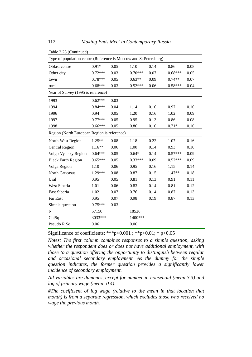| Type of population centre (Reference is Moscow and St Petersburg) |           |      |           |      |           |      |  |  |  |  |  |
|-------------------------------------------------------------------|-----------|------|-----------|------|-----------|------|--|--|--|--|--|
| Oblast centre                                                     | $0.91*$   | 0.05 | 1.10      | 0.14 | 0.86      | 0.08 |  |  |  |  |  |
| Other city                                                        | $0.72***$ | 0.03 | $0.70***$ | 0.07 | $0.68***$ | 0.05 |  |  |  |  |  |
| town                                                              | $0.78***$ | 0.05 | $0.63**$  | 0.09 | $0.74**$  | 0.07 |  |  |  |  |  |
| rural                                                             | $0.68***$ | 0.03 | $0.52***$ | 0.06 | $0.58***$ | 0.04 |  |  |  |  |  |
| Year of Survey (1995 is reference)                                |           |      |           |      |           |      |  |  |  |  |  |
| 1993                                                              | $0.62***$ | 0.03 |           |      |           |      |  |  |  |  |  |
| 1994                                                              | $0.84***$ | 0.04 | 1.14      | 0.16 | 0.97      | 0.10 |  |  |  |  |  |
| 1996                                                              | 0.94      | 0.05 | 1.20      | 0.16 | 1.02      | 0.09 |  |  |  |  |  |
| 1997                                                              | $0.77***$ | 0.05 | 0.95      | 0.13 | 0.86      | 0.08 |  |  |  |  |  |
| 1998                                                              | $0.66***$ | 0.05 | 0.86      | 0.16 | $0.71*$   | 0.10 |  |  |  |  |  |
| Region (North European Region is reference)                       |           |      |           |      |           |      |  |  |  |  |  |
| North-West Region                                                 | $1.25**$  | 0.08 | 1.18      | 0.22 | 1.07      | 0.16 |  |  |  |  |  |
| <b>Central Region</b>                                             | $1.16**$  | 0.06 | 1.00      | 0.14 | 0.93      | 0.10 |  |  |  |  |  |
| Volgo-Vyatsky Region                                              | $0.64***$ | 0.05 | $0.64*$   | 0.14 | $0.57***$ | 0.09 |  |  |  |  |  |
| <b>Black Earth Region</b>                                         | $0.65***$ | 0.05 | $0.33***$ | 0.09 | $0.52***$ | 0.09 |  |  |  |  |  |
| Volga Region                                                      | 1.10      | 0.06 | 0.95      | 0.16 | 1.15      | 0.14 |  |  |  |  |  |
| North Caucasus                                                    | $1.29***$ | 0.08 | 0.87      | 0.15 | 1.47**    | 0.18 |  |  |  |  |  |
| Ural                                                              | 0.95      | 0.05 | 0.81      | 0.13 | 0.91      | 0.11 |  |  |  |  |  |
| West Siberia                                                      | 1.01      | 0.06 | 0.83      | 0.14 | 0.81      | 0.12 |  |  |  |  |  |
| East Siberia                                                      | 1.02      | 0.07 | 0.76      | 0.14 | 0.87      | 0.13 |  |  |  |  |  |
| Far East                                                          | 0.95      | 0.07 | 0.98      | 0.19 | 0.87      | 0.13 |  |  |  |  |  |
| Simple question                                                   | $0.75***$ | 0.03 |           |      |           |      |  |  |  |  |  |
| N                                                                 | 57150     |      | 18526     |      |           |      |  |  |  |  |  |
| ChiSq                                                             | 3033***   |      | 1400***   |      |           |      |  |  |  |  |  |
| Pseudo R Sq                                                       | 0.06      |      | 0.06      |      |           |      |  |  |  |  |  |

Table 2.28 (Continued)

Significance of coefficients: \*\*\*p<0.001 ; \*\*p<0.01; \* p<0.05

*Notes: The first column combines responses to a simple question, asking whether the respondent does or does not have additional employment, with those to a question offering the opportunity to distinguish between regular and occasional secondary employment. As the dummy for the simple question indicates, the former question provides a significantly lower incidence of secondary employment.* 

*All variables are dummies, except for number in household (mean 3.3) and log of primary wage (mean -0.4).* 

*#The coefficient of log wage (relative to the mean in that location that month) is from a separate regression, which excludes those who received no wage the previous month.*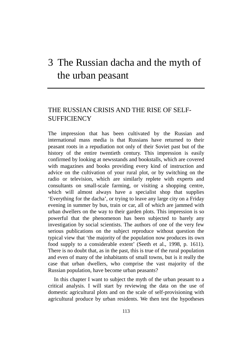# 3 The Russian dacha and the myth of the urban peasant

## THE RUSSIAN CRISIS AND THE RISE OF SELF-**SUFFICIENCY**

The impression that has been cultivated by the Russian and international mass media is that Russians have returned to their peasant roots in a repudiation not only of their Soviet past but of the history of the entire twentieth century. This impression is easily confirmed by looking at newsstands and bookstalls, which are covered with magazines and books providing every kind of instruction and advice on the cultivation of your rural plot, or by switching on the radio or television, which are similarly replete with experts and consultants on small-scale farming, or visiting a shopping centre, which will almost always have a specialist shop that supplies 'Everything for the dacha', or trying to leave any large city on a Friday evening in summer by bus, train or car, all of which are jammed with urban dwellers on the way to their garden plots. This impression is so powerful that the phenomenon has been subjected to barely any investigation by social scientists. The authors of one of the very few serious publications on the subject reproduce without question the typical view that 'the majority of the population now produces its own food supply to a considerable extent' (Seeth et al., 1998, p. 1611). There is no doubt that, as in the past, this is true of the rural population and even of many of the inhabitants of small towns, but is it really the case that urban dwellers, who comprise the vast majority of the Russian population, have become urban peasants?

In this chapter I want to subject the myth of the urban peasant to a critical analysis. I will start by reviewing the data on the use of domestic agricultural plots and on the scale of self-provisioning with agricultural produce by urban residents. We then test the hypotheses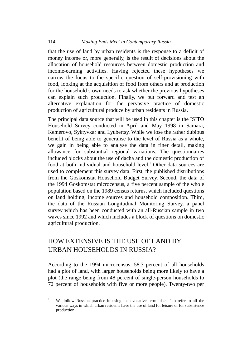that the use of land by urban residents is the response to a deficit of money income or, more generally, is the result of decisions about the allocation of household resources between domestic production and income-earning activities. Having rejected these hypotheses we narrow the focus to the specific question of self-provisioning with food, looking at the acquisition of food from others and at production for the household's own needs to ask whether the previous hypotheses can explain such production. Finally, we put forward and test an alternative explanation for the pervasive practice of domestic production of agricultural produce by urban residents in Russia.

The principal data source that will be used in this chapter is the ISITO Household Survey conducted in April and May 1998 in Samara, Kemerovo, Syktyvkar and Lyubertsy. While we lose the rather dubious benefit of being able to generalise to the level of Russia as a whole, we gain in being able to analyse the data in finer detail, making allowance for substantial regional variations. The questionnaires included blocks about the use of dacha and the domestic production of food at both individual and household level.<sup>1</sup> Other data sources are used to complement this survey data. First, the published distributions from the Goskomstat Household Budget Survey. Second, the data of the 1994 Goskomstat microcensus, a five percent sample of the whole population based on the 1989 census returns, which included questions on land holding, income sources and household composition. Third, the data of the Russian Longitudinal Monitoring Survey, a panel survey which has been conducted with an all-Russian sample in two waves since 1992 and which includes a block of questions on domestic agricultural production.

# HOW EXTENSIVE IS THE USE OF LAND BY URBAN HOUSEHOLDS IN RUSSIA?

According to the 1994 microcensus, 58.3 percent of all households had a plot of land, with larger households being more likely to have a plot (the range being from 48 percent of single-person households to 72 percent of households with five or more people). Twenty-two per

<sup>1</sup> We follow Russian practice in using the evocative term 'dacha' to refer to all the various ways in which urban residents have the use of land for leisure or for subsistence production.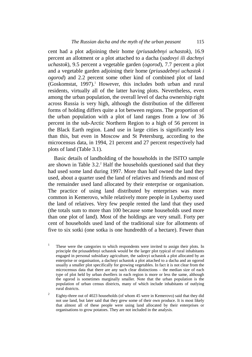cent had a plot adjoining their home (*priusadebnyi uchastok*), 16.9 percent an allotment or a plot attached to a dacha (*sadovyi ili dachnyi uchastok*), 9.5 percent a vegetable garden (*ogorod*), 7.7 percent a plot and a vegetable garden adjoining their home (*priusadebnyi uchastok i ogorod*) and 2.2 percent some other kind of combined plot of land (Goskomstat, 1997).<sup>1</sup> However, this includes both urban and rural residents, virtually all of the latter having plots. Nevertheless, even among the urban population, the overall level of dacha ownership right across Russia is very high, although the distribution of the different forms of holding differs quite a lot between regions. The proportion of the urban population with a plot of land ranges from a low of 36 percent in the sub-Arctic Northern Region to a high of 56 percent in the Black Earth region. Land use in large cities is significantly less than this, but even in Moscow and St Petersburg, according to the microcensus data, in 1994, 21 percent and 27 percent respectively had plots of land (Table 3.1).

Basic details of landholding of the households in the ISITO sample are shown in Table  $3.2<sup>2</sup>$  Half the households questioned said that they had used some land during 1997. More than half owned the land they used, about a quarter used the land of relatives and friends and most of the remainder used land allocated by their enterprise or organisation. The practice of using land distributed by enterprises was more common in Kemerovo, while relatively more people in Lyubertsy used the land of relatives. Very few people rented the land that they used (the totals sum to more than 100 because some households used more than one plot of land). Most of the holdings are very small. Forty per cent of households used land of the traditional size for allotments of five to six sotki (one sotka is one hundredth of a hectare). Fewer than

<sup>1</sup> These were the categories to which respondents were invited to assign their plots. In principle the priusadebnyi uchastok would be the larger plot typical of rural inhabitants engaged in personal subsidiary agriculture, the sadovyi uchastok a plot allocated by an enterprise or organisation, a dachnyi uchastok a plot attached to a dacha and an ogorod usually a smaller plot specifically for growing vegetables. In fact it is not clear from the microcensus data that there are any such clear distinctions – the median size of each type of plot held by urban dwellers in each region is more or less the same, although the ogorod is sometimes marginally smaller. Note that the urban population is the population of urban census districts, many of which include inhabitants of outlying rural districts.

<sup>2</sup> Eighty-three out of 4023 households (of whom 45 were in Kemerovo) said that they did not use land, but later said that they grew some of their own produce. It is most likely that almost all of these people were using land allocated by their enterprises or organisations to grow potatoes. They are not included in the analysis.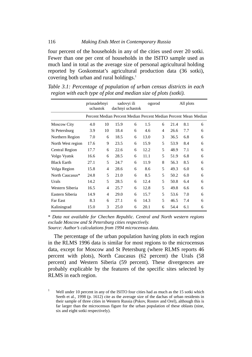four percent of the households in any of the cities used over 20 sotki. Fewer than one per cent of households in the ISITO sample used as much land in total as the average size of personal agricultural holding reported by Goskomstat's agricultural production data (36 sotki), covering both urban and rural holdings.<sup>1</sup>

|                       | priusadebnyi<br>uchastok |                | sadovyi ili<br>dachnyi uchastok |                                                                  | ogorod |   | All plots |     |   |
|-----------------------|--------------------------|----------------|---------------------------------|------------------------------------------------------------------|--------|---|-----------|-----|---|
|                       |                          |                |                                 | Percent Median Percent Median Percent Median Percent Mean Median |        |   |           |     |   |
| <b>Moscow City</b>    | 4.0                      | 10             | 15.9                            | 6                                                                | 1.5    | 6 | 21.4      | 8.1 | 6 |
| <b>St Petersburg</b>  | 3.9                      | 10             | 18.4                            | 6                                                                | 4.6    | 4 | 26.6      | 7.7 | 6 |
| Northern Region       | 7.0                      | 6              | 18.5                            | 6                                                                | 13.0   | 3 | 36.5      | 6.8 | 6 |
| North West region     | 17.6                     | 9              | 23.5                            | 6                                                                | 15.9   | 5 | 53.9      | 8.4 | 6 |
| <b>Central Region</b> | 17.7                     | 6              | 22.6                            | 6                                                                | 12.2   | 5 | 48.9      | 7.1 | 6 |
| Volgo Vyatsk          | 16.6                     | 6              | 28.5                            | 6                                                                | 11.1   | 5 | 51.9      | 6.8 | 6 |
| <b>Black Earth</b>    | 27.1                     | 5              | 24.7                            | 6                                                                | 11.9   | 8 | 56.3      | 8.5 | 6 |
| Volga Region          | 15.8                     | $\overline{4}$ | 28.6                            | 6                                                                | 8.6    | 5 | 49.3      | 6.0 | 6 |
| North Caucasus*       | 24.8                     | 5              | 21.0                            | 6                                                                | 8.5    | 5 | 50.2      | 6.0 | 6 |
| Urals                 | 14.2                     | 5              | 28.5                            | 6                                                                | 12.4   | 5 | 50.8      | 6.4 | 6 |
| Western Siberia       | 16.5                     | 4              | 25.7                            | 6                                                                | 12.8   | 5 | 49.8      | 6.6 | 6 |
| Eastern Siberia       | 14.9                     | 4              | 29.0                            | 6                                                                | 15.7   | 5 | 53.6      | 7.0 | 6 |
| <b>Far East</b>       | 8.3                      | 6              | 27.1                            | 6                                                                | 14.3   | 5 | 46.5      | 7.4 | 6 |
| Kaliningrad           | 15.0                     | 3              | 25.0                            | 6                                                                | 20.1   | 6 | 54.4      | 6.1 | 6 |

*Table 3.1: Percentage of population of urban census districts in each region with each type of plot and median size of plots (sotki).* 

\* *Data not available for Chechen Republic. Central and North western regions exclude Moscow and St Petersburg cities respectively. Source: Author's calculations from 1994 microcensus data.* 

The percentage of the urban population having plots in each region in the RLMS 1996 data is similar for most regions to the microcensus data, except for Moscow and St Petersburg (where RLMS reports 46 percent with plots), North Caucasus (62 percent) the Urals (58 percent) and Western Siberia (59 percent). These divergences are probably explicable by the features of the specific sites selected by RLMS in each region.

<sup>1</sup> Well under 10 percent in any of the ISITO four cities had as much as the 15 sotki which Seeth et al., 1998 (p. 1612) cite as the average size of the dachas of urban residents in their sample of three cities in Western Russia (Pskov, Rostov and Orel), although this is far larger than the microcensus figure for the urban population of these oblasts (nine, six and eight sotki respectively).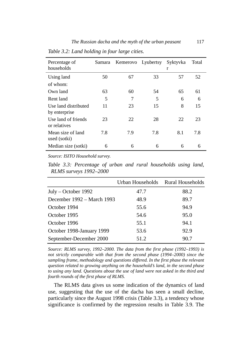| Percentage of<br>households           | Samara | Kemerovo Lyubertsy |     | Syktyvka<br>r | Total |
|---------------------------------------|--------|--------------------|-----|---------------|-------|
| Using land                            | 50     | 67                 | 33  | 57            | 52    |
| of whom:                              |        |                    |     |               |       |
| Own land                              | 63     | 60                 | 54  | 65            | 61    |
| Rent land                             | 5      | 7                  | 5   | 6             | 6     |
| Use land distributed<br>by enterprise | 11     | 23                 | 15  | 8             | 15    |
| Use land of friends<br>or relatives   | 23     | 22                 | 28  | 22            | 23    |
| Mean size of land<br>used (sotki)     | 7.8    | 7.9                | 7.8 | 8.1           | 7.8   |
| Median size (sotki)                   | 6      | 6                  | 6   | 6             | 6     |

*Table 3.2: Land holding in four large cities.* 

*Source: ISITO Household survey.* 

*Table 3.3: Percentage of urban and rural households using land, RLMS surveys 1992–2000* 

|                            | Urban Households | <b>Rural Households</b> |
|----------------------------|------------------|-------------------------|
| $July - October 1992$      | 47.7             | 88.2                    |
| December 1992 – March 1993 | 48.9             | 89.7                    |
| October 1994               | 55.6             | 94.9                    |
| October 1995               | 54.6             | 95.0                    |
| October 1996               | 55.1             | 94.1                    |
| October 1998-January 1999  | 53.6             | 92.9                    |
| September-December 2000    | 51.2             | 90.7                    |

*Source: RLMS survey, 1992–2000. The data from the first phase (1992–1993) is not strictly comparable with that from the second phase (1994–2000) since the sampling frame, methodology and questions differed. In the first phase the relevant question related to growing anything on the household's land, in the second phase to using any land. Questions about the use of land were not asked in the third and fourth rounds of the first phase of RLMS.* 

The RLMS data gives us some indication of the dynamics of land use, suggesting that the use of the dacha has seen a small decline, particularly since the August 1998 crisis (Table 3.3), a tendency whose significance is confirmed by the regression results in Table 3.9. The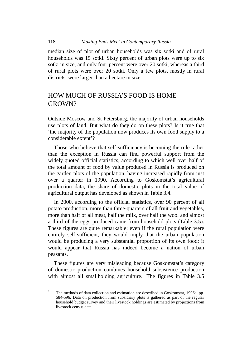median size of plot of urban households was six sotki and of rural households was 15 sotki. Sixty percent of urban plots were up to six sotki in size, and only four percent were over 20 sotki, whereas a third of rural plots were over 20 sotki. Only a few plots, mostly in rural districts, were larger than a hectare in size.

## HOW MUCH OF RUSSIA'S FOOD IS HOME-GROWN?

Outside Moscow and St Petersburg, the majority of urban households use plots of land. But what do they do on these plots? Is it true that 'the majority of the population now produces its own food supply to a considerable extent'?

Those who believe that self-sufficiency is becoming the rule rather than the exception in Russia can find powerful support from the widely quoted official statistics, according to which well over half of the total amount of food by value produced in Russia is produced on the garden plots of the population, having increased rapidly from just over a quarter in 1990. According to Goskomstat's agricultural production data, the share of domestic plots in the total value of agricultural output has developed as shown in Table 3.4.

In 2000, according to the official statistics, over 90 percent of all potato production, more than three-quarters of all fruit and vegetables, more than half of all meat, half the milk, over half the wool and almost a third of the eggs produced came from household plots (Table 3.5). These figures are quite remarkable: even if the rural population were entirely self-sufficient, they would imply that the urban population would be producing a very substantial proportion of its own food: it would appear that Russia has indeed become a nation of urban peasants.

These figures are very misleading because Goskomstat's category of domestic production combines household subsistence production with almost all smallholding agriculture.<sup>1</sup> The figures in Table 3.5

<sup>1</sup> The methods of data collection and estimation are described in Goskomstat, 1996a, pp. 584-596. Data on production from subsidiary plots is gathered as part of the regular household budget survey and their livestock holdings are estimated by projections from livestock census data.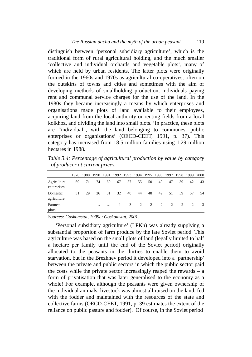distinguish between 'personal subsidiary agriculture', which is the traditional form of rural agricultural holding, and the much smaller 'collective and individual orchards and vegetable plots', many of which are held by urban residents. The latter plots were originally formed in the 1960s and 1970s as agricultural co-operatives, often on the outskirts of towns and cities and sometimes with the aim of developing methods of smallholding production, individuals paying rent and communal service charges for the use of the land. In the 1980s they became increasingly a means by which enterprises and organisations made plots of land available to their employees, acquiring land from the local authority or renting fields from a local kolkhoz, and dividing the land into small plots. 'In practice, these plots are "individual", with the land belonging to communes, public enterprises or organisations' (OECD-CEET, 1991, p. 37). This category has increased from 18.5 million families using 1.29 million hectares in 1988.

*Table 3.4: Percentage of agricultural production by value by category of producer at current prices.* 

|                             |    |    | 1970 1980 1990 1991 1992 1993 1994 1995 1996 1997 |    |              |    |    |    |    |    |    | 1998 1999 2000 |    |
|-----------------------------|----|----|---------------------------------------------------|----|--------------|----|----|----|----|----|----|----------------|----|
| Agricultural<br>enterprises | 69 | 71 | 74                                                | 69 | 67           | 57 | 55 | 50 | 49 | 47 | 39 | 42             | 43 |
| Domestic<br>agriculture     | 31 | 29 | 26                                                | 31 | 32           | 40 | 44 | 48 | 49 | 51 | 59 | 57             | 54 |
| Farmers'<br>plots           |    |    | $\cdots$                                          |    | $\mathbf{1}$ | 3  | 2  | 2  | 2  | 2  | 2  | $\mathcal{L}$  | 3  |

*Sources: Goskomstat, 1999e; Goskomstat, 2001.* 

 'Personal subsidiary agriculture' (LPKh) was already supplying a substantial proportion of farm produce by the late Soviet period. This agriculture was based on the small plots of land (legally limited to half a hectare per family until the end of the Soviet period) originally allocated to the peasants in the thirties to enable them to avoid starvation, but in the Brezhnev period it developed into a 'partnership' between the private and public sectors in which the public sector paid the costs while the private sector increasingly reaped the rewards  $-$  a form of privatisation that was later generalised to the economy as a whole! For example, although the peasants were given ownership of the individual animals, livestock was almost all raised on the land, fed with the fodder and maintained with the resources of the state and collective farms (OECD-CEET, 1991, p. 39 estimates the extent of the reliance on public pasture and fodder). Of course, in the Soviet period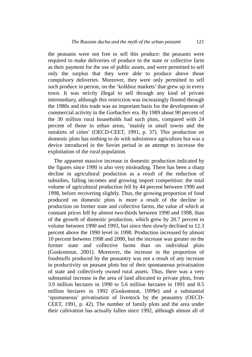the peasants were not free to sell this produce: the peasants were required to make deliveries of produce to the state or collective farm as their payment for the use of public assets, and were permitted to sell only the surplus that they were able to produce above those compulsory deliveries. Moreover, they were only permitted to sell such produce in person, on the 'kolkhoz markets' that grew up in every town. It was strictly illegal to sell through any kind of private intermediary, although this restriction was increasingly flouted through the 1980s and this trade was an important basis for the development of commercial activity in the Gorbachev era. By 1989 about 90 percent of the 30 million rural households had such plots, compared with 24 percent of those in urban areas, 'mainly in small towns and the outskirts of cities' (OECD-CEET, 1991, p. 37). This production on domestic plots has nothing to do with subsistence agriculture but was a device introduced in the Soviet period in an attempt to increase the exploitation of the rural population.

The apparent massive increase in domestic production indicated by the figures since 1990 is also very misleading. There has been a sharp decline in agricultural production as a result of the reduction of subsidies, falling incomes and growing import competition: the total volume of agricultural production fell by 44 percent between 1990 and 1998, before recovering slightly. Thus, the growing proportion of food produced on domestic plots is more a result of the decline in production on former state and collective farms, the value of which at constant prices fell by almost two-thirds between 1990 and 1998, than of the growth of domestic production, which grew by 20.7 percent in volume between 1990 and 1993, but since then slowly declined to 12.3 percent above the 1990 level in 1998. Production increased by almost 10 percent between 1998 and 2000, but the increase was greater on the former state and collective farms than on individual plots (Goskomstat, 2001). Moreover, the increase in the proportion of foodstuffs produced by the peasantry was not a result of any increase in productivity on peasant plots but of their spontaneous privatisation of state and collectively owned rural assets. Thus, there was a very substantial increase in the area of land allocated to private plots, from 3.9 million hectares in 1990 to 5.6 million hectares in 1991 and 8.5 million hectares in 1992 (Goskomstat, 1999e) and a substantial 'spontaneous' privatisation of livestock by the peasantry (OECD-CEET, 1991, p. 42). The number of family plots and the area under their cultivation has actually fallen since 1992, although almost all of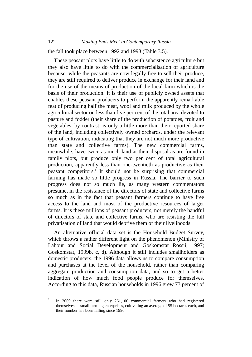the fall took place between 1992 and 1993 (Table 3.5).

These peasant plots have little to do with subsistence agriculture but they also have little to do with the commercialisation of agriculture because, while the peasants are now legally free to sell their produce, they are still required to deliver produce in exchange for their land and for the use of the means of production of the local farm which is the basis of their production. It is their use of publicly owned assets that enables these peasant producers to perform the apparently remarkable feat of producing half the meat, wool and milk produced by the whole agricultural sector on less than five per cent of the total area devoted to pasture and fodder (their share of the production of potatoes, fruit and vegetables, by contrast, is only a little more than their reported share of the land, including collectively owned orchards, under the relevant type of cultivation, indicating that they are not much more productive than state and collective farms). The new commercial farms, meanwhile, have twice as much land at their disposal as are found in family plots, but produce only two per cent of total agricultural production, apparently less than one-twentieth as productive as their peasant competitors.<sup>1</sup> It should not be surprising that commercial farming has made so little progress in Russia. The barrier to such progress does not so much lie, as many western commentators presume, in the resistance of the directors of state and collective farms so much as in the fact that peasant farmers continue to have free access to the land and most of the productive resources of larger farms. It is these millions of peasant producers, not merely the handful of directors of state and collective farms, who are resisting the full privatisation of land that would deprive them of their livelihoods.

An alternative official data set is the Household Budget Survey, which throws a rather different light on the phenomenon (Ministry of Labour and Social Development and Goskomstat Rossii, 1997; Goskomstat, 1999b, c, d). Although it still includes smallholders as domestic producers, the 1996 data allows us to compare consumption and purchases at the level of the household, rather than comparing aggregate production and consumption data, and so to get a better indication of how much food people produce for themselves. According to this data, Russian households in 1996 grew 73 percent of

<sup>1</sup> In 2000 there were still only 261,100 commercial farmers who had registered themselves as small farming enterprises, cultivating an average of 55 hectares each, and their number has been falling since 1996.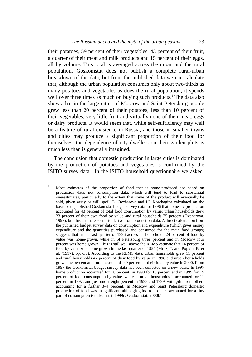their potatoes, 59 percent of their vegetables, 43 percent of their fruit, a quarter of their meat and milk products and 15 percent of their eggs, all by volume. This total is averaged across the urban and the rural population. Goskomstat does not publish a complete rural-urban breakdown of the data, but from the published data we can calculate that, although the urban population consumes only about two-thirds as many potatoes and vegetables as does the rural population, it spends well over three times as much on buying such products.<sup>1</sup> The data also shows that in the large cities of Moscow and Saint Petersburg people grew less than 20 percent of their potatoes, less than 10 percent of their vegetables, very little fruit and virtually none of their meat, eggs or dairy products. It would seem that, while self-sufficiency may well be a feature of rural existence in Russia, and those in smaller towns and cities may produce a significant proportion of their food for themselves, the dependence of city dwellers on their garden plots is much less than is generally imagined.

The conclusion that domestic production in large cities is dominated by the production of potatoes and vegetables is confirmed by the ISITO survey data. In the ISITO household questionnaire we asked

1

Most estimates of the proportion of food that is home-produced are based on production data, not consumption data, which will tend to lead to substantial overestimates, particularly to the extent that some of the product will eventually be sold, given away or will spoil. L. Ovcharova and I.I. Korchagina calculated on the basis of unpublished Goskomstat budget survey data for 1996 that domestic production accounted for 43 percent of total food consumption by value: urban households grew 23 percent of their own food by value and rural households 75 percent (Ovcharova, 1997), but this estimate seems to derive from production data. A direct calculation from the published budget survey data on consumption and expenditure (which gives money expenditure and the quantities purchased and consumed for the main food groups) suggests that in the last quarter of 1996 across all households 24 percent of food by value was home-grown, while in St Petersburg three percent and in Moscow four percent was home grown. This is still well above the RLMS estimate that 14 percent of food by value was home grown in the last quarter of 1996 (Mroz, T. and Popkin, B. et al. (1997), op. cit.). According to the RLMS data, urban households grew 11 percent and rural households 47 percent of their food by value in 1998 and urban households grew nine percent and rural households 49 percent of their food by value in 2000. From 1997 the Goskomstat budget survey data has been collected on a new basis. In 1997 home production accounted for 18 percent, in 1998 for 16 percent and in 1999 for 15 percent of food consumption by value, while in urban households it accounted for 11 percent in 1997, and just under eight percent in 1998 and 1999, with gifts from others accounting for a further 3–4 percent. In Moscow and Saint Petersburg domestic production of food was insignificant, although gifts from others accounted for a tiny part of consumption (Goskomstat, 1999c; Goskomstat, 2000b).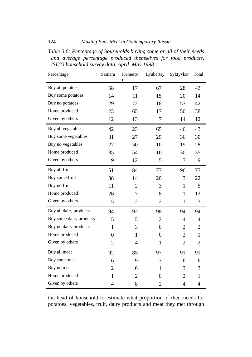| Table 3.6: Percentage of households buying some or all of their needs |
|-----------------------------------------------------------------------|
| and average percentage produced themselves for food products,         |
| ISITO household survey data, April–May 1998.                          |

| Percentage              | Samara<br>Kemerov |                | Lyubertsy        | Syktyvkar      | Total          |
|-------------------------|-------------------|----------------|------------------|----------------|----------------|
|                         |                   | $\mathbf{o}$   |                  |                |                |
| Buy all potatoes        | 58                | 17             | 67               | 28             | 43             |
| Buy some potatoes       | 14                | 11             | 15               | 20             | 14             |
| Buy no potatoes         | 29                | 72             | 18               | 53             | 42             |
| Home produced           | 23                | 65             | 17               | 50             | 38             |
| Given by others         | 12                | 13             | 7                | 14             | 12             |
| Buy all vegetables      | 42                | 23             | 65               | 46             | 43             |
| Buy some vegetables     | 31                | 27             | 25               | 36             | 30             |
| Buy no vegetables       | 27                | 50             | 10               | 19             | 28             |
| Home produced           | 35                | 54             | 16               | 30             | 35             |
| Given by others         | 9                 | 12             | 5                | 7              | 9              |
| Buy all fruit           | 51                | 84             | 77               | 96             | 73             |
| Buy some fruit          | 38                | 14             | 20               | 3              | 22             |
| Buy no fruit            | 11                | $\overline{2}$ | 3                | $\mathbf{1}$   | 5              |
| Home produced           | 26                | 7              | 8                | $\mathbf{1}$   | 13             |
| Given by others         | 5                 | $\overline{2}$ | $\overline{2}$   | $\mathbf{1}$   | 3              |
| Buy all dairy products  | 94                | 92             | 98               | 94             | 94             |
| Buy some dairy products | 5                 | 5              | $\overline{2}$   | 4              | $\overline{4}$ |
| Buy no dairy products   | $\mathbf{1}$      | 3              | $\boldsymbol{0}$ | $\overline{2}$ | $\overline{2}$ |
| Home produced           | $\overline{0}$    | $\mathbf{1}$   | $\overline{0}$   | $\overline{2}$ | $\mathbf{1}$   |
| Given by others         | $\overline{2}$    | $\overline{4}$ | $\mathbf{1}$     | $\overline{2}$ | $\overline{2}$ |
| Buy all meat            | 92                | 85             | 97               | 91             | 91             |
| Buy some meat           | 6                 | 9              | 3                | 6              | 6              |
| Buy no meat             | $\overline{2}$    | 6              | $\mathbf{1}$     | 3              | 3              |
| Home produced           | $\mathbf{1}$      | $\overline{2}$ | $\overline{0}$   | $\overline{2}$ | $\mathbf{1}$   |
| Given by others         | 4                 | 8              | $\overline{2}$   | $\overline{4}$ | 4              |

the head of household to estimate what proportion of their needs for potatoes, vegetables, fruit, dairy products and meat they met through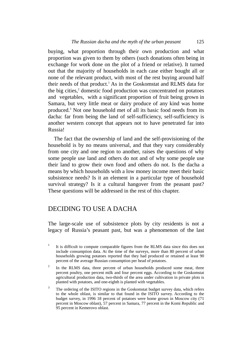buying, what proportion through their own production and what proportion was given to them by others (such donations often being in exchange for work done on the plot of a friend or relative). It turned out that the majority of households in each case either bought all or none of the relevant product, with most of the rest buying around half their needs of that product.<sup>1</sup> As in the Goskomstat and RLMS data for the big cities,<sup>2</sup> domestic food production was concentrated on potatoes and vegetables, with a significant proportion of fruit being grown in Samara, but very little meat or dairy produce of any kind was home produced.3 Not one household met of all its basic food needs from its dacha: far from being the land of self-sufficiency, self-sufficiency is another western concept that appears not to have penetrated far into Russia!

The fact that the ownership of land and the self-provisioning of the household is by no means universal, and that they vary considerably from one city and one region to another, raises the questions of why some people use land and others do not and of why some people use their land to grow their own food and others do not. Is the dacha a means by which households with a low money income meet their basic subsistence needs? Is it an element in a particular type of household survival strategy? Is it a cultural hangover from the peasant past? These questions will be addressed in the rest of this chapter.

### DECIDING TO USE A DACHA

The large-scale use of subsistence plots by city residents is not a legacy of Russia's peasant past, but was a phenomenon of the last

<sup>1</sup> It is difficult to compute comparable figures from the RLMS data since this does not include consumption data. At the time of the surveys, more than 80 percent of urban households growing potatoes reported that they had produced or retained at least 90 percent of the average Russian consumption per head of potatoes.

<sup>2</sup> In the RLMS data, three percent of urban households produced some meat, three percent poultry, one percent milk and four percent eggs. According to the Goskomstat agricultural production data, two-thirds of the area under cultivation in private plots is planted with potatoes, and one-eighth is planted with vegetables.

<sup>3</sup> The ordering of the ISITO regions in the Goskomstat budget survey data, which refers to the whole oblast, is similar to that found in the ISITO survey. According to the budget survey, in 1996 18 percent of potatoes were home grown in Moscow city (71 percent in Moscow oblast), 57 percent in Samara, 77 percent in the Komi Republic and 95 percent in Kemerovo oblast.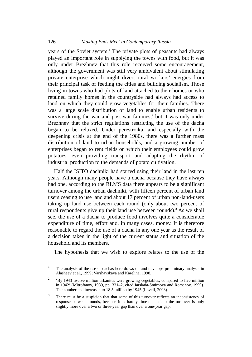years of the Soviet system.<sup>1</sup> The private plots of peasants had always played an important role in supplying the towns with food, but it was only under Brezhnev that this role received some encouragement, although the government was still very ambivalent about stimulating private enterprise which might divert rural workers' energies from their principal task of feeding the cities and building socialism. Those living in towns who had plots of land attached to their homes or who retained family homes in the countryside had always had access to land on which they could grow vegetables for their families. There was a large scale distribution of land to enable urban residents to survive during the war and post-war famines, $2$  but it was only under Brezhnev that the strict regulations restricting the use of the dacha began to be relaxed. Under perestroika, and especially with the deepening crisis at the end of the 1980s, there was a further mass distribution of land to urban households, and a growing number of enterprises began to rent fields on which their employees could grow potatoes, even providing transport and adapting the rhythm of industrial production to the demands of potato cultivation.

Half the ISITO dachniki had started using their land in the last ten years. Although many people have a dacha because they have always had one, according to the RLMS data there appears to be a significant turnover among the urban dachniki, with fifteen percent of urban land users ceasing to use land and about 17 percent of urban non-land-users taking up land use between each round (only about two percent of rural respondents give up their land use between rounds).<sup>3</sup> As we shall see, the use of a dacha to produce food involves quite a considerable expenditure of time, effort and, in many cases, money. It is therefore reasonable to regard the use of a dacha in any one year as the result of a decision taken in the light of the current status and situation of the household and its members.

The hypothesis that we wish to explore relates to the use of the

<sup>1</sup> The analysis of the use of dachas here draws on and develops preliminary analysis in Alasheev et al., 1999; Varshavskaya and Karelina, 1998.

<sup>2</sup> 'By 1943 twelve million urbanites were growing vegetables, compared to five million in 1942' (Mitrofanov, 1989, pp. 331–2, cited Iarskaia-Smirnova and Romanov, 1999). The number had increased to 18.5 million by 1945 (Lovell, 2003).

<sup>3</sup> There must be a suspicion that that some of this turnover reflects an inconsistency of response between rounds, because it is hardly time-dependent: the turnover is only slightly more over a two or three-year gap than over a one-year gap.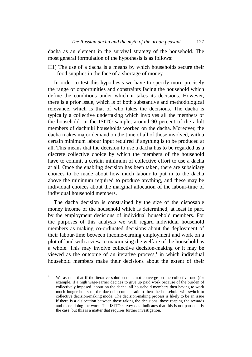dacha as an element in the survival strategy of the household. The most general formulation of the hypothesis is as follows:

H1) The use of a dacha is a means by which households secure their food supplies in the face of a shortage of money.

In order to test this hypothesis we have to specify more precisely the range of opportunities and constraints facing the household which define the conditions under which it takes its decisions. However, there is a prior issue, which is of both substantive and methodological relevance, which is that of who takes the decisions. The dacha is typically a collective undertaking which involves all the members of the household: in the ISITO sample, around 90 percent of the adult members of dachniki households worked on the dacha. Moreover, the dacha makes major demand on the time of all of those involved, with a certain minimum labour input required if anything is to be produced at all. This means that the decision to use a dacha has to be regarded as a discrete collective choice by which the members of the household have to commit a certain minimum of collective effort to use a dacha at all. Once the enabling decision has been taken, there are subsidiary choices to be made about how much labour to put in to the dacha above the minimum required to produce anything, and these may be individual choices about the marginal allocation of the labour-time of individual household members.

The dacha decision is constrained by the size of the disposable money income of the household which is determined, at least in part, by the employment decisions of individual household members. For the purposes of this analysis we will regard individual household members as making co-ordinated decisions about the deployment of their labour-time between income-earning employment and work on a plot of land with a view to maximising the welfare of the household as a whole. This may involve collective decision-making or it may be viewed as the outcome of an iterative process, $\frac{1}{1}$  in which individual household members make their decisions about the extent of their

<sup>1</sup> We assume that if the iterative solution does not converge on the collective one (for example, if a high wage-earner decides to give up paid work because of the burden of collectively imposed labour on the dacha, all household members then having to work much longer hours on the dacha in compensation) then the household will switch to collective decision-making mode. The decision-making process is likely to be an issue if there is a dislocation between those taking the decisions, those reaping the rewards and those doing the work. The ISITO survey data indicates that this is not particularly the case, but this is a matter that requires further investigation.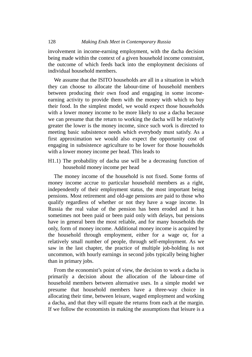involvement in income-earning employment, with the dacha decision being made within the context of a given household income constraint, the outcome of which feeds back into the employment decisions of individual household members.

We assume that the ISITO households are all in a situation in which they can choose to allocate the labour-time of household members between producing their own food and engaging in some incomeearning activity to provide them with the money with which to buy their food. In the simplest model, we would expect those households with a lower money income to be more likely to use a dacha because we can presume that the return to working the dacha will be relatively greater the lower is the money income, since such work is directed to meeting basic subsistence needs which everybody must satisfy. As a first approximation we would also expect the opportunity cost of engaging in subsistence agriculture to be lower for those households with a lower money income per head. This leads to

H1.1) The probability of dacha use will be a decreasing function of household money income per head

The money income of the household is not fixed. Some forms of money income accrue to particular household members as a right, independently of their employment status, the most important being pensions. Most retirement and old-age pensions are paid to those who qualify regardless of whether or not they have a wage income. In Russia the real value of the pension has been eroded and it has sometimes not been paid or been paid only with delays, but pensions have in general been the most reliable, and for many households the only, form of money income. Additional money income is acquired by the household through employment, either for a wage or, for a relatively small number of people, through self-employment. As we saw in the last chapter, the practice of multiple job-holding is not uncommon, with hourly earnings in second jobs typically being higher than in primary jobs.

From the economist's point of view, the decision to work a dacha is primarily a decision about the allocation of the labour-time of household members between alternative uses. In a simple model we presume that household members have a three-way choice in allocating their time, between leisure, waged employment and working a dacha, and that they will equate the returns from each at the margin. If we follow the economists in making the assumptions that leisure is a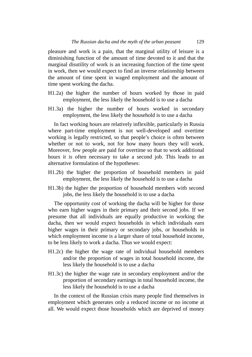pleasure and work is a pain, that the marginal utility of leisure is a diminishing function of the amount of time devoted to it and that the marginal disutility of work is an increasing function of the time spent in work, then we would expect to find an inverse relationship between the amount of time spent in waged employment and the amount of time spent working the dacha.

- H1.2a) the higher the number of hours worked by those in paid employment, the less likely the household is to use a dacha
- H1.3a) the higher the number of hours worked in secondary employment, the less likely the household is to use a dacha

In fact working hours are relatively inflexible, particularly in Russia where part-time employment is not well-developed and overtime working is legally restricted, so that people's choice is often between whether or not to work, not for how many hours they will work. Moreover, few people are paid for overtime so that to work additional hours it is often necessary to take a second job. This leads to an alternative formulation of the hypotheses:

- H1.2b) the higher the proportion of household members in paid employment, the less likely the household is to use a dacha
- H1.3b) the higher the proportion of household members with second jobs, the less likely the household is to use a dacha

The opportunity cost of working the dacha will be higher for those who earn higher wages in their primary and their second jobs. If we presume that all individuals are equally productive in working the dacha, then we would expect households in which individuals earn higher wages in their primary or secondary jobs, or households in which employment income is a larger share of total household income, to be less likely to work a dacha. Thus we would expect:

- H1.2c) the higher the wage rate of individual household members and/or the proportion of wages in total household income, the less likely the household is to use a dacha
- H1.3c) the higher the wage rate in secondary employment and/or the proportion of secondary earnings in total household income, the less likely the household is to use a dacha

In the context of the Russian crisis many people find themselves in employment which generates only a reduced income or no income at all. We would expect those households which are deprived of money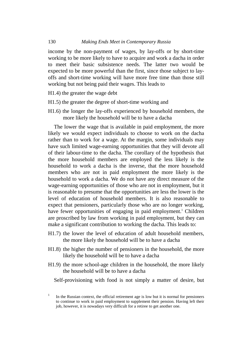income by the non-payment of wages, by lay-offs or by short-time working to be more likely to have to acquire and work a dacha in order to meet their basic subsistence needs. The latter two would be expected to be more powerful than the first, since those subject to layoffs and short-time working will have more free time than those still working but not being paid their wages. This leads to

- H1.4) the greater the wage debt
- H1.5) the greater the degree of short-time working and
- H1.6) the longer the lay-offs experienced by household members, the more likely the household will be to have a dacha

The lower the wage that is available in paid employment, the more likely we would expect individuals to choose to work on the dacha rather than to work for a wage. At the margin, some individuals may have such limited wage-earning opportunities that they will devote all of their labour-time to the dacha. The corollary of the hypothesis that the more household members are employed the less likely is the household to work a dacha is the inverse, that the more household members who are not in paid employment the more likely is the household to work a dacha. We do not have any direct measure of the wage-earning opportunities of those who are not in employment, but it is reasonable to presume that the opportunities are less the lower is the level of education of household members. It is also reasonable to expect that pensioners, particularly those who are no longer working, have fewer opportunities of engaging in paid employment.<sup>1</sup> Children are proscribed by law from working in paid employment, but they can make a significant contribution to working the dacha. This leads to:

- H1.7) the lower the level of education of adult household members, the more likely the household will be to have a dacha
- H1.8) the higher the number of pensioners in the household, the more likely the household will be to have a dacha
- H1.9) the more school-age children in the household, the more likely the household will be to have a dacha

Self-provisioning with food is not simply a matter of desire, but

<sup>1</sup> In the Russian context, the official retirement age is low but it is normal for pensioners to continue to work in paid employment to supplement their pension. Having left their job, however, it is nowadays very difficult for a retiree to get another one.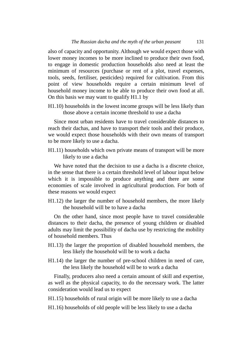also of capacity and opportunity. Although we would expect those with lower money incomes to be more inclined to produce their own food, to engage in domestic production households also need at least the minimum of resources (purchase or rent of a plot, travel expenses, tools, seeds, fertiliser, pesticides) required for cultivation. From this point of view households require a certain minimum level of household money income to be able to produce their own food at all. On this basis we may want to qualify H1.1 by

H1.10) households in the lowest income groups will be less likely than those above a certain income threshold to use a dacha

Since most urban residents have to travel considerable distances to reach their dachas, and have to transport their tools and their produce, we would expect those households with their own means of transport to be more likely to use a dacha.

H1.11) households which own private means of transport will be more likely to use a dacha

We have noted that the decision to use a dacha is a discrete choice, in the sense that there is a certain threshold level of labour input below which it is impossible to produce anything and there are some economies of scale involved in agricultural production. For both of these reasons we would expect

H1.12) the larger the number of household members, the more likely the household will be to have a dacha

On the other hand, since most people have to travel considerable distances to their dacha, the presence of young children or disabled adults may limit the possibility of dacha use by restricting the mobility of household members. Thus

- H1.13) the larger the proportion of disabled household members, the less likely the household will be to work a dacha
- H1.14) the larger the number of pre-school children in need of care, the less likely the household will be to work a dacha

Finally, producers also need a certain amount of skill and expertise, as well as the physical capacity, to do the necessary work. The latter consideration would lead us to expect

H1.15) households of rural origin will be more likely to use a dacha

H1.16) households of old people will be less likely to use a dacha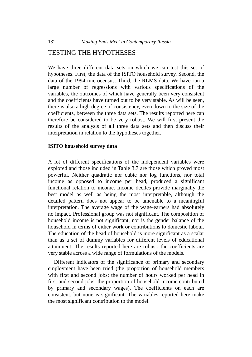# TESTING THE HYPOTHESES

We have three different data sets on which we can test this set of hypotheses. First, the data of the ISITO household survey. Second, the data of the 1994 microcensus. Third, the RLMS data. We have run a large number of regressions with various specifications of the variables, the outcomes of which have generally been very consistent and the coefficients have turned out to be very stable. As will be seen, there is also a high degree of consistency, even down to the size of the coefficients, between the three data sets. The results reported here can therefore be considered to be very robust. We will first present the results of the analysis of all three data sets and then discuss their interpretation in relation to the hypotheses together.

### **ISITO household survey data**

A lot of different specifications of the independent variables were explored and those included in Table 3.7 are those which proved most powerful. Neither quadratic nor cubic nor log functions, nor total income as opposed to income per head, produced a significant functional relation to income. Income deciles provide marginally the best model as well as being the most interpretable, although the detailed pattern does not appear to be amenable to a meaningful interpretation. The average wage of the wage-earners had absolutely no impact. Professional group was not significant. The composition of household income is not significant, nor is the gender balance of the household in terms of either work or contributions to domestic labour. The education of the head of household is more significant as a scalar than as a set of dummy variables for different levels of educational attainment. The results reported here are robust: the coefficients are very stable across a wide range of formulations of the models.

Different indicators of the significance of primary and secondary employment have been tried (the proportion of household members with first and second jobs; the number of hours worked per head in first and second jobs; the proportion of household income contributed by primary and secondary wages). The coefficients on each are consistent, but none is significant. The variables reported here make the most significant contribution to the model.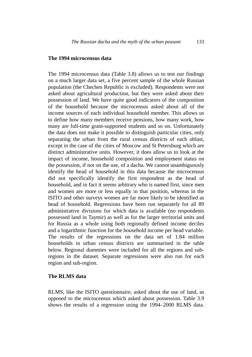## **The 1994 microcensus data**

The 1994 microcensus data (Table 3.8) allows us to test our findings on a much larger data set, a five percent sample of the whole Russian population (the Chechen Republic is excluded). Respondents were not asked about agricultural production, but they were asked about their possession of land. We have quite good indicators of the composition of the household because the microcensus asked about all of the income sources of each individual household member. This allows us to define how many members receive pensions, how many work, how many are full-time grant-supported students and so on. Unfortunately the data does not make it possible to distinguish particular cities, only separating the urban from the rural census districts of each oblast, except in the case of the cities of Moscow and St Petersburg which are distinct administrative units. However, it does allow us to look at the impact of income, household composition and employment status on the possession, if not on the use, of a dacha. We cannot unambiguously identify the head of household in this data because the microcensus did not specifically identify the first respondent as the head of household, and in fact it seems arbitrary who is named first, since men and women are more or less equally in that position, whereas in the ISITO and other surveys women are far more likely to be identified as head of household. Regressions have been run separately for all 89 administrative divisions for which data is available (no respondents possessed land in Taymir) as well as for the larger territorial units and for Russia as a whole using both regionally defined income deciles and a logarithmic function for the household income per head variable. The results of the regressions on the data set of 1.84 million households in urban census districts are summarised in the table below. Regional dummies were included for all the regions and subregions in the dataset. Separate regressions were also run for each region and sub-region.

### **The RLMS data**

RLMS, like the ISITO questionnaire, asked about the use of land, as opposed to the microcensus which asked about possession. Table 3.9 shows the results of a regression using the 1994–2000 RLMS data.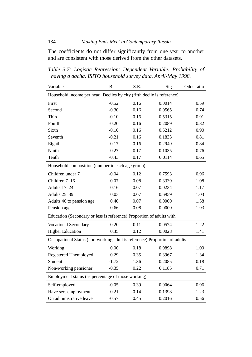# 134 *Making Ends Meet in Contemporary Russia*

The coefficients do not differ significantly from one year to another and are consistent with those derived from the other datasets.

*Table 3.7: Logistic Regression: Dependent Variable: Probability of having a dacha. ISITO household survey data. April-May 1998.* 

| Variable                                                                  | B       | S.E. | Sig    | Odds ratio |  |  |  |  |
|---------------------------------------------------------------------------|---------|------|--------|------------|--|--|--|--|
| Household income per head. Deciles by city (fifth decile is reference)    |         |      |        |            |  |  |  |  |
| First                                                                     | $-0.52$ | 0.16 | 0.0014 | 0.59       |  |  |  |  |
| Second                                                                    | $-0.30$ | 0.16 | 0.0565 | 0.74       |  |  |  |  |
| Third                                                                     | $-0.10$ | 0.16 | 0.5315 | 0.91       |  |  |  |  |
| Fourth                                                                    | $-0.20$ | 0.16 | 0.2089 | 0.82       |  |  |  |  |
| Sixth                                                                     | $-0.10$ | 0.16 | 0.5212 | 0.90       |  |  |  |  |
| Seventh                                                                   | $-0.21$ | 0.16 | 0.1833 | 0.81       |  |  |  |  |
| Eighth                                                                    | $-0.17$ | 0.16 | 0.2949 | 0.84       |  |  |  |  |
| Ninth                                                                     | $-0.27$ | 0.17 | 0.1035 | 0.76       |  |  |  |  |
| Tenth                                                                     | $-0.43$ | 0.17 | 0.0114 | 0.65       |  |  |  |  |
| Household composition (number in each age group)                          |         |      |        |            |  |  |  |  |
| Children under 7                                                          | $-0.04$ | 0.12 | 0.7593 | 0.96       |  |  |  |  |
| Children 7-16                                                             | 0.07    | 0.08 | 0.3339 | 1.08       |  |  |  |  |
| Adults 17-24                                                              | 0.16    | 0.07 | 0.0234 | 1.17       |  |  |  |  |
| Adults 25-39                                                              | 0.03    | 0.07 | 0.6959 | 1.03       |  |  |  |  |
| Adults 40 to pension age                                                  | 0.46    | 0.07 | 0.0000 | 1.58       |  |  |  |  |
| Pension age                                                               | 0.66    | 0.08 | 0.0000 | 1.93       |  |  |  |  |
| Education (Secondary or less is reference) Proportion of adults with      |         |      |        |            |  |  |  |  |
| <b>Vocational Secondary</b>                                               | 0.20    | 0.11 | 0.0574 | 1.22       |  |  |  |  |
| <b>Higher Education</b>                                                   | 0.35    | 0.12 | 0.0028 | 1.41       |  |  |  |  |
| Occupational Status (non-working adult is reference) Proportion of adults |         |      |        |            |  |  |  |  |
| Working                                                                   | 0.00    | 0.18 | 0.9898 | 1.00       |  |  |  |  |
| Registered Unemployed                                                     | 0.29    | 0.35 | 0.3967 | 1.34       |  |  |  |  |
| Student                                                                   | $-1.72$ | 1.36 | 0.2085 | 0.18       |  |  |  |  |
| Non-working pensioner                                                     | $-0.35$ | 0.22 | 0.1185 | 0.71       |  |  |  |  |
| Employment status (as percentage of those working)                        |         |      |        |            |  |  |  |  |
| Self-employed                                                             | $-0.05$ | 0.39 | 0.9064 | 0.96       |  |  |  |  |
| Have sec. employment                                                      | 0.21    | 0.14 | 0.1398 | 1.23       |  |  |  |  |
| On administrative leave                                                   | $-0.57$ | 0.45 | 0.2016 | 0.56       |  |  |  |  |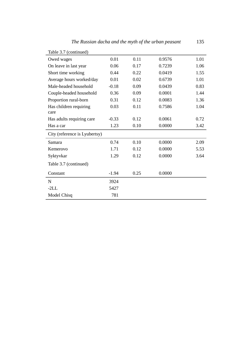| Table 3.7 (continued)         |         |      |        |      |
|-------------------------------|---------|------|--------|------|
| Owed wages                    | 0.01    | 0.11 | 0.9576 | 1.01 |
| On leave in last year         | 0.06    | 0.17 | 0.7239 | 1.06 |
| Short time working            | 0.44    | 0.22 | 0.0419 | 1.55 |
| Average hours worked/day      | 0.01    | 0.02 | 0.6739 | 1.01 |
| Male-headed household         | $-0.18$ | 0.09 | 0.0439 | 0.83 |
| Couple-headed household       | 0.36    | 0.09 | 0.0001 | 1.44 |
| Proportion rural-born         | 0.31    | 0.12 | 0.0083 | 1.36 |
| Has children requiring        | 0.03    | 0.11 | 0.7586 | 1.04 |
| care                          |         |      |        |      |
| Has adults requiring care     | $-0.33$ | 0.12 | 0.0061 | 0.72 |
| Has a car                     | 1.23    | 0.10 | 0.0000 | 3.42 |
| City (reference is Lyubertsy) |         |      |        |      |
| Samara                        | 0.74    | 0.10 | 0.0000 | 2.09 |
| Kemerovo                      | 1.71    | 0.12 | 0.0000 | 5.53 |
| Syktyvkar                     | 1.29    | 0.12 | 0.0000 | 3.64 |
| Table 3.7 (continued)         |         |      |        |      |
| Constant                      | $-1.94$ | 0.25 | 0.0000 |      |
| N                             | 3924    |      |        |      |
| $-2LL$                        | 5427    |      |        |      |
| Model Chisq                   | 781     |      |        |      |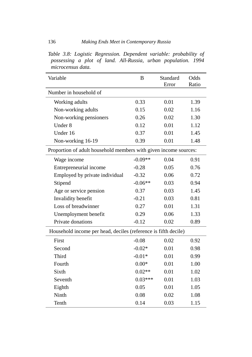*Table 3.8: Logistic Regression. Dependent variable: probability of possessing a plot of land. All-Russia, urban population. 1994 microcensus data.*

| Variable                                                         | B                | Standard<br>Error | Odds<br>Ratio |
|------------------------------------------------------------------|------------------|-------------------|---------------|
| Number in household of                                           |                  |                   |               |
| Working adults                                                   | 0.33             | 0.01              | 1.39          |
| Non-working adults                                               | 0.15             | 0.02              | 1.16          |
| Non-working pensioners                                           | 0.26             | 0.02              | 1.30          |
| Under 8                                                          | 0.12             | 0.01              | 1.12          |
| Under 16                                                         | 0.37             | 0.01              | 1.45          |
| Non-working 16-19                                                | 0.39             | 0.01              | 1.48          |
| Proportion of adult household members with given income sources: |                  |                   |               |
| Wage income                                                      | $-0.09**$        | 0.04              | 0.91          |
| Entrepreneurial income                                           | $-0.28$          | 0.05              | 0.76          |
| Employed by private individual                                   | $-0.32$          | 0.06              | 0.72          |
| Stipend                                                          | $-0.06**$        | 0.03              | 0.94          |
| Age or service pension                                           | 0.37             | 0.03              | 1.45          |
| Invalidity benefit                                               | $-0.21$          | 0.03              | 0.81          |
| Loss of breadwinner                                              | 0.27             | 0.01              | 1.31          |
| Unemployment benefit                                             | 0.29             | 0.06              | 1.33          |
| Private donations                                                | $-0.12$          | 0.02              | 0.89          |
| Household income per head, deciles (reference is fifth decile)   |                  |                   |               |
| First                                                            | $-0.08$          | 0.02              | 0.92          |
| Second                                                           | $-0.02*$         | 0.01              | 0.98          |
| Third                                                            | $-0.01*$         | 0.01              | 0.99          |
| Fourth                                                           | $0.00\mathrm{*}$ | 0.01              | 1.00          |
| Sixth                                                            | $0.02**$         | 0.01              | 1.02          |
| Seventh                                                          | $0.03***$        | 0.01              | 1.03          |
| Eighth                                                           | 0.05             | 0.01              | 1.05          |
| Ninth                                                            | 0.08             | 0.02              | 1.08          |
| Tenth                                                            | 0.14             | 0.03              | 1.15          |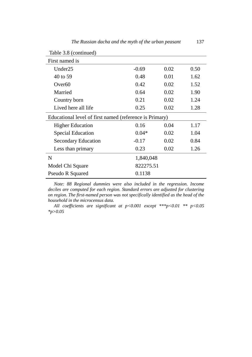| First named is                                          |           |      |      |  |  |  |  |
|---------------------------------------------------------|-----------|------|------|--|--|--|--|
| Under <sub>25</sub>                                     | $-0.69$   | 0.02 | 0.50 |  |  |  |  |
| 40 to 59                                                | 0.48      | 0.01 | 1.62 |  |  |  |  |
| Over <sub>60</sub>                                      | 0.42      | 0.02 | 1.52 |  |  |  |  |
| Married                                                 | 0.64      | 0.02 | 1.90 |  |  |  |  |
| Country born                                            | 0.21      | 0.02 | 1.24 |  |  |  |  |
| Lived here all life                                     | 0.25      | 0.02 | 1.28 |  |  |  |  |
| Educational level of first named (reference is Primary) |           |      |      |  |  |  |  |
| <b>Higher Education</b>                                 | 0.16      | 0.04 | 1.17 |  |  |  |  |
| <b>Special Education</b>                                | $0.04*$   | 0.02 | 1.04 |  |  |  |  |
| <b>Secondary Education</b>                              | $-0.17$   | 0.02 | 0.84 |  |  |  |  |
| Less than primary                                       | 0.23      | 0.02 | 1.26 |  |  |  |  |
| N                                                       | 1,840,048 |      |      |  |  |  |  |
| Model Chi Square                                        | 822275.51 |      |      |  |  |  |  |
| Pseudo R Squared                                        | 0.1138    |      |      |  |  |  |  |

## Table 3.8 (continued)

*Note: 88 Regional dummies were also included in the regression. Income deciles are computed for each region. Standard errors are adjusted for clustering on region. The first-named person was not specifically identified as the head of the household in the microcensus data.* 

*All coefficients are significant at p<0.001 except \*\*\*p<0.01 \*\* p<0.05 \*p>0.05*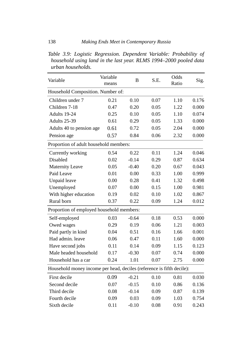*Table 3.9: Logistic Regression. Dependent Variable: Probability of household using land in the last year. RLMS 1994–2000 pooled data urban households.* 

| Variable                                                              | Variable<br>means | B       | S.E. | Odds<br>Ratio | Sig.  |
|-----------------------------------------------------------------------|-------------------|---------|------|---------------|-------|
| Household Composition. Number of:                                     |                   |         |      |               |       |
| Children under 7                                                      | 0.21              | 0.10    | 0.07 | 1.10          | 0.176 |
| Children 7-18                                                         | 0.47              | 0.20    | 0.05 | 1.22          | 0.000 |
| Adults 19-24                                                          | 0.25              | 0.10    | 0.05 | 1.10          | 0.074 |
| Adults 25-39                                                          | 0.61              | 0.29    | 0.05 | 1.33          | 0.000 |
| Adults 40 to pension age                                              | 0.61              | 0.72    | 0.05 | 2.04          | 0.000 |
| Pension age                                                           | 0.57              | 0.84    | 0.06 | 2.32          | 0.000 |
| Proportion of adult household members:                                |                   |         |      |               |       |
| Currently working                                                     | 0.54              | 0.22    | 0.11 | 1.24          | 0.046 |
| Disabled                                                              | 0.02              | $-0.14$ | 0.29 | 0.87          | 0.634 |
| <b>Maternity Leave</b>                                                | 0.05              | $-0.40$ | 0.20 | 0.67          | 0.043 |
| Paid Leave                                                            | 0.01              | 0.00    | 0.33 | 1.00          | 0.999 |
| <b>Unpaid leave</b>                                                   | 0.00              | 0.28    | 0.41 | 1.32          | 0.498 |
| Unemployed                                                            | 0.07              | 0.00    | 0.15 | 1.00          | 0.981 |
| With higher education                                                 | 0.19              | 0.02    | 0.10 | 1.02          | 0.867 |
| Rural born                                                            | 0.37              | 0.22    | 0.09 | 1.24          | 0.012 |
| Proportion of employed household members:                             |                   |         |      |               |       |
| Self-employed                                                         | 0.03              | $-0.64$ | 0.18 | 0.53          | 0.000 |
| Owed wages                                                            | 0.29              | 0.19    | 0.06 | 1.21          | 0.003 |
| Paid partly in kind                                                   | 0.04              | 0.51    | 0.16 | 1.66          | 0.001 |
| Had admin. leave                                                      | 0.06              | 0.47    | 0.11 | 1.60          | 0.000 |
| Have second jobs                                                      | 0.11              | 0.14    | 0.09 | 1.15          | 0.123 |
| Male headed household                                                 | 0.17              | $-0.30$ | 0.07 | 0.74          | 0.000 |
| Household has a car                                                   | 0.24              | 1.01    | 0.07 | 2.75          | 0.000 |
| Household money income per head, deciles (reference is fifth decile): |                   |         |      |               |       |
| First decile                                                          | 0.09              | $-0.21$ | 0.10 | 0.81          | 0.030 |
| Second decile                                                         | 0.07              | $-0.15$ | 0.10 | 0.86          | 0.136 |
| Third decile                                                          | 0.08              | $-0.14$ | 0.09 | 0.87          | 0.139 |
| Fourth decile                                                         | 0.09              | 0.03    | 0.09 | 1.03          | 0.754 |
| Sixth decile                                                          | 0.11              | $-0.10$ | 0.08 | 0.91          | 0.243 |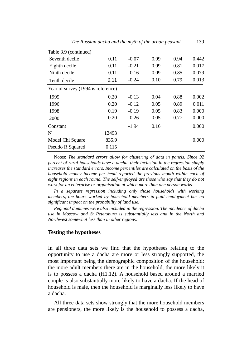| Table 3.9 (continued)              |       |         |      |      |       |
|------------------------------------|-------|---------|------|------|-------|
| Seventh decile                     | 0.11  | $-0.07$ | 0.09 | 0.94 | 0.442 |
| Eighth decile                      | 0.11  | $-0.21$ | 0.09 | 0.81 | 0.017 |
| Ninth decile                       | 0.11  | $-0.16$ | 0.09 | 0.85 | 0.079 |
| Tenth decile                       | 0.11  | $-0.24$ | 0.10 | 0.79 | 0.013 |
| Year of survey (1994 is reference) |       |         |      |      |       |
| 1995                               | 0.20  | $-0.13$ | 0.04 | 0.88 | 0.002 |
| 1996                               | 0.20  | $-0.12$ | 0.05 | 0.89 | 0.011 |
| 1998                               | 0.19  | $-0.19$ | 0.05 | 0.83 | 0.000 |
| 2000                               | 0.20  | $-0.26$ | 0.05 | 0.77 | 0.000 |
| Constant                           |       | $-1.94$ | 0.16 |      | 0.000 |
| N                                  | 12493 |         |      |      |       |
| Model Chi Square                   | 835.9 |         |      |      | 0.000 |
| Pseudo R Squared                   | 0.115 |         |      |      |       |

Notes: *The standard errors allow for clustering of data in panels. Since 92 percent of rural households have a dacha, their inclusion in the regression simply increases the* s*tandard errors. Income percentiles are calculated on the basis of the household money income per head reported the previous month within each of eight regions in each round. The self-employed are those who say that they do not work for an enterprise or organisation at which more than one person works.* 

*In a separate regression including only those households with working members, the hours worked by household members in paid employment has no significant impact on the probability of land use.* 

*Regional dummies were also included in the regression. The incidence of dacha use in Moscow and St Petersburg is substantially less and in the North and Northwest somewhat less than in other regions.*

#### **Testing the hypotheses**

In all three data sets we find that the hypotheses relating to the opportunity to use a dacha are more or less strongly supported, the most important being the demographic composition of the household: the more adult members there are in the household, the more likely it is to possess a dacha (H1.12). A household based around a married couple is also substantially more likely to have a dacha. If the head of household is male, then the household is marginally less likely to have a dacha.

All three data sets show strongly that the more household members are pensioners, the more likely is the household to possess a dacha,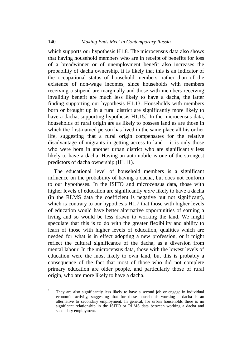which supports our hypothesis H1.8. The microcensus data also shows that having household members who are in receipt of benefits for loss of a breadwinner or of unemployment benefit also increases the probability of dacha ownership. It is likely that this is an indicator of the occupational status of household members, rather than of the existence of non-wage incomes, since households with members receiving a stipend are marginally and those with members receiving invalidity benefit are much less likely to have a dacha, the latter finding supporting our hypothesis H1.13. Households with members born or brought up in a rural district are significantly more likely to have a dacha, supporting hypothesis  $H1.15<sup>1</sup>$  In the microcensus data, households of rural origin are as likely to possess land as are those in which the first-named person has lived in the same place all his or her life, suggesting that a rural origin compensates for the relative disadvantage of migrants in getting access to land – it is only those who were born in another urban district who are significantly less likely to have a dacha. Having an automobile is one of the strongest predictors of dacha ownership (H1.11).

The educational level of household members is a significant influence on the probability of having a dacha, but does not conform to our hypotheses. In the ISITO and microcensus data, those with higher levels of education are significantly *more* likely to have a dacha (in the RLMS data the coefficient is negative but not significant), which is contrary to our hypothesis H1.7 that those with higher levels of education would have better alternative opportunities of earning a living and so would be less drawn to working the land. We might speculate that this is to do with the greater flexibility and ability to learn of those with higher levels of education, qualities which are needed for what is in effect adopting a new profession, or it might reflect the cultural significance of the dacha, as a diversion from mental labour. In the microcensus data, those with the lowest levels of education were the most likely to own land, but this is probably a consequence of the fact that most of those who did not complete primary education are older people, and particularly those of rural origin, who are more likely to have a dacha.

1

They are also significantly less likely to have a second job or engage in individual economic activity, suggesting that for these households working a dacha is an alternative to secondary employment. In general, for urban households there is no significant relationship in the ISITO or RLMS data between working a dacha and secondary employment.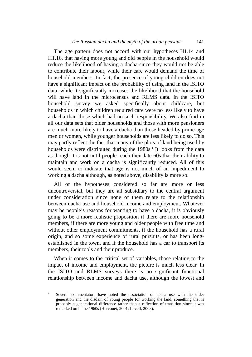The age pattern does not accord with our hypotheses H1.14 and H1.16, that having more young and old people in the household would reduce the likelihood of having a dacha since they would not be able to contribute their labour, while their care would demand the time of household members. In fact, the presence of young children does not have a significant impact on the probability of using land in the ISITO data, while it significantly increases the likelihood that the household will have land in the microcensus and RLMS data. In the ISITO household survey we asked specifically about childcare, but households in which children required care were no less likely to have a dacha than those which had no such responsibility. We also find in all our data sets that older households and those with more pensioners are much more likely to have a dacha than those headed by prime-age men or women, while younger households are less likely to do so. This may partly reflect the fact that many of the plots of land being used by households were distributed during the 1980s.<sup>1</sup> It looks from the data as though it is not until people reach their late 60s that their ability to maintain and work on a dacha is significantly reduced. All of this would seem to indicate that age is not much of an impediment to working a dacha although, as noted above, disability is more so.

All of the hypotheses considered so far are more or less uncontroversial, but they are all subsidiary to the central argument under consideration since none of them relate to the relationship between dacha use and household income and employment. Whatever may be people's reasons for wanting to have a dacha, it is obviously going to be a more realistic proposition if there are more household members, if there are more young and older people with free time and without other employment commitments, if the household has a rural origin, and so some experience of rural pursuits, or has been longestablished in the town, and if the household has a car to transport its members, their tools and their produce.

When it comes to the critical set of variables, those relating to the impact of income and employment, the picture is much less clear. In the ISITO and RLMS surveys there is no significant functional relationship between income and dacha use, although the lowest and

<sup>1</sup> Several commentators have noted the association of dacha use with the older generation and the disdain of young people for working the land, something that is probably a generational difference rather than a reflection of transition since it was remarked on in the 1960s (Hervouet, 2001; Lovell, 2003).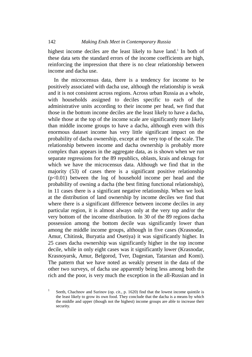highest income deciles are the least likely to have land.<sup>1</sup> In both of these data sets the standard errors of the income coefficients are high, reinforcing the impression that there is no clear relationship between income and dacha use.

In the microcensus data, there is a tendency for income to be positively associated with dacha use, although the relationship is weak and it is not consistent across regions. Across urban Russia as a whole, with households assigned to deciles specific to each of the administrative units according to their income per head, we find that those in the bottom income deciles are the least likely to have a dacha, while those at the top of the income scale are significantly more likely than middle income groups to have a dacha, although even with this enormous dataset income has very little significant impact on the probability of dacha ownership, except at the very top of the scale. The relationship between income and dacha ownership is probably more complex than appears in the aggregate data, as is shown when we run separate regressions for the 89 republics, oblasts, krais and okrugs for which we have the microcensus data. Although we find that in the majority (53) of cases there is a significant positive relationship  $(p<0.01)$  between the log of household income per head and the probability of owning a dacha (the best fitting functional relationship), in 11 cases there is a significant negative relationship. When we look at the distribution of land ownership by income deciles we find that where there is a significant difference between income deciles in any particular region, it is almost always only at the very top and/or the very bottom of the income distribution. In 30 of the 89 regions dacha possession among the bottom decile was significantly lower than among the middle income groups, although in five cases (Krasnodar, Amur, Chitinsk, Buryatia and Osetiya) it was significantly higher. In 25 cases dacha ownership was significantly higher in the top income decile, while in only eight cases was it significantly lower (Krasnodar, Krasnoyarsk, Amur, Belgorod, Tver, Dagestan, Tatarstan and Komi). The pattern that we have noted as weakly present in the data of the other two surveys, of dacha use apparently being less among both the rich and the poor, is very much the exception in the all-Russian and in

<sup>1</sup> Seeth, Chachnov and Surinov (op. cit., p. 1620) find that the lowest income quintile is the least likely to grow its own food. They conclude that the dacha is a means by which the middle and upper (though not the highest) income groups are able to increase their security.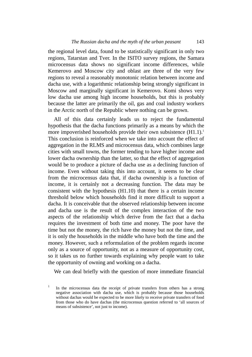the regional level data, found to be statistically significant in only two regions, Tatarstan and Tver. In the ISITO survey regions, the Samara microcensus data shows no significant income differences, while Kemerovo and Moscow city and oblast are three of the very few regions to reveal a reasonably monotonic relation between income and dacha use, with a logarithmic relationship being strongly significant in Moscow and marginally significant in Kemerovo. Komi shows very low dacha use among high income households, but this is probably because the latter are primarily the oil, gas and coal industry workers in the Arctic north of the Republic where nothing can be grown.

All of this data certainly leads us to reject the fundamental hypothesis that the dacha functions primarily as a means by which the more impoverished households provide their own subsistence  $(H1.1)<sup>1</sup>$ This conclusion is reinforced when we take into account the effect of aggregation in the RLMS and microcensus data, which combines large cities with small towns, the former tending to have higher income and lower dacha ownership than the latter, so that the effect of aggregation would be to produce a picture of dacha use as a declining function of income. Even without taking this into account, it seems to be clear from the microcensus data that, if dacha ownership is a function of income, it is certainly not a decreasing function. The data may be consistent with the hypothesis (H1.10) that there is a certain income threshold below which households find it more difficult to support a dacha. It is conceivable that the observed relationship between income and dacha use is the result of the complex interaction of the two aspects of the relationship which derive from the fact that a dacha requires the investment of both time and money. The poor have the time but not the money, the rich have the money but not the time, and it is only the households in the middle who have both the time and the money. However, such a reformulation of the problem regards income only as a source of opportunity, not as a measure of opportunity cost, so it takes us no further towards explaining why people want to take the opportunity of owning and working on a dacha.

We can deal briefly with the question of more immediate financial

<sup>1</sup> In the microcensus data the receipt of private transfers from others has a strong negative association with dacha use, which is probably because those households without dachas would be expected to be more likely to receive private transfers of food from those who do have dachas (the microcensus question referred to 'all sources of means of subsistence', not just to income).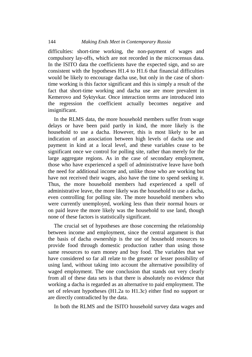#### 144 *Making Ends Meet in Contemporary Russia*

difficulties: short-time working, the non-payment of wages and compulsory lay-offs, which are not recorded in the microcensus data. In the ISITO data the coefficients have the expected sign, and so are consistent with the hypotheses H1.4 to H1.6 that financial difficulties would be likely to encourage dacha use, but only in the case of shorttime working is this factor significant and this is simply a result of the fact that short-time working and dacha use are more prevalent in Kemerovo and Syktyvkar. Once interaction terms are introduced into the regression the coefficient actually becomes negative and insignificant.

In the RLMS data, the more household members suffer from wage delays or have been paid partly in kind, the more likely is the household to use a dacha. However, this is most likely to be an indication of an association between high levels of dacha use and payment in kind at a local level, and these variables cease to be significant once we control for polling site, rather than merely for the large aggregate regions. As in the case of secondary employment, those who have experienced a spell of administrative leave have both the need for additional income and, unlike those who are working but have not received their wages, also have the time to spend seeking it. Thus, the more household members had experienced a spell of administrative leave, the more likely was the household to use a dacha, even controlling for polling site. The more household members who were currently unemployed, working less than their normal hours or on paid leave the more likely was the household to use land, though none of these factors is statistically significant.

The crucial set of hypotheses are those concerning the relationship between income and employment, since the central argument is that the basis of dacha ownership is the use of household resources to provide food through domestic production rather than using those same resources to earn money and buy food. The variables that we have considered so far all relate to the greater or lesser possibility of using land, without taking into account the alternative possibility of waged employment. The one conclusion that stands out very clearly from all of these data sets is that there is absolutely no evidence that working a dacha is regarded as an alternative to paid employment. The set of relevant hypotheses (H1.2a to H1.3c) either find no support or are directly contradicted by the data.

In both the RLMS and the ISITO household survey data wages and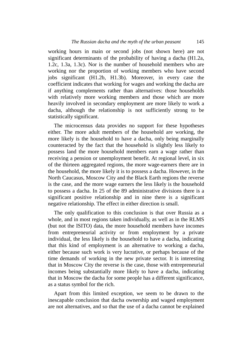working hours in main or second jobs (not shown here) are not significant determinants of the probability of having a dacha (H1.2a, 1.2c, 1.3a, 1.3c). Nor is the number of household members who are working nor the proportion of working members who have second jobs significant (H1.2b, H1.3b). Moreover, in every case the coefficient indicates that working for wages and working the dacha are if anything complements rather than alternatives: those households with relatively more working members and those which are more heavily involved in secondary employment are more likely to work a dacha, although the relationship is not sufficiently strong to be statistically significant.

The microcensus data provides no support for these hypotheses either. The more adult members of the household are working, the more likely is the household to have a dacha, only being marginally counteracted by the fact that the household is slightly less likely to possess land the more household members earn a wage rather than receiving a pension or unemployment benefit. At regional level, in six of the thirteen aggregated regions, the more wage-earners there are in the household, the more likely it is to possess a dacha. However, in the North Caucasus, Moscow City and the Black Earth regions the reverse is the case, and the more wage earners the less likely is the household to possess a dacha. In 25 of the 89 administrative divisions there is a significant positive relationship and in nine there is a significant negative relationship. The effect in either direction is small.

The only qualification to this conclusion is that over Russia as a whole, and in most regions taken individually, as well as in the RLMS (but not the ISITO) data, the more household members have incomes from entrepreneurial activity or from employment by a private individual, the less likely is the household to have a dacha, indicating that this kind of employment is an alternative to working a dacha, either because such work is very lucrative, or perhaps because of the time demands of working in the new private sector. It is interesting that in Moscow City the reverse is the case, those with entrepreneurial incomes being substantially more likely to have a dacha, indicating that in Moscow the dacha for some people has a different significance, as a status symbol for the rich.

Apart from this limited exception, we seem to be drawn to the inescapable conclusion that dacha ownership and waged employment are not alternatives, and so that the use of a dacha cannot be explained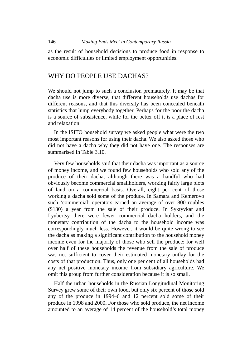as the result of household decisions to produce food in response to economic difficulties or limited employment opportunities.

# WHY DO PEOPLE USE DACHAS?

We should not jump to such a conclusion prematurely. It may be that dacha use is more diverse, that different households use dachas for different reasons, and that this diversity has been concealed beneath statistics that lump everybody together. Perhaps for the poor the dacha is a source of subsistence, while for the better off it is a place of rest and relaxation.

In the ISITO household survey we asked people what were the two most important reasons for using their dacha. We also asked those who did not have a dacha why they did not have one. The responses are summarised in Table 3.10.

Very few households said that their dacha was important as a source of money income, and we found few households who sold any of the produce of their dacha, although there was a handful who had obviously become commercial smallholders, working fairly large plots of land on a commercial basis. Overall, eight per cent of those working a dacha sold some of the produce. In Samara and Kemerovo such 'commercial' operators earned an average of over 800 roubles (\$130) a year from the sale of their produce. In Syktyvkar and Lyubertsy there were fewer commercial dacha holders, and the monetary contribution of the dacha to the household income was correspondingly much less. However, it would be quite wrong to see the dacha as making a significant contribution to the household money income even for the majority of those who sell the produce: for well over half of these households the revenue from the sale of produce was not sufficient to cover their estimated monetary outlay for the costs of that production. Thus, only one per cent of all households had any net positive monetary income from subsidiary agriculture. We omit this group from further consideration because it is so small.

Half the urban households in the Russian Longitudinal Monitoring Survey grew some of their own food, but only six percent of those sold any of the produce in 1994–6 and 12 percent sold some of their produce in 1998 and 2000**.** For those who sold produce, the net income amounted to an average of 14 percent of the household's total money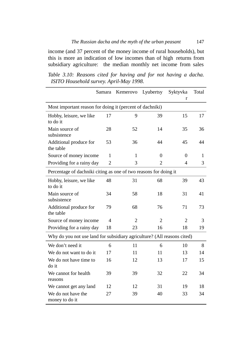income (and 37 percent of the money income of rural households), but this is more an indication of low incomes than of high returns from subsidiary agriculture: the median monthly net income from sales

*Table 3.10: Reasons cited for having and for not having a dacha. ISITO Household survey. April-May 1998.* 

|                                                                         | Samara         | Kemerovo       | Lyubertsy      | Syktyvka<br>r  | Total |  |  |
|-------------------------------------------------------------------------|----------------|----------------|----------------|----------------|-------|--|--|
| Most important reason for doing it (percent of dachniki)                |                |                |                |                |       |  |  |
| Hobby, leisure, we like<br>to do it                                     | 17             | 9              | 39             | 15             | 17    |  |  |
| Main source of<br>subsistence                                           | 28             | 52             | 14             | 35             | 36    |  |  |
| Additional produce for<br>the table                                     | 53             | 36             | 44             | 45             | 44    |  |  |
| Source of money income                                                  | $\mathbf{1}$   | $\mathbf{1}$   | $\Omega$       | 0              | 1     |  |  |
| Providing for a rainy day                                               | $\overline{2}$ | 3              | $\overline{2}$ | $\overline{4}$ | 3     |  |  |
| Percentage of dachniki citing as one of two reasons for doing it        |                |                |                |                |       |  |  |
| Hobby, leisure, we like<br>to do it                                     | 48             | 31             | 68             | 39             | 43    |  |  |
| Main source of<br>subsistence                                           | 34             | 58             | 18             | 31             | 41    |  |  |
| Additional produce for<br>the table                                     | 79             | 68             | 76             | 71             | 73    |  |  |
| Source of money income                                                  | $\overline{4}$ | $\overline{2}$ | $\overline{2}$ | $\overline{2}$ | 3     |  |  |
| Providing for a rainy day                                               | 18             | 23             | 16             | 18             | 19    |  |  |
| Why do you not use land for subsidiary agriculture? (All reasons cited) |                |                |                |                |       |  |  |
| We don't need it                                                        | 6              | 11             | 6              | 10             | 8     |  |  |
| We do not want to do it                                                 | 17             | 11             | 11             | 13             | 14    |  |  |
| We do not have time to<br>do it                                         | 16             | 12             | 13             | 17             | 15    |  |  |
| We cannot for health<br>reasons                                         | 39             | 39             | 32             | 22             | 34    |  |  |
| We cannot get any land                                                  | 12             | 12             | 31             | 19             | 18    |  |  |
| We do not have the<br>money to do it                                    | 27             | 39             | 40             | 33             | 34    |  |  |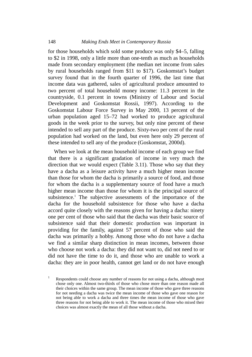for those households which sold some produce was only \$4–5, falling to \$2 in 1998, only a little more than one-tenth as much as households made from secondary employment (the median net income from sales by rural households ranged from \$11 to \$17). Goskomstat's budget survey found that in the fourth quarter of 1996, the last time that income data was gathered, sales of agricultural produce amounted to two percent of total household money income: 11.3 percent in the countryside, 0.1 percent in towns (Ministry of Labour and Social Development and Goskomstat Rossii, 1997). According to the Goskomstat Labour Force Survey in May 2000, 13 percent of the urban population aged 15–72 had worked to produce agricultural goods in the week prior to the survey, but only nine percent of these intended to sell any part of the produce. Sixty-two per cent of the rural population had worked on the land, but even here only 29 percent of these intended to sell any of the produce (Goskomstat, 2000d).

When we look at the mean household income of each group we find that there is a significant gradation of income in very much the direction that we would expect (Table 3.11). Those who say that they have a dacha as a leisure activity have a much higher mean income than those for whom the dacha is primarily a source of food, and those for whom the dacha is a supplementary source of food have a much higher mean income than those for whom it is the principal source of subsistence.<sup>1</sup> The subjective assessments of the importance of the dacha for the household subsistence for those who have a dacha accord quite closely with the reasons given for having a dacha: ninety one per cent of those who said that the dacha was their basic source of subsistence said that their domestic production was important in providing for the family, against 57 percent of those who said the dacha was primarily a hobby. Among those who do not have a dacha we find a similar sharp distinction in mean incomes, between those who choose not work a dacha: they did not want to, did not need to or did not have the time to do it, and those who are unable to work a dacha: they are in poor health, cannot get land or do not have enough

<sup>1</sup> Respondents could choose any number of reasons for not using a dacha, although most chose only one. Almost two-thirds of those who chose more than one reason made all their choices within the same group. The mean income of those who gave three reasons for not needing a dacha was twice the mean income of those who gave one reason for not being able to work a dacha and three times the mean income of those who gave three reasons for not being able to work it. The mean income of those who mixed their choices was almost exactly the mean of all those without a dacha.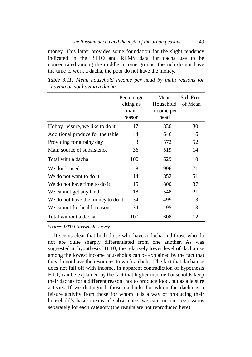money. This latter provides some foundation for the slight tendency indicated in the ISITO and RLMS data for dacha use to be concentrated among the middle income groups: the rich do not have the time to work a dacha, the poor do not have the money.

*Table 3.11: Mean household income per head by main reasons for having or not having a dacha.* 

|                                   | Percentage<br>citing as<br>main<br>reason | Mean<br>Household<br>Income per<br>head | Std. Error<br>of Mean |
|-----------------------------------|-------------------------------------------|-----------------------------------------|-----------------------|
| Hobby, leisure, we like to do it  | 17                                        | 830                                     | 30                    |
| Additional produce for the table  | 44                                        | 646                                     | 16                    |
| Providing for a rainy day         | 3                                         | 572                                     | 52                    |
| Main source of subsistence        | 36                                        | 519                                     | 14                    |
| Total with a dacha                | 100                                       | 629                                     | 10                    |
| We don't need it                  | 8                                         | 996                                     | 71                    |
| We do not want to do it           | 14                                        | 852                                     | 51                    |
| We do not have time to do it      | 15                                        | 800                                     | 37                    |
| We cannot get any land            | 18                                        | 548                                     | 21                    |
| We do not have the money to do it | 34                                        | 499                                     | 13                    |
| We cannot for health reasons      | 34                                        | 495                                     | 13                    |
| Total without a dacha             | 100                                       | 608                                     | 12                    |

#### *Source: ISITO Household survey*

It seems clear that both those who have a dacha and those who do not are quite sharply differentiated from one another. As was suggested in hypothesis H1.10, the relatively lower level of dacha use among the lowest income households can be explained by the fact that they do not have the resources to work a dacha. The fact that dacha use does not fall off with income, in apparent contradiction of hypothesis H1.1, can be explained by the fact that higher income households keep their dachas for a different reason: not to produce food, but as a leisure activity. If we distinguish those dachniki for whom the dacha is a leisure activity from those for whom it is a way of producing their household's basic means of subsistence, we can run our regressions separately for each category (the results are not reproduced here).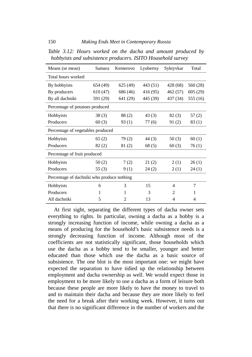| Means (se mean)                            | Samara   | Kemerovo       | Lyubertsy | Syktyvkar      | Total    |
|--------------------------------------------|----------|----------------|-----------|----------------|----------|
| Total hours worked                         |          |                |           |                |          |
| By hobbyists                               | 654 (49) | 625 (49)       | 443 (51)  | 428 (68)       | 560 (28) |
| By producers                               | 610(47)  | 686 (46)       | 416 (95)  | 462 (57)       | 605 (29) |
| By all dachniki                            | 591 (29) | 641 (29)       | 445 (39)  | 437 (34)       | 555 (16) |
| Percentage of potatoes produced            |          |                |           |                |          |
| Hobbyists                                  | 38(3)    | 88(2)          | 43(3)     | 82(3)          | 57(2)    |
| Producers                                  | 60(3)    | 93(1)          | 77(6)     | 91(2)          | 83(1)    |
| Percentage of vegetables produced          |          |                |           |                |          |
| Hobbyists                                  | 65(2)    | 79(2)          | 44 (3)    | 50(3)          | 60(1)    |
| Producers                                  | 82(2)    | 81(2)          | 68(5)     | 60(3)          | 76(1)    |
| Percentage of fruit produced               |          |                |           |                |          |
| Hobbyists                                  | 50(2)    | 7(2)           | 21(2)     | 2(1)           | 26(1)    |
| Producers                                  | 55 $(3)$ | 9(1)           | 24(2)     | 2(1)           | 24(1)    |
| Percentage of dachniki who produce nothing |          |                |           |                |          |
| Hobbyists                                  | 6        | 3              | 15        | $\overline{4}$ | 7        |
| Producers                                  | 1        | 1              | 3         | $\overline{2}$ |          |
| All dachniki                               | 5        | $\mathfrak{D}$ | 13        | 4              | 4        |

*Table 3.12: Hours worked on the dacha and amount produced by hobbyists and subsistence producers. ISITO Household survey* 

At first sight, separating the different types of dacha owner sets everything to rights. In particular, owning a dacha as a hobby is a strongly increasing function of income, while owning a dacha as a means of producing for the household's basic subsistence needs is a strongly decreasing function of income. Although most of the coefficients are not statistically significant, those households which use the dacha as a hobby tend to be smaller, younger and better educated than those which use the dacha as a basic source of subsistence. The one blot is the most important one: we might have expected the separation to have tidied up the relationship between employment and dacha ownership as well. We would expect those in employment to be more likely to use a dacha as a form of leisure both because these people are more likely to have the money to travel to and to maintain their dacha and because they are more likely to feel the need for a break after their working week. However, it turns out that there is no significant difference in the number of workers and the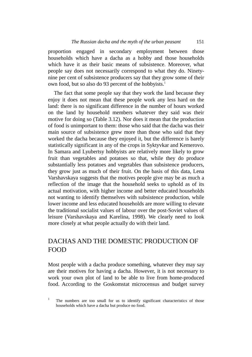proportion engaged in secondary employment between those households which have a dacha as a hobby and those households which have it as their basic means of subsistence. Moreover, what people say does not necessarily correspond to what they do. Ninetynine per cent of subsistence producers say that they grow some of their own food, but so also do 93 percent of the hobbyists.<sup>1</sup>

The fact that some people say that they work the land because they enjoy it does not mean that these people work any less hard on the land: there is no significant difference in the number of hours worked on the land by household members whatever they said was their motive for doing so (Table 3.12). Nor does it mean that the production of food is unimportant to them: those who said that the dacha was their main source of subsistence grew more than those who said that they worked the dacha because they enjoyed it, but the difference is barely statistically significant in any of the crops in Syktyvkar and Kemerovo. In Samara and Lyubertsy hobbyists are relatively more likely to grow fruit than vegetables and potatoes so that, while they do produce substantially less potatoes and vegetables than subsistence producers, they grow just as much of their fruit. On the basis of this data, Lena Varshavskaya suggests that the motives people give may be as much a reflection of the image that the household seeks to uphold as of its actual motivation, with higher income and better educated households not wanting to identify themselves with subsistence production, while lower income and less educated households are more willing to elevate the traditional socialist values of labour over the post-Soviet values of leisure (Varshavskaya and Karelina, 1998). We clearly need to look more closely at what people actually do with their land.

# DACHAS AND THE DOMESTIC PRODUCTION OF FOOD

Most people with a dacha produce something, whatever they may say are their motives for having a dacha. However, it is not necessary to work your own plot of land to be able to live from home-produced food. According to the Goskomstat microcensus and budget survey

<sup>1</sup> The numbers are too small for us to identify significant characteristics of those households which have a dacha but produce no food.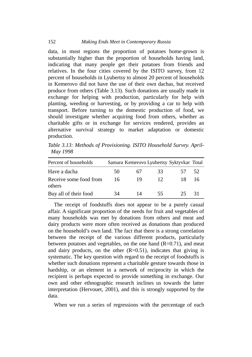data, in most regions the proportion of potatoes home-grown is substantially higher than the proportion of households having land, indicating that many people get their potatoes from friends and relatives. In the four cities covered by the ISITO survey, from 12 percent of households in Lyubertsy to almost 20 percent of households in Kemerovo did not have the use of their own dachas, but received produce from others (Table 3.13). Such donations are usually made in exchange for helping with production, particularly for help with planting, weeding or harvesting, or by providing a car to help with transport. Before turning to the domestic production of food, we should investigate whether acquiring food from others, whether as charitable gifts or in exchange for services rendered, provides an alternative survival strategy to market adaptation or domestic production.

*Table 3.13: Methods of Provisioning. ISITO Household Survey. April-May 1998*

| Percent of households            |    | Samara Kemerovo Lyubertsy Syktyvkar Total |              |     |     |
|----------------------------------|----|-------------------------------------------|--------------|-----|-----|
| Have a dacha                     | 50 | 67                                        | 33           | 57  | 52. |
| Receive some food from<br>others | 16 | 19                                        | $12^{\circ}$ | 18  | 16. |
| Buy all of their food            | 34 | 14                                        | 55.          | 25. | 31  |

The receipt of foodstuffs does not appear to be a purely casual affair. A significant proportion of the needs for fruit and vegetables of many households was met by donations from others and meat and dairy products were more often received as donations than produced on the household's own land. The fact that there is a strong correlation between the receipt of the various different products, particularly between potatoes and vegetables, on the one hand  $(R=0.71)$ , and meat and dairy products, on the other  $(R=0.51)$ , indicates that giving is systematic. The key question with regard to the receipt of foodstuffs is whether such donations represent a charitable gesture towards those in hardship, or an element in a network of reciprocity in which the recipient is perhaps expected to provide something in exchange. Our own and other ethnographic research inclines us towards the latter interpretation (Hervouet, 2001), and this is strongly supported by the data.

When we run a series of regressions with the percentage of each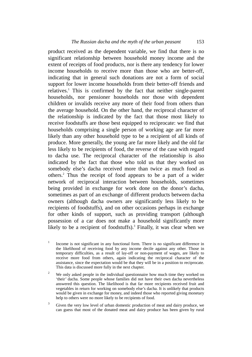product received as the dependent variable, we find that there is no significant relationship between household money income and the extent of receipts of food products, nor is there any tendency for lower income households to receive more than those who are better-off, indicating that in general such donations are not a form of social support for lower income households from their better-off friends and relatives.<sup>1</sup> This is confirmed by the fact that neither single-parent households, nor pensioner households nor those with dependent children or invalids receive any more of their food from others than the average household. On the other hand, the reciprocal character of the relationship is indicated by the fact that those most likely to receive foodstuffs are those best equipped to reciprocate: we find that households comprising a single person of working age are far more likely than any other household type to be a recipient of all kinds of produce. More generally, the young are far more likely and the old far less likely to be recipients of food, the reverse of the case with regard to dacha use. The reciprocal character of the relationship is also indicated by the fact that those who told us that they worked on somebody else's dacha received more than twice as much food as others.2 Thus the receipt of food appears to be a part of a wider network of reciprocal interaction between households, sometimes being provided in exchange for work done on the donor's dacha, sometimes as part of an exchange of different products between dacha owners (although dacha owners are significantly less likely to be recipients of foodstuffs), and on other occasions perhaps in exchange for other kinds of support, such as providing transport (although possession of a car does not make a household significantly more likely to be a recipient of foodstuffs).<sup>3</sup> Finally, it was clear when we

1 Income is not significant in any functional form. There is no significant difference in the likelihood of receiving food by any income decile against any other. Those in temporary difficulties, as a result of lay-off or non-payment of wages, are likely to receive more food from others, again indicating the reciprocal character of the assistance, since the expectation would be that they will be in a position to reciprocate. This data is discussed more fully in the next chapter.

 $\mathfrak{Z}$  We only asked people in the individual questionnaire how much time they worked on 'their' dacha. Some people whose families did not have their own dacha nevertheless answered this question. The likelihood is that far more recipients received fruit and vegetables in return for working on somebody else's dacha. It is unlikely that products would be given in exchange for money, and indeed those who reported giving monetary help to others were no more likely to be recipients of food.

3 Given the very low level of urban domestic production of meat and dairy produce, we can guess that most of the donated meat and dairy produce has been given by rural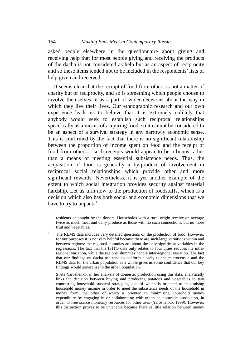asked people elsewhere in the questionnaire about giving and receiving help that for most people giving and receiving the products of the dacha is not considered as help but as an aspect of reciprocity and so these items tended not to be included in the respondents' lists of help given and received.

It seems clear that the receipt of food from others is not a matter of charity but of reciprocity, and so is something which people choose to involve themselves in as a part of wider decisions about the way in which they live their lives. Our ethnographic research and our own experience leads us to believe that it is extremely unlikely that anybody would seek to establish such reciprocal relationships specifically as a means of acquiring food, so it cannot be considered to be an aspect of a survival strategy in any narrowly economic sense. This is confirmed by the fact that there is no significant relationship between the proportion of income spent on food and the receipt of food from others – such receipts would appear to be a bonus rather than a means of meeting essential subsistence needs. Thus, the acquisition of food is generally a by-product of involvement in reciprocal social relationships which provide other and more significant rewards. Nevertheless, it is yet another example of the extent to which social integration provides security against material hardship. Let us turn now to the production of foodstuffs, which is a decision which also has both social and economic dimensions that we have to try to unpack.<sup>1</sup>

 The RLMS data includes very detailed questions on the production of food. However, for our purposes it is not very helpful because there are such large variations within and between regions: the regional dummies are about the only significant variables in the regressions. The fact that the ISITO data only relates to four cities reduces the intraregional variation, while the regional dummies handle inter-regional variation. The fact that our findings on dacha use tend to conform closely to the microcensus and the RLMS data for the urban population as a whole gives us some confidence that our key findings would generalise to the urban population.

1

 Sveta Yaroshenko, in her analysis of domestic production using this data, analytically links the decision between buying and producing potatoes and vegetables to two contrasting household survival strategies, one of which is oriented to maximising household money income in order to meet the subsistence needs of the household in money form, the other of which is oriented to minimising household money expenditure by engaging in or collaborating with others in domestic production, in order to free scarce monetary resources for other uses (Yaroshenko, 1999). However, this distinction proves to be untenable because there is little relation between money

residents or bought by the donors. Households with a rural origin receive on average twice as much meat and dairy produce as those with no such connections, but no more fruit and vegetables.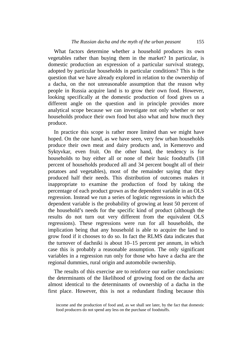What factors determine whether a household produces its own vegetables rather than buying them in the market? In particular, is domestic production an expression of a particular survival strategy, adopted by particular households in particular conditions? This is the question that we have already explored in relation to the ownership of a dacha, on the not unreasonable assumption that the reason why people in Russia acquire land is to grow their own food. However, looking specifically at the domestic production of food gives us a different angle on the question and in principle provides more analytical scope because we can investigate not only whether or not households produce their own food but also what and how much they produce.

In practice this scope is rather more limited than we might have hoped. On the one hand, as we have seen, very few urban households produce their own meat and dairy products and, in Kemerovo and Syktyvkar, even fruit. On the other hand, the tendency is for households to buy either all or none of their basic foodstuffs (18 percent of households produced all and 34 percent bought all of their potatoes and vegetables), most of the remainder saying that they produced half their needs. This distribution of outcomes makes it inappropriate to examine the production of food by taking the percentage of each product grown as the dependent variable in an OLS regression. Instead we run a series of logistic regressions in which the dependent variable is the probability of growing at least 50 percent of the household's needs for the specific kind of product (although the results do not turn out very different from the equivalent OLS regressions). These regressions were run for all households, the implication being that any household is able to acquire the land to grow food if it chooses to do so. In fact the RLMS data indicates that the turnover of dachniki is about 10–15 percent per annum, in which case this is probably a reasonable assumption. The only significant variables in a regression run only for those who have a dacha are the regional dummies, rural origin and automobile ownership.

The results of this exercise are to reinforce our earlier conclusions: the determinants of the likelihood of growing food on the dacha are almost identical to the determinants of ownership of a dacha in the first place. However, this is not a redundant finding because this

income and the production of food and, as we shall see later, by the fact that domestic food producers do not spend any less on the purchase of foodstuffs.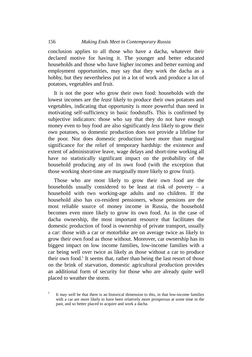conclusion applies to all those who have a dacha, whatever their declared motive for having it. The younger and better educated households and those who have higher incomes and better earning and employment opportunities, may say that they work the dacha as a hobby, but they nevertheless put in a lot of work and produce a lot of potatoes, vegetables and fruit.

It is not the poor who grow their own food: households with the lowest incomes are the *least* likely to produce their own potatoes and vegetables, indicating that opportunity is more powerful than need in motivating self-sufficiency in basic foodstuffs. This is confirmed by subjective indicators: those who say that they do not have enough money even to buy food are also significantly *less* likely to grow their own potatoes, so domestic production does not provide a lifeline for the poor. Nor does domestic production have more than marginal significance for the relief of temporary hardship: the existence and extent of administrative leave, wage delays and short-time working all have no statistically significant impact on the probability of the household producing any of its own food (with the exception that those working short-time are marginally more likely to grow fruit).

Those who are most likely to grow their own food are the households usually considered to be least at risk of poverty – a household with two working-age adults and no children. If the household also has co-resident pensioners, whose pensions are the most reliable source of money income in Russia, the household becomes even more likely to grow its own food. As in the case of dacha ownership, the most important resource that facilitates the domestic production of food is ownership of private transport, usually a car: those with a car or motorbike are on average twice as likely to grow their own food as those without. Moreover, car ownership has its biggest impact on low income families, low-income families with a car being well over twice as likely as those without a car to produce their own food.<sup>1</sup> It seems that, rather than being the last resort of those on the brink of starvation, domestic agricultural production provides an additional form of security for those who are already quite well placed to weather the storm.

<sup>1</sup> It may well be that there is an historical dimension to this, in that low-income families with a car are more likely to have been relatively more prosperous at some time in the past, and so better placed to acquire and work a dacha.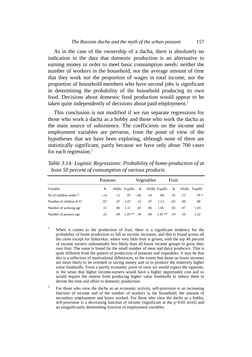As in the case of the ownership of a dacha, there is absolutely no indication in the data that domestic production is an alternative to earning money in order to meet basic consumption needs: neither the number of workers in the household, nor the average amount of time that they work nor the proportion of wages in total income, nor the proportion of household members who have second jobs is significant in determining the probability of the household producing its own food. Decisions about domestic food production would appear to be taken quite independently of decisions about paid employment.<sup>1</sup>

This conclusion is not modified if we run separate regressions for those who work a dacha as a hobby and those who work the dacha as the main source of subsistence. The coefficients on the income and employment variables are perverse, from the point of view of the hypotheses that we have been exploring, although none of them are statistically significant, partly because we have only about 700 cases for each regression. $2$ 

|                         | Potatoes |       |          |        | Vegetables |                  | Fruit  |       |        |
|-------------------------|----------|-------|----------|--------|------------|------------------|--------|-------|--------|
|                         |          |       |          |        |            |                  |        |       |        |
| Variable                | B        | SE(B) | Exp(B)   | B      |            | $SE(B)$ $Exp(B)$ | B      | SE(B) | Exp(B) |
| No of children under 7  | $-.14$   | .11   | .87      | $-.06$ | .10        | .94              | $-.35$ | .15   | $.70*$ |
| Number of children 8-15 | .07      | .07   | 1.07     | .12    | .07        | 1.13             | $-.02$ | .09   | .98    |
| Number of working age.  | .11      | .06   | 1.11     | .05    | .06        | 1.05             | .03    | .07   | 1.03   |
| Number of pension age.  | .25      | .09   | $1.29**$ | .39    | .09        | $1.47**$         | .19    | .10   | 1.22   |

*Table 3.14: Logistic Regressions: Probability of home-production of at least 50 percent of consumption of various products* 

1 When it comes to the production of fruit, there is a significant tendency for the probability of home production to fall as income increases, and this is found across all the cities except for Syktyvkar, where very little fruit is grown, with the top 40 percent of income earners substantially less likely than all lower income groups to grow their own fruit. The same is found for the small number of meat and dairy producers. This is quite different from the pattern of production of potatoes and vegetables. It may be that this is a reflection of motivational differences, to the extent that those on lower incomes are more likely to be oriented to saving money and so to produce the relatively higher value foodstuffs. From a purely economic point of view we would expect the opposite, in the sense that higher income-earners would have a higher opportunity cost and so would require the returns from producing higher value foodstuffs to induce them to devote the time and effort to domestic production.

2 For those who view the dacha as an economic activity, self-provision is an increasing function of income and of the number of workers in the household, the amount of secondary employment and hours worked. For those who view the dacha as a hobby, self-provision is a decreasing function of income (significant at the p<0.05 level) and an insignificantly diminishing function of employment variables.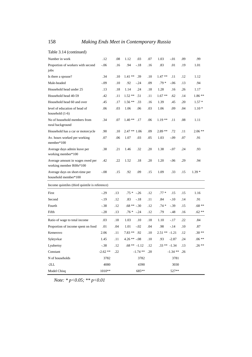# Table 3.14 (continued)

| Number in work                                              | .12        | .08 | 1.12<br>.03      | .07 | 1.03<br>$-.01$      | .09        | .99      |
|-------------------------------------------------------------|------------|-----|------------------|-----|---------------------|------------|----------|
| Proportion of workers with second<br>jobs                   | $-0.06$    | .16 | .94<br>$-.18$    | .16 | .83<br>.01          | .19        | 1.01     |
| Is there a spouse?                                          | .34        | .10 | $1.41**$<br>.39  | .10 | $1.47**$<br>.11     | .12        | 1.12     |
| Male-headed                                                 | $-0.09$    | .10 | .92<br>$-.24$    | .09 | $.79*$<br>$-.06$    | .13        | .94      |
| Household head under 25                                     | .13        | .18 | 1.14<br>.24      | .18 | 1.28<br>.16         | .26        | 1.17     |
| Household head 40-59                                        | .42        | .11 | $1.52**$<br>.51  | .11 | $1.67**$            | .62<br>.14 | $1.86**$ |
| Household head 60 and over                                  | .45        | .17 | $1.56**$<br>.33  | .16 | 1.39<br>.45         | .20        | $1.57*$  |
| level of education of head of<br>household (1-6)            | .06        | .03 | 1.06<br>.06      | .03 | 1.06<br>.09         | .04        | $1.10*$  |
| No of household members from<br>rural background            | .34        | .07 | $1.40**$<br>.17  | .06 | $1.19**$<br>.11     | .08        | 1.11     |
| Household has a car or motorcycle                           | .90        | .10 | $2.47**1.06$     | .09 | $2.89**$<br>.72     | .11        | $2.06**$ |
| Av. hours worked per working<br>member*100                  | .07        | .06 | .03<br>1.07      | .05 | 1.03<br>$-.09$      | .07        | .91      |
| Average days admin leave per<br>working member*100          | .38        | .21 | 1.46<br>.32      | .20 | 1.38<br>$-.07$      | .24        | .93      |
| Average amount in wages owed per<br>working member R00s*100 | .42        | .22 | 1.52<br>.18      | .20 | 1.20<br>$-0.06$     | .29        | .94      |
| Average days on short-time per<br>household member*100      | $-0.08$    | .15 | .92<br>.09       | .15 | 1.09<br>.33         | .15        | $1.39*$  |
| Income quintiles (third quintile is reference)              |            |     |                  |     |                     |            |          |
| First                                                       | $-.29$     | .13 | $.75 * -.26$     | .12 | $.77*$<br>.15       | .15        | 1.16     |
| Second                                                      | -.19       | .12 | .83<br>$-.18$    | .11 | .84<br>$-.10$       | .14        | .91      |
| Fourth                                                      | $-.38$     | .12 | $.68**-.30$      | .12 | $.74*$<br>$-0.39$   | .15        | $.68**$  |
| Fifth                                                       | $-.28$     | .13 | $.76 * -0.24$    | .12 | .79<br>$-48$        | .16        | $.62**$  |
| Ratio of wage to total income                               | .03        | .18 | 1.03<br>.10      | .18 | 1.10<br>$-.17$      | .22        | .84      |
| Proportion of income spent on food                          | .01        | .04 | 1.01<br>$-.02$   | .04 | .98<br>$-14$        | .10        | .87      |
| Kemerovo                                                    | 2.06       | .11 | $7.83**$<br>.92  | .10 | $2.51**$<br>$-1.21$ | .12        | $.30**$  |
| Syktyvkar                                                   | 1.45       | .11 | $4.26** -08$     | .10 | .93<br>$-2.87$      | .24        | $.06**$  |
| Lyubertsy                                                   | $-.38$     | .12 | $.68$ ** $-1.12$ | .12 | $.33***$ -1.34      | .13        | $.26**$  |
| Constant                                                    | $-2.62$ ** | .22 | $-1.74$ **       | .20 | $-1.34$ **          | .26        |          |
| N of households                                             | 3782       |     | 3782             |     |                     | 3781       |          |
| $-2LL$                                                      | 4080       |     | 4390             |     |                     | 3030       |          |
| Model Chisq                                                 | 1010**     |     | 685**            |     |                     | 527**      |          |

*Note: \* p<0.05; \*\* p<0.01*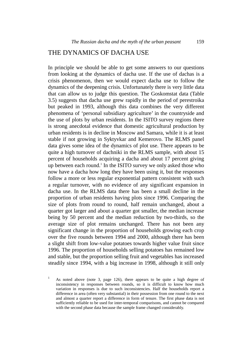## THE DYNAMICS OF DACHA USE

In principle we should be able to get some answers to our questions from looking at the dynamics of dacha use. If the use of dachas is a crisis phenomenon, then we would expect dacha use to follow the dynamics of the deepening crisis. Unfortunately there is very little data that can allow us to judge this question. The Goskomstat data (Table 3.5) suggests that dacha use grew rapidly in the period of perestroika but peaked in 1993, although this data combines the very different phenomena of 'personal subsidiary agriculture' in the countryside and the use of plots by urban residents. In the ISITO survey regions there is strong anecdotal evidence that domestic agricultural production by urban residents is in decline in Moscow and Samara, while it is at least stable if not growing in Syktyvkar and Kemerovo. The RLMS panel data gives some idea of the dynamics of plot use. There appears to be quite a high turnover of dachniki in the RLMS sample, with about 15 percent of households acquiring a dacha and about 17 percent giving up between each round.<sup>1</sup> In the ISITO survey we only asked those who now have a dacha how long they have been using it, but the responses follow a more or less regular exponential pattern consistent with such a regular turnover, with no evidence of any significant expansion in dacha use. In the RLMS data there has been a small decline in the proportion of urban residents having plots since 1996. Comparing the size of plots from round to round, half remain unchanged, about a quarter got larger and about a quarter got smaller, the median increase being by 50 percent and the median reduction by two-thirds, so the average size of plot remains unchanged. There has not been any significant change in the proportion of households growing each crop over the five rounds between 1994 and 2000, although there has been a slight shift from low-value potatoes towards higher value fruit since 1996. The proportion of households selling potatoes has remained low and stable, but the proportion selling fruit and vegetables has increased steadily since 1994, with a big increase in 1998, although it still only

<sup>1</sup> As noted above (note 3, page 126), there appears to be quite a high degree of inconsistency in responses between rounds, so it is difficult to know how much variation in responses is due to such inconsistencies. Half the households report a difference in area (often very substantial) in their possession from one round to the next and almost a quarter report a difference in form of tenure. The first phase data is not sufficiently reliable to be used for inter-temporal comparisons, and cannot be compared with the second phase data because the sample frame changed considerably.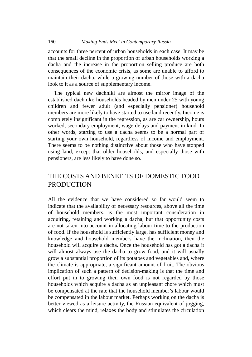#### 160 *Making Ends Meet in Contemporary Russia*

accounts for three percent of urban households in each case. It may be that the small decline in the proportion of urban households working a dacha and the increase in the proportion selling produce are both consequences of the economic crisis, as some are unable to afford to maintain their dacha, while a growing number of those with a dacha look to it as a source of supplementary income.

The typical new dachniki are almost the mirror image of the established dachniki: households headed by men under 25 with young children and fewer adult (and especially pensioner) household members are more likely to have started to use land recently. Income is completely insignificant in the regression, as are car ownership, hours worked, secondary employment, wage delays and payment in kind. In other words, starting to use a dacha seems to be a normal part of starting your own household, regardless of income and employment. There seems to be nothing distinctive about those who have stopped using land, except that older households, and especially those with pensioners, are less likely to have done so.

# THE COSTS AND BENEFITS OF DOMESTIC FOOD PRODUCTION

All the evidence that we have considered so far would seem to indicate that the availability of necessary resources, above all the time of household members, is the most important consideration in acquiring, retaining and working a dacha, but that opportunity costs are not taken into account in allocating labour time to the production of food. If the household is sufficiently large, has sufficient money and knowledge and household members have the inclination, then the household will acquire a dacha. Once the household has got a dacha it will almost always use the dacha to grow food, and it will usually grow a substantial proportion of its potatoes and vegetables and, where the climate is appropriate, a significant amount of fruit. The obvious implication of such a pattern of decision-making is that the time and effort put in to growing their own food is not regarded by those households which acquire a dacha as an unpleasant chore which must be compensated at the rate that the household member's labour would be compensated in the labour market. Perhaps working on the dacha is better viewed as a leisure activity, the Russian equivalent of jogging, which clears the mind, relaxes the body and stimulates the circulation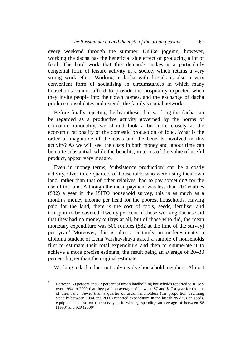every weekend through the summer. Unlike jogging, however, working the dacha has the beneficial side effect of producing a lot of food. The hard work that this demands makes it a particularly congenial form of leisure activity in a society which retains a very strong work ethic. Working a dacha with friends is also a very convenient form of socialising in circumstances in which many households cannot afford to provide the hospitality expected when they invite people into their own homes, and the exchange of dacha produce consolidates and extends the family's social networks.

Before finally rejecting the hypothesis that working the dacha can be regarded as a productive activity governed by the norms of economic rationality, we should look a bit more closely at the economic rationality of the domestic production of food. What is the order of magnitude of the costs and the benefits involved in this activity? As we will see, the costs in both money and labour time can be quite substantial, while the benefits, in terms of the value of useful product, appear very meagre.

Even in money terms, 'subsistence production' can be a costly activity. Over three-quarters of households who were using their own land, rather than that of other relatives, had to pay something for the use of the land. Although the mean payment was less than 200 roubles (\$32) a year in the ISITO household survey, this is as much as a month's money income per head for the poorest households. Having paid for the land, there is the cost of tools, seeds, fertiliser and transport to be covered. Twenty per cent of those working dachas said that they had no money outlays at all, but of those who did, the mean monetary expenditure was 500 roubles (\$82 at the time of the survey) per year.<sup>1</sup> Moreover, this is almost certainly an underestimate: a diploma student of Lena Varshavskaya asked a sample of households first to estimate their total expenditure and then to enumerate it to achieve a more precise estimate, the result being an average of 20–30 percent higher than the original estimate.

Working a dacha does not only involve household members. Almost

<sup>1</sup> Between 69 percent and 72 percent of urban landholding households reported to RLMS over 1994 to 2000 that they paid an average of between \$7 and \$17 a year for the use of their land. Fewer than a quarter of urban landholders (the proportion declining steadily between 1994 and 2000) reported expenditure in the last thirty days on seeds, equipment and so on (the survey is in winter), spending an average of between \$8 (1998) and \$29 (2000).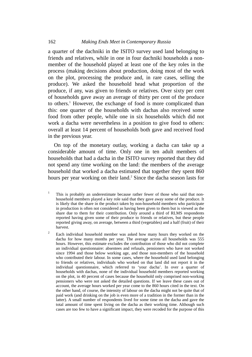a quarter of the dachniki in the ISITO survey used land belonging to friends and relatives, while in one in four dachniki households a nonmember of the household played at least one of the key roles in the process (making decisions about production, doing most of the work on the plot, processing the produce and, in rare cases, selling the produce). We asked the household head what proportion of the produce, if any, was given to friends or relatives. Over sixty per cent of households gave away an average of thirty per cent of the produce to others.<sup>1</sup> However, the exchange of food is more complicated than this: one quarter of the households with dachas also received some food from other people, while one in six households which did not work a dacha were nevertheless in a position to give food to others: overall at least 14 percent of households both gave and received food in the previous year.

On top of the monetary outlay, working a dacha can take up a considerable amount of time. Only one in ten adult members of households that had a dacha in the ISITO survey reported that they did not spend any time working on the land: the members of the average household that worked a dacha estimated that together they spent 860 hours per year working on their land.<sup>2</sup> Since the dacha season lasts for

2 Each individual household member was asked how many hours they worked on the dacha for how many months per year. The average across all households was 555 hours. However, this estimate excludes the contribution of those who did not complete an individual questionnaire: absentees and refusals, pensioners who have not worked since 1994 and those below working age, and those non-members of the household who contributed their labour. In some cases, where the household used land belonging to friends or relatives, individuals who worked on that land did not report it in the individual questionnaire, which referred to 'your dacha'. In over a quarter of households with dachas, none of the individual household members reported working on the plot, in 40 percent of cases because the household only comprised non-working pensioners who were not asked the detailed questions. If we leave these cases out of account, the average hours worked per year come to the 860 hours cited in the text. On the other hand, of course, the intensity of labour on the dacha might not be quite that of paid work (and drinking on the job is even more of a tradition in the former than in the latter). A small number of respondents lived for some time on the dacha and gave the total amount of time spent living on the dacha as their working time. Although such cases are too few to have a significant impact, they were recoded for the purpose of this

<sup>1</sup> This is probably an underestimate because rather fewer of those who said that nonhousehold members played a key role said that they gave away some of the produce. It is likely that the share in the product taken by non-household members who participate in production is often not considered as having been given to them but is viewed as the share due to them for their contribution. Only around a third of RLMS respondents reported having given some of their produce to friends or relatives, but these people reported giving away, on average, between a third (vegetables) and a half (fruit) of their harvest.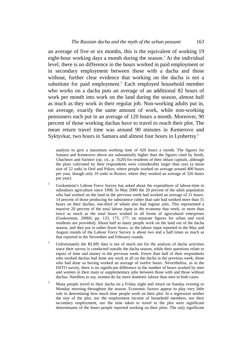an average of five or six months, this is the equivalent of working 19 eight-hour working days a month during the season.<sup>1</sup> At the individual level, there is no difference in the hours worked in paid employment or in secondary employment between those with a dacha and those without, further clear evidence that working on the dacha is not a substitute for paid employment.<sup>2</sup> Each employed household member who works on a dacha puts an average of an additional 82 hours of work per month into work on the land during the season, almost half as much as they work in their regular job. Non-working adults put in, on average, exactly the same amount of work, while non-working pensioners each put in an average of 120 hours a month. Moreover, 90 percent of those working dachas have to travel to reach their plot. The mean return travel time was around 90 minutes in Kemerovo and Syktyvkar, two hours in Samara and almost four hours in Lyubertsy.<sup>3</sup>

analysis to give a maximum working time of 420 hours a month. The figures for Samara and Kemerovo above are substantially higher than the figures cited by Seeth, Chachnov and Surinov (op. cit., p. 1620) for residents of their oblast capitals, although the plots cultivated by their respondents were considerably larger than ours (a mean size of 22 sotki in Orel and Pskov, where people worked on average around 400 hours per year, though only 10 sotki in Rostov, where they worked an average of 326 hours per year).

- 1 Goskomstat's Labour Force Survey has asked about the expenditure of labour-time in subsidiary agriculture since 1998. In May 2000 the 20 percent of the adult population who had worked on the land in the previous week had worked an average of 21 hours: 14 percent of those producing for subsistence rather than sale had worked more than 31 hours on their dachas, one-third of whom also had regular jobs. This represented a massive 20 percent of the total labour input in the economy that week, or more than twice as much as the total hours worked in all forms of agricultural enterprises (Goskomstat, 2000d, pp. 133, 175, 177: no separate figures for urban and rural residents are provided). About half as many people work on the land out of the dacha season, and they put in rather fewer hours, so the labour input reported in the May and August rounds of the Labour Force Survey is about two and a half times as much as that reported in the November and February rounds.
- 2 Unfortunately the RLMS data is not of much use for the analysis of dacha activities since their survey is conducted outside the dacha season, while their questions relate to inputs of time and money in the previous week. Fewer than half of their respondents who worked dachas had done any work at all on the dacha in the previous week, those who had done so having worked an average of twelve hours. Nevertheless, as in the ISITO survey, there is no significant difference in the number of hours worked by men and women in their main or supplementary jobs between those with and those without dachas. Needless to say, women do far more domestic labour than men in both cases.
- 3 Many people travel to their dacha on a Friday night and return on Sunday evening or Monday morning throughout the season. Economic factors appear to play very little role in determining how much time people work on their plot. In a regression neither the size of the plot, nor the employment income of household members, nor their secondary employment, nor the time taken to travel to the plot were significant determinants of the hours people reported working on their plots. The only significant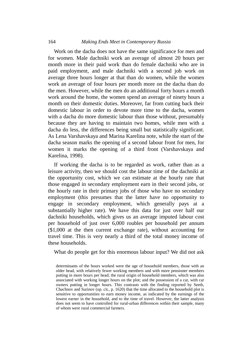#### 164 *Making Ends Meet in Contemporary Russia*

Work on the dacha does not have the same significance for men and for women. Male dachniki work an average of almost 20 hours per month more in their paid work than do female dachniki who are in paid employment, and male dachniki with a second job work on average three hours longer at that than do women, while the women work an average of four hours per month more on the dacha than do the men. However, while the men do an additional forty hours a month work around the home, the women spend an average of ninety hours a month on their domestic duties. Moreover, far from cutting back their domestic labour in order to devote more time to the dacha, women with a dacha do more domestic labour than those without, presumably because they are having to maintain two homes, while men with a dacha do less, the differences being small but statistically significant. As Lena Varshavskaya and Marina Karelina note, while the start of the dacha season marks the opening of a second labour front for men, for women it marks the opening of a third front (Varshavskaya and Karelina, 1998).

If working the dacha is to be regarded as work, rather than as a leisure activity, then we should cost the labour time of the dachniki at the opportunity cost, which we can estimate at the hourly rate that those engaged in secondary employment earn in their second jobs, or the hourly rate in their primary jobs of those who have no secondary employment (this presumes that the latter have no opportunity to engage in secondary employment, which generally pays at a substantially higher rate). We have this data for just over half our dachniki households, which gives us an average imputed labour cost per household of just over 6,000 roubles per household per annum (\$1,000 at the then current exchange rate), without accounting for travel time. This is very nearly a third of the total money income of these households.

What do people get for this enormous labour input? We did not ask

determinants of the hours worked were the age of household members, those with an older head, with relatively fewer working members and with more pensioner members putting in more hours per head; the rural origin of household members, which was also associated with working longer hours on the plot; and the possession of a car, with car owners putting in longer hours. This contrasts with the finding reported by Seeth, Chachnov and Surinov (op. cit., p. 1620) that the time allocated to the household plot is sensitive to opportunities to earn money income, as indicated by the earnings of the lowest earner in the household, and to the time of travel. However, the latter analysis does not seem to have controlled for rural-urban differences within their sample, many of whom were rural commercial farmers.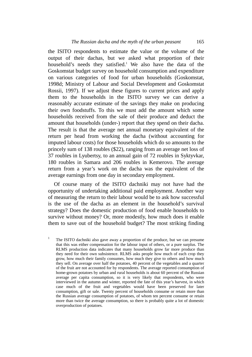the ISITO respondents to estimate the value or the volume of the output of their dachas, but we asked what proportion of their household's needs they satisfied.<sup>1</sup> We also have the data of the Goskomstat budget survey on household consumption and expenditure on various categories of food for urban households (Goskomstat, 1998d; Ministry of Labour and Social Development and Goskomstat Rossii, 1997). If we adjust these figures to current prices and apply them to the households in the ISITO survey we can derive a reasonably accurate estimate of the savings they make on producing their own foodstuffs. To this we must add the amount which some households received from the sale of their produce and deduct the amount that households (under-) report that they spend on their dacha. The result is that the average net annual monetary equivalent of the return per head from working the dacha (without accounting for imputed labour costs) for those households which do so amounts to the princely sum of 138 roubles (\$22), ranging from an average net loss of 37 roubles in Lyubertsy, to an annual gain of 72 roubles in Syktyvkar, 180 roubles in Samara and 206 roubles in Kemerovo. The average return from a year's work on the dacha was the equivalent of the average earnings from one day in secondary employment.

Of course many of the ISITO dachniki may not have had the opportunity of undertaking additional paid employment. Another way of measuring the return to their labour would be to ask how successful is the use of the dacha as an element in the household's survival strategy? Does the domestic production of food enable households to survive without money? Or, more modestly, how much does it enable them to save out of the household budget? The most striking finding

1

The ISITO dachniki also gave away a proportion of the produce, but we can presume that this was either compensation for the labour input of others, or a pure surplus. The RLMS production data indicates that many households grow far more produce than they need for their own subsistence. RLMS asks people how much of each crop they grow, how much their family consumes, how much they give to others and how much they sell. On average over half the potatoes, 40 percent of the vegetables and a quarter of the fruit are not accounted for by respondents. The average reported consumption of home-grown potatoes by urban and rural households is about 60 percent of the Russian average per capita consumption, so it is very likely that respondents, who were interviewed in the autumn and winter, reported the fate of this year's harvest, in which case much of the fruit and vegetables would have been preserved for later consumption, gift or sale. Twenty percent of households consume or retain more than the Russian average consumption of potatoes, of whom ten percent consume or retain more than twice the average consumption, so there is probably quite a lot of domestic overproduction of potatoes.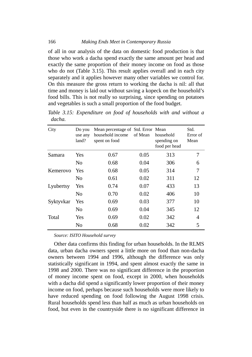#### 166 *Making Ends Meet in Contemporary Russia*

of all in our analysis of the data on domestic food production is that those who work a dacha spend exactly the same amount per head and exactly the same proportion of their money income on food as those who do not (Table 3.15). This result applies overall and in each city separately and it applies however many other variables we control for. On this measure the gross return to working the dacha is nil: all that time and money is laid out without saving a kopeck on the household's food bills. This is not really so surprising, since spending on potatoes and vegetables is such a small proportion of the food budget.

*Table 3.15: Expenditure on food of households with and without a dacha.* 

| City      | Do you<br>use any<br>land? | Mean percentage of Std. Error Mean<br>household income<br>spent on food | of Mean | household<br>spending on<br>food per head | Std.<br>Error of<br>Mean |
|-----------|----------------------------|-------------------------------------------------------------------------|---------|-------------------------------------------|--------------------------|
| Samara    | Yes                        | 0.67                                                                    | 0.05    | 313                                       | 7                        |
|           | N <sub>0</sub>             | 0.68                                                                    | 0.04    | 306                                       | 6                        |
| Kemerovo  | Yes                        | 0.68                                                                    | 0.05    | 314                                       | 7                        |
|           | No                         | 0.61                                                                    | 0.02    | 311                                       | 12                       |
| Lyubertsy | Yes                        | 0.74                                                                    | 0.07    | 433                                       | 13                       |
|           | N <sub>0</sub>             | 0.70                                                                    | 0.02    | 406                                       | 10                       |
| Syktyvkar | Yes                        | 0.69                                                                    | 0.03    | 377                                       | 10                       |
|           | No                         | 0.69                                                                    | 0.04    | 345                                       | 12                       |
| Total     | Yes                        | 0.69                                                                    | 0.02    | 342                                       | 4                        |
|           | N <sub>0</sub>             | 0.68                                                                    | 0.02    | 342                                       | 5                        |

*Source: ISITO Household survey* 

Other data confirms this finding for urban households. In the RLMS data, urban dacha owners spent a little more on food than non-dacha owners between 1994 and 1996, although the difference was only statistically significant in 1994, and spent almost exactly the same in 1998 and 2000. There was no significant difference in the proportion of money income spent on food, except in 2000, when households with a dacha did spend a significantly lower proportion of their money income on food, perhaps because such households were more likely to have reduced spending on food following the August 1998 crisis. Rural households spend less than half as much as urban households on food, but even in the countryside there is no significant difference in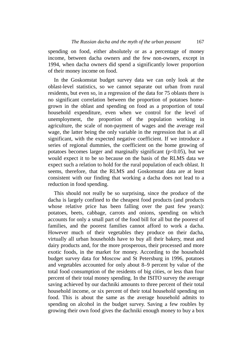spending on food, either absolutely or as a percentage of money income, between dacha owners and the few non-owners, except in 1994, when dacha owners did spend a significantly lower proportion of their money income on food.

In the Goskomstat budget survey data we can only look at the oblast-level statistics, so we cannot separate out urban from rural residents, but even so, in a regression of the data for 75 oblasts there is no significant correlation between the proportion of potatoes homegrown in the oblast and spending on food as a proportion of total household expenditure, even when we control for the level of unemployment, the proportion of the population working in agriculture, the scale of non-payment of wages and the average real wage, the latter being the only variable in the regression that is at all significant, with the expected negative coefficient. If we introduce a series of regional dummies, the coefficient on the home growing of potatoes becomes larger and marginally significant  $(p<0.05)$ , but we would expect it to be so because on the basis of the RLMS data we expect such a relation to hold for the rural population of each oblast. It seems, therefore, that the RLMS and Goskomstat data are at least consistent with our finding that working a dacha does not lead to a reduction in food spending.

This should not really be so surprising, since the produce of the dacha is largely confined to the cheapest food products (and products whose relative price has been falling over the past few years): potatoes, beets, cabbage, carrots and onions, spending on which accounts for only a small part of the food bill for all but the poorest of families, and the poorest families cannot afford to work a dacha. However much of their vegetables they produce on their dacha, virtually all urban households have to buy all their bakery, meat and dairy products and, for the more prosperous, their processed and more exotic foods, in the market for money. According to the household budget survey data for Moscow and St Petersburg in 1996, potatoes and vegetables accounted for only about 8–9 percent by value of the total food consumption of the residents of big cities, or less than four percent of their total money spending. In the ISITO survey the average saving achieved by our dachniki amounts to three percent of their total household income, or six percent of their total household spending on food. This is about the same as the average household admits to spending on alcohol in the budget survey. Saving a few roubles by growing their own food gives the dachniki enough money to buy a box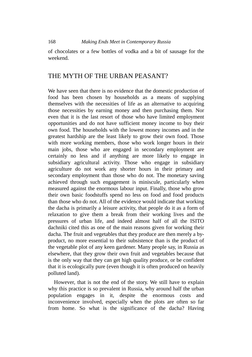of chocolates or a few bottles of vodka and a bit of sausage for the weekend.

### THE MYTH OF THE URBAN PEASANT?

We have seen that there is no evidence that the domestic production of food has been chosen by households as a means of supplying themselves with the necessities of life as an alternative to acquiring those necessities by earning money and then purchasing them. Nor even that it is the last resort of those who have limited employment opportunities and do not have sufficient money income to buy their own food. The households with the lowest money incomes and in the greatest hardship are the least likely to grow their own food. Those with more working members, those who work longer hours in their main jobs, those who are engaged in secondary employment are certainly no less and if anything are more likely to engage in subsidiary agricultural activity. Those who engage in subsidiary agriculture do not work any shorter hours in their primary and secondary employment than those who do not. The monetary saving achieved through such engagement is miniscule, particularly when measured against the enormous labour input. Finally, those who grow their own basic foodstuffs spend no less on food and food products than those who do not. All of the evidence would indicate that working the dacha is primarily a leisure activity, that people do it as a form of relaxation to give them a break from their working lives and the pressures of urban life, and indeed almost half of all the ISITO dachniki cited this as one of the main reasons given for working their dacha. The fruit and vegetables that they produce are then merely a byproduct, no more essential to their subsistence than is the product of the vegetable plot of any keen gardener. Many people say, in Russia as elsewhere, that they grow their own fruit and vegetables because that is the only way that they can get high quality produce, or be confident that it is ecologically pure (even though it is often produced on heavily polluted land).

However, that is not the end of the story. We still have to explain why this practice is so prevalent in Russia, why around half the urban population engages in it, despite the enormous costs and inconvenience involved, especially when the plots are often so far from home. So what is the significance of the dacha? Having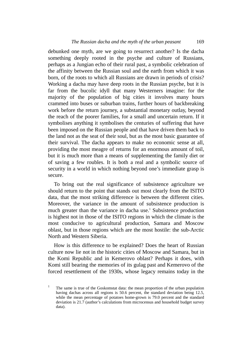debunked one myth, are we going to resurrect another? Is the dacha something deeply rooted in the psyche and culture of Russians, perhaps as a Jungian echo of their rural past, a symbolic celebration of the affinity between the Russian soul and the earth from which it was born, of the roots to which all Russians are drawn in periods of crisis? Working a dacha may have deep roots in the Russian psyche, but it is far from the bucolic idyll that many Westerners imagine: for the majority of the population of big cities it involves many hours crammed into buses or suburban trains, further hours of backbreaking work before the return journey, a substantial monetary outlay, beyond the reach of the poorer families, for a small and uncertain return. If it symbolises anything it symbolises the centuries of suffering that have been imposed on the Russian people and that have driven them back to the land not as the seat of their soul, but as the most basic guarantee of their survival. The dacha appears to make no economic sense at all, providing the most meagre of returns for an enormous amount of toil, but it is much more than a means of supplementing the family diet or of saving a few roubles. It is both a real and a symbolic source of security in a world in which nothing beyond one's immediate grasp is secure.

To bring out the real significance of subsistence agriculture we should return to the point that stands out most clearly from the ISITO data, that the most striking difference is between the different cities. Moreover, the variance in the amount of subsistence production is much greater than the variance in dacha use.<sup>1</sup> Subsistence production is highest not in those of the ISITO regions in which the climate is the most conducive to agricultural production, Samara and Moscow oblast, but in those regions which are the most hostile: the sub-Arctic North and Western Siberia.

How is this difference to be explained? Does the heart of Russian culture now lie not in the historic cities of Moscow and Samara, but in the Komi Republic and in Kemerovo oblast? Perhaps it does, with Komi still bearing the memories of its gulag past and Kemerovo of the forced resettlement of the 1930s, whose legacy remains today in the

<sup>1</sup> The same is true of the Goskomstat data: the mean proportion of the urban population having dachas across all regions is 50.6 percent, the standard deviation being 12.5, while the mean percentage of potatoes home-grown is 79.0 percent and the standard deviation is 21.7 (author's calculations from microcensus and household budget survey data).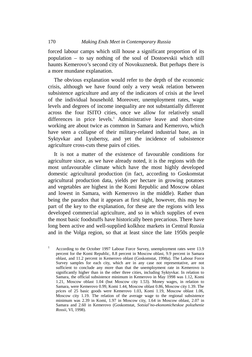forced labour camps which still house a significant proportion of its population – to say nothing of the soul of Dostoevskii which still haunts Kemerovo's second city of Novokuznetsk. But perhaps there is a more mundane explanation.

The obvious explanation would refer to the depth of the economic crisis, although we have found only a very weak relation between subsistence agriculture and any of the indicators of crisis at the level of the individual household. Moreover, unemployment rates, wage levels and degrees of income inequality are not substantially different across the four ISITO cities, once we allow for relatively small differences in price levels.<sup>1</sup> Administrative leave and short-time working are about twice as common in Samara and Kemerovo, which have seen a collapse of their military-related industrial base, as in Syktyvkar and Lyubertsy, and yet the incidence of subsistence agriculture cross-cuts these pairs of cities.

It is not a matter of the existence of favourable conditions for agriculture since, as we have already noted, it is the regions with the most unfavourable climate which have the most highly developed domestic agricultural production (in fact, according to Goskomstat agricultural production data, yields per hectare in growing potatoes and vegetables are highest in the Komi Republic and Moscow oblast and lowest in Samara, with Kemerovo in the middle). Rather than being the paradox that it appears at first sight, however, this may be part of the key to the explanation, for these are the regions with less developed commercial agriculture, and so in which supplies of even the most basic foodstuffs have historically been precarious. There have long been active and well-supplied kolkhoz markets in Central Russia and in the Volga region, so that at least since the late 1950s people

1

According to the October 1997 Labour Force Survey, unemployment rates were 13.9 percent for the Komi Republic, 8.8 percent in Moscow oblast, 9.9 percent in Samara oblast, and 11.2 percent in Kemerovo oblast (Goskomstat, 1998a). The Labour Force Survey samples for each city, which are in any case not representative, are not sufficient to conclude any more than that the unemployment rate in Kemerovo is significantly higher than in the other three cities, including Syktyvkar. In relation to Samara, the official subsistence minimum in Kemerovo in May 1998 was 1.12, Komi 1.21, Moscow oblast 1.04 (but Moscow city 1.53). Money wages, in relation to Samara, were Kemerovo 0.99, Komi 1.44, Moscow oblast 0.86, Moscow city 1.39. The prices of 25 basic goods were Kemerovo 1.03, Komi 1.19, Moscow oblast 1.06, Moscow city 1.19. The relation of the average wage to the regional subsistence minimum was 2.39 in Komi, 1.97 in Moscow city, 1.64 in Moscow oblast, 2.07 in Samara and 2.60 in Kemerovo (Goskomstat, *Sotsial'no-ekonomicheskoe polozhenie Rossii*, VI, 1998).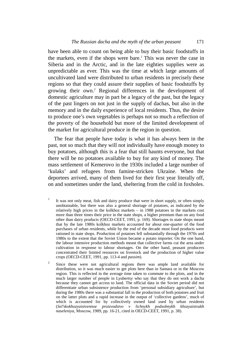have been able to count on being able to buy their basic foodstuffs in the markets, even if the shops were bare.<sup>1</sup> This was never the case in Siberia and in the Arctic, and in the late eighties supplies were as unpredictable as ever. This was the time at which large amounts of uncultivated land were distributed to urban residents in precisely these regions so that they could assure their supplies of basic foodstuffs by growing their own.2 Regional differences in the development of domestic agriculture may in part be a legacy of the past, but the legacy of the past lingers on not just in the supply of dachas, but also in the memory and in the daily experience of local residents. Thus, the desire to produce one's own vegetables is perhaps not so much a reflection of the poverty of the household but more of the limited development of the market for agricultural produce in the region in question.

The fear that people have today is what it has always been in the past, not so much that they will not individually have enough money to buy potatoes, although this is a fear that still haunts everyone, but that there will be no potatoes available to buy for any kind of money. The mass settlement of Kemerovo in the 1930s included a large number of 'kulaks' and refugees from famine-stricken Ukraine. When the deportees arrived, many of them lived for their first year literally off, on and sometimes under the land, sheltering from the cold in foxholes.

- 1 It was not only meat, fish and dairy produce that were in short supply, or often simply unobtainable, but there was also a general shortage of potatoes, as indicated by the relatively high prices in the kolkhoz markets – in 1988 potatoes in the markets cost more than three times their price in the state shops, a higher premium than on any food other than dairy products (OECD-CEET, 1991, p. 169). Shortages in state shops meant that by the late 1980s kolkhoz markets accounted for about one-quarter of the food purchases of urban residents, while by the end of the decade most food products were rationed in state shops. Production of potatoes fell substantially through the 1970s and 1980s to the extent that the Soviet Union became a potato importer. On the one hand, the labour intensive production methods meant that collective farms cut the area under cultivation in response to labour shortages. On the other hand, peasant producers concentrated their limited resources on livestock and the production of higher value crops (OECD-CEET, 1991, pp. 113-4 and *passim*).
- 2 Since these were not agricultural regions there was ample land available for distribution, so it was much easier to get plots here than in Samara or in the Moscow region. This is reflected in the average time taken to commute to the plots, and in the much larger number of people in Lyubertsy who say that they do not work a dacha because they cannot get access to land. The official data in the Soviet period did not differentiate urban subsistence production from 'personal subsidiary agriculture', but during the 1980s there was a substantial fall in the production of both potatoes and fruit on the latter plots and a rapid increase in the output of 'collective gardens', much of which is accounted for by collectively owned land used by urban residents (*Sel'skokhozyaistvennoe proizvodstvo v lichnykh podsobnykh khozyaistvakh naseleniya*, Moscow, 1989, pp. 16-21, cited in OECD-CEET, 1991, p. 38).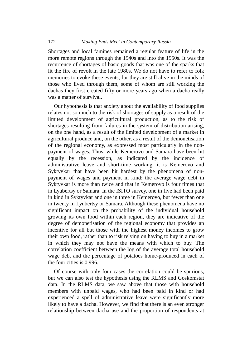Shortages and local famines remained a regular feature of life in the more remote regions through the 1940s and into the 1950s. It was the recurrence of shortages of basic goods that was one of the sparks that lit the fire of revolt in the late 1980s. We do not have to refer to folk memories to evoke these events, for they are still alive in the minds of those who lived through them, some of whom are still working the dachas they first created fifty or more years ago when a dacha really was a matter of survival.

Our hypothesis is that anxiety about the availability of food supplies relates not so much to the risk of shortages of supply as a result of the limited development of agricultural production, as to the risk of shortages resulting from failures in the system of distribution arising, on the one hand, as a result of the limited development of a market in agricultural produce and, on the other, as a result of the demonetisation of the regional economy, as expressed most particularly in the nonpayment of wages. Thus, while Kemerovo and Samara have been hit equally by the recession, as indicated by the incidence of administrative leave and short-time working, it is Kemerovo and Syktyvkar that have been hit hardest by the phenomena of nonpayment of wages and payment in kind: the average wage debt in Syktyvkar is more than twice and that in Kemerovo is four times that in Lyubertsy or Samara. In the ISITO survey, one in five had been paid in kind in Syktyvkar and one in three in Kemerovo, but fewer than one in twenty in Lyubertsy or Samara. Although these phenomena have no significant impact on the probability of the individual household growing its own food within each region, they are indicative of the degree of demonetisation of the regional economy that provides an incentive for all but those with the highest money incomes to grow their own food, rather than to risk relying on having to buy in a market in which they may not have the means with which to buy. The correlation coefficient between the log of the average total household wage debt and the percentage of potatoes home-produced in each of the four cities is 0.996.

Of course with only four cases the correlation could be spurious, but we can also test the hypothesis using the RLMS and Goskomstat data. In the RLMS data, we saw above that those with household members with unpaid wages, who had been paid in kind or had experienced a spell of administrative leave were significantly more likely to have a dacha. However, we find that there is an even stronger relationship between dacha use and the proportion of respondents at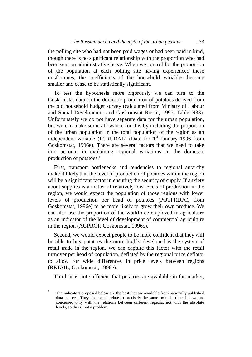the polling site who had not been paid wages or had been paid in kind, though there is no significant relationship with the proportion who had been sent on administrative leave. When we control for the proportion of the population at each polling site having experienced these misfortunes, the coefficients of the household variables become smaller and cease to be statistically significant.

To test the hypothesis more rigorously we can turn to the Goskomstat data on the domestic production of potatoes derived from the old household budget survey (calculated from Ministry of Labour and Social Development and Goskomstat Rossii, 1997, Table N33). Unfortunately we do not have separate data for the urban population, but we can make some allowance for this by including the proportion of the urban population in the total population of the region as an independent variable (PCRURAL) (Data for  $1<sup>st</sup>$  January 1996 from Goskomstat, 1996e). There are several factors that we need to take into account in explaining regional variations in the domestic production of potatoes. $<sup>1</sup>$ </sup>

First, transport bottlenecks and tendencies to regional autarchy make it likely that the level of production of potatoes within the region will be a significant factor in ensuring the security of supply. If anxiety about supplies is a matter of relatively low levels of production in the region, we would expect the population of those regions with lower levels of production per head of potatoes (POTPRDPC, from Goskomstat, 1996e) to be more likely to grow their own produce. We can also use the proportion of the workforce employed in agriculture as an indicator of the level of development of commercial agriculture in the region (AGPROP, Goskomstat, 1996c).

Second, we would expect people to be more confident that they will be able to buy potatoes the more highly developed is the system of retail trade in the region. We can capture this factor with the retail turnover per head of population, deflated by the regional price deflator to allow for wide differences in price levels between regions (RETAIL, Goskomstat, 1996e).

Third, it is not sufficient that potatoes are available in the market,

1

The indicators proposed below are the best that are available from nationally published data sources. They do not all relate to precisely the same point in time, but we are concerned only with the relations between different regions, not with the absolute levels, so this is not a problem.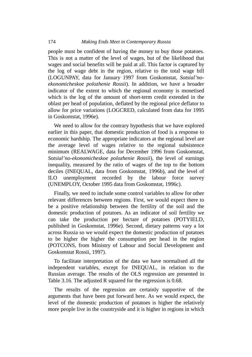people must be confident of having the money to buy those potatoes. This is not a matter of the level of wages, but of the likelihood that wages and social benefits will be paid at all. This factor is captured by the log of wage debt in the region, relative to the total wage bill (LOGUNPAY, data for January 1997 from Goskomstat, *Sotsial'noekonomicheskoe polozhenie Rossii*). In addition, we have a broader indicator of the extent to which the regional economy is monetised which is the log of the amount of short-term credit extended in the oblast per head of population, deflated by the regional price deflator to allow for price variations (LOGCRED, calculated from data for 1995 in Goskomstat, 1996e).

We need to allow for the contrary hypothesis that we have explored earlier in this paper, that domestic production of food is a response to economic hardship. The appropriate indicators at the regional level are the average level of wages relative to the regional subsistence minimum (REALWAGE, data for December 1996 from Goskomstat, *Sotsial'no-ekonomicheskoe polozhenie Rossii*), the level of earnings inequality, measured by the ratio of wages of the top to the bottom deciles (INEQUAL, data from Goskomstat, 1996b), and the level of ILO unemployment recorded by the labour force survey (UNEMPLOY, October 1995 data from Goskomstat, 1996c).

Finally, we need to include some control variables to allow for other relevant differences between regions. First, we would expect there to be a positive relationship between the fertility of the soil and the domestic production of potatoes. As an indicator of soil fertility we can take the production per hectare of potatoes (POTYIELD, published in Goskomstat, 1996e). Second, dietary patterns vary a lot across Russia so we would expect the domestic production of potatoes to be higher the higher the consumption per head in the region (POTCONS, from Ministry of Labour and Social Development and Goskomstat Rossii, 1997).

To facilitate interpretation of the data we have normalised all the independent variables, except for INEQUAL, in relation to the Russian average. The results of the OLS regression are presented in Table 3.16. The adjusted R squared for the regression is 0.68.

The results of the regression are certainly supportive of the arguments that have been put forward here. As we would expect, the level of the domestic production of potatoes is higher the relatively more people live in the countryside and it is higher in regions in which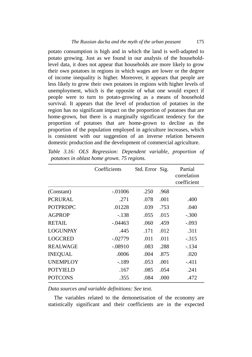potato consumption is high and in which the land is well-adapted to potato growing. Just as we found in our analysis of the householdlevel data, it does not appear that households are more likely to grow their own potatoes in regions in which wages are lower or the degree of income inequality is higher. Moreover, it appears that people are less likely to grow their own potatoes in regions with higher levels of unemployment, which is the opposite of what one would expect if people were to turn to potato-growing as a means of household survival. It appears that the level of production of potatoes in the region has no significant impact on the proportion of potatoes that are home-grown, but there is a marginally significant tendency for the proportion of potatoes that are home-grown to decline as the proportion of the population employed in agriculture increases, which is consistent with our suggestion of an inverse relation between domestic production and the development of commercial agriculture.

*Table 3.16: OLS Regression: Dependent variable, proportion of potatoes in oblast home grown. 75 regions.*

|                 | Coefficients | Std. Error Sig. |      | Partial<br>correlation<br>coefficient |
|-----------------|--------------|-----------------|------|---------------------------------------|
| (Constant)      | $-.01006$    | .250            | .968 |                                       |
| <b>PCRURAL</b>  | .271         | .078            | .001 | .400                                  |
| <b>POTPRDPC</b> | .01228       | .039            | .753 | .040                                  |
| <b>AGPROP</b>   | $-.138$      | .055            | .015 | $-.300$                               |
| <b>RETAIL</b>   | $-.04463$    | .060            | .459 | $-.093$                               |
| <b>LOGUNPAY</b> | .445         | .171            | .012 | .311                                  |
| <b>LOGCRED</b>  | $-.02779$    | .011            | .011 | $-.315$                               |
| <b>REALWAGE</b> | $-.08910$    | .083            | .288 | $-.134$                               |
| <b>INEQUAL</b>  | .0006        | .004            | .875 | .020                                  |
| <b>UNEMPLOY</b> | $-.189$      | .053            | .001 | $-.411$                               |
| <b>POTYIELD</b> | .167         | .085            | .054 | .241                                  |
| <b>POTCONS</b>  | .355         | .084            | .000 | .472                                  |

*Data sources and variable definitions: See text.* 

The variables related to the demonetisation of the economy are statistically significant and their coefficients are in the expected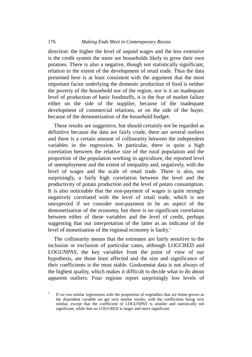direction: the higher the level of unpaid wages and the less extensive is the credit system the more are households likely to grow their own potatoes. There is also a negative, though not statistically significant, relation to the extent of the development of retail trade. Thus the data presented here is at least consistent with the argument that the most important factor underlying the domestic production of food is neither the poverty of the household nor of the region, nor is it an inadequate level of production of basic foodstuffs, it is the fear of market failure either on the side of the supplier, because of the inadequate development of commercial relations, or on the side of the buyer, because of the demonetisation of the household budget.

These results are suggestive, but should certainly not be regarded as definitive because the data are fairly crude, there are several outliers and there is a certain amount of collinearity between the independent variables in the regression. In particular, there is quite a high correlation between the relative size of the rural population and the proportion of the population working in agriculture, the reported level of unemployment and the extent of inequality and, negatively, with the level of wages and the scale of retail trade. There is also, not surprisingly, a fairly high correlation between the level and the productivity of potato production and the level of potato consumption. It is also noticeable that the non-payment of wages is quite strongly negatively correlated with the level of retail trade, which is not unexpected if we consider non-payment to be an aspect of the demonetisation of the economy, but there is no significant correlation between either of these variables and the level of credit, perhaps suggesting that our interpretation of the latter as an indicator of the level of monetisation of the regional economy is faulty.<sup>1</sup>

The collinearity means that the estimates are fairly sensitive to the inclusion or exclusion of particular cases, although LOGCRED and LOGUNPAY, the key variables from the point of view of our hypothesis, are those least affected and the size and significance of their coefficients is the most stable. Goskomstat data is not always of the highest quality, which makes it difficult to decide what to do about apparent outliers. Four regions report surprisingly low levels of

<sup>1</sup> If we run similar regressions with the proportion of vegetables that are home-grown as the dependent variable we get very similar results, with the coefficients being very similar, except that the coefficient of LOGUNPAY is smaller and statistically not significant, while that on LOGCRED is larger and more significant.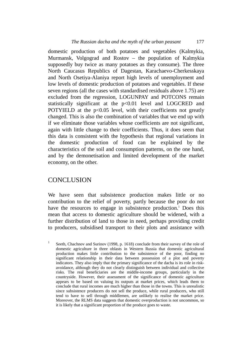domestic production of both potatoes and vegetables (Kalmykia, Murmansk, Volgograd and Rostov – the population of Kalmykia supposedly buy twice as many potatoes as they consume). The three North Caucasus Republics of Dagestan, Karachaevo-Cherkesskaya and North Osetiya-Alaniya report high levels of unemployment and low levels of domestic production of potatoes and vegetables. If these seven regions (all the cases with standardised residuals above 1.75) are excluded from the regression, LOGUNPAY and POTCONS remain statistically significant at the p<0.01 level and LOGCRED and POTYIELD at the  $p<0.05$  level, with their coefficients not greatly changed. This is also the combination of variables that we end up with if we eliminate those variables whose coefficients are not significant, again with little change to their coefficients. Thus, it does seem that this data is consistent with the hypothesis that regional variations in the domestic production of food can be explained by the characteristics of the soil and consumption patterns, on the one hand, and by the demonetisation and limited development of the market economy, on the other.

### **CONCLUSION**

We have seen that subsistence production makes little or no contribution to the relief of poverty, partly because the poor do not have the resources to engage in subsistence production.<sup>1</sup> Does this mean that access to domestic agriculture should be widened, with a further distribution of land to those in need, perhaps providing credit to producers, subsidised transport to their plots and assistance with

<sup>1</sup> Seeth, Chachnov and Surinov (1998, p. 1618) conclude from their survey of the role of domestic agriculture in three oblasts in Western Russia that domestic agricultural production makes little contribution to the subsistence of the poor, finding no significant relationship in their data between possession of a plot and poverty indicators. They also imply that the primary significance of the dacha is its role in riskavoidance, although they do not clearly distinguish between individual and collective risks. The real beneficiaries are the middle-income groups, particularly in the countryside. However, their assessment of the significance of domestic agriculture appears to be based on valuing its outputs at market prices, which leads them to conclude that rural incomes are much higher than those in the towns. This is unrealistic since subsistence producers do not sell the produce, while rural producers, who still tend to have to sell through middlemen, are unlikely to realise the market price. Moreover, the RLMS data suggests that domestic overproduction is not uncommon, so it is likely that a significant proportion of the produce goes to waste.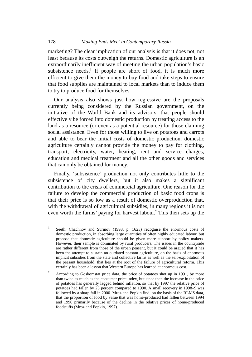marketing? The clear implication of our analysis is that it does not, not least because its costs outweigh the returns. Domestic agriculture is an extraordinarily inefficient way of meeting the urban population's basic subsistence needs.<sup>1</sup> If people are short of food, it is much more efficient to give them the money to buy food and take steps to ensure that food supplies are maintained to local markets than to induce them to try to produce food for themselves.

Our analysis also shows just how regressive are the proposals currently being considered by the Russian government, on the initiative of the World Bank and its advisors, that people should effectively be forced into domestic production by treating access to the land as a resource (or even as a potential resource) for those claiming social assistance. Even for those willing to live on potatoes and carrots and able to bear the initial costs of domestic production, domestic agriculture certainly cannot provide the money to pay for clothing, transport, electricity, water, heating, rent and service charges, education and medical treatment and all the other goods and services that can only be obtained for money.

Finally, 'subsistence' production not only contributes little to the subsistence of city dwellers, but it also makes a significant contribution to the crisis of commercial agriculture. One reason for the failure to develop the commercial production of basic food crops is that their price is so low as a result of domestic overproduction that, with the withdrawal of agricultural subsidies, in many regions it is not even worth the farms' paying for harvest labour.<sup>2</sup> This then sets up the

<sup>1</sup> Seeth, Chachnov and Surinov (1998, p. 1623) recognise the enormous costs of domestic production, in absorbing large quantities of often highly educated labour, but propose that domestic agriculture should be given more support by policy makers. However, their sample is dominated by rural producers. The issues in the countryside are rather different from those of the urban peasant, but it could be argued that it has been the attempt to sustain an outdated peasant agriculture, on the basis of enormous implicit subsidies from the state and collective farms as well as the self-exploitation of the peasant household, that lies at the root of the failure of agricultural reform. This certainly has been a lesson that Western Europe has learned at enormous cost.

<sup>2</sup> According to Goskomstat price data, the price of potatoes shot up in 1991, by more than twice as much as the consumer price index, but since then the increase in the price of potatoes has generally lagged behind inflation, so that by 1997 the relative price of potatoes had fallen by 25 percent compared to 1990. A small recovery in 1998–9 was followed by a sharp fall in 2000. Mroz and Popkin find, on the basis of the RLMS data, that the proportion of food by value that was home-produced had fallen between 1994 and 1996 primarily because of the decline in the relative prices of home-produced foodstuffs (Mroz and Popkin, 1997).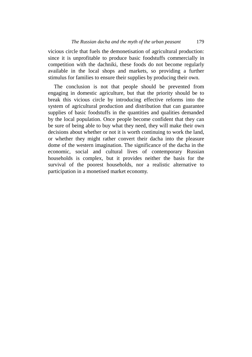vicious circle that fuels the demonetisation of agricultural production: since it is unprofitable to produce basic foodstuffs commercially in competition with the dachniki, these foods do not become regularly available in the local shops and markets, so providing a further stimulus for families to ensure their supplies by producing their own.

The conclusion is not that people should be prevented from engaging in domestic agriculture, but that the priority should be to break this vicious circle by introducing effective reforms into the system of agricultural production and distribution that can guarantee supplies of basic foodstuffs in the quantities and qualities demanded by the local population. Once people become confident that they can be sure of being able to buy what they need, they will make their own decisions about whether or not it is worth continuing to work the land, or whether they might rather convert their dacha into the pleasure dome of the western imagination. The significance of the dacha in the economic, social and cultural lives of contemporary Russian households is complex, but it provides neither the basis for the survival of the poorest households, nor a realistic alternative to participation in a monetised market economy.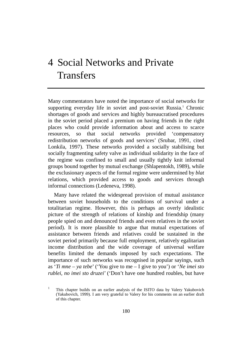# 4 Social Networks and Private Transfers

Many commentators have noted the importance of social networks for supporting everyday life in soviet and post-soviet Russia.<sup>1</sup> Chronic shortages of goods and services and highly bureaucratised procedures in the soviet period placed a premium on having friends in the right places who could provide information about and access to scarce resources, so that social networks provided 'compensatory redistribution networks of goods and services' (Srubar, 1991, cited Lonkila, 1997). These networks provided a socially stabilising but socially fragmenting safety valve as individual solidarity in the face of the regime was confined to small and usually tightly knit informal groups bound together by mutual exchange (Shlapentokh, 1989), while the exclusionary aspects of the formal regime were undermined by *blat* relations, which provided access to goods and services through informal connections (Ledeneva, 1998).

Many have related the widespread provision of mutual assistance between soviet households to the conditions of survival under a totalitarian regime. However, this is perhaps an overly idealistic picture of the strength of relations of kinship and friendship (many people spied on and denounced friends and even relatives in the soviet period). It is more plausible to argue that mutual expectations of assistance between friends and relatives could be sustained in the soviet period primarily because full employment, relatively egalitarian income distribution and the wide coverage of universal welfare benefits limited the demands imposed by such expectations. The importance of such networks was recognised in popular sayings, such as '*Ti mne – ya tebe*' ('You give to me – I give to you') or '*Ne imei sto rublei, no imei sto druzei*' ('Don't have one hundred roubles, but have

<sup>1</sup> This chapter builds on an earlier analysis of the ISITO data by Valery Yakubovich (Yakubovich, 1999). I am very grateful to Valery for his comments on an earlier draft of this chapter.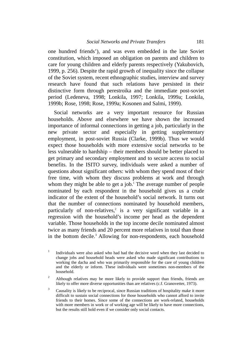one hundred friends'), and was even embedded in the late Soviet constitution, which imposed an obligation on parents and children to care for young children and elderly parents respectively (Yakubovich, 1999, p. 256). Despite the rapid growth of inequality since the collapse of the Soviet system, recent ethnographic studies, interview and survey research have found that such relations have persisted in their distinctive form through perestroika and the immediate post-soviet period (Ledeneva, 1998; Lonkila, 1997; Lonkila, 1999a; Lonkila, 1999b; Rose, 1998; Rose, 1999a; Kosonen and Salmi, 1999).

Social networks are a very important resource for Russian households. Above and elsewhere we have shown the increased importance of informal connections in getting a job, particularly in the new private sector and especially in getting supplementary employment, in post-soviet Russia (Clarke, 1999b). Thus we would expect those households with more extensive social networks to be less vulnerable to hardship – their members should be better placed to get primary and secondary employment and to secure access to social benefits. In the ISITO survey, individuals were asked a number of questions about significant others: with whom they spend most of their free time, with whom they discuss problems at work and through whom they might be able to get a job.<sup>1</sup> The average number of people nominated by each respondent in the household gives us a crude indicator of the extent of the household's social network. It turns out that the number of connections nominated by household members, particularly of non-relatives,<sup>2</sup> is a very significant variable in a regression with the household's income per head as the dependent variable. Those households in the top income decile nominated almost twice as many friends and 20 percent more relatives in total than those in the bottom decile.<sup>3</sup> Allowing for non-respondents, each household

<sup>1</sup> Individuals were also asked who had had the decisive word when they last decided to change jobs and household heads were asked who made significant contributions to working the dacha and who was primarily responsible for the care of young children and the elderly or inform. These individuals were sometimes non-members of the household.

<sup>2</sup> Although relatives may be more likely to provide support than friends, friends are likely to offer more diverse opportunities than are relatives (c.f. Granovetter, 1973).

<sup>3</sup> Causality is likely to be reciprocal, since Russian traditions of hospitality make it more difficult to sustain social connections for those households who cannot afford to invite friends to their homes. Since some of the connections are work-related, households with more members in work or of working age will be likely to have more connections, but the results still hold even if we consider only social contacts.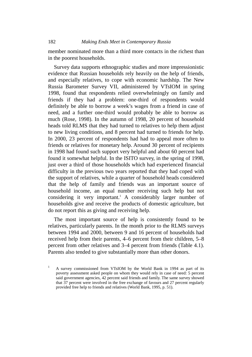member nominated more than a third more contacts in the richest than in the poorest households.

Survey data supports ethnographic studies and more impressionistic evidence that Russian households rely heavily on the help of friends, and especially relatives, to cope with economic hardship. The New Russia Barometer Survey VII, administered by VTsIOM in spring 1998, found that respondents relied overwhelmingly on family and friends if they had a problem: one-third of respondents would definitely be able to borrow a week's wages from a friend in case of need, and a further one-third would probably be able to borrow as much (Rose, 1998). In the autumn of 1998, 20 percent of household heads told RLMS that they had turned to relatives to help them adjust to new living conditions, and 8 percent had turned to friends for help. In 2000, 23 percent of respondents had had to appeal more often to friends or relatives for monetary help. Around 30 percent of recipients in 1998 had found such support very helpful and about 60 percent had found it somewhat helpful. In the ISITO survey, in the spring of 1998, just over a third of those households which had experienced financial difficulty in the previous two years reported that they had coped with the support of relatives, while a quarter of household heads considered that the help of family and friends was an important source of household income, an equal number receiving such help but not considering it very important.<sup>1</sup> A considerably larger number of households give and receive the products of domestic agriculture, but do not report this as giving and receiving help.

The most important source of help is consistently found to be relatives, particularly parents. In the month prior to the RLMS surveys between 1994 and 2000, between 9 and 16 percent of households had received help from their parents, 4–6 percent from their children, 5–8 percent from other relatives and 3–4 percent from friends (Table 4.1). Parents also tended to give substantially more than other donors.

1

A survey commissioned from VTsIOM by the World Bank in 1994 as part of its poverty assessment asked people on whom they would rely in case of need: 5 percent said government agencies, 42 percent said friends and family. The same survey showed that 37 percent were involved in the free exchange of favours and 27 percent regularly provided free help to friends and relatives (World Bank, 1995, p. 51).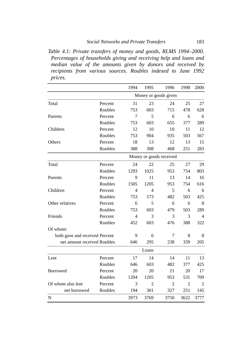*Table 4.1: Private transfers of money and goods, RLMS 1994–2000. Percentages of households giving and receiving help and loans and median value of the amounts given by donors and received by recipients from various sources. Roubles indexed to June 1992 prices.* 

|                                |         | 1994           | 1995           | 1996                    | 1998 | 2000 |
|--------------------------------|---------|----------------|----------------|-------------------------|------|------|
|                                |         |                |                | Money or goods given    |      |      |
| Total                          | Percent | 31             | 23             | 24                      | 25   | 27   |
|                                | Roubles | 753            | 603            | 715                     | 478  | 628  |
| Parents                        | Percent | $\overline{7}$ | 5              | 6                       | 6    | 6    |
|                                | Roubles | 753            | 603            | 655                     | 377  | 289  |
| Children                       | Percent | 12             | 10             | 10                      | 11   | 12   |
|                                | Roubles | 753            | 904            | 935                     | 503  | 567  |
| Others                         | Percent | 18             | 13             | 12                      | 13   | 15   |
|                                | Roubles | 388            | 308            | 468                     | 251  | 283  |
|                                |         |                |                | Money or goods received |      |      |
| Total                          | Percent | 24             | 22             | 25                      | 27   | 29   |
|                                | Roubles | 1293           | 1025           | 953                     | 754  | 803  |
| Parents                        | Percent | 9              | 11             | 13                      | 14   | 16   |
|                                | Roubles | 1505           | 1205           | 953                     | 754  | 616  |
| Children                       | Percent | 4              | 4              | 5                       | 6    | 6    |
|                                | Roubles | 753            | 573            | 482                     | 503  | 425  |
| Other relatives                | Percent | 6              | 5              | 6                       | 6    | 8    |
|                                | Roubles | 753            | 603            | 479                     | 503  | 289  |
| Friends                        | Percent | 4              | 3              | 3                       | 3    | 4    |
|                                | Roubles | 452            | 603            | 476                     | 388  | 322  |
| Of whom:                       |         |                |                |                         |      |      |
| both gave and received Percent |         | 9              | 6              | $\tau$                  | 8    | 8    |
| net amount received Roubles    |         | 646            | 295            | 238                     | 339  | 205  |
|                                |         |                | Loans          |                         |      |      |
| Lent                           | Percent | 17             | 14             | 14                      | 11   | 13   |
|                                | Roubles | 646            | 603            | 482                     | 377  | 425  |
| <b>Borrowed</b>                | Percent | 20             | 20             | 21                      | 20   | 17   |
|                                | Roubles | 1204           | 1205           | 953                     | 531  | 709  |
| Of whom also lent              | Percent | 3              | $\overline{2}$ | $\overline{2}$          | 2    | 2    |
| net borrowed                   | Roubles | 194            | 301            | 327                     | 251  | 145  |
| $\mathbf N$                    |         | 3973           | 3769           | 3750                    | 3622 | 3777 |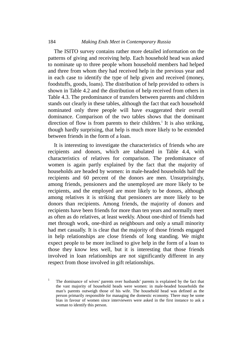The ISITO survey contains rather more detailed information on the patterns of giving and receiving help. Each household head was asked to nominate up to three people whom household members had helped and three from whom they had received help in the previous year and in each case to identify the type of help given and received (money, foodstuffs, goods, loans). The distribution of help provided to others is shown in Table 4.2 and the distribution of help received from others in Table 4.3. The predominance of transfers between parents and children stands out clearly in these tables, although the fact that each household nominated only three people will have exaggerated their overall dominance. Comparison of the two tables shows that the dominant direction of flow is from parents to their children.<sup>1</sup> It is also striking, though hardly surprising, that help is much more likely to be extended between friends in the form of a loan.

It is interesting to investigate the characteristics of friends who are recipients and donors, which are tabulated in Table 4.4, with characteristics of relatives for comparison. The predominance of women is again partly explained by the fact that the majority of households are headed by women: in male-headed households half the recipients and 60 percent of the donors are men. Unsurprisingly, among friends, pensioners and the unemployed are more likely to be recipients, and the employed are more likely to be donors, although among relatives it is striking that pensioners are more likely to be donors than recipients. Among friends, the majority of donors and recipients have been friends for more than ten years and normally meet as often as do relatives, at least weekly. About one-third of friends had met through work, one-third as neighbours and only a small minority had met casually. It is clear that the majority of those friends engaged in help relationships are close friends of long standing. We might expect people to be more inclined to give help in the form of a loan to those they know less well, but it is interesting that those friends involved in loan relationships are not significantly different in any respect from those involved in gift relationships.

<sup>1</sup> The dominance of wives' parents over husbands' parents is explained by the fact that the vast majority of household heads were women: in male-headed households the man's parents outweigh those of his wife. The household head was defined as the person primarily responsible for managing the domestic economy. There may be some bias in favour of women since interviewers were asked in the first instance to ask a woman to identify this person.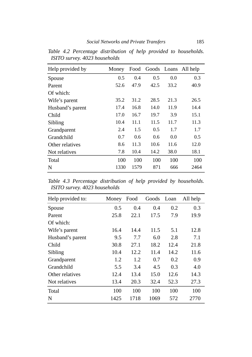| Help provided by | Money | Food | Goods Loans |      | All help |
|------------------|-------|------|-------------|------|----------|
| Spouse           | 0.5   | 0.4  | 0.5         | 0.0  | 0.3      |
| Parent           | 52.6  | 47.9 | 42.5        | 33.2 | 40.9     |
| Of which:        |       |      |             |      |          |
| Wife's parent    | 35.2  | 31.2 | 28.5        | 21.3 | 26.5     |
| Husband's parent | 17.4  | 16.8 | 14.0        | 11.9 | 14.4     |
| Child            | 17.0  | 16.7 | 19.7        | 3.9  | 15.1     |
| Sibling          | 10.4  | 11.1 | 11.5        | 11.7 | 11.3     |
| Grandparent      | 2.4   | 1.5  | 0.5         | 1.7  | 1.7      |
| Grandchild       | 0.7   | 0.6  | 0.6         | 0.0  | 0.5      |
| Other relatives  | 8.6   | 11.3 | 10.6        | 11.6 | 12.0     |
| Not relatives    | 7.8   | 10.4 | 14.2        | 38.0 | 18.1     |
| Total            | 100   | 100  | 100         | 100  | 100      |
| N                | 1330  | 1579 | 871         | 666  | 2464     |

*Table 4.2 Percentage distribution of help provided to households. ISITO survey. 4023 households* 

*Table 4.3 Percentage distribution of help provided by households. ISITO survey. 4023 households* 

| Help provided to: | Money | Food | Goods | Loan | All help |
|-------------------|-------|------|-------|------|----------|
| Spouse            | 0.5   | 0.4  | 0.4   | 0.2  | 0.3      |
| Parent            | 25.8  | 22.1 | 17.5  | 7.9  | 19.9     |
| Of which:         |       |      |       |      |          |
| Wife's parent     | 16.4  | 14.4 | 11.5  | 5.1  | 12.8     |
| Husband's parent  | 9.5   | 7.7  | 6.0   | 2.8  | 7.1      |
| Child             | 30.8  | 27.1 | 18.2  | 12.4 | 21.8     |
| Sibling           | 10.4  | 12.2 | 11.4  | 14.2 | 11.6     |
| Grandparent       | 1.2   | 1.2  | 0.7   | 0.2  | 0.9      |
| Grandchild        | 5.5   | 3.4  | 4.5   | 0.3  | 4.0      |
| Other relatives   | 12.4  | 13.4 | 15.0  | 12.6 | 14.3     |
| Not relatives     | 13.4  | 20.3 | 32.4  | 52.3 | 27.3     |
| Total             | 100   | 100  | 100   | 100  | 100      |
| N                 | 1425  | 1718 | 1069  | 572  | 2770     |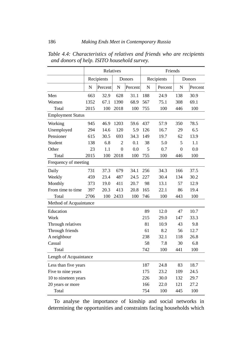|                          | Relatives   |            |                | Friends |             |            |                |         |
|--------------------------|-------------|------------|----------------|---------|-------------|------------|----------------|---------|
|                          |             | Recipients |                | Donors  |             | Recipients |                | Donors  |
|                          | $\mathbf N$ | Percent    | $\mathbf N$    | Percent | $\mathbf N$ | Percent    | ${\bf N}$      | Percent |
| Men                      | 663         | 32.9       | 628            | 31.1    | 188         | 24.9       | 138            | 30.9    |
| Women                    | 1352        | 67.1       | 1390           | 68.9    | 567         | 75.1       | 308            | 69.1    |
| Total                    | 2015        | 100        | 2018           | 100     | 755         | 100        | 446            | 100     |
| <b>Employment Status</b> |             |            |                |         |             |            |                |         |
| Working                  | 945         | 46.9       | 1203           | 59.6    | 437         | 57.9       | 350            | 78.5    |
| Unemployed               | 294         | 14.6       | 120            | 5.9     | 126         | 16.7       | 29             | 6.5     |
| Pensioner                | 615         | 30.5       | 693            | 34.3    | 149         | 19.7       | 62             | 13.9    |
| Student                  | 138         | 6.8        | $\overline{2}$ | 0.1     | 38          | 5.0        | 5              | 1.1     |
| Other                    | 23          | 1.1        | $\overline{0}$ | 0.0     | 5           | 0.7        | $\overline{0}$ | 0.0     |
| Total                    | 2015        | 100        | 2018           | 100     | 755         | 100        | 446            | 100     |
| Frequency of meeting     |             |            |                |         |             |            |                |         |
| Daily                    | 731         | 37.3       | 679            | 34.1    | 256         | 34.3       | 166            | 37.5    |
| Weekly                   | 459         | 23.4       | 487            | 24.5    | 227         | 30.4       | 134            | 30.2    |
| Monthly                  | 373         | 19.0       | 411            | 20.7    | 98          | 13.1       | 57             | 12.9    |
| From time to time        | 397         | 20.3       | 413            | 20.8    | 165         | 22.1       | 86             | 19.4    |
| Total                    | 2706        | 100        | 2433           | 100     | 746         | 100        | 443            | 100     |
| Method of Acquaintance   |             |            |                |         |             |            |                |         |
| Education                |             |            |                |         | 89          | 12.0       | 47             | 10.7    |
| Work                     |             |            |                |         | 215         | 29.0       | 147            | 33.3    |
| Through relatives        |             |            |                |         | 81          | 10.9       | 43             | 9.8     |
| Through friends          |             |            |                |         | 61          | 8.2        | 56             | 12.7    |
| A neighbour              |             |            |                |         | 238         | 32.1       | 118            | 26.8    |
| Casual                   |             |            |                |         | 58          | 7.8        | 30             | 6.8     |
| Total                    |             |            |                |         | 742         | 100        | 441            | 100     |
| Length of Acquaintance   |             |            |                |         |             |            |                |         |
| Less than five years     |             |            |                |         | 187         | 24.8       | 83             | 18.7    |
| Five to nine years       |             |            |                |         | 175         | 23.2       | 109            | 24.5    |
| 10 to nineteen years     |             |            |                |         | 226         | 30.0       | 132            | 29.7    |
| 20 years or more         |             |            |                |         | 166         | 22.0       | 121            | 27.2    |
| Total                    |             |            |                |         | 754         | 100        | 445            | 100     |

*Table 4.4: Characteristics of relatives and friends who are recipients and donors of help. ISITO household survey.* 

To analyse the importance of kinship and social networks in determining the opportunities and constraints facing households which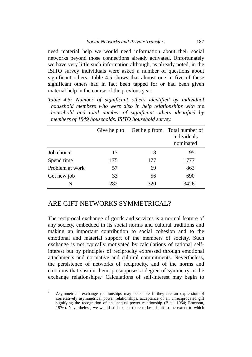need material help we would need information about their social networks beyond those connections already activated. Unfortunately we have very little such information although, as already noted, in the ISITO survey individuals were asked a number of questions about significant others. Table 4.5 shows that almost one in five of these significant others had in fact been tapped for or had been given material help in the course of the previous year.

*Table 4.5: Number of significant others identified by individual household members who were also in help relationships with the household and total number of significant others identified by members of 1849 households. ISITO household survey.* 

|                 | Give help to | Get help from | Total number of<br>individuals<br>nominated |
|-----------------|--------------|---------------|---------------------------------------------|
| Job choice      | 17           | 18            | 95                                          |
| Spend time      | 175          | 177           | 1777                                        |
| Problem at work | 57           | 69            | 863                                         |
| Get new job     | 33           | 56            | 690                                         |
| N               | 282          | 320           | 3426                                        |

### ARE GIFT NETWORKS SYMMETRICAL?

The reciprocal exchange of goods and services is a normal feature of any society, embedded in its social norms and cultural traditions and making an important contribution to social cohesion and to the emotional and material support of the members of society. Such exchange is not typically motivated by calculations of rational selfinterest but by principles of reciprocity expressed through emotional attachments and normative and cultural commitments. Nevertheless, the persistence of networks of reciprocity, and of the norms and emotions that sustain them, presupposes a degree of symmetry in the exchange relationships.<sup>1</sup> Calculations of self-interest may begin to

<sup>1</sup> Asymmetrical exchange relationships may be stable if they are an expression of correlatively asymmetrical power relationships, acceptance of an unreciprocated gift signifying the recognition of an unequal power relationship (Blau, 1964; Emerson, 1976). Nevertheless, we would still expect there to be a limit to the extent to which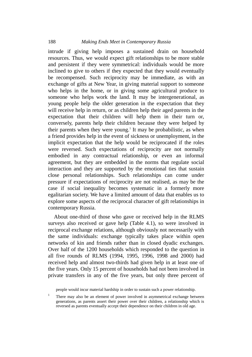intrude if giving help imposes a sustained drain on household resources. Thus, we would expect gift relationships to be more stable and persistent if they were symmetrical: individuals would be more inclined to give to others if they expected that they would eventually be recompensed. Such reciprocity may be immediate, as with an exchange of gifts at New Year, in giving material support to someone who helps in the home, or in giving some agricultural produce to someone who helps work the land. It may be intergenerational, as young people help the older generation in the expectation that they will receive help in return, or as children help their aged parents in the expectation that their children will help them in their turn or, conversely, parents help their children because they were helped by their parents when they were young.<sup>1</sup> It may be probabilistic, as when a friend provides help in the event of sickness or unemployment, in the implicit expectation that the help would be reciprocated if the roles were reversed. Such expectations of reciprocity are not normally embodied in any contractual relationship, or even an informal agreement, but they are embedded in the norms that regulate social interaction and they are supported by the emotional ties that sustain close personal relationships. Such relationships can come under pressure if expectations of reciprocity are not realised, as may be the case if social inequality becomes systematic in a formerly more egalitarian society. We have a limited amount of data that enables us to explore some aspects of the reciprocal character of gift relationships in contemporary Russia.

About one-third of those who gave or received help in the RLMS surveys also received or gave help (Table 4.1), so were involved in reciprocal exchange relations, although obviously not necessarily with the same individuals: exchange typically takes place within open networks of kin and friends rather than in closed dyadic exchanges. Over half of the 1200 households which responded to the question in all five rounds of RLMS (1994, 1995, 1996, 1998 and 2000) had received help and almost two-thirds had given help in at least one of the five years. Only 15 percent of households had not been involved in private transfers in any of the five years, but only three percent of

1

 There may also be an element of power involved in asymmetrical exchange between generations, as parents assert their power over their children, a relationship which is reversed as parents eventually accept their dependence on their children in old age.

people would incur material hardship in order to sustain such a power relationship.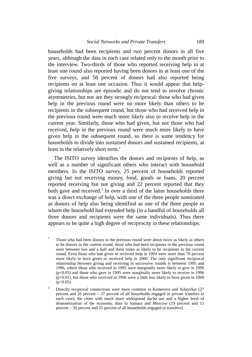households had been recipients and two percent donors in all five years, although the data in each case related only to the month prior to the interview. Two-thirds of those who reported receiving help in at least one round also reported having been donors in at least one of the five surveys, and 58 percent of donors had also reported being recipients on at least one occasion. Thus it would appear that helpgiving relationships are episodic and do not tend to involve chronic asymmetries, but nor are they strongly reciprocal: those who had given help in the previous round were no more likely than others to be recipients in the subsequent round, but those who had received help in the previous round were much more likely also to receive help in the current year. Similarly, those who had given, but not those who had received, help in the previous round were much more likely to have given help in the subsequent round, so there is some tendency for households to divide into sustained donors and sustained recipients, at least in the relatively short term.<sup>1</sup>

The ISITO survey identifies the donors and recipients of help, as well as a number of significant others who interact with household members. In the ISITO survey, 25 percent of households reported giving but not receiving money, food, goods or loans, 20 percent reported receiving but not giving and 22 percent reported that they both gave and received.<sup>2</sup> In over a third of the latter households there was a direct exchange of help, with one of the three people nominated as donors of help also being identified as one of the three people to whom the household had extended help (in a handful of households all three donors and recipients were the same individuals). Thus there appears to be quite a high degree of reciprocity in these relationships.

<sup>1</sup> Those who had been donors in the previous round were about twice as likely as others to be donors in the current round, those who had been recipients in the previous round were between two and a half and three times as likely to be recipients in the current round. Even those who had given or received help in 1994 were more than 70 percent more likely to have given or received help in 2000. The only significant reciprocal relationship between giving and receiving in successive rounds is between 1995 and 1996, where those who received in 1995 were marginally more likely to give in 1996 (p<0.05) and those who gave in 1995 were marginally more likely to receive in 1996 (p<0.01), but those who received in 1996 were a little less likely to have given in 2000  $(p<0.05)$ .

<sup>2</sup> Directly reciprocal connections were more common in Kemerovo and Syktyvkar (27 percent and 26 percent – 37 percent of all households engaged in private transfers in each case), the cities with much more widespread dacha use and a higher level of demonetisation of the economy, than in Samara and Moscow (19 percent and 15 percent – 30 percent and 25 percent of all households engaged in transfers).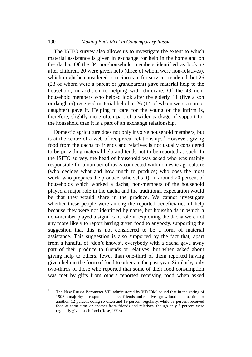The ISITO survey also allows us to investigate the extent to which material assistance is given in exchange for help in the home and on the dacha. Of the 84 non-household members identified as looking after children, 20 were given help (three of whom were non-relatives), which might be considered to reciprocate for services rendered, but 26 (23 of whom were a parent or grandparent) gave material help to the household, in addition to helping with childcare. Of the 48 nonhousehold members who helped look after the elderly, 11 (five a son or daughter) received material help but 26 (14 of whom were a son or daughter) gave it. Helping to care for the young or the infirm is, therefore, slightly more often part of a wider package of support for the household than it is a part of an exchange relationship.

Domestic agriculture does not only involve household members, but is at the centre of a web of reciprocal relationships.<sup>1</sup> However, giving food from the dacha to friends and relatives is not usually considered to be providing material help and tends not to be reported as such. In the ISITO survey, the head of household was asked who was mainly responsible for a number of tasks connected with domestic agriculture (who decides what and how much to produce; who does the most work; who prepares the produce; who sells it). In around 20 percent of households which worked a dacha, non-members of the household played a major role in the dacha and the traditional expectation would be that they would share in the produce. We cannot investigate whether these people were among the reported beneficiaries of help because they were not identified by name, but households in which a non-member played a significant role in exploiting the dacha were not any more likely to report having given food to anybody, supporting the suggestion that this is not considered to be a form of material assistance. This suggestion is also supported by the fact that, apart from a handful of 'don't knows', everybody with a dacha gave away part of their produce to friends or relatives, but when asked about giving help to others, fewer than one-third of them reported having given help in the form of food to others in the past year. Similarly, only two-thirds of those who reported that some of their food consumption was met by gifts from others reported receiving food when asked

<sup>1</sup> The New Russia Barometer VII, administered by VTsIOM, found that in the spring of 1998 a majority of respondents helped friends and relatives grow food at some time or another, 12 percent doing so often and 19 percent regularly, while 58 percent received food at some time or another from friends and relatives, though only 7 percent were regularly given such food (Rose, 1998).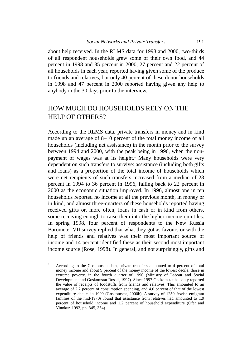about help received. In the RLMS data for 1998 and 2000, two-thirds of all respondent households grew some of their own food, and 44 percent in 1998 and 35 percent in 2000, 27 percent and 22 percent of all households in each year, reported having given some of the produce to friends and relatives, but only 40 percent of these donor households in 1998 and 47 percent in 2000 reported having given any help to anybody in the 30 days prior to the interview.

## HOW MUCH DO HOUSEHOLDS RELY ON THE HELP OF OTHERS?

According to the RLMS data, private transfers in money and in kind made up an average of 8–10 percent of the total money income of all households (including net assistance) in the month prior to the survey between 1994 and 2000, with the peak being in 1996, when the nonpayment of wages was at its height.<sup>1</sup> Many households were very dependent on such transfers to survive: assistance (including both gifts and loans) as a proportion of the total income of households which were net recipients of such transfers increased from a median of 28 percent in 1994 to 36 percent in 1996, falling back to 22 percent in 2000 as the economic situation improved. In 1996, almost one in ten households reported no income at all the previous month, in money or in kind, and almost three-quarters of these households reported having received gifts or, more often, loans in cash or in kind from others, some receiving enough to raise them into the higher income quintiles. In spring 1998, four percent of respondents to the New Russia Barometer VII survey replied that what they got as favours or with the help of friends and relatives was their most important source of income and 14 percent identified these as their second most important income source (Rose, 1998). In general, and not surprisingly, gifts and

<sup>1</sup> According to the Goskomstat data, private transfers amounted to 4 percent of total money income and about 9 percent of the money income of the lowest decile, those in extreme poverty, in the fourth quarter of 1996 (Ministry of Labour and Social Development and Goskomstat Rossii, 1997). Since 1997 Goskomstat has only reported the value of receipts of foodstuffs from friends and relatives. This amounted to an average of 2.2 percent of consumption spending, and 4.0 percent of that of the lowest expenditure decile, in 1999 (Goskomstat, 2000b). A survey of 1250 Jewish emigrant families of the mid-1970s found that assistance from relatives had amounted to 1.9 percent of household income and 1.2 percent of household expenditure (Ofer and Vinokur, 1992, pp. 345, 354).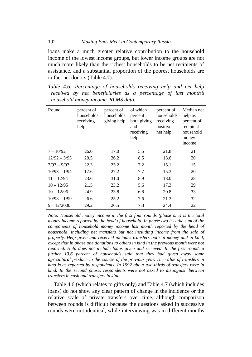loans make a much greater relative contribution to the household income of the lowest income groups, but lower income groups are not much more likely than the richest households to be net recipients of assistance, and a substantial proportion of the poorest households are in fact net donors (Table 4.7).

*Table 4.6: Percentage of households receiving help and net help received by net beneficiaries as a percentage of last month's household money income. RLMS data.* 

| Round          | percent of<br>households<br>receiving<br>help | percent of<br>households<br>giving help | of which<br>percent<br>both giving<br>and<br>receiving<br>help | percent of<br>households<br>receiving<br>positive<br>net help | Median net<br>help as<br>percent of<br>recipient<br>household<br>money<br>income |
|----------------|-----------------------------------------------|-----------------------------------------|----------------------------------------------------------------|---------------------------------------------------------------|----------------------------------------------------------------------------------|
| $7 - 10/92$    | 26.0                                          | 17.0                                    | 5.5                                                            | 21.8                                                          | 21                                                                               |
| $12/92 - 3/93$ | 20.5                                          | 26.2                                    | 8.5                                                            | 13.6                                                          | 20                                                                               |
| $7/93 - 9/93$  | 22.3                                          | 25.2                                    | 7.2                                                            | 15.1                                                          | 15                                                                               |
| $10/93 - 1/94$ | 17.6                                          | 27.2                                    | 7.7                                                            | 15.3                                                          | 20                                                                               |
| $11 - 12/94$   | 23.6                                          | 31.0                                    | 8.9                                                            | 18.0                                                          | 28                                                                               |
| $10 - 12/95$   | 21.5                                          | 23.2                                    | 5.6                                                            | 17.3                                                          | 29                                                                               |
| $10 - 12/96$   | 24.9                                          | 23.8                                    | 6.8                                                            | 20.8                                                          | 33                                                                               |
| $10/98 - 1/99$ | 26.6                                          | 25.2                                    | 7.6                                                            | 21.3                                                          | 32                                                                               |
| $9 - 12/2000$  | 29.2                                          | 26.5                                    | 7.8                                                            | 24.4                                                          | 22                                                                               |

*Note: Household money income in the first four rounds (phase one) is the total money income reported by the head of household. In phase two it is the sum of the components of household money income last month reported by the head of household, including net transfers but not including income from the sale of property. Help given and received includes transfers both in money and in kind, except that in phase one donations to others in kind in the previous month were not reported. Help does not include loans given and received. In the first round, a further 13.6 percent of households said that they had given away some agricultural produce in the course of the previous year. The value of transfers in kind is as reported by respondents. In 1992 about two-thirds of transfers were in kind. In the second phase, respondents were not asked to distinguish between transfers in cash and transfers in kind.* 

Table 4.6 (which relates to gifts only) and Table 4.7 (which includes loans) do not show any clear pattern of change in the incidence or the relative scale of private transfers over time, although comparison between rounds is difficult because the questions asked in successive rounds were not identical, while interviewing was in different months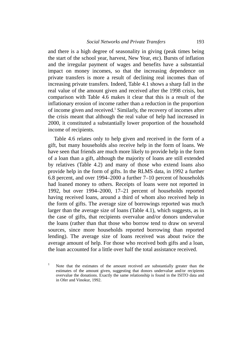and there is a high degree of seasonality in giving (peak times being the start of the school year, harvest, New Year, etc). Bursts of inflation and the irregular payment of wages and benefits have a substantial impact on money incomes, so that the increasing dependence on private transfers is more a result of declining real incomes than of increasing private transfers. Indeed, Table 4.1 shows a sharp fall in the real value of the amount given and received after the 1998 crisis, but comparison with Table 4.6 makes it clear that this is a result of the inflationary erosion of income rather than a reduction in the proportion of income given and received.<sup>1</sup> Similarly, the recovery of incomes after the crisis meant that although the real value of help had increased in 2000, it constituted a substantially lower proportion of the household income of recipients.

Table 4.6 relates only to help given and received in the form of a gift, but many households also receive help in the form of loans. We have seen that friends are much more likely to provide help in the form of a loan than a gift, although the majority of loans are still extended by relatives (Table 4.2) and many of those who extend loans also provide help in the form of gifts. In the RLMS data, in 1992 a further 6.8 percent, and over 1994–2000 a further 7–10 percent of households had loaned money to others. Receipts of loans were not reported in 1992, but over 1994–2000, 17–21 percent of households reported having received loans, around a third of whom also received help in the form of gifts. The average size of borrowings reported was much larger than the average size of loans (Table 4.1), which suggests, as in the case of gifts, that recipients overvalue and/or donors undervalue the loans (rather than that those who borrow tend to draw on several sources, since more households reported borrowing than reported lending). The average size of loans received was about twice the average amount of help. For those who received both gifts and a loan, the loan accounted for a little over half the total assistance received.

<sup>1</sup> Note that the estimates of the amount received are substantially greater than the estimates of the amount given, suggesting that donors undervalue and/or recipients overvalue the donations. Exactly the same relationship is found in the ISITO data and in Ofer and Vinokur, 1992.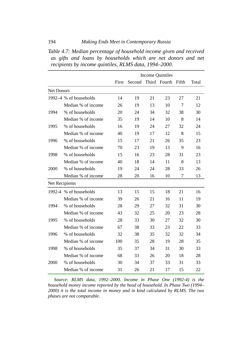|                   |                        | <b>Income Quintiles</b> |        |    |              |       |       |
|-------------------|------------------------|-------------------------|--------|----|--------------|-------|-------|
|                   |                        | First                   | Second |    | Third Fourth | Fifth | Total |
| <b>Net Donors</b> |                        |                         |        |    |              |       |       |
|                   | 1992–4 % of households | 14                      | 19     | 21 | 23           | 27    | 21    |
|                   | Median % of income     | 26                      | 19     | 13 | 10           | 7     | 12    |
| 1994              | % of households        | 20                      | 24     | 34 | 32           | 38    | 30    |
|                   | Median % of income     | 35                      | 19     | 14 | 10           | 8     | 14    |
| 1995              | % of households        | 16                      | 19     | 24 | 27           | 32    | 24    |
|                   | Median % of income     | 40                      | 19     | 17 | 12           | 8     | 15    |
| 1996              | % of households        | 15                      | 17     | 21 | 26           | 35    | 23    |
|                   | Median % of income     | 70                      | 23     | 19 | 13           | 9     | 16    |
| 1998              | % of households        | 15                      | 16     | 23 | 28           | 31    | 23    |
|                   | Median % of income     | 40                      | 18     | 14 | 11           | 8     | 13    |
| 2000              | % of households        | 19                      | 24     | 24 | 28           | 33    | 26    |
|                   | Median % of income     | 28                      | 20     | 16 | 10           | 7     | 13    |
| Net Recipients    |                        |                         |        |    |              |       |       |
|                   | 1992-4 % of households | 13                      | 15     | 15 | 18           | 21    | 16    |
|                   | Median % of income     | 39                      | 26     | 21 | 16           | 11    | 19    |
| 1994              | % of households        | 28                      | 29     | 27 | 32           | 31    | 30    |
|                   | Median % of income     | 43                      | 32     | 25 | 20           | 23    | 28    |
| 1995              | % of households        | 28                      | 33     | 30 | 27           | 32    | 30    |
|                   | Median % of income     | 67                      | 38     | 33 | 23           | 22    | 33    |
| 1996              | % of households        | 32                      | 38     | 35 | 32           | 32    | 34    |
|                   | Median % of income     | 100                     | 35     | 28 | 19           | 28    | 35    |
| 1998              | % of households        | 35                      | 37     | 34 | 31           | 30    | 33    |
|                   | Median % of income     | 68                      | 33     | 26 | 20           | 18    | 28    |
| 2000              | % of households        | 30                      | 34     | 37 | 33           | 31    | 33    |
|                   | Median % of income     | 31                      | 26     | 21 | 17           | 15    | 22    |

*Table 4.7: Median percentage of household income given and received as gifts and loans by households which are net donors and net recipients by income quintiles, RLMS data, 1994–2000.*

*Source: RLMS data, 1992–2000. Income in Phase One (1992-4) is the household money income reported by the head of household. In Phase Two (1994– 2000) it is the total income in money and in kind calculated by RLMS. The two phases are not comparable.*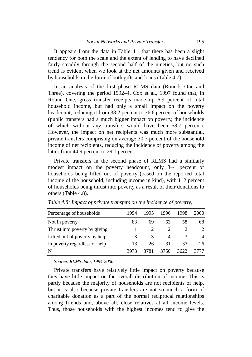It appears from the data in Table 4.1 that there has been a slight tendency for both the scale and the extent of lending to have declined fairly steadily through the second half of the nineties, but no such trend is evident when we look at the net amounts given and received by households in the form of both gifts and loans (Table 4.7).

In an analysis of the first phase RLMS data (Rounds One and Three), covering the period 1992–4, Cox et al., 1997 found that, in Round One, gross transfer receipts made up 6.9 percent of total household income, but had only a small impact on the poverty headcount, reducing it from 38.2 percent to 36.6 percent of households (public transfers had a much bigger impact on poverty, the incidence of which without any transfers would have been 58.7 percent). However, the impact on net recipients was much more substantial, private transfers comprising on average 30.7 percent of the household income of net recipients, reducing the incidence of poverty among the latter from 44.9 percent to 29.1 percent.

Private transfers in the second phase of RLMS had a similarly modest impact on the poverty headcount, only 3–4 percent of households being lifted out of poverty (based on the reported total income of the household, including income in kind), with 1–2 percent of households being thrust into poverty as a result of their donations to others (Table 4.8).

| Percentage of households      | 1994 | 1995 | 1996 | 1998 | 2000 |
|-------------------------------|------|------|------|------|------|
| Not in poverty                | 83   |      | 63   | 58   | 68   |
| Thrust into poverty by giving |      |      |      |      |      |
| Lifted out of poverty by help |      | 3    |      |      |      |
| In poverty regardless of help | 13   | 26   | 31   | 37   | 26   |
| N                             | 3973 | 3781 | 3750 | 3622 |      |

*Table 4.8: Impact of private transfers on the incidence of poverty,* 

*Source: RLMS data, 1994-2000* 

Private transfers have relatively little impact on poverty because they have little impact on the overall distribution of income. This is partly because the majority of households are not recipients of help, but it is also because private transfers are not so much a form of charitable donation as a part of the normal reciprocal relationships among friends and, above all, close relatives at all income levels. Thus, those households with the highest incomes tend to give the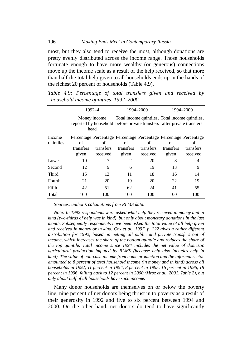most, but they also tend to receive the most, although donations are pretty evenly distributed across the income range. Those households fortunate enough to have more wealthy (or generous) connections move up the income scale as a result of the help received, so that more than half the total help given to all households ends up in the hands of the richest 20 percent of households (Table 4.9).

*Table 4.9: Percentage of total transfers given and received by household income quintiles, 1992–2000.* 

|           |           | 1992-4       |                                                                   | 1994-2000 | 1994-2000                                                                                                                 |           |  |
|-----------|-----------|--------------|-------------------------------------------------------------------|-----------|---------------------------------------------------------------------------------------------------------------------------|-----------|--|
|           | head      | Money income |                                                                   |           | Total income quintiles, Total income quintiles,<br>reported by household before private transfers after private transfers |           |  |
| Income    |           |              | Percentage Percentage Percentage Percentage Percentage Percentage |           |                                                                                                                           |           |  |
| quintiles | of        | of           | of                                                                | of        | of                                                                                                                        | οf        |  |
|           | transfers | transfers    | transfers                                                         | transfers | transfers                                                                                                                 | transfers |  |
|           | given     | received     | given                                                             | received  | given                                                                                                                     | received  |  |
| Lowest    | 10        |              | 2                                                                 | 20        | 8                                                                                                                         | 4         |  |
| Second    | 12        | 9            | 6                                                                 | 19        | 13                                                                                                                        | 9         |  |
| Third     | 15        | 13           | 11                                                                | 18        | 16                                                                                                                        | 14        |  |
| Fourth    | 21        | 20           | 19                                                                | 20        | 22                                                                                                                        | 19        |  |
| Fifth     | 42        | 51           | 62                                                                | 24        | 41                                                                                                                        | 55        |  |
| Total     | 100       | 100          | 100                                                               | 100       | 100                                                                                                                       | 100       |  |

*Sources: author's calculations from RLMS data.* 

*Note: In 1992 respondents were asked what help they received in money and in kind (two-thirds of help was in kind), but only about monetary donations in the last month. Subsequently respondents have been asked the total value of all help given and received in money or in kind. Cox et al., 1997, p. 222 gives a rather different distribution for 1992, based on netting all public and private transfers out of income, which increases the share of the bottom quintile and reduces the share of the top quintile. Total income since 1994 includes the net value of domestic agricultural production imputed by RLMS (because help also includes help in kind). The value of non-cash income from home production and the informal sector amounted to 8 percent of total household income (in money and in kind) across all households in 1992, 11 percent in 1994, 8 percent in 1995, 16 percent in 1996, 18 percent in 1996, falling back to 12 percent in 2000 (Mroz et al., 2001, Table 2), but only about half of all households have such income.* 

Many donor households are themselves on or below the poverty line, nine percent of net donors being thrust in to poverty as a result of their generosity in 1992 and five to six percent between 1994 and 2000. On the other hand, net donors do tend to have significantly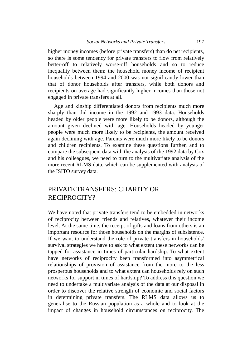higher money incomes (before private transfers) than do net recipients, so there is some tendency for private transfers to flow from relatively better-off to relatively worse-off households and so to reduce inequality between them: the household money income of recipient households between 1994 and 2000 was not significantly lower than that of donor households after transfers, while both donors and recipients on average had significantly higher incomes than those not engaged in private transfers at all.

Age and kinship differentiated donors from recipients much more sharply than did income in the 1992 and 1993 data. Households headed by older people were more likely to be donors, although the amount given declined with age. Households headed by younger people were much more likely to be recipients, the amount received again declining with age. Parents were much more likely to be donors and children recipients. To examine these questions further, and to compare the subsequent data with the analysis of the 1992 data by Cox and his colleagues, we need to turn to the multivariate analysis of the more recent RLMS data, which can be supplemented with analysis of the ISITO survey data.

### PRIVATE TRANSFERS: CHARITY OR RECIPROCITY?

We have noted that private transfers tend to be embedded in networks of reciprocity between friends and relatives, whatever their income level. At the same time, the receipt of gifts and loans from others is an important resource for those households on the margins of subsistence. If we want to understand the role of private transfers in households' survival strategies we have to ask to what extent these networks can be tapped for assistance in times of particular hardship. To what extent have networks of reciprocity been transformed into asymmetrical relationships of provision of assistance from the more to the less prosperous households and to what extent can households rely on such networks for support in times of hardship? To address this question we need to undertake a multivariate analysis of the data at our disposal in order to discover the relative strength of economic and social factors in determining private transfers. The RLMS data allows us to generalise to the Russian population as a whole and to look at the impact of changes in household circumstances on reciprocity. The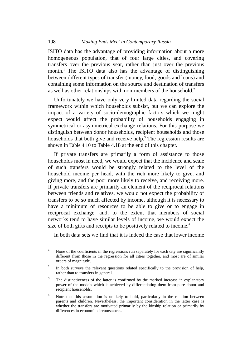ISITO data has the advantage of providing information about a more homogeneous population, that of four large cities, and covering transfers over the previous year, rather than just over the previous month.1 The ISITO data also has the advantage of distinguishing between different types of transfer (money, food, goods and loans) and containing some information on the source and destination of transfers as well as other relationships with non-members of the household.<sup>2</sup>

Unfortunately we have only very limited data regarding the social framework within which households subsist, but we can explore the impact of a variety of socio-demographic factors which we might expect would affect the probability of households engaging in symmetrical or asymmetrical exchange relations. For this purpose we distinguish between donor households, recipient households and those households that both give and receive help.<sup>3</sup> The regression results are shown in Table 4.10 to Table 4.18 at the end of this chapter.

If private transfers are primarily a form of assistance to those households most in need, we would expect that the incidence and scale of such transfers would be strongly related to the level of the household income per head, with the rich more likely to give, and giving more, and the poor more likely to receive, and receiving more. If private transfers are primarily an element of the reciprocal relations between friends and relatives, we would not expect the probability of transfers to be so much affected by income, although it is necessary to have a minimum of resources to be able to give or to engage in reciprocal exchange, and, to the extent that members of social networks tend to have similar levels of income, we would expect the size of both gifts and receipts to be positively related to income.<sup>4</sup>

In both data sets we find that it is indeed the case that lower income

<sup>1</sup> None of the coefficients in the regressions run separately for each city are significantly different from those in the regression for all cities together, and most are of similar orders of magnitude.

<sup>2</sup> In both surveys the relevant questions related specifically to the provision of help, rather than to transfers in general.

<sup>3</sup> The distinctiveness of the latter is confirmed by the marked increase in explanatory power of the models which is achieved by differentiating them from pure donor and recipient households.

<sup>4</sup> Note that this assumption is unlikely to hold, particularly in the relation between parents and children. Nevertheless, the important consideration in the latter case is whether the transfers are motivated primarily by the kinship relation or primarily by differences in economic circumstances.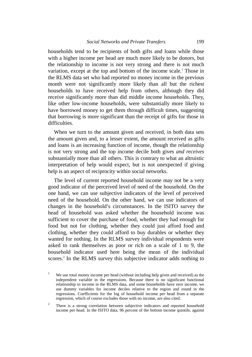households tend to be recipients of both gifts and loans while those with a higher income per head are much more likely to be donors, but the relationship to income is not very strong and there is not much variation, except at the top and bottom of the income scale.<sup>1</sup> Those in the RLMS data set who had reported no money income in the previous month were not significantly more likely than all but the richest households to have received help from others, although they did receive significantly more than did middle income households. They, like other low-income households, were substantially more likely to have borrowed money to get them through difficult times, suggesting that borrowing is more significant than the receipt of gifts for those in difficulties.

When we turn to the amount given and received, in both data sets the amount given and, to a lesser extent, the amount received as gifts and loans is an increasing function of income, though the relationship is not very strong and the top income decile both gives *and receives* substantially more than all others. This is contrary to what an altruistic interpretation of help would expect, but is not unexpected if giving help is an aspect of reciprocity within social networks.

The level of current reported household income may not be a very good indicator of the perceived level of need of the household. On the one hand, we can use subjective indicators of the level of perceived need of the household. On the other hand, we can use indicators of changes in the household's circumstances. In the ISITO survey the head of household was asked whether the household income was sufficient to cover the purchase of food, whether they had enough for food but not for clothing, whether they could just afford food and clothing, whether they could afford to buy durables or whether they wanted for nothing. In the RLMS survey individual respondents were asked to rank themselves as poor or rich on a scale of 1 to 9, the household indicator used here being the mean of the individual scores.<sup>2</sup> In the RLMS survey this subjective indicator adds nothing to

2 There is a strong correlation between subjective indicators and reported household income per head. In the ISITO data, 96 percent of the bottom income quintile, against

<sup>1</sup> We use total money income per head (without including help given and received) as the independent variable in the regressions. Because there is no significant functional relationship to income in the RLMS data, and some households have zero income, we use dummy variables for income deciles relative to the region and round in the regressions. Coefficients for the log of household income per head from a separate regression, which of course excludes those with no income, are also cited.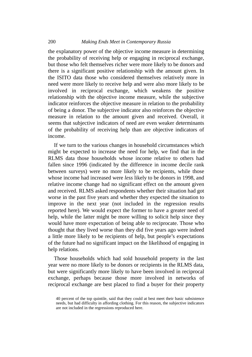the explanatory power of the objective income measure in determining the probability of receiving help or engaging in reciprocal exchange, but those who felt themselves richer were more likely to be donors and there is a significant positive relationship with the amount given. In the ISITO data those who considered themselves relatively more in need were more likely to receive help and were also more likely to be involved in reciprocal exchange, which weakens the positive relationship with the objective income measure, while the subjective indicator reinforces the objective measure in relation to the probability of being a donor. The subjective indicator also reinforces the objective measure in relation to the amount given and received. Overall, it seems that subjective indicators of need are even weaker determinants of the probability of receiving help than are objective indicators of income.

If we turn to the various changes in household circumstances which might be expected to increase the need for help, we find that in the RLMS data those households whose income relative to others had fallen since 1996 (indicated by the difference in income decile rank between surveys) were no more likely to be recipients, while those whose income had increased were *less* likely to be donors in 1998, and relative income change had no significant effect on the amount given and received. RLMS asked respondents whether their situation had got worse in the past five years and whether they expected the situation to improve in the next year (not included in the regression results reported here). We would expect the former to have a greater need of help, while the latter might be more willing to solicit help since they would have more expectation of being able to reciprocate. Those who thought that they lived worse than they did five years ago were indeed a little more likely to be recipients of help, but people's expectations of the future had no significant impact on the likelihood of engaging in help relations.

Those households which had sold household property in the last year were no more likely to be donors or recipients in the RLMS data, but were significantly more likely to have been involved in reciprocal exchange, perhaps because those more involved in networks of reciprocal exchange are best placed to find a buyer for their property

<sup>40</sup> percent of the top quintile, said that they could at best meet their basic subsistence needs, but had difficulty in affording clothing. For this reason, the subjective indicators are not included in the regressions reproduced here.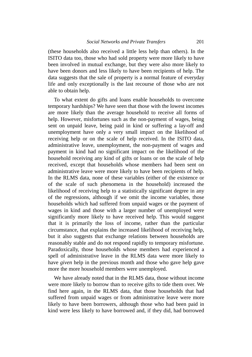(these households also received a little less help than others). In the ISITO data too, those who had sold property were more likely to have been involved in mutual exchange, but they were also more likely to have been donors and less likely to have been recipients of help. The data suggests that the sale of property is a normal feature of everyday life and only exceptionally is the last recourse of those who are not able to obtain help.

To what extent do gifts and loans enable households to overcome temporary hardships? We have seen that those with the lowest incomes are more likely than the average household to receive all forms of help. However, misfortunes such as the non-payment of wages, being sent on unpaid leave, being paid in kind or suffering a lay-off and unemployment have only a very small impact on the likelihood of receiving help or on the scale of help received. In the ISITO data, administrative leave, unemployment, the non-payment of wages and payment in kind had no significant impact on the likelihood of the household receiving any kind of gifts or loans or on the scale of help received, except that households whose members had been sent on administrative leave were more likely to have been recipients of help. In the RLMS data, none of these variables (either of the existence or of the scale of such phenomena in the household) increased the likelihood of receiving help to a statistically significant degree in any of the regressions, although if we omit the income variables, those households which had suffered from unpaid wages or the payment of wages in kind and those with a larger number of unemployed were significantly more likely to have received help. This would suggest that it is primarily the loss of income, rather than the particular circumstance, that explains the increased likelihood of receiving help, but it also suggests that exchange relations between households are reasonably stable and do not respond rapidly to temporary misfortune. Paradoxically, those households whose members had experienced a spell of administrative leave in the RLMS data were more likely to have *given* help in the previous month and those who gave help gave more the more household members were unemployed.

We have already noted that in the RLMS data, those without income were more likely to borrow than to receive gifts to tide them over. We find here again, in the RLMS data, that those households that had suffered from unpaid wages or from administrative leave were more likely to have been borrowers, although those who had been paid in kind were less likely to have borrowed and, if they did, had borrowed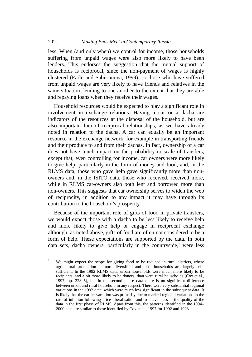less. When (and only when) we control for income, those households suffering from unpaid wages were also more likely to have been lenders. This endorses the suggestion that the mutual support of households is reciprocal, since the non-payment of wages is highly clustered (Earle and Sabirianova, 1999), so those who have suffered from unpaid wages are very likely to have friends and relatives in the same situation, lending to one another to the extent that they are able and repaying loans when they receive their wages.

Household resources would be expected to play a significant role in involvement in exchange relations. Having a car or a dacha are indicators of the resources at the disposal of the household, but are also important foci of reciprocal relationships, as we have already noted in relation to the dacha. A car can equally be an important resource in the exchange network, for example in transporting friends and their produce to and from their dachas. In fact, ownership of a car does not have much impact on the probability or scale of transfers, except that, even controlling for income, car owners were more likely to give help, particularly in the form of money and food, and, in the RLMS data, those who gave help gave significantly more than nonowners and, in the ISITO data, those who received, received more, while in RLMS car-owners also both lent and borrowed more than non-owners. This suggests that car ownership serves to widen the web of reciprocity, in addition to any impact it may have through its contribution to the household's prosperity.

Because of the important role of gifts of food in private transfers, we would expect those with a dacha to be less likely to receive help and more likely to give help or engage in reciprocal exchange although, as noted above, gifts of food are often not considered to be a form of help. These expectations are supported by the data. In both data sets, dacha owners, particularly in the countryside,<sup>1</sup> were less

1

We might expect the scope for giving food to be reduced in rural districts, where agricultural production is more diversified and most households are largely selfsufficient. In the 1992 RLMS data, urban households were much more likely to be recipients, and a bit more likely to be donors, than were rural households (Cox et al., 1997, pp. 223–5), but in the second phase data there is no significant difference between urban and rural household in any respect. There were very substantial regional variations in the 1992 data, which were much less significant in the subsequent data. It is likely that the earlier variation was primarily due to marked regional variations in the rate of inflation following price liberalisation and to unevenness in the quality of the data in the first phase of RLMS. Apart from this, the patterns identified in the 1994– 2000 data are similar to those identified by Cox et al., 1997 for 1992 and 1993.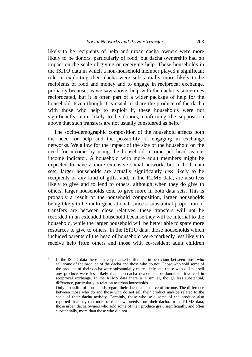likely to be recipients of help and urban dacha owners were more likely to be donors, particularly of food, but dacha ownership had no impact on the scale of giving or receiving help. Those households in the ISITO data in which a non-household member played a significant role in exploiting their dacha were substantially more likely to be recipients of food and money and to engage in reciprocal exchange, probably because, as we saw above, help with the dacha is sometimes reciprocated, but it is often part of a wider package of help for the household. Even though it is usual to share the produce of the dacha with those who help to exploit it, these households were not significantly more likely to be donors, confirming the supposition above that such transfers are not usually considered as help.<sup>1</sup>

The socio-demographic composition of the household affects both the need for help and the possibility of engaging in exchange networks. We allow for the impact of the size of the household on the need for income by using the household income per head as our income indicator. A household with more adult members might be expected to have a more extensive social network, but in both data sets, larger households are actually significantly *less* likely to be recipients of any kind of gifts, and, in the RLMS data, are also less likely to give and to lend to others, although when they do give to others, larger households tend to give more in both data sets. This is probably a result of the household composition, larger households being likely to be multi-generational: since a substantial proportion of transfers are between close relatives, these transfers will not be recorded in an extended household because they will be internal to the household, while the larger household will be better able to spare more resources to give to others. In the ISITO data, those households which included parents of the head of household were markedly less likely to receive help from others and those with co-resident adult children

1

In the ISITO data there is a very marked difference in behaviour between those who sell some of the produce of the dacha and those who do not. Those who sold some of the produce of their dacha were substantially more likely and those who did not sell any produce were less likely than non-dacha owners to be donors or involved in reciprocal exchange. In the RLMS data there is a similar, though less substantial, difference, particularly in relation to urban households.

Only a handful of households regard their dacha as a source of income. The difference between those who do and those who do not sell their product may be related to the scale of their dacha activity. Certainly, those who sold some of the produce also reported that they met more of their own needs from their dacha. In the RLMS data, those urban dacha owners who sold some of their produce grew significantly, and often substantially, more than those who did not.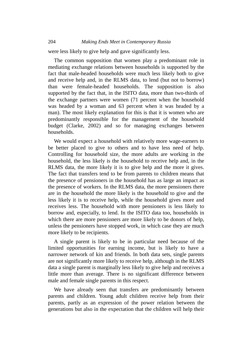were less likely to give help and gave significantly less.

The common supposition that women play a predominant role in mediating exchange relations between households is supported by the fact that male-headed households were much less likely both to give and receive help and, in the RLMS data, to lend (but not to borrow) than were female-headed households. The supposition is also supported by the fact that, in the ISITO data, more than two-thirds of the exchange partners were women (71 percent when the household was headed by a woman and 63 percent when it was headed by a man). The most likely explanation for this is that it is women who are predominantly responsible for the management of the household budget (Clarke, 2002) and so for managing exchanges between households.

We would expect a household with relatively more wage-earners to be better placed to give to others and to have less need of help. Controlling for household size, the more adults are working in the household, the less likely is the household to receive help and, in the RLMS data, the more likely it is to give help and the more it gives. The fact that transfers tend to be from parents to children means that the presence of pensioners in the household has as large an impact as the presence of workers. In the RLMS data, the more pensioners there are in the household the more likely is the household to give and the less likely it is to receive help, while the household gives more and receives less. The household with more pensioners is less likely to borrow and, especially, to lend. In the ISITO data too, households in which there are more pensioners are more likely to be donors of help, unless the pensioners have stopped work, in which case they are much more likely to be recipients.

A single parent is likely to be in particular need because of the limited opportunities for earning income, but is likely to have a narrower network of kin and friends. In both data sets, single parents are not significantly more likely to receive help, although in the RLMS data a single parent is marginally less likely to give help and receives a little more than average. There is no significant difference between male and female single parents in this respect.

We have already seen that transfers are predominantly between parents and children. Young adult children receive help from their parents, partly as an expression of the power relation between the generations but also in the expectation that the children will help their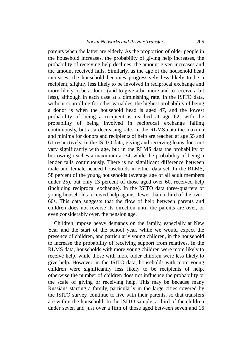parents when the latter are elderly. As the proportion of older people in the household increases, the probability of giving help increases, the probability of receiving help declines, the amount given increases and the amount received falls. Similarly, as the age of the household head increases, the household becomes progressively less likely to be a recipient, slightly less likely to be involved in reciprocal exchange and more likely to be a donor (and to give a bit more and to receive a bit less), although in each case at a diminishing rate. In the ISITO data, without controlling for other variables, the highest probability of being a donor is when the household head is aged 47, and the lowest probability of being a recipient is reached at age 62, with the probability of being involved in reciprocal exchange falling continuously, but at a decreasing rate. In the RLMS data the maxima and minima for donors and recipients of help are reached at age 55 and 61 respectively. In the ISITO data, giving and receiving loans does not vary significantly with age, but in the RLMS data the probability of borrowing reaches a maximum at 34, while the probability of being a lender falls continuously. There is no significant difference between male and female-headed households in either data set. In the RLMS, 58 percent of the young households (average age of all adult members under 25), but only 13 percent of those aged over 60, received help (including reciprocal exchange). In the ISITO data three-quarters of young households received help against fewer than a third of the over-60s. This data suggests that the flow of help between parents and children does not reverse its direction until the parents are over, or even considerably over, the pension age.

Children impose heavy demands on the family, especially at New Year and the start of the school year, while we would expect the presence of children, and particularly young children, in the household to increase the probability of receiving support from relatives. In the RLMS data, households with more young children were more likely to receive help, while those with more older children were less likely to give help. However, in the ISITO data, households with more young children were significantly less likely to be recipients of help, otherwise the number of children does not influence the probability or the scale of giving or receiving help. This may be because many Russians starting a family, particularly in the large cities covered by the ISITO survey, continue to live with their parents, so that transfers are within the household. In the ISITO sample, a third of the children under seven and just over a fifth of those aged between seven and 16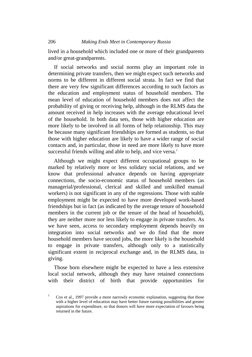lived in a household which included one or more of their grandparents and/or great-grandparents.

If social networks and social norms play an important role in determining private transfers, then we might expect such networks and norms to be different in different social strata. In fact we find that there are very few significant differences according to such factors as the education and employment status of household members. The mean level of education of household members does not affect the probability of giving or receiving help, although in the RLMS data the amount received in help increases with the average educational level of the household. In both data sets, those with higher education are more likely to be involved in all forms of help relationship. This may be because many significant friendships are formed as students, so that those with higher education are likely to have a wider range of social contacts and, in particular, those in need are more likely to have more successful friends willing and able to help, and vice versa.<sup>1</sup>

Although we might expect different occupational groups to be marked by relatively more or less solidary social relations, and we know that professional advance depends on having appropriate connections, the socio-economic status of household members (as managerial/professional, clerical and skilled and unskilled manual workers) is not significant in any of the regressions. Those with stable employment might be expected to have more developed work-based friendships but in fact (as indicated by the average tenure of household members in the current job or the tenure of the head of household), they are neither more nor less likely to engage in private transfers. As we have seen, access to secondary employment depends heavily on integration into social networks and we do find that the more household members have second jobs, the more likely is the household to engage in private transfers, although only to a statistically significant extent in reciprocal exchange and, in the RLMS data, in giving.

Those born elsewhere might be expected to have a less extensive local social network, although they may have retained connections with their district of birth that provide opportunities for

<sup>1</sup> Cox et al., 1997 provide a more narrowly economic explanation, suggesting that those with a higher level of education may have better future earning possibilities and greater aspirations for expenditure, so that donors will have more expectation of favours being returned in the future.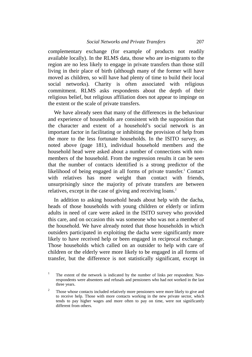complementary exchange (for example of products not readily available locally). In the RLMS data, those who are in-migrants to the region are no less likely to engage in private transfers than those still living in their place of birth (although many of the former will have moved as children, so will have had plenty of time to build their local social networks). Charity is often associated with religious commitment. RLMS asks respondents about the depth of their religious belief, but religious affiliation does not appear to impinge on the extent or the scale of private transfers.

We have already seen that many of the differences in the behaviour and experience of households are consistent with the supposition that the character and extent of a household's social network is an important factor in facilitating or inhibiting the provision of help from the more to the less fortunate households. In the ISITO survey, as noted above (page 181), individual household members and the household head were asked about a number of connections with nonmembers of the household. From the regression results it can be seen that the number of contacts identified is a strong predictor of the likelihood of being engaged in all forms of private transfer.<sup>1</sup> Contact with relatives has more weight than contact with friends, unsurprisingly since the majority of private transfers are between relatives, except in the case of giving and receiving loans.<sup>2</sup>

In addition to asking household heads about help with the dacha, heads of those households with young children or elderly or infirm adults in need of care were asked in the ISITO survey who provided this care, and on occasion this was someone who was not a member of the household. We have already noted that those households in which outsiders participated in exploiting the dacha were significantly more likely to have received help or been engaged in reciprocal exchange. Those households which called on an outsider to help with care of children or the elderly were more likely to be engaged in all forms of transfer, but the difference is not statistically significant, except in

<sup>1</sup> The extent of the network is indicated by the number of links per respondent. Nonrespondents were absentees and refusals and pensioners who had not worked in the last three years.

<sup>2</sup> Those whose contacts included relatively more pensioners were more likely to give and to receive help. Those with more contacts working in the new private sector, which tends to pay higher wages and more often to pay on time, were not significantly different from others.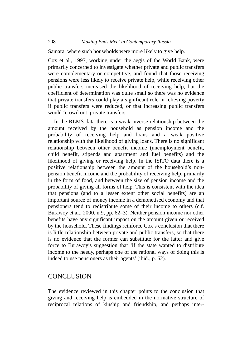Samara, where such households were more likely to give help.

Cox et al., 1997, working under the aegis of the World Bank, were primarily concerned to investigate whether private and public transfers were complementary or competitive, and found that those receiving pensions were less likely to receive private help, while receiving other public transfers increased the likelihood of receiving help, but the coefficient of determination was quite small so there was no evidence that private transfers could play a significant role in relieving poverty if public transfers were reduced, or that increasing public transfers would 'crowd out' private transfers.

In the RLMS data there is a weak inverse relationship between the amount received by the household as pension income and the probability of receiving help and loans and a weak positive relationship with the likelihood of giving loans. There is no significant relationship between other benefit income (unemployment benefit, child benefit, stipends and apartment and fuel benefits) and the likelihood of giving or receiving help. In the ISITO data there is a positive relationship between the amount of the household's nonpension benefit income and the probability of receiving help, primarily in the form of food, and between the size of pension income and the probability of giving all forms of help. This is consistent with the idea that pensions (and to a lesser extent other social benefits) are an important source of money income in a demonetised economy and that pensioners tend to redistribute some of their income to others (c.f. Burawoy et al., 2000, n.9, pp. 62–3). Neither pension income nor other benefits have any significant impact on the amount given or received by the household. These findings reinforce Cox's conclusion that there is little relationship between private and public transfers, so that there is no evidence that the former can substitute for the latter and give force to Burawoy's suggestion that 'if the state wanted to distribute income to the needy, perhaps one of the rational ways of doing this is indeed to use pensioners as their agents' (ibid., p. 62).

## **CONCLUSION**

The evidence reviewed in this chapter points to the conclusion that giving and receiving help is embedded in the normative structure of reciprocal relations of kinship and friendship, and perhaps inter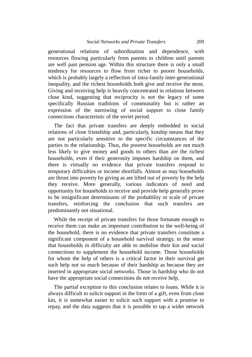generational relations of subordination and dependence, with resources flowing particularly from parents to children until parents are well past pension age. Within this structure there is only a small tendency for resources to flow from richer to poorer households, which is probably largely a reflection of intra-family inter-generational inequality, and the richest households both give and receive the most. Giving and receiving help is heavily concentrated in relations between close kind, suggesting that reciprocity is not the legacy of some specifically Russian traditions of communality but is rather an expression of the narrowing of social support to close family connections characteristic of the soviet period.

The fact that private transfers are deeply embedded in social relations of close friendship and, particularly, kinship means that they are not particularly sensitive to the specific circumstances of the parties to the relationship. Thus, the poorest households are not much less likely to give money and goods to others than are the richest households, even if their generosity imposes hardship on them, and there is virtually no evidence that private transfers respond to temporary difficulties or income shortfalls. Almost as may households are thrust into poverty by giving as are lifted out of poverty by the help they receive. More generally, various indicators of need and opportunity for households to receive and provide help generally prove to be insignificant determinants of the probability or scale of private transfers, reinforcing the conclusion that such transfers are predominantly not situational.

While the receipt of private transfers for those fortunate enough to receive them can make an important contribution to the well-being of the household, there is no evidence that private transfers constitute a significant component of a household survival strategy, in the sense that households in difficulty are able to mobilise their kin and social connections to supplement the household income. Those households for whom the help of others is a critical factor in their survival get such help not so much because of their hardship as because they are inserted in appropriate social networks. Those in hardship who do not have the appropriate social connections do not receive help.

The partial exception to this conclusion relates to loans. While it is always difficult to solicit support in the form of a gift, even from close kin, it is somewhat easier to solicit such support with a promise to repay, and the data suggests that it is possible to tap a wider network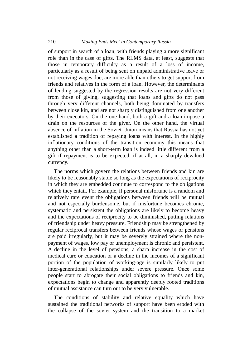## 210 *Making Ends Meet in Contemporary Russia*

of support in search of a loan, with friends playing a more significant role than in the case of gifts. The RLMS data, at least, suggests that those in temporary difficulty as a result of a loss of income, particularly as a result of being sent on unpaid administrative leave or not receiving wages due, are more able than others to get support from friends and relatives in the form of a loan. However, the determinants of lending suggested by the regression results are not very different from those of giving, suggesting that loans and gifts do not pass through very different channels, both being dominated by transfers between close kin, and are not sharply distinguished from one another by their executors. On the one hand, both a gift and a loan impose a drain on the resources of the giver. On the other hand, the virtual absence of inflation in the Soviet Union means that Russia has not yet established a tradition of repaying loans with interest. In the highly inflationary conditions of the transition economy this means that anything other than a short-term loan is indeed little different from a gift if repayment is to be expected, if at all, in a sharply devalued currency.

The norms which govern the relations between friends and kin are likely to be reasonably stable so long as the expectations of reciprocity in which they are embedded continue to correspond to the obligations which they entail. For example, if personal misfortune is a random and relatively rare event the obligations between friends will be mutual and not especially burdensome, but if misfortune becomes chronic, systematic and persistent the obligations are likely to become heavy and the expectations of reciprocity to be diminished, putting relations of friendship under heavy pressure. Friendship may be strengthened by regular reciprocal transfers between friends whose wages or pensions are paid irregularly, but it may be severely strained where the nonpayment of wages, low pay or unemployment is chronic and persistent. A decline in the level of pensions, a sharp increase in the cost of medical care or education or a decline in the incomes of a significant portion of the population of working-age is similarly likely to put inter-generational relationships under severe pressure. Once some people start to abrogate their social obligations to friends and kin, expectations begin to change and apparently deeply rooted traditions of mutual assistance can turn out to be very vulnerable.

The conditions of stability and relative equality which have sustained the traditional networks of support have been eroded with the collapse of the soviet system and the transition to a market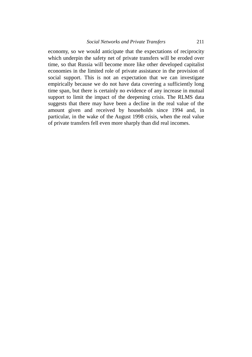economy, so we would anticipate that the expectations of reciprocity which underpin the safety net of private transfers will be eroded over time, so that Russia will become more like other developed capitalist economies in the limited role of private assistance in the provision of social support. This is not an expectation that we can investigate empirically because we do not have data covering a sufficiently long time span, but there is certainly no evidence of any increase in mutual support to limit the impact of the deepening crisis. The RLMS data suggests that there may have been a decline in the real value of the amount given and received by households since 1994 and, in particular, in the wake of the August 1998 crisis, when the real value of private transfers fell even more sharply than did real incomes.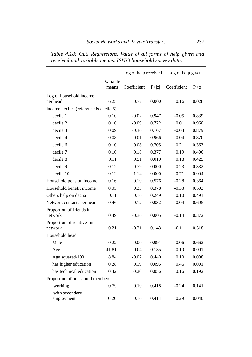|                                        |                   | Log of help received |        | Log of help given |        |
|----------------------------------------|-------------------|----------------------|--------|-------------------|--------|
|                                        | Variable<br>means | Coefficient          | P >  z | Coefficient       | P >  z |
| Log of household income<br>per head    | 6.25              | 0.77                 | 0.000  | 0.16              | 0.028  |
| Income deciles (reference is decile 5) |                   |                      |        |                   |        |
| decile 1                               | 0.10              | $-0.02$              | 0.947  | $-0.05$           | 0.839  |
| decile 2                               | 0.10              | $-0.09$              | 0.722  | 0.01              | 0.960  |
| decile 3                               | 0.09              | $-0.30$              | 0.167  | $-0.03$           | 0.879  |
| decile 4                               | 0.08              | 0.01                 | 0.966  | 0.04              | 0.870  |
| decile 6                               | 0.10              | 0.08                 | 0.705  | 0.21              | 0.363  |
| decile 7                               | 0.10              | 0.18                 | 0.377  | 0.19              | 0.406  |
| decile 8                               | 0.11              | 0.51                 | 0.010  | 0.18              | 0.425  |
| decile 9                               | 0.12              | 0.79                 | 0.000  | 0.23              | 0.332  |
| decile 10                              | 0.12              | 1.14                 | 0.000  | 0.71              | 0.004  |
| Household pension income               | 0.16              | 0.10                 | 0.576  | $-0.28$           | 0.364  |
| Household benefit income               | 0.05              | 0.33                 | 0.378  | $-0.33$           | 0.503  |
| Others help on dacha                   | 0.11              | 0.16                 | 0.249  | 0.10              | 0.491  |
| Network contacts per head              | 0.46              | 0.12                 | 0.032  | $-0.04$           | 0.605  |
| Proportion of friends in<br>network    | 0.49              | $-0.36$              | 0.005  | $-0.14$           | 0.372  |
| Proportion of relatives in<br>network  | 0.21              | $-0.21$              | 0.143  | $-0.11$           | 0.518  |
| Household head                         |                   |                      |        |                   |        |
| Male                                   | 0.22              | 0.00                 | 0.991  | $-0.06$           | 0.662  |
| Age                                    | 41.81             | 0.04                 | 0.135  | $-0.10$           | 0.001  |
| Age squared/100                        | 18.84             | $-0.02$              | 0.440  | 0.10              | 0.008  |
| has higher education                   | 0.28              | 0.19                 | 0.096  | 0.46              | 0.001  |
| has technical education                | 0.42              | 0.20                 | 0.056  | 0.16              | 0.192  |
| Proportion of household members:       |                   |                      |        |                   |        |
| working                                | 0.79              | 0.10                 | 0.418  | $-0.24$           | 0.141  |
| with secondary<br>employment           | 0.20              | 0.10                 | 0.414  | 0.29              | 0.040  |

*Table 4.18: OLS Regressions. Value of all forms of help given and received and variable means. ISITO household survey data.*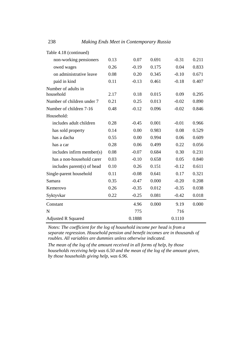| Table 4.18 (continued)           |      |         |       |         |       |
|----------------------------------|------|---------|-------|---------|-------|
| non-working pensioners           | 0.13 | 0.07    | 0.691 | $-0.31$ | 0.211 |
| owed wages                       | 0.26 | $-0.19$ | 0.175 | 0.04    | 0.833 |
| on administrative leave          | 0.08 | 0.20    | 0.345 | $-0.10$ | 0.671 |
| paid in kind                     | 0.11 | $-0.13$ | 0.461 | $-0.18$ | 0.407 |
| Number of adults in<br>household | 2.17 | 0.18    | 0.015 | 0.09    | 0.295 |
| Number of children under 7       | 0.21 | 0.25    | 0.013 | $-0.02$ | 0.890 |
| Number of children 7-16          | 0.48 | $-0.12$ | 0.096 | $-0.02$ | 0.846 |
| Household:                       |      |         |       |         |       |
| includes adult children          | 0.28 | $-0.45$ | 0.001 | $-0.01$ | 0.966 |
| has sold property                | 0.14 | 0.00    | 0.983 | 0.08    | 0.529 |
| has a dacha                      | 0.55 | 0.00    | 0.994 | 0.06    | 0.609 |
| has a car                        | 0.28 | 0.06    | 0.499 | 0.22    | 0.056 |
| includes infirm member(s)        | 0.08 | $-0.07$ | 0.684 | 0.30    | 0.231 |
| has a non-household carer        | 0.03 | $-0.10$ | 0.658 | 0.05    | 0.840 |
| includes parent(s) of head       | 0.10 | 0.26    | 0.151 | $-0.12$ | 0.611 |
| Single-parent household          | 0.11 | $-0.08$ | 0.641 | 0.17    | 0.321 |
| Samara                           | 0.35 | $-0.47$ | 0.000 | $-0.20$ | 0.208 |
| Kemerovo                         | 0.26 | $-0.35$ | 0.012 | $-0.35$ | 0.038 |
| Syktyvkar                        | 0.22 | $-0.25$ | 0.081 | $-0.42$ | 0.018 |
| Constant                         |      | 4.96    | 0.000 | 9.19    | 0.000 |
| N                                |      | 775     |       | 716     |       |
| <b>Adjusted R Squared</b>        |      | 0.1888  |       | 0.1110  |       |

*Notes: The coefficient for the log of household income per head is from a separate regression. Household pension and benefit incomes are in thousands of roubles. All variables are dummies unless otherwise indicated.* 

*The mean of the log of the amount received in all forms of help, by those households receiving help was 6.50 and the mean of the log of the amount given, by those households giving help, was 6.96.*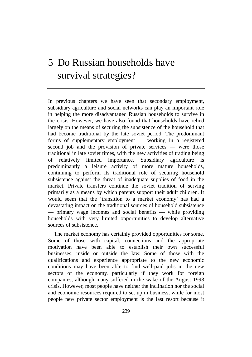# 5 Do Russian households have survival strategies?

In previous chapters we have seen that secondary employment, subsidiary agriculture and social networks can play an important role in helping the more disadvantaged Russian households to survive in the crisis. However, we have also found that households have relied largely on the means of securing the subsistence of the household that had become traditional by the late soviet period. The predominant forms of supplementary employment — working in a registered second job and the provision of private services — were those traditional in late soviet times, with the new activities of trading being of relatively limited importance. Subsidiary agriculture is predominantly a leisure activity of more mature households, continuing to perform its traditional role of securing household subsistence against the threat of inadequate supplies of food in the market. Private transfers continue the soviet tradition of serving primarily as a means by which parents support their adult children. It would seem that the 'transition to a market economy' has had a devastating impact on the traditional sources of household subsistence — primary wage incomes and social benefits — while providing households with very limited opportunities to develop alternative sources of subsistence.

The market economy has certainly provided opportunities for some. Some of those with capital, connections and the appropriate motivation have been able to establish their own successful businesses, inside or outside the law. Some of those with the qualifications and experience appropriate to the new economic conditions may have been able to find well-paid jobs in the new sectors of the economy, particularly if they work for foreign companies, although many suffered in the wake of the August 1998 crisis. However, most people have neither the inclination nor the social and economic resources required to set up in business, while for most people new private sector employment is the last resort because it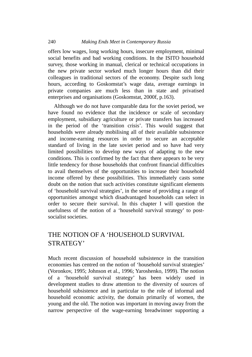offers low wages, long working hours, insecure employment, minimal social benefits and bad working conditions. In the ISITO household survey, those working in manual, clerical or technical occupations in the new private sector worked much longer hours than did their colleagues in traditional sectors of the economy. Despite such long hours, according to Goskomstat's wage data, average earnings in private companies are much less than in state and privatised enterprises and organisations (Goskomstat, 2000f, p.163).

Although we do not have comparable data for the soviet period, we have found no evidence that the incidence or scale of secondary employment, subsidiary agriculture or private transfers has increased in the period of the 'transition crisis'. This would suggest that households were already mobilising all of their available subsistence and income-earning resources in order to secure an acceptable standard of living in the late soviet period and so have had very limited possibilities to develop new ways of adapting to the new conditions. This is confirmed by the fact that there appears to be very little tendency for those households that confront financial difficulties to avail themselves of the opportunities to increase their household income offered by these possibilities. This immediately casts some doubt on the notion that such activities constitute significant elements of 'household survival strategies', in the sense of providing a range of opportunities amongst which disadvantaged households can select in order to secure their survival. In this chapter I will question the usefulness of the notion of a 'household survival strategy' to postsocialist societies.

### THE NOTION OF A 'HOUSEHOLD SURVIVAL STRATEGY'

Much recent discussion of household subsistence in the transition economies has centred on the notion of 'household survival strategies' (Voronkov, 1995; Johnson et al., 1996; Yaroshenko, 1999). The notion of a 'household survival strategy' has been widely used in development studies to draw attention to the diversity of sources of household subsistence and in particular to the role of informal and household economic activity, the domain primarily of women, the young and the old. The notion was important in moving away from the narrow perspective of the wage-earning breadwinner supporting a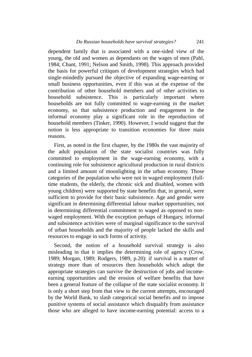dependent family that is associated with a one-sided view of the young, the old and women as dependants on the wages of men (Pahl, 1984; Chant, 1991; Nelson and Smith, 1998). This approach provided the basis for powerful critiques of development strategies which had single-mindedly pursued the objective of expanding wage-earning or small business opportunities, even if this was at the expense of the contribution of other household members and of other activities to household subsistence. This is particularly important where households are not fully committed to wage-earning in the market economy, so that subsistence production and engagement in the informal economy play a significant role in the reproduction of household members (Tinker, 1990). However, I would suggest that the notion is less appropriate to transition economies for three main reasons.

First, as noted in the first chapter, by the 1980s the vast majority of the adult population of the state socialist countries was fully committed to employment in the wage-earning economy, with a continuing role for subsistence agricultural production in rural districts and a limited amount of moonlighting in the urban economy. Those categories of the population who were not in waged employment (fulltime students, the elderly, the chronic sick and disabled, women with young children) were supported by state benefits that, in general, were sufficient to provide for their basic subsistence. Age and gender were significant in determining differential labour market opportunities, not in determining differential commitment to waged as opposed to nonwaged employment. With the exception perhaps of Hungary, informal and subsistence activities were of marginal significance to the survival of urban households and the majority of people lacked the skills and resources to engage in such forms of activity.

Second, the notion of a household survival strategy is also misleading in that it implies the determining role of agency (Crow, 1989; Morgan, 1989; Rodgers, 1989, p.20): if survival is a matter of strategy more than of resources then households which adopt the appropriate strategies can survive the destruction of jobs and incomeearning opportunities and the erosion of welfare benefits that have been a general feature of the collapse of the state socialist economy. It is only a short step from that view to the current attempts, encouraged by the World Bank, to slash categorical social benefits and to impose punitive systems of social assistance which disqualify from assistance those who are alleged to have income-earning potential: access to a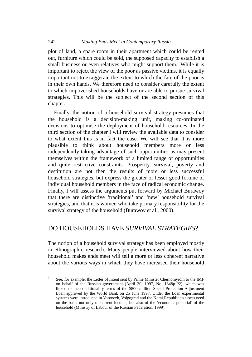plot of land, a spare room in their apartment which could be rented out, furniture which could be sold, the supposed capacity to establish a small business or even relatives who might support them.<sup>1</sup> While it is important to reject the view of the poor as passive victims, it is equally important not to exaggerate the extent to which the fate of the poor is in their own hands. We therefore need to consider carefully the extent to which impoverished households have or are able to pursue survival strategies. This will be the subject of the second section of this chapter.

Finally, the notion of a household survival strategy presumes that the household is a decision-making unit, making co-ordinated decisions to optimise the deployment of household resources. In the third section of the chapter I will review the available data to consider to what extent this is in fact the case. We will see that it is more plausible to think about household members more or less independently taking advantage of such opportunities as may present themselves within the framework of a limited range of opportunities and quite restrictive constraints. Prosperity, survival, poverty and destitution are not then the results of more or less successful household strategies, but express the greater or lesser good fortune of individual household members in the face of radical economic change. Finally, I will assess the arguments put forward by Michael Burawoy that there are distinctive 'traditional' and 'new' household survival strategies, and that it is women who take primary responsibility for the survival strategy of the household (Burawoy et al., 2000).

### DO HOUSEHOLDS HAVE *SURVIVAL STRATEGIES*?

The notion of a household survival strategy has been employed mostly in ethnographic research. Many people interviewed about how their household makes ends meet will tell a more or less coherent narrative about the various ways in which they have increased their household

1

See, for example, the Letter of Intent sent by Prime Minister Chernomyrdin to the IMF on behalf of the Russian government (April 30, 1997, No. 1348p-P2), which was linked to the conditionality terms of the \$800 million Social Protection Adjustment Loan approved by the World Bank on 25 June 1997. Under the Loan experimental systems were introduced in Voronezh, Volgograd and the Komi Republic to assess need on the basis not only of current income, but also of the 'economic potential' of the household (Ministry of Labour of the Russian Federation, 1999).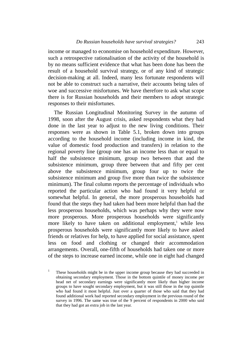income or managed to economise on household expenditure. However, such a retrospective rationalisation of the activity of the household is by no means sufficient evidence that what has been done has been the result of a household survival strategy, or of any kind of strategic decision-making at all. Indeed, many less fortunate respondents will not be able to construct such a narrative, their accounts being tales of woe and successive misfortunes. We have therefore to ask what scope there is for Russian households and their members to adopt strategic responses to their misfortunes.

The Russian Longitudinal Monitoring Survey in the autumn of 1998, soon after the August crisis, asked respondents what they had done in the last year to adjust to the new living conditions. Their responses were as shown in Table 5.1, broken down into groups according to the household income (including income in kind, the value of domestic food production and transfers) in relation to the regional poverty line (group one has an income less than or equal to half the subsistence minimum, group two between that and the subsistence minimum, group three between that and fifty per cent above the subsistence minimum, group four up to twice the subsistence minimum and group five more than twice the subsistence minimum). The final column reports the percentage of individuals who reported the particular action who had found it very helpful or somewhat helpful. In general, the more prosperous households had found that the steps they had taken had been more helpful than had the less prosperous households, which was perhaps why they were now more prosperous. More prosperous households were significantly more likely to have taken on additional employment,<sup>1</sup> while less prosperous households were significantly more likely to have asked friends or relatives for help, to have applied for social assistance, spent less on food and clothing or changed their accommodation arrangements. Overall, one-fifth of households had taken one or more of the steps to increase earned income, while one in eight had changed

<sup>1</sup> These households might be in the upper income group because they had succeeded in obtaining secondary employment. Those in the bottom quintile of money income per head net of secondary earnings were significantly more likely than higher income groups to have sought secondary employment, but it was still those in the top quintile who had found it most helpful. Just over a quarter of those who said that they had found additional work had reported secondary employment in the previous round of the survey in 1996. The same was true of the 9 percent of respondents in 2000 who said that they had got an extra job in the last year.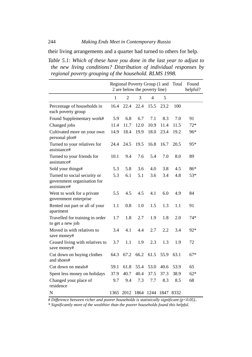their living arrangements and a quarter had turned to others for help.

| Table 5.1: Which of these have you done in the last year to adjust to |
|-----------------------------------------------------------------------|
| the new living conditions? Distribution of individual responses by    |
| regional poverty grouping of the household. RLMS 1998.                |

|                                                                            | Regional Poverty Group (1 and<br>2 are below the poverty line) |                |      |      |      | Total | Found<br>helpful? |
|----------------------------------------------------------------------------|----------------------------------------------------------------|----------------|------|------|------|-------|-------------------|
|                                                                            | 1                                                              | $\overline{2}$ | 3    | 4    | 5    |       |                   |
| Percentage of households in<br>each poverty group                          | 16.4                                                           | 22.4           | 22.4 | 15.5 | 23.2 | 100   |                   |
| Found Supplementary work#                                                  | 5.9                                                            | 6.8            | 6.7  | 7.1  | 8.3  | 7.0   | 91                |
| Changed jobs                                                               | 11.4                                                           | 11.7           | 12.0 | 10.9 | 11.4 | 11.5  | $72*$             |
| Cultivated more on your own<br>personal plot#                              | 14.9                                                           | 18.4           | 19.9 | 18.0 | 23.4 | 19.2  | 96*               |
| Turned to your relatives for<br>assistance#                                | 24.4                                                           | 24.5           | 19.5 | 16.8 | 16.7 | 20.5  | 95*               |
| Turned to your friends for<br>assistance#                                  | 10.1                                                           | 9.4            | 7.6  | 5.4  | 7.0  | 8.0   | 89                |
| Sold your things#                                                          | 5.3                                                            | 5.8            | 3.6  | 4.0  | 3.8  | 4.5   | 86*               |
| Turned to social security or<br>government organisation for<br>assistance# | 5.3                                                            | 6.1            | 5.1  | 3.6  | 3.4  | 4.8   | 53*               |
| Went to work for a private<br>government enterprise                        | 5.5                                                            | 4.5            | 4.5  | 4.1  | 6.0  | 4.9   | 84                |
| Rented out part or all of your<br>apartment                                | 1.1                                                            | 0.8            | 1.0  | 1.5  | 1.3  | 1.1   | 91                |
| Travelled for training in order<br>to get a new job                        | 1.7                                                            | 1.8            | 2.7  | 1.9  | 1.8  | 2.0   | 74*               |
| Moved in with relatives to<br>save money#                                  | 3.4                                                            | 4.1            | 4.4  | 2.7  | 2.2  | 3.4   | $92*$             |
| Ceased living with relatives to<br>save money#                             | 3.7                                                            | 1.1            | 1.9  | 2.3  | 1.3  | 1.9   | 72                |
| Cut down on buying clothes<br>and shoes#                                   | 64.3                                                           | 67.2           | 66.2 | 61.5 | 55.9 | 63.1  | $67*$             |
| Cut down on meals#                                                         | 59.1                                                           | 61.8           | 55.4 | 53.0 | 40.6 | 53.9  | 65                |
| Spent less money on holidays                                               | 37.9                                                           | 40.7           | 40.4 | 37.5 | 37.3 | 38.9  | $62*$             |
| Changed your place of<br>residence                                         | 9.7                                                            | 9.4            | 7.3  | 7.7  | 8.3  | 8.5   | 68                |
| $\mathbf N$                                                                | 1365                                                           | 2012           | 1864 | 1244 | 1847 | 8332  |                   |

*# Difference between richer and poorer households is statistically significant (p<0.05)..* 

*\* Significantly more of the wealthier than the poorer households found this helpful.*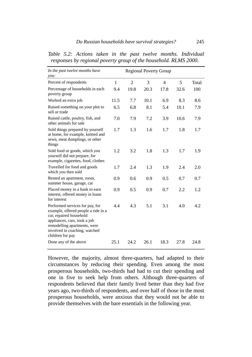| In the past twelve months have<br>you:                                                                                                                                                                                 | <b>Regional Poverty Group</b> |                |      |                |      |       |
|------------------------------------------------------------------------------------------------------------------------------------------------------------------------------------------------------------------------|-------------------------------|----------------|------|----------------|------|-------|
| Percent of respondents                                                                                                                                                                                                 | $\mathbf{1}$                  | $\overline{2}$ | 3    | $\overline{4}$ | 5    | Total |
| Percentage of households in each<br>poverty group                                                                                                                                                                      | 9.4                           | 19.8           | 20.3 | 17.8           | 32.6 | 100   |
| Worked an extra job                                                                                                                                                                                                    | 11.5                          | 7.7            | 10.1 | 6.9            | 8.3  | 8.6   |
| Raised something on your plot to<br>sell or trade                                                                                                                                                                      | 6.5                           | 6.8            | 8.1  | 5.4            | 10.1 | 7.9   |
| Raised cattle, poultry, fish, and<br>other animals for sale                                                                                                                                                            | 7.0                           | 7.9            | 7.2  | 3.9            | 10.6 | 7.9   |
| Sold things prepared by yourself<br>at home, for example, knitted and<br>sewn, meat dumplings, or other<br>things                                                                                                      | 1.7                           | 1.3            | 1.6  | 1.7            | 1.8  | 1.7   |
| Sold food or goods, which you<br>yourself did not prepare, for<br>example, cigarettes, food, clothes                                                                                                                   | 1.2                           | 3.2            | 1.8  | 1.3            | 1.7  | 1.9   |
| Travelled for food and goods<br>which you then sold                                                                                                                                                                    | 1.7                           | 2.4            | 1.3  | 1.9            | 2.4  | 2.0   |
| Rented an apartment, room,<br>summer house, garage, car                                                                                                                                                                | 0.9                           | 0.6            | 0.9  | 0.5            | 0.7  | 0.7   |
| Placed money in a bank to earn<br>interest, offered money in loans<br>for interest                                                                                                                                     | 0.9                           | 0.5            | 0.9  | 0.7            | 2.2  | 1.2   |
| Performed services for pay, for<br>example, offered people a ride in a<br>car, repaired household<br>appliances, cars, took a job<br>remodelling apartments, were<br>involved in coaching, watched<br>children for pay | 4.4                           | 4.3            | 5.1  | 3.1            | 4.0  | 4.2   |
| Done any of the above                                                                                                                                                                                                  | 25.1                          | 24.2           | 26.1 | 18.3           | 27.8 | 24.8  |

*Table 5.2: Actions taken in the past twelve months. Individual responses by regional poverty group of the household. RLMS 2000.* 

However, the majority, almost three-quarters, had adapted to their circumstances by reducing their spending. Even among the most prosperous households, two-thirds had had to cut their spending and one in five to seek help from others. Although three-quarters of respondents believed that their family lived better than they had five years ago, two-thirds of respondents, and over half of those in the most prosperous households, were anxious that they would not be able to provide themselves with the bare essentials in the following year.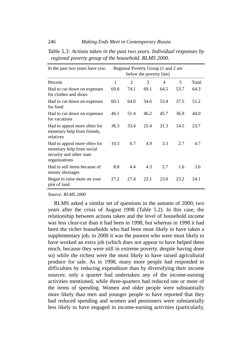| In the past two years have you:                                                                        | Regional Poverty Group (1 and 2 are<br>below the poverty line) |      |      |                |      |       |
|--------------------------------------------------------------------------------------------------------|----------------------------------------------------------------|------|------|----------------|------|-------|
| Percent                                                                                                | 1                                                              | 2    | 3    | $\overline{4}$ | 5    | Total |
| Had to cut down on expenses<br>for clothes and shoes                                                   | 69.8                                                           | 74.1 | 69.1 | 64.5           | 53.7 | 64.3  |
| Had to cut down on expenses<br>for food                                                                | 60.1                                                           | 64.0 | 54.6 | 53.4           | 37.5 | 51.2  |
| Had to cut down on expenses<br>for vacations                                                           | 46.1                                                           | 51.4 | 46.2 | 45.7           | 36.9 | 44.0  |
| Had to appeal more often for<br>monetary help from friends,<br>relatives                               | 36.3                                                           | 33.4 | 25.4 | 21.3           | 14.5 | 23.7  |
| Had to appeal more often for<br>monetary help from social<br>security and other state<br>organizations | 10.3                                                           | 6.7  | 4.9  | 3.3            | 2.7  | 4.7   |
| Had to sell items because of<br>money shortages                                                        | 8.8                                                            | 4.4  | 4.3  | 2.7            | 1.6  | 3.6   |
| Began to raise more on your<br>plot of land                                                            | 27.2                                                           | 27.4 | 22.1 | 23.0           | 23.2 | 24.1  |

*Table 5.3: Actions taken in the past two years. Individual responses by regional poverty group of the household. RLMS 2000.* 

#### *Source: RLMS 2000*

RLMS asked a similar set of questions in the autumn of 2000, two years after the crisis of August 1998 (Table 5.2). In this case, the relationship between actions taken and the level of household income was less clear-cut than it had been in 1998, but whereas in 1998 it had been the richer households who had been most likely to have taken a supplementary job, in 2000 it was the poorest who were most likely to have worked an extra job (which does not appear to have helped them much, because they were still in extreme poverty, despite having done so) while the richest were the most likely to have raised agricultural produce for sale. As in 1998, many more people had responded to difficulties by reducing expenditure than by diversifying their income sources: only a quarter had undertaken any of the income-earning activities mentioned, while three-quarters had reduced one or more of the items of spending. Women and older people were substantially more likely than men and younger people to have reported that they had reduced spending and women and pensioners were substantially less likely to have engaged in income-earning activities (particularly,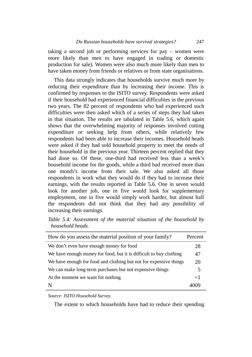taking a second job or performing services for pay – women were more likely than men to have engaged in trading or domestic production for sale). Women were also much more likely than men to have taken money from friends or relatives or from state organisations.

This data strongly indicates that households survive much more by reducing their expenditure than by increasing their income. This is confirmed by responses to the ISITO survey. Respondents were asked if their household had experienced financial difficulties in the previous two years. The 82 percent of respondents who had experienced such difficulties were then asked which of a series of steps they had taken in that situation. The results are tabulated in Table 5.6, which again shows that the overwhelming majority of responses involved cutting expenditure or seeking help from others, while relatively few respondents had been able to increase their incomes. Household heads were asked if they had sold household property to meet the needs of their household in the previous year. Thirteen percent replied that they had done so. Of these, one-third had received less than a week's household income for the goods, while a third had received more than one month's income from their sale. We also asked all those respondents in work what they would do if they had to increase their earnings, with the results reported in Table 5.6. One in seven would look for another job, one in five would look for supplementary employment, one in five would simply work harder, but almost half the respondents did not think that they had any possibility of increasing their earnings.

*Table 5.4: Assessment of the material situation of the household by household heads.*

| How do you assess the material position of your family?            | Percent           |
|--------------------------------------------------------------------|-------------------|
| We don't even have enough money for food                           | 28                |
| We have enough money for food, but it is difficult to buy clothing | 47                |
| We have enough for food and clothing but not for expensive things  | 20                |
| We can make long-term purchases but not expensive things           | 5                 |
| At the moment we want for nothing                                  | $\langle \cdot  $ |
|                                                                    |                   |

*Source: ISITO Household Survey.* 

The extent to which households have had to reduce their spending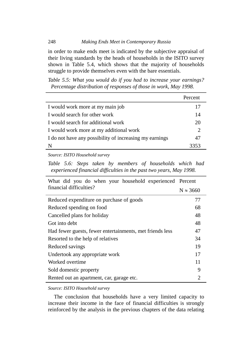in order to make ends meet is indicated by the subjective appraisal of their living standards by the heads of households in the ISITO survey shown in Table 5.4, which shows that the majority of households struggle to provide themselves even with the bare essentials.

*Table 5.5: What you would do if you had to increase your earnings? Percentage distribution of responses of those in work, May 1998.* 

|                                                         | Percent                     |
|---------------------------------------------------------|-----------------------------|
| I would work more at my main job                        | 17                          |
| I would search for other work                           | 14                          |
| I would search for additional work                      | 20                          |
| I would work more at my additional work                 | $\mathcal{D}_{\mathcal{L}}$ |
| I do not have any possibility of increasing my earnings |                             |
|                                                         |                             |

*Source: ISITO Household survey* 

*Table 5.6: Steps taken by members of households which had experienced financial difficulties in the past two years, May 1998.* 

| What did you do when your household experienced Percent  |                             |  |
|----------------------------------------------------------|-----------------------------|--|
| financial difficulties?                                  | $N \approx 3660$            |  |
| Reduced expenditure on purchase of goods                 | 77                          |  |
| Reduced spending on food                                 | 68                          |  |
| Cancelled plans for holiday                              | 48                          |  |
| Got into debt                                            | 48                          |  |
| Had fewer guests, fewer entertainments, met friends less | 47                          |  |
| Resorted to the help of relatives                        | 34                          |  |
| Reduced savings                                          | 19                          |  |
| Undertook any appropriate work                           | 17                          |  |
| Worked overtime                                          | 11                          |  |
| Sold domestic property                                   | 9                           |  |
| Rented out an apartment, car, garage etc.                | $\mathcal{D}_{\mathcal{L}}$ |  |

*Source: ISITO Household survey* 

The conclusion that households have a very limited capacity to increase their income in the face of financial difficulties is strongly reinforced by the analysis in the previous chapters of the data relating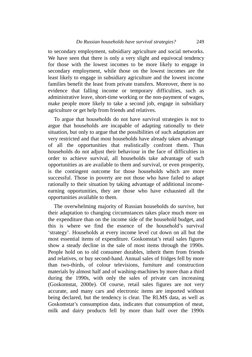to secondary employment, subsidiary agriculture and social networks. We have seen that there is only a very slight and equivocal tendency for those with the lowest incomes to be more likely to engage in secondary employment, while those on the lowest incomes are the least likely to engage in subsidiary agriculture and the lowest income families benefit the least from private transfers. Moreover, there is no evidence that falling income or temporary difficulties, such as administrative leave, short-time working or the non-payment of wages, make people more likely to take a second job, engage in subsidiary agriculture or get help from friends and relatives.

To argue that households do not have survival strategies is not to argue that households are incapable of adapting rationally to their situation, but only to argue that the possibilities of such adaptation are very restricted and that most households have already taken advantage of all the opportunities that realistically confront them. Thus households do not adjust their behaviour in the face of difficulties in order to achieve survival, all households take advantage of such opportunities as are available to them and survival, or even prosperity, is the contingent outcome for those households which are more successful. Those in poverty are not those who have failed to adapt rationally to their situation by taking advantage of additional incomeearning opportunities, they are those who have exhausted all the opportunities available to them.

The overwhelming majority of Russian households do survive, but their adaptation to changing circumstances takes place much more on the expenditure than on the income side of the household budget, and this is where we find the essence of the household's survival 'strategy'. Households at every income level cut down on all but the most essential items of expenditure. Goskomstat's retail sales figures show a steady decline in the sale of most items through the 1990s. People hold on to old consumer durables, inherit them from friends and relatives, or buy second-hand. Annual sales of fridges fell by more than two-thirds, of colour televisions, furniture and construction materials by almost half and of washing-machines by more than a third during the 1990s, with only the sales of private cars increasing (Goskomstat, 2000e). Of course, retail sales figures are not very accurate, and many cars and electronic items are imported without being declared, but the tendency is clear. The RLMS data, as well as Goskomstat's consumption data, indicates that consumption of meat, milk and dairy products fell by more than half over the 1990s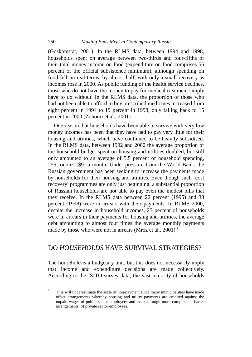(Goskomstat, 2001). In the RLMS data, between 1994 and 1998, households spent on average between two-thirds and four-fifths of their total money income on food (expenditure on food comprises 55 percent of the official subsistence minimum), although spending on food fell, in real terms, by almost half, with only a small recovery as incomes rose in 2000. As public funding of the health service declines, those who do not have the money to pay for medical treatment simply have to do without. In the RLMS data, the proportion of those who had not been able to afford to buy prescribed medicines increased from eight percent in 1994 to 19 percent in 1998, only falling back to 15 percent in 2000 (Zohoori et al., 2001).

One reason that households have been able to survive with very low money incomes has been that they have had to pay very little for their housing and utilities, which have continued to be heavily subsidised. In the RLMS data, between 1992 and 2000 the average proportion of the household budget spent on housing and utilities doubled, but still only amounted to an average of 5.5 percent of household spending, 255 roubles (\$9) a month. Under pressure from the World Bank, the Russian government has been seeking to increase the payments made by households for their housing and utilities. Even though such 'cost recovery' programmes are only just beginning, a substantial proportion of Russian households are not able to pay even the modest bills that they receive. In the RLMS data between 22 percent (1995) and 38 percent (1998) were in arrears with their payments. In RLMS 2000, despite the increase in household incomes, 27 percent of households were in arrears in their payments for housing and utilities, the average debt amounting to almost four times the average monthly payments made by those who were not in arrears (Mroz et al., 2001).<sup>1</sup>

### DO *HOUSEHOLDS* HAVE SURVIVAL STRATEGIES?

The household is a budgetary unit, but this does not necessarily imply that income and expenditure decisions are made collectively. According to the ISITO survey data, the vast majority of households

1

This will underestimate the scale of non-payment since many municipalities have made offset arrangements whereby housing and utility payments are credited against the unpaid wages of public sector employees and even, through more complicated barter arrangements, of private sector employees.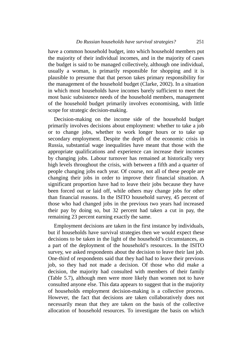have a common household budget, into which household members put the majority of their individual incomes, and in the majority of cases the budget is said to be managed collectively, although one individual, usually a woman, is primarily responsible for shopping and it is plausible to presume that that person takes primary responsibility for the management of the household budget (Clarke, 2002). In a situation in which most households have incomes barely sufficient to meet the most basic subsistence needs of the household members, management of the household budget primarily involves economising, with little scope for strategic decision-making.

Decision-making on the income side of the household budget primarily involves decisions about employment: whether to take a job or to change jobs, whether to work longer hours or to take up secondary employment. Despite the depth of the economic crisis in Russia, substantial wage inequalities have meant that those with the appropriate qualifications and experience can increase their incomes by changing jobs. Labour turnover has remained at historically very high levels throughout the crisis, with between a fifth and a quarter of people changing jobs each year. Of course, not all of these people are changing their jobs in order to improve their financial situation. A significant proportion have had to leave their jobs because they have been forced out or laid off, while others may change jobs for other than financial reasons. In the ISITO household survey, 45 percent of those who had changed jobs in the previous two years had increased their pay by doing so, but 32 percent had taken a cut in pay, the remaining 23 percent earning exactly the same.

Employment decisions are taken in the first instance by individuals, but if households have survival strategies then we would expect these decisions to be taken in the light of the household's circumstances, as a part of the deployment of the household's resources. In the ISITO survey, we asked respondents about the decision to leave their last job. One-third of respondents said that they had had to leave their previous job, so they had not made a decision. Of those who did make a decision, the majority had consulted with members of their family (Table 5.7), although men were more likely than women not to have consulted anyone else. This data appears to suggest that in the majority of households employment decision-making is a collective process. However, the fact that decisions are taken collaboratively does not necessarily mean that they are taken on the basis of the collective allocation of household resources. To investigate the basis on which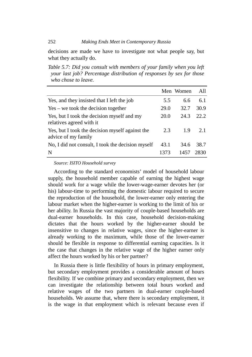decisions are made we have to investigate not what people say, but what they actually do.

*Table 5.7: Did you consult with members of your family when you left your last job? Percentage distribution of responses by sex for those who chose to leave.* 

|                                                                        |      | Men Women | All  |
|------------------------------------------------------------------------|------|-----------|------|
| Yes, and they insisted that I left the job                             | 5.5  | 6.6       | 6.1  |
| $Yes - we took the decision together$                                  | 29.0 | 32.7      | 30.9 |
| Yes, but I took the decision myself and my<br>relatives agreed with it | 20.0 | 24.3      | 22.2 |
| Yes, but I took the decision myself against the<br>advice of my family | 2.3  | 1.9       | 2.1  |
| No, I did not consult, I took the decision myself                      | 43.1 | 34.6      | 38.7 |
| N                                                                      | 1373 | 1457      | 2830 |

#### *Source: ISITO Household survey*

According to the standard economists' model of household labour supply, the household member capable of earning the highest wage should work for a wage while the lower-wage-earner devotes her (or his) labour-time to performing the domestic labour required to secure the reproduction of the household, the lower-earner only entering the labour market when the higher-earner is working to the limit of his or her ability. In Russia the vast majority of couple-based households are dual-earner households. In this case, household decision-making dictates that the hours worked by the higher-earner should be insensitive to changes in relative wages, since the higher-earner is already working to the maximum, while those of the lower-earner should be flexible in response to differential earning capacities. Is it the case that changes in the relative wage of the higher earner only affect the hours worked by his or her partner?

In Russia there is little flexibility of hours in primary employment, but secondary employment provides a considerable amount of hours flexibility. If we combine primary and secondary employment, then we can investigate the relationship between total hours worked and relative wages of the two partners in dual-earner couple-based households. We assume that, where there is secondary employment, it is the wage in that employment which is relevant because even if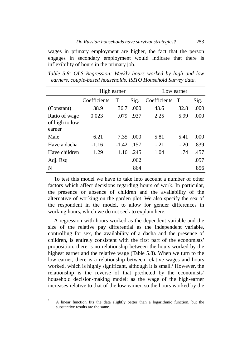wages in primary employment are higher, the fact that the person engages in secondary employment would indicate that there is inflexibility of hours in the primary job.

*Table 5.8: OLS Regression: Weekly hours worked by high and low earners, couple-based households. ISITO Household Survey data.* 

|                                           |              | High earner  | Low earner |              |             |      |
|-------------------------------------------|--------------|--------------|------------|--------------|-------------|------|
|                                           | Coefficients | T            | Sig.       | Coefficients | $\mathbf T$ | Sig. |
| (Constant)                                | 38.9         | 36.7         | .000       | 43.6         | 32.8        | .000 |
| Ratio of wage<br>of high to low<br>earner | 0.023        | .079         | .937       | 2.25         | 5.99        | .000 |
| Male                                      | 6.21         | 7.35         | .000       | 5.81         | 5.41        | .000 |
| Have a dacha                              | $-1.16$      | $-1.42$ .157 |            | $-.21$       | $-.20$      | .839 |
| Have children                             | 1.29         | 1.16         | .245       | 1.04         | .74         | .457 |
| Adj. Rsq                                  |              |              | .062       |              |             | .057 |
| N                                         |              |              | 864        |              |             | 856  |

To test this model we have to take into account a number of other factors which affect decisions regarding hours of work. In particular, the presence or absence of children and the availability of the alternative of working on the garden plot. We also specify the sex of the respondent in the model, to allow for gender differences in working hours, which we do not seek to explain here.

A regression with hours worked as the dependent variable and the size of the relative pay differential as the independent variable, controlling for sex, the availability of a dacha and the presence of children, is entirely consistent with the first part of the economists' proposition: there is no relationship between the hours worked by the highest earner and the relative wage (Table 5.8). When we turn to the low earner, there is a relationship between relative wages and hours worked, which is highly significant, although it is small.<sup>1</sup> However, the relationship is the reverse of that predicted by the economists' household decision-making model: as the wage of the high-earner increases relative to that of the low-earner, so the hours worked by the

<sup>1</sup> A linear function fits the data slightly better than a logarithmic function, but the substantive results are the same.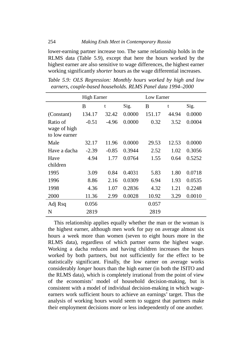lower-earning partner increase too. The same relationship holds in the RLMS data (Table 5.9), except that here the hours worked by the highest earner are also sensitive to wage differences, the highest earner working significantly *shorter* hours as the wage differential increases.

*Table 5.9: OLS Regression: Monthly hours worked by high and low earners, couple-based households. RLMS Panel data 1994–2000* 

|                                           | <b>High Earner</b> |         |        | Low Earner |       |        |  |
|-------------------------------------------|--------------------|---------|--------|------------|-------|--------|--|
|                                           | B                  | t       | Sig.   | B          | t     | Sig.   |  |
| (Constant)                                | 134.17             | 32.42   | 0.0000 | 151.17     | 44.94 | 0.0000 |  |
| Ratio of<br>wage of high<br>to low earner | $-0.51$            | $-4.96$ | 0.0000 | 0.32       | 3.52  | 0.0004 |  |
| Male                                      | 32.17              | 11.96   | 0.0000 | 29.53      | 12.53 | 0.0000 |  |
| Have a dacha                              | $-2.39$            | $-0.85$ | 0.3944 | 2.52       | 1.02  | 0.3056 |  |
| Have<br>children                          | 4.94               | 1.77    | 0.0764 | 1.55       | 0.64  | 0.5252 |  |
| 1995                                      | 3.09               | 0.84    | 0.4031 | 5.83       | 1.80  | 0.0718 |  |
| 1996                                      | 8.86               | 2.16    | 0.0309 | 6.94       | 1.93  | 0.0535 |  |
| 1998                                      | 4.36               | 1.07    | 0.2836 | 4.32       | 1.21  | 0.2248 |  |
| 2000                                      | 11.36              | 2.99    | 0.0028 | 10.92      | 3.29  | 0.0010 |  |
| Adj Rsq                                   | 0.056              |         |        | 0.057      |       |        |  |
| N                                         | 2819               |         |        | 2819       |       |        |  |

This relationship applies equally whether the man or the woman is the highest earner, although men work for pay on average almost six hours a week more than women (seven to eight hours more in the RLMS data), regardless of which partner earns the highest wage. Working a dacha reduces and having children increases the hours worked by both partners, but not sufficiently for the effect to be statistically significant. Finally, the low earner on average works considerably *longer* hours than the high earner (in both the ISITO and the RLMS data), which is completely irrational from the point of view of the economists' model of household decision-making, but is consistent with a model of individual decision-making in which wageearners work sufficient hours to achieve an earnings' target. Thus the analysis of working hours would seem to suggest that partners make their employment decisions more or less independently of one another.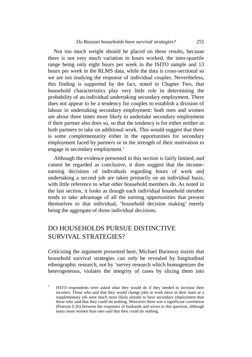Not too much weight should be placed on these results, because there is not very much variation in hours worked, the inter-quartile range being only eight hours per week in the ISITO sample and 13 hours per week in the RLMS data, while the data is cross-sectional so we are not studying the response of individual couples. Nevertheless, this finding is supported by the fact, noted in Chapter Two, that household characteristics play very little role in determining the probability of an individual undertaking secondary employment. There does not appear to be a tendency for couples to establish a division of labour in undertaking secondary employment: both men and women are about three times more likely to undertake secondary employment if their partner also does so, so that the tendency is for either neither or both partners to take on additional work. This would suggest that there is some complementarity either in the opportunities for secondary employment faced by partners or in the strength of their motivation to engage in secondary employment.<sup>1</sup>

Although the evidence presented in this section is fairly limited, and cannot be regarded as conclusive, it does suggest that the incomeearning decisions of individuals regarding hours of work and undertaking a second job are taken primarily on an individual basis, with little reference to what other household members do. As noted in the last section, it looks as though each individual household member tends to take advantage of all the earning opportunities that present themselves to that individual, 'household decision making' merely being the aggregate of those individual decisions.

### DO HOUSEHOLDS PURSUE DISTINCTIVE SURVIVAL STRATEGIES?

Criticising the argument presented here, Michael Burawoy insists that household survival strategies can only be revealed by longitudinal ethnographic research, not by 'survey research which homogenizes the heterogeneous, violates the integrity of cases by slicing them into

<sup>1</sup> ISITO respondents were asked what they would do if they needed to increase their incomes. Those who said that they would change jobs or work more in their main or a supplementary job were much more likely already to have secondary employment than those who said that they could do nothing. Moreover there was a significant correlation (Pearson 0.26) between the responses of husbands and wives to this question, although many more women than men said that they could do nothing.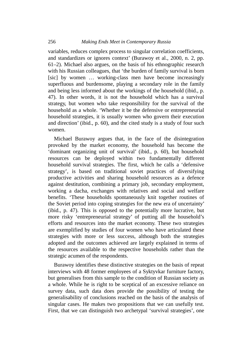variables, reduces complex process to singular correlation coefficients, and standardizes or ignores context' (Burawoy et al., 2000, n. 2, pp. 61–2). Michael also argues, on the basis of his ethnographic research with his Russian colleagues, that 'the burden of family survival is born [sic] by women … working-class men have become increasingly superfluous and burdensome, playing a secondary role in the family and being less informed about the workings of the household (ibid., p. 47). In other words, it is not the household which has a survival strategy, but women who take responsibility for the survival of the household as a whole. 'Whether it be the defensive or entrepreneurial household strategies, it is usually women who govern their execution and direction' (ibid., p. 60), and the cited study is a study of four such women.

Michael Burawoy argues that, in the face of the disintegration provoked by the market economy, the household has become the 'dominant organizing unit of survival' (ibid., p. 60), but household resources can be deployed within two fundamentally different household survival strategies. The first, which he calls a 'defensive strategy', is based on traditional soviet practices of diversifying productive activities and sharing household resources as a defence against destitution, combining a primary job, secondary employment, working a dacha, exchanges with relatives and social and welfare benefits. 'These households spontaneously knit together routines of the Soviet period into coping strategies for the new era of uncertainty' (ibid., p. 47). This is opposed to the potentially more lucrative, but more risky 'entrepreneurial strategy' of putting all the household's efforts and resources into the market economy. These two strategies are exemplified by studies of four women who have articulated these strategies with more or less success, although both the strategies adopted and the outcomes achieved are largely explained in terms of the resources available to the respective households rather than the strategic acumen of the respondents.

Burawoy identifies these distinctive strategies on the basis of repeat interviews with 48 former employees of a Syktyvkar furniture factory, but generalises from this sample to the condition of Russian society as a whole. While he is right to be sceptical of an excessive reliance on survey data, such data does provide the possibility of testing the generalisability of conclusions reached on the basis of the analysis of singular cases. He makes two propositions that we can usefully test. First, that we can distinguish two archetypal 'survival strategies', one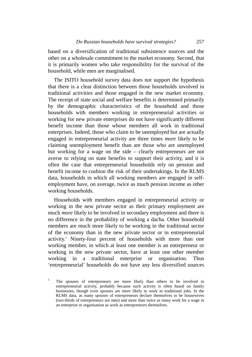based on a diversification of traditional subsistence sources and the other on a wholesale commitment to the market economy. Second, that it is primarily women who take responsibility for the survival of the household, while men are marginalised.

The ISITO household survey data does not support the hypothesis that there is a clear distinction between those households involved in traditional activities and those engaged in the new market economy. The receipt of state social and welfare benefits is determined primarily by the demographic characteristics of the household and those households with members working in entrepreneurial activities or working for new private enterprises do not have significantly different benefit income than those whose members all work in traditional enterprises. Indeed, those who claim to be unemployed but are actually engaged in entrepreneurial activity are three times *more* likely to be claiming unemployment benefit than are those who are unemployed but working for a wage on the side – clearly entrepreneurs are not averse to relying on state benefits to support their activity, and it is often the case that entrepreneurial households rely on pension and benefit income to cushion the risk of their undertakings. In the RLMS data, households in which all working members are engaged in selfemployment have, on average, twice as much pension income as other working households.

Households with members engaged in entrepreneurial activity or working in the new private sector as their primary employment are much *more* likely to be involved in secondary employment and there is no difference in the probability of working a dacha. Other household members are much more likely to be working in the traditional sector of the economy than in the new private sector or in entrepreneurial activity.<sup>1</sup> Ninety-four percent of households with more than one working member, in which at least one member is an entrepreneur or working in the new private sector, have at least one other member working in a traditional enterprise or organisation. Thus 'entrepreneurial' households do not have any less diversified sources

<sup>1</sup> The spouses of entrepreneurs are more likely than others to be involved in entrepreneurial activity, probably because such activity is often based on family businesses, though even spouses are more likely to work in traditional jobs. In the RLMS data, as many spouses of entrepreneurs declare themselves to be housewives (two-thirds of entrepreneurs are men) and more than twice as many work for a wage in an enterprise or organisation as work as entrepreneurs themselves.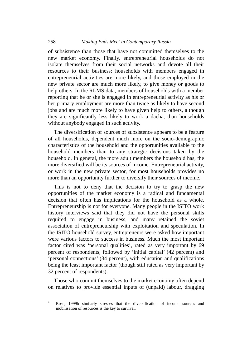of subsistence than those that have not committed themselves to the new market economy. Finally, entrepreneurial households do not isolate themselves from their social networks and devote all their resources to their business: households with members engaged in entrepreneurial activities are more likely, and those employed in the new private sector are much more likely, to give money or goods to help others. In the RLMS data, members of households with a member reporting that he or she is engaged in entrepreneurial activity as his or her primary employment are more than twice as likely to have second jobs and are much more likely to have given help to others, although they are significantly less likely to work a dacha, than households without anybody engaged in such activity.

The diversification of sources of subsistence appears to be a feature of all households, dependent much more on the socio-demographic characteristics of the household and the opportunities available to the household members than to any strategic decisions taken by the household. In general, the more adult members the household has, the more diversified will be its sources of income. Entrepreneurial activity, or work in the new private sector, for most households provides no more than an opportunity further to diversify their sources of income.<sup>1</sup>

This is not to deny that the decision to try to grasp the new opportunities of the market economy is a radical and fundamental decision that often has implications for the household as a whole. Entrepreneurship is not for everyone. Many people in the ISITO work history interviews said that they did not have the personal skills required to engage in business, and many retained the soviet association of entrepreneurship with exploitation and speculation. In the ISITO household survey, entrepreneurs were asked how important were various factors to success in business. Much the most important factor cited was 'personal qualities', rated as very important by 69 percent of respondents, followed by 'initial capital' (42 percent) and 'personal connections' (34 percent), with education and qualifications being the least important factor (though still rated as very important by 32 percent of respondents).

Those who commit themselves to the market economy often depend on relatives to provide essential inputs of (unpaid) labour, dragging

<sup>1</sup> Rose, 1999b similarly stresses that the diversification of income sources and mobilisation of resources is the key to survival.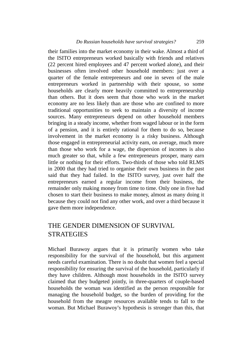their families into the market economy in their wake. Almost a third of the ISITO entrepreneurs worked basically with friends and relatives (22 percent hired employees and 47 percent worked alone), and their businesses often involved other household members: just over a quarter of the female entrepreneurs and one in seven of the male entrepreneurs worked in partnership with their spouse, so some households are clearly more heavily committed to entrepreneurship than others. But it does seem that those who work in the market economy are no less likely than are those who are confined to more traditional opportunities to seek to maintain a diversity of income sources. Many entrepreneurs depend on other household members bringing in a steady income, whether from waged labour or in the form of a pension, and it is entirely rational for them to do so, because involvement in the market economy is a risky business. Although those engaged in entrepreneurial activity earn, on average, much more than those who work for a wage, the dispersion of incomes is also much greater so that, while a few entrepreneurs prosper, many earn little or nothing for their efforts. Two-thirds of those who told RLMS in 2000 that they had tried to organise their own business in the past said that they had failed. In the ISITO survey, just over half the entrepreneurs earned a regular income from their business, the remainder only making money from time to time. Only one in five had chosen to start their business to make money, almost as many doing it because they could not find any other work, and over a third because it gave them more independence.

### THE GENDER DIMENSION OF SURVIVAL **STRATEGIES**

Michael Burawoy argues that it is primarily women who take responsibility for the survival of the household, but this argument needs careful examination. There is no doubt that women feel a special responsibility for ensuring the survival of the household, particularly if they have children. Although most households in the ISITO survey claimed that they budgeted jointly, in three-quarters of couple-based households the woman was identified as the person responsible for managing the household budget, so the burden of providing for the household from the meagre resources available tends to fall to the woman. But Michael Burawoy's hypothesis is stronger than this, that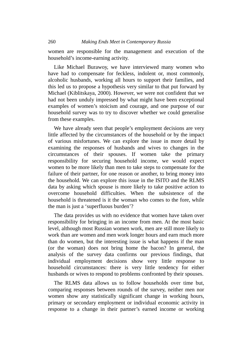women are responsible for the management and execution of the household's income-earning activity.

Like Michael Burawoy, we have interviewed many women who have had to compensate for feckless, indolent or, most commonly, alcoholic husbands, working all hours to support their families, and this led us to propose a hypothesis very similar to that put forward by Michael (Kiblitskaya, 2000). However, we were not confident that we had not been unduly impressed by what might have been exceptional examples of women's stoicism and courage, and one purpose of our household survey was to try to discover whether we could generalise from these examples.

We have already seen that people's employment decisions are very little affected by the circumstances of the household or by the impact of various misfortunes. We can explore the issue in more detail by examining the responses of husbands and wives to changes in the circumstances of their spouses. If women take the primary responsibility for securing household income, we would expect women to be more likely than men to take steps to compensate for the failure of their partner, for one reason or another, to bring money into the household. We can explore this issue in the ISITO and the RLMS data by asking which spouse is more likely to take positive action to overcome household difficulties. When the subsistence of the household is threatened is it the woman who comes to the fore, while the man is just a 'superfluous burden'?

The data provides us with no evidence that women have taken over responsibility for bringing in an income from men. At the most basic level, although most Russian women work, men are still more likely to work than are women and men work longer hours and earn much more than do women, but the interesting issue is what happens if the man (or the woman) does not bring home the bacon? In general, the analysis of the survey data confirms our previous findings, that individual employment decisions show very little response to household circumstances: there is very little tendency for either husbands or wives to respond to problems confronted by their spouses.

The RLMS data allows us to follow households over time but, comparing responses between rounds of the survey, neither men nor women show any statistically significant change in working hours, primary or secondary employment or individual economic activity in response to a change in their partner's earned income or working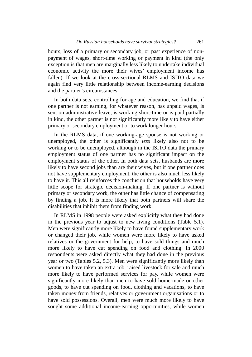hours, loss of a primary or secondary job, or past experience of nonpayment of wages, short-time working or payment in kind (the only exception is that men are marginally less likely to undertake individual economic activity the more their wives' employment income has fallen). If we look at the cross-sectional RLMS and ISITO data we again find very little relationship between income-earning decisions and the partner's circumstances.

In both data sets, controlling for age and education, we find that if one partner is not earning, for whatever reason, has unpaid wages, is sent on administrative leave, is working short-time or is paid partially in kind, the other partner is not significantly more likely to have either primary or secondary employment or to work longer hours.

In the RLMS data, if one working-age spouse is not working or unemployed, the other is significantly *less* likely also not to be working or to be unemployed, although in the ISITO data the primary employment status of one partner has no significant impact on the employment status of the other. In both data sets, husbands are more likely to have second jobs than are their wives, but if one partner does not have supplementary employment, the other is also much less likely to have it. This all reinforces the conclusion that households have very little scope for strategic decision-making. If one partner is without primary or secondary work, the other has little chance of compensating by finding a job. It is more likely that both partners will share the disabilities that inhibit them from finding work.

In RLMS in 1998 people were asked explicitly what they had done in the previous year to adjust to new living conditions (Table 5.1). Men were significantly more likely to have found supplementary work or changed their job, while women were more likely to have asked relatives or the government for help, to have sold things and much more likely to have cut spending on food and clothing. In 2000 respondents were asked directly what they had done in the previous year or two (Tables 5.2, 5.3). Men were significantly more likely than women to have taken an extra job, raised livestock for sale and much more likely to have performed services for pay, while women were significantly more likely than men to have sold home-made or other goods, to have cut spending on food, clothing and vacations, to have taken money from friends, relatives or government organisations or to have sold possessions. Overall, men were much more likely to have sought some additional income-earning opportunities, while women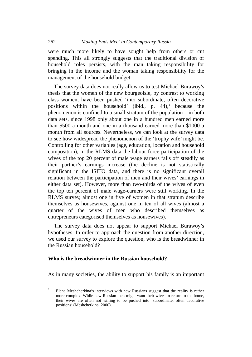were much more likely to have sought help from others or cut spending. This all strongly suggests that the traditional division of household roles persists, with the man taking responsibility for bringing in the income and the woman taking responsibility for the management of the household budget.

The survey data does not really allow us to test Michael Burawoy's thesis that the women of the new bourgeoisie, by contrast to working class women, have been pushed 'into subordinate, often decorative positions within the household' (ibid.,  $p. \quad 44$ ), because the phenomenon is confined to a small stratum of the population – in both data sets, since 1998 only about one in a hundred men earned more than \$500 a month and one in a thousand earned more than \$1000 a month from all sources. Nevertheless, we can look at the survey data to see how widespread the phenomenon of the 'trophy wife' might be. Controlling for other variables (age, education, location and household composition), in the RLMS data the labour force participation of the wives of the top 20 percent of male wage earners falls off steadily as their partner's earnings increase (the decline is not statistically significant in the ISITO data, and there is no significant overall relation between the participation of men and their wives' earnings in either data set). However, more than two-thirds of the wives of even the top ten percent of male wage-earners were still working. In the RLMS survey, almost one in five of women in that stratum describe themselves as housewives, against one in ten of all wives (almost a quarter of the wives of men who described themselves as entrepreneurs categorised themselves as housewives).

The survey data does not appear to support Michael Burawoy's hypotheses. In order to approach the question from another direction, we used our survey to explore the question, who is the breadwinner in the Russian household?

#### **Who is the breadwinner in the Russian household?**

As in many societies, the ability to support his family is an important

<sup>1</sup> Elena Meshcherkina's interviews with new Russians suggest that the reality is rather more complex. While new Russian men might want their wives to return to the home, their wives are often not willing to be pushed into 'subordinate, often decorative positions' (Meshcherkina, 2000).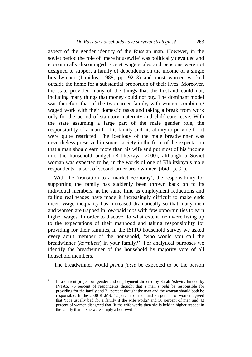aspect of the gender identity of the Russian man. However, in the soviet period the role of 'mere housewife' was politically devalued and economically discouraged: soviet wage scales and pensions were not designed to support a family of dependents on the income of a single breadwinner (Lapidus, 1988, pp. 92–3) and most women worked outside the home for a substantial proportion of their lives. Moreover, the state provided many of the things that the husband could not, including many things that money could not buy. The dominant model was therefore that of the two-earner family, with women combining waged work with their domestic tasks and taking a break from work only for the period of statutory maternity and child-care leave. With the state assuming a large part of the male gender role, the responsibility of a man for his family and his ability to provide for it were quite restricted. The ideology of the male breadwinner was nevertheless preserved in soviet society in the form of the expectation that a man should earn more than his wife and put most of his income into the household budget (Kiblitskaya, 2000), although a Soviet woman was expected to be, in the words of one of Kiblitskaya's male respondents, 'a sort of second-order breadwinner' (ibid., p. 91).<sup>1</sup>

With the 'transition to a market economy', the responsibility for supporting the family has suddenly been thrown back on to its individual members, at the same time as employment reductions and falling real wages have made it increasingly difficult to make ends meet. Wage inequality has increased dramatically so that many men and women are trapped in low-paid jobs with few opportunities to earn higher wages. In order to discover to what extent men were living up to the expectations of their manhood and taking responsibility for providing for their families, in the ISITO household survey we asked every adult member of the household, 'who would you call the breadwinner (*kormilets*) in your family?'. For analytical purposes we identify the breadwinner of the household by majority vote of all household members.

The breadwinner would *prima facie* be expected to be the person

1

In a current project on gender and employment directed by Sarah Ashwin, funded by INTAS, 76 percent of respondents thought that a man *should* be responsible for providing for the family and 21 percent thought the man and the woman should both be responsible. In the 2000 RLMS, 42 percent of men and 35 percent of women agreed that 'it is usually bad for a family if the wife works' and 56 percent of men and 43 percent of women disagreed that 'if the wife works then she is held in higher respect in the family than if she were simply a housewife'.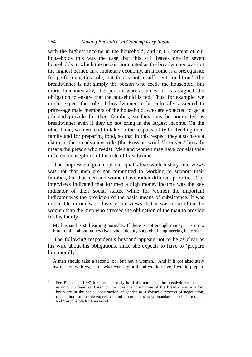with the highest income in the household, and in 85 percent of our households this was the case, but this still leaves one in seven households in which the person nominated as the breadwinner was not the highest earner. In a monetary economy, an income is a prerequisite for performing this role, but this is not a sufficient condition.<sup>1</sup> The breadwinner is not simply the person who feeds the household, but more fundamentally, the person who assumes or is assigned the obligation to ensure that the household is fed. Thus, for example, we might expect the role of breadwinner to be culturally assigned to prime-age male members of the household, who are expected to get a job and provide for their families, so they may be nominated as breadwinner even if they do not bring in the largest income. On the other hand, women tend to take on the responsibility for feeding their family and for preparing food, so that in this respect they also have a claim to the breadwinner role (the Russian word '*kormilets*' literally means the person who feeds). Men and women may have correlatively different conceptions of the role of breadwinner.

The impression given by our qualitative work-history interviews was not that men are not committed to working to support their families, but that men and women have rather different priorities. Our interviews indicated that for men a high money income was the key indicator of their social status, while for women the important indicator was the provision of the basic means of subsistence. It was noticeable in our work-history interviews that it was more often the women than the men who stressed the obligation of the man to provide for his family.

My husband is still earning normally. If there is not enough money, it is up to him to think about money (Nadezhda, deputy shop chief, engineering factory).

The following respondent's husband appears not to be as clear as his wife about his obligations, since she expects to have to 'prepare him morally':

A man should take a second job, but not a woman... And if it got absolutely awful here with wages or whatever, my husband would leave, I would prepare

<sup>1</sup> See Potuchek, 1997 for a recent analysis of the notion of the breadwinner in dualearning US families, based on the idea that the notion of the breadwinner is a key boundary in the social construction of gender as a dynamic process of negotiation, related both to outside experience and to complementary boundaries such as 'mother' and 'responsible for housework'.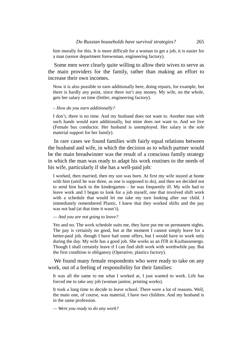him morally for this. It is more difficult for a woman to get a job, it is easier for a man (senior department forewoman, engineering factory).

Some men were clearly quite willing to allow their wives to serve as the main providers for the family, rather than making an effort to increase their own incomes.

Now it is also possible to earn additionally here, doing repairs, for example, but there is hardly any point, since there isn't any money. My wife, on the whole, gets her salary on time (fettler, engineering factory).

#### *– How do you earn additionally?*

I don't, there is no time. And my husband does not want to. Another man with such hands would earn additionally, but mine does not want to. And we live (Female bus conductor. Her husband is unemployed. Her salary is the sole material support for her family).

In rare cases we found families with fairly equal relations between the husband and wife, in which the decision as to which partner would be the main breadwinner was the result of a conscious family strategy in which the man was ready to adapt his work routines to the needs of his wife, particularly if she has a well-paid job:

I worked, then married, then my son was born. At first my wife stayed at home with him (until he was three, as one is supposed to do), and then we decided not to send him back to the kindergarten – he was frequently ill. My wife had to leave work and I began to look for a job myself, one that involved shift work with a schedule that would let me take my turn looking after our child. I immediately remembered Plastic, I knew that they worked shifts and the pay was not bad (at that time it wasn't).

#### *— And you are not going to leave?*

Yes and no. The work schedule suits me, they have put me on permanent nights. The pay is certainly no good, but at the moment I cannot simply leave for a better-paid job, though I have had some offers, but I would have to work only during the day. My wife has a good job. She works as an ITR in Kuzbassenergo. Though I shall certainly leave if I can find shift work with worthwhile pay. But the first condition is obligatory (Operative, plastics factory).

We found many female respondents who were ready to take on any work, out of a feeling of responsibility for their families:

It was all the same to me what I worked at, I just wanted to work. Life has forced me to take any job (woman janitor, printing works).

It took a long time to decide to leave school. There were a lot of reasons. Well, the main one, of course, was material, I have two children. And my husband is in the same profession.

*— Were you ready to do any work?*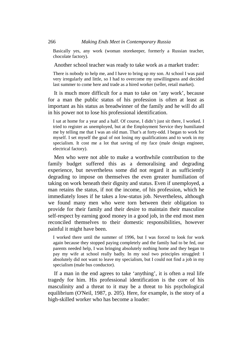Basically yes, any work (woman storekeeper, formerly a Russian teacher, chocolate factory).

Another school teacher was ready to take work as a market trader:

There is nobody to help me, and I have to bring up my son. At school I was paid very irregularly and little, so I had to overcome my unwillingness and decided last summer to come here and trade as a hired worker (seller, retail market).

It is much more difficult for a man to take on 'any work', because for a man the public status of his profession is often at least as important as his status as breadwinner of the family and he will do all in his power not to lose his professional identification.

I sat at home for a year and a half. Of course, I didn't just sit there, I worked. I tried to register as unemployed, but at the Employment Service they humiliated me by telling me that I was an old man. That's at forty-odd. I began to work for myself. I set myself the goal of not losing my qualifications and to work in my specialism. It cost me a lot that saving of my face (male design engineer, electrical factory).

Men who were not able to make a worthwhile contribution to the family budget suffered this as a demoralising and degrading experience, but nevertheless some did not regard it as sufficiently degrading to impose on themselves the even greater humiliation of taking on work beneath their dignity and status. Even if unemployed, a man retains the status, if not the income, of his profession, which he immediately loses if he takes a low-status job. Nevertheless, although we found many men who were torn between their obligation to provide for their family and their desire to maintain their masculine self-respect by earning good money in a good job, in the end most men reconciled themselves to their domestic responsibilities, however painful it might have been.

I worked there until the summer of 1996, but I was forced to look for work again because they stopped paying completely and the family had to be fed, our parents needed help, I was bringing absolutely nothing home and they began to pay my wife at school really badly. In my soul two principles struggled: I absolutely did not want to leave my specialism, but I could not find a job in my specialism (male bus conductor).

If a man in the end agrees to take 'anything', it is often a real life tragedy for him. His professional identification is the core of his masculinity and a threat to it may be a threat to his psychological equilibrium (O'Neil, 1987, p. 205). Here, for example, is the story of a high-skilled worker who has become a loader: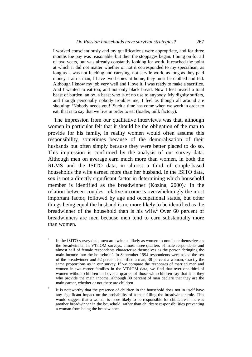I worked conscientiously and my qualifications were appropriate, and for three months the pay was reasonable, but then the stoppages began. I hung on for all of two years, but was already constantly looking for work. It reached the point at which it did not matter whether or not it corresponded to my specialism, as long as it was not fetching and carrying, not servile work, as long as they paid money. I am a man, I have two babies at home, they must be clothed and fed. Although I know my job very well and I love it, I was ready to make a sacrifice. And I wanted to eat too, and not only black bread. Now I feel myself a total beast of burden, an ox, a beast who is of no use to anybody. My dignity suffers, and though personally nobody troubles me, I feel as though all around are shouting: 'Nobody needs you!' Such a time has come when we work in order to eat, that is to say that we live in order to eat (loader, milk factory).

The impression from our qualitative interviews was that, although women in particular felt that it should be the obligation of the man to provide for his family, in reality women would often assume this responsibility, sometimes because of the demoralisation of their husbands but often simply because they were better placed to do so. This impression is confirmed by the analysis of our survey data. Although men on average earn much more than women, in both the RLMS and the ISITO data, in almost a third of couple-based households the wife earned more than her husband. In the ISITO data, sex is not a directly significant factor in determining which household member is identified as the breadwinner (Kozina,  $2000$ ).<sup>1</sup> In the relation between couples, relative income is overwhelmingly the most important factor, followed by age and occupational status, but other things being equal the husband is no more likely to be identified as the breadwinner of the household than is his wife.<sup>2</sup> Over 60 percent of breadwinners are men because men tend to earn substantially more than women.

<sup>1</sup> In the ISITO survey data, men are twice as likely as women to nominate themselves as the breadwinner. In VTsIOM surveys, almost three-quarters of male respondents and almost half of female respondents characterise themselves as the person 'bringing the main income into the household'. In September 1994 respondents were asked the sex of the breadwinner and 62 percent identified a man, 38 percent a woman, exactly the same proportions as in our survey. If we compare the responses of married men and women in two-earner families in the VTsIOM data, we find that over one-third of women without children and over a quarter of those with children say that it is they who provide the main income, although 80 percent of men declare that they are the main earner, whether or not there are children.

<sup>2</sup> It is noteworthy that the presence of children in the household does not in itself have any significant impact on the probability of a man filling the breadwinner role. This would suggest that a woman is more likely to be responsible for childcare if there is another breadwinner in the household, rather than childcare responsibilities preventing a woman from being the breadwinner.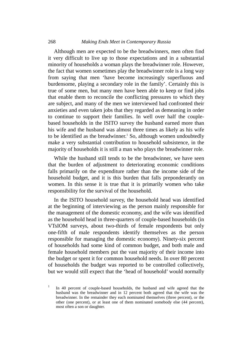Although men are expected to be the breadwinners, men often find it very difficult to live up to those expectations and in a substantial minority of households a woman plays the breadwinner role. However, the fact that women sometimes play the breadwinner role is a long way from saying that men 'have become increasingly superfluous and burdensome, playing a secondary role in the family'. Certainly this is true of some men, but many men have been able to keep or find jobs that enable them to reconcile the conflicting pressures to which they are subject, and many of the men we interviewed had confronted their anxieties and even taken jobs that they regarded as demeaning in order to continue to support their families. In well over half the couplebased households in the ISITO survey the husband earned more than his wife and the husband was almost three times as likely as his wife to be identified as the breadwinner.<sup>1</sup> So, although women undoubtedly make a very substantial contribution to household subsistence, in the majority of households it is still a man who plays the breadwinner role.

While the husband still tends to be the breadwinner, we have seen that the burden of adjustment to deteriorating economic conditions falls primarily on the expenditure rather than the income side of the household budget, and it is this burden that falls preponderantly on women. In this sense it is true that it is primarily women who take responsibility for the survival of the household.

In the ISITO household survey, the household head was identified at the beginning of interviewing as the person mainly responsible for the management of the domestic economy, and the wife was identified as the household head in three-quarters of couple-based households (in VTsIOM surveys, about two-thirds of female respondents but only one-fifth of male respondents identify themselves as the person responsible for managing the domestic economy). Ninety-six percent of households had some kind of common budget, and both male and female household members put the vast majority of their income into the budget or spent it for common household needs. In over 80 percent of households the budget was reported to be controlled collectively, but we would still expect that the 'head of household' would normally

<sup>1</sup> In 40 percent of couple-based households, the husband and wife agreed that the husband was the breadwinner and in 12 percent both agreed that the wife was the breadwinner. In the remainder they each nominated themselves (three percent), or the other (one percent), or at least one of them nominated somebody else (44 percent), most often a son or daughter.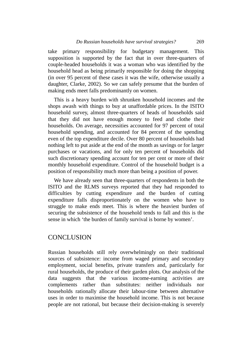take primary responsibility for budgetary management. This supposition is supported by the fact that in over three-quarters of couple-headed households it was a woman who was identified by the household head as being primarily responsible for doing the shopping (in over 95 percent of these cases it was the wife, otherwise usually a daughter, Clarke, 2002). So we can safely presume that the burden of making ends meet falls predominantly on women.

This is a heavy burden with shrunken household incomes and the shops awash with things to buy at unaffordable prices. In the ISITO household survey, almost three-quarters of heads of households said that they did not have enough money to feed and clothe their households. On average, necessities accounted for 97 percent of total household spending, and accounted for 84 percent of the spending even of the top expenditure decile. Over 80 percent of households had nothing left to put aside at the end of the month as savings or for larger purchases or vacations, and for only ten percent of households did such discretionary spending account for ten per cent or more of their monthly household expenditure. Control of the household budget is a position of responsibility much more than being a position of power.

We have already seen that three-quarters of respondents in both the ISITO and the RLMS surveys reported that they had responded to difficulties by cutting expenditure and the burden of cutting expenditure falls disproportionately on the women who have to struggle to make ends meet. This is where the heaviest burden of securing the subsistence of the household tends to fall and this is the sense in which 'the burden of family survival is borne by women'.

### **CONCLUSION**

Russian households still rely overwhelmingly on their traditional sources of subsistence: income from waged primary and secondary employment, social benefits, private transfers and, particularly for rural households, the produce of their garden plots. Our analysis of the data suggests that the various income-earning activities are complements rather than substitutes: neither individuals nor households rationally allocate their labour-time between alternative uses in order to maximise the household income. This is not because people are not rational, but because their decision-making is severely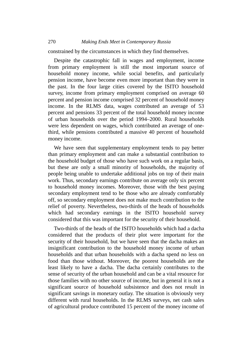constrained by the circumstances in which they find themselves.

Despite the catastrophic fall in wages and employment, income from primary employment is still the most important source of household money income, while social benefits, and particularly pension income, have become even more important than they were in the past. In the four large cities covered by the ISITO household survey, income from primary employment comprised on average 60 percent and pension income comprised 32 percent of household money income. In the RLMS data, wages contributed an average of 53 percent and pensions 33 percent of the total household money income of urban households over the period 1994–2000. Rural households were less dependent on wages, which contributed an average of onethird, while pensions contributed a massive 40 percent of household money income.

We have seen that supplementary employment tends to pay better than primary employment and can make a substantial contribution to the household budget of those who have such work on a regular basis, but these are only a small minority of households, the majority of people being unable to undertake additional jobs on top of their main work. Thus, secondary earnings contribute on average only six percent to household money incomes. Moreover, those with the best paying secondary employment tend to be those who are already comfortably off, so secondary employment does not make much contribution to the relief of poverty. Nevertheless, two-thirds of the heads of households which had secondary earnings in the ISITO household survey considered that this was important for the security of their household.

Two-thirds of the heads of the ISITO households which had a dacha considered that the products of their plot were important for the security of their household, but we have seen that the dacha makes an insignificant contribution to the household money income of urban households and that urban households with a dacha spend no less on food than those without. Moreover, the poorest households are the least likely to have a dacha. The dacha certainly contributes to the sense of security of the urban household and can be a vital resource for those families with no other source of income, but in general it is not a significant source of household subsistence and does not result in significant savings in monetary outlay. The situation is obviously very different with rural households. In the RLMS surveys, net cash sales of agricultural produce contributed 15 percent of the money income of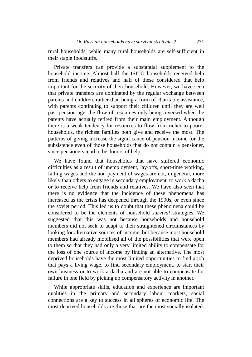rural households, while many rural households are self-sufficient in their staple foodstuffs.

Private transfers can provide a substantial supplement to the household income. Almost half the ISITO households received help from friends and relatives and half of these considered that help important for the security of their household. However, we have seen that private transfers are dominated by the regular exchange between parents and children, rather than being a form of charitable assistance, with parents continuing to support their children until they are well past pension age, the flow of resources only being reversed when the parents have actually retired from their main employment. Although there is a weak tendency for resources to flow from richer to poorer households, the richest families both give and receive the most. The patterns of giving increase the significance of pension income for the subsistence even of those households that do not contain a pensioner, since pensioners tend to be donors of help.

We have found that households that have suffered economic difficulties as a result of unemployment, lay-offs, short-time working, falling wages and the non-payment of wages are not, in general, more likely than others to engage in secondary employment, to work a dacha or to receive help from friends and relatives. We have also seen that there is no evidence that the incidence of these phenomena has increased as the crisis has deepened through the 1990s, or even since the soviet period. This led us to doubt that these phenomena could be considered to be the elements of household *survival* strategies. We suggested that this was not because households and household members did not seek to adapt to their straightened circumstances by looking for alternative sources of income, but because most household members had already mobilised all of the possibilities that were open to them so that they had only a very limited ability to compensate for the loss of one source of income by finding an alternative. The most deprived households have the most limited opportunities to find a job that pays a living wage, to find secondary employment, to start their own business or to work a dacha and are not able to compensate for failure in one field by picking up compensatory activity in another.

While appropriate skills, education and experience are important qualities in the primary and secondary labour markets, social connections are a key to success in all spheres of economic life. The most deprived households are those that are the most socially isolated.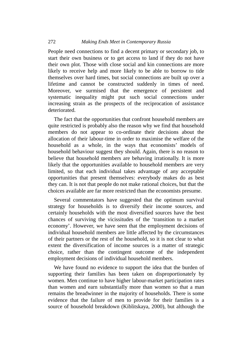People need connections to find a decent primary or secondary job, to start their own business or to get access to land if they do not have their own plot. Those with close social and kin connections are more likely to receive help and more likely to be able to borrow to tide themselves over hard times, but social connections are built up over a lifetime and cannot be constructed suddenly in times of need. Moreover, we surmised that the emergence of persistent and systematic inequality might put such social connections under increasing strain as the prospects of the reciprocation of assistance deteriorated.

The fact that the opportunities that confront household members are quite restricted is probably also the reason why we find that household members do not appear to co-ordinate their decisions about the allocation of their labour-time in order to maximise the welfare of the household as a whole, in the ways that economists' models of household behaviour suggest they should. Again, there is no reason to believe that household members are behaving irrationally. It is more likely that the opportunities available to household members are very limited, so that each individual takes advantage of any acceptable opportunities that present themselves: everybody makes do as best they can. It is not that people do not make rational choices, but that the choices available are far more restricted than the economists presume.

Several commentators have suggested that the optimum survival strategy for households is to diversify their income sources, and certainly households with the most diversified sources have the best chances of surviving the vicissitudes of the 'transition to a market economy'. However, we have seen that the employment decisions of individual household members are little affected by the circumstances of their partners or the rest of the household, so it is not clear to what extent the diversification of income sources is a matter of strategic choice, rather than the contingent outcome of the independent employment decisions of individual household members.

We have found no evidence to support the idea that the burden of supporting their families has been taken on disproportionately by women. Men continue to have higher labour-market participation rates than women and earn substantially more than women so that a man remains the breadwinner in the majority of households. There is some evidence that the failure of men to provide for their families is a source of household breakdown (Kiblitskaya, 2000), but although the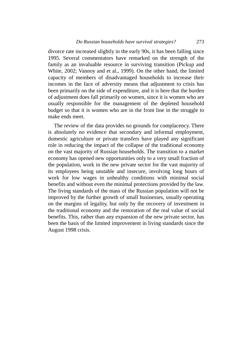divorce rate increased slightly in the early 90s, it has been falling since 1995. Several commentators have remarked on the strength of the family as an invaluable resource in surviving transition (Pickup and White, 2002; Vannoy and et al., 1999). On the other hand, the limited capacity of members of disadvantaged households to increase their incomes in the face of adversity means that adjustment to crisis has been primarily on the side of expenditure, and it is here that the burden of adjustment does fall primarily on women, since it is women who are usually responsible for the management of the depleted household budget so that it is women who are in the front line in the struggle to make ends meet.

The review of the data provides no grounds for complacency. There is absolutely no evidence that secondary and informal employment, domestic agriculture or private transfers have played any significant role in reducing the impact of the collapse of the traditional economy on the vast majority of Russian households. The transition to a market economy has opened new opportunities only to a very small fraction of the population, work in the new private sector for the vast majority of its employees being unstable and insecure, involving long hours of work for low wages in unhealthy conditions with minimal social benefits and without even the minimal protections provided by the law. The living standards of the mass of the Russian population will not be improved by the further growth of small businesses, usually operating on the margins of legality, but only by the recovery of investment in the traditional economy and the restoration of the real value of social benefits. This, rather than any expansion of the new private sector, has been the basis of the limited improvement in living standards since the August 1998 crisis.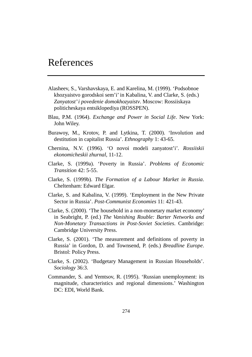## References

- Alasheev, S., Varshavskaya, E. and Karelina, M. (1999). 'Podsobnoe khozyaistvo gorodskoi sem'i' in Kabalina, V. and Clarke, S. (eds.) *Zanyatost' i povedenie domokhozyaistv*. Moscow: Rossiiskaya politicheskaya entsiklopediya (ROSSPEN).
- Blau, P.M. (1964). *Exchange and Power in Social Life*. New York: John Wiley.
- Burawoy, M., Krotov, P. and Lytkina, T. (2000). 'Involution and destitution in capitalist Russia'. *Ethnography* 1: 43-65.
- Chernina, N.V. (1996). 'O novoi modeli zanyatost'i'*. Rossiiskii ekonomicheskii zhurnal,* 11-12.
- Clarke, S. (1999a). 'Poverty in Russia'. *Problems of Economic Transition* 42: 5-55.
- Clarke, S. (1999b). *The Formation of a Labour Market in Russia*. Cheltenham: Edward Elgar.
- Clarke, S. and Kabalina, V. (1999). 'Employment in the New Private Sector in Russia'. *Post-Communist Economies* 11: 421-43.
- Clarke, S. (2000). 'The household in a non-monetary market economy' in Seabright, P. (ed.) *The Vanishing Rouble: Barter Networks and Non-Monetary Transactions in Post-Soviet Societies*. Cambridge: Cambridge University Press.
- Clarke, S. (2001). 'The measurement and definitions of poverty in Russia' in Gordon, D. and Townsend, P. (eds.) *Breadline Europe*. Bristol: Policy Press.
- Clarke, S. (2002). 'Budgetary Management in Russian Households'. *Sociology* 36:3.
- Commander, S. and Yemtsov, R. (1995). 'Russian unemployment: its magnitude, characteristics and regional dimensions.' Washington DC: EDI, World Bank.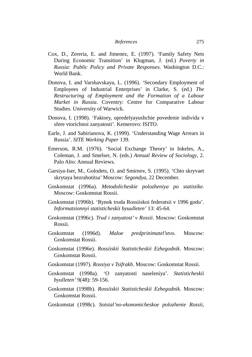## *References* 275

- Cox, D., Zereria, E. and Jimenez, E. (1997). 'Family Safety Nets During Economic Transition' in Klugman, J. (ed.) *Poverty in Russia: Public Policy and Private Responses*. Washington D.C.: World Bank.
- Donova, I. and Varshavskaya, L. (1996). 'Secondary Employment of Employees of Industrial Enterprises' in Clarke, S. (ed.) *The Restructuring of Employment and the Formation of a Labour Market in Russia*. Coventry: Centre for Comparative Labour Studies. University of Warwick.
- Donova, I. (1998). 'Faktory, opredelyayushchie povedenie individa v sfere vtorichnoi zanyatosti'. Kemerovo: ISITO.
- Earle, J. and Sabirianova, K. (1999). 'Understanding Wage Arrears in Russia'. *SITE Working Paper* 139.
- Emerson, R.M. (1976). 'Social Exchange Theory' in Inkeles, A., Coleman, J. and Smelser, N. (eds.) *Annual Review of Sociology*, 2. Palo Alto: Annual Reviews.
- Garsiya-Iser, M., Golodets, O. and Smirnov, S. (1995). 'Chto skryvaet skrytaya bezrabotitsa' Moscow: *Segondya*, 22 December.
- Goskomstat (1996a). *Metodolicheskie polozheniya po statistike*. Moscow: Goskomstat Rossii.
- Goskomstat (1996b). 'Rynok truda Rossiiskoi federatsii v 1996 godu'. *Informatsionnyi statisticheskii byuulleten'* 13: 45-64.
- Goskomstat (1996c). *Trud i zanyatost' v Rossii*. Moscow: Goskomstat Rossii.
- Goskomstat (1996d). *Maloe predprinimatel'stvo*. Moscow: Goskomstat Rossii.
- Goskomstat (1996e). *Rossiiskii Statisticheskii Ezhegodnik*. Moscow: Goskomstat Rossii.
- Goskomstat (1997). *Rossiya v Tsifrakh*. Moscow: Goskomstat Rossii.
- Goskomstat (1998a). 'O zanyatosti naseleniya'. *Statisticheskii byulleten'* 9(48): 59-156.
- Goskomstat (1998b). *Rossiiskii Statisticheskii Ezhegodnik*. Moscow: Goskomstat Rossii.
- Goskomstat (1998c). *Sotsial'no-ekonomicheskoe polozhenie Rossii*,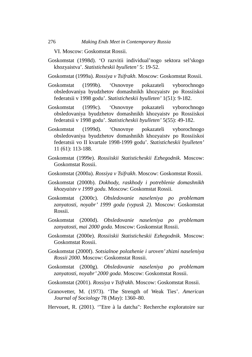VI. Moscow: Goskomstat Rossii.

- Goskomstat (1998d). 'O razvitii individual'nogo sektora sel'skogo khozyaistva'. *Statisticheskii byulleten'* 5: 19-52.
- Goskomstat (1999a). *Rossiya v Tsifrakh*. Moscow: Goskomstat Rossii.
- Goskomstat (1999b). 'Osnovnye pokazateli vyborochnogo obsledovaniya byudzhetov domashnikh khozyaistv po Rossiiskoi federatsii v 1998 godu'. *Statisticheskii byulleten'* 1(51): 9-182.
- Goskomstat (1999c). 'Osnovnye pokazateli vyborochnogo obsledovaniya byudzhetov domashnikh khozyaistv po Rossiiskoi federatsii v 1998 godu'. *Statisticheskii byulleten'* 5(55): 49-182.
- Goskomstat (1999d). 'Osnovnye pokazateli vyborochnogo obsledovaniya byudzhetov domashnikh khozyaistv po Rossiiskoi federatsii vo II kvartale 1998-1999 godu'. *Statisticheskii byulleten'* 11 (61): 113-188.
- Goskomstat (1999e). *Rossiiskii Statisticheskii Ezhegodnik*. Moscow: Goskomstat Rossii.
- Goskomstat (2000a). *Rossiya v Tsifrakh*. Moscow: Goskomstat Rossii.
- Goskomstat (2000b). *Dokhody, raskhody i potreblenie domashnikh khozyaistv v 1999 godu*. Moscow: Goskomstat Rossii.
- Goskomstat (2000c). *Obsledovanie naseleniya po problemam zanyatosti, noyabr' 1999 goda (vypusk 2)*. Moscow: Goskomstat Rossii.
- Goskomstat (2000d). *Obsledovanie naseleniya po problemam zanyatosti, mai 2000 goda*. Moscow: Goskomstat Rossii.
- Goskomstat (2000e). *Rossiiskii Statisticheskii Ezhegodnik*. Moscow: Goskomstat Rossii.
- Goskomstat (2000f). *Sotsialnoe polozhenie i uroven' zhizni naseleniya Rossii 2000*. Moscow: Goskomstat Rossii.
- Goskomstat (2000g). *Obsledovanie naseleniya po problemam zanyatosti, noyabr' 2000 goda*. Moscow: Goskomstat Rossii.
- Goskomstat (2001). *Rossiya v Tsifrakh*. Moscow: Goskomstat Rossii.
- Granovetter, M. (1973). 'The Strength of Weak Ties'. *American Journal of Sociology* 78 (May): 1360–80.
- Hervouet, R. (2001). '"Etre à la datcha": Recherche exploratoire sur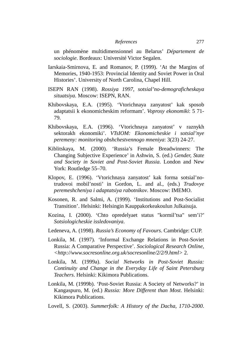un phénomène multidimensionnel au Belarus' *Département de sociologie*. Bordeaux: Université Victor Segalen.

- Iarskaia-Smirnova, E. and Romanov, P. (1999). 'At the Margins of Memories, 1940-1953: Provincial Identity and Soviet Power in Oral Histories'. University of North Carolina, Chapel Hill.
- ISEPN RAN (1998). *Rossiya 1997, sotsial'no-demograficheskaya situatsiya*. Moscow: ISEPN, RAN.
- Khibovskaya, E.A. (1995). 'Vtorichnaya zanyatost' kak sposob adaptatsii k ekonomicheskim reformam'. *Voprosy ekonomiki*: 5 71- 79.
- Khibovskaya, E.A. (1996). 'Vtorichnaya zanyatost' v raznykh sektorakh ekonomiki'. *VTsIOM: Ekonomicheskie i sotsial'nye peremeny: monitoring obshchestvennogo mneniya*: 3(23) 24-27.
- Kiblitskaya, M. (2000). 'Russia's Female Breadwinners: The Changing Subjective Experience' in Ashwin, S. (ed.) *Gender, State and Society in Soviet and Post-Soviet Russia*. London and New York: Routledge 55–70.
- Klopov, E. (1996). 'Vtorichnaya zanyatost' kak forma sotsial'notrudovoi mobil'nosti' in Gordon, L. and al., (eds.) *Trudovye peremeshcheniya i adaptatsiya rabotnikov*. Moscow: IMEMO.
- Kosonen, R. and Salmi, A. (1999). 'Institutions and Post-Socialist Transition'. Helsinki: Helsingin Kauppakorkeakoulun Julkaisuja.
- Kozina, I. (2000). 'Chto opredelyaet status "kormil'tsa" sem'i?' *Sotsiologicheskie issledovaniya*.
- Ledeneva, A. (1998). *Russia's Economy of Favours*. Cambridge: CUP.
- Lonkila, M. (1997). 'Informal Exchange Relations in Post-Soviet Russia: A Comparative Perspective'. *Sociological Research Online, <http://www.socresonline.org.uk/socresonline/2/2/9.html>* 2.
- Lonkila, M. (1999a). *Social Networks in Post-Soviet Russia: Continuity and Change in the Everyday Life of Saint Petersburg Teachers*. Helsinki: Kikimora Publications.
- Lonkila, M. (1999b). 'Post-Soviet Russia: A Society of Networks?' in Kangaspuro, M. (ed.) *Russia: More Different than Most*. Helsinki: Kikimora Publications.

Lovell, S. (2003). *Summerfolk: A History of the Dacha, 1710-2000*.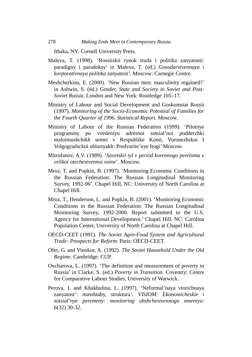Ithaka, NY: Cornell University Press.

- Maleva, T. (1998). 'Rossiiskii rynok truda i politika zanyatosti: paradigny i paradoksy' in Maleva, T. (ed.) *Gosudarstvennaya i korporativnaya politika zanyatost'*. Moscow: Carnegie Centre.
- Meshcherkina, E. (2000). 'New Russian men: masculinity regained?' in Ashwin, S. (ed.) *Gender, State and Society in Soviet and Post-Soviet Russia*. London and New York: Routledge 105–17.
- Ministry of Labour and Social Development and Goskomstat Rossii (1997). *Monitoring of the Socio-Economic Potential of Families for the Fourth Quarter of 1996. Statistical Report.* Moscow.
- Ministry of Labour of the Russian Federation (1999). 'Pilotnye programmy po vvedeniyu adresnoi sotsial'noi podderzhki maloimushchikh semei v Respublike Komi, Voronezhskoi I Volgogradsckoi oblastyakh: Predvarite'nye Itogi' Moscow.
- Mitrofanov, A.V. (1989). '*Sovetskii tyl v period korennogo pereloma v velikoi otechestvennoi voine*'. Moscow.
- Mroz, T. and Popkin, B. (1997). 'Monitoring Economic Conditions in the Russian Federation: The Russian Longitudinal Monitoring Survey, 1992-96'. Chapel Hill, NC: University of North Carolina at Chapel Hill.
- Mroz, T., Henderson, L. and Popkin, B. (2001). 'Monitoring Economic Conditions in the Russian Federation: The Russian Longitudinal Monitoring Survey, 1992-2000. Report submitted to the U.S. Agency for International Development.' Chapel Hill, NC: Carolina Population Center, University of North Carolina at Chapel Hill.
- OECD-CEET (1991). *The Soviet Agro-Food System and Agricultural Trade: Prospects for Reform*. Paris: OECD-CEET.
- Ofer, G. and Vinokur, A. (1992). *The Soviet Household Under the Old Regime*. Cambridge: CUP.
- Ovcharova, L. (1997). 'The definition and measurement of poverty in Russia' in Clarke, S. (ed.) *Poverty in Transition*. Coventry: Centre for Comparative Labour Studies, University of Warwick.
- Perova, I. and Khakhulina, L. (1997). 'Neformal'naya vtorichnaya zanyatost': masshtaby, struktura'. *VTsIOM: Ekonomicheskie i sotsial'nye peremeny: monitoring obshchestvennogo mneniya*: 6(32) 30-32.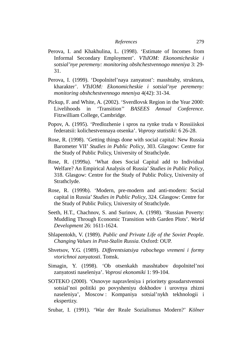## *References* 279

- Perova, I. and Khakhulina, L. (1998). 'Estimate of Incomes from Informal Secondary Employment'. *VTsIOM: Ekonomicheskie i sotsial'nye peremeny: monitoring obshchestvennogo mneniya* 3: 29- 31.
- Perova, I. (1999). 'Dopolnitel'naya zanyatost': masshtaby, struktura, kharakter'. *VTsIOM: Ekonomicheskie i sotsial'nye peremeny: monitoring obshchestvennogo mneniya* 4(42): 31-34.
- Pickup, F. and White, A. (2002). 'Sverdlovsk Region in the Year 2000: Livelihoods in 'Transition'' *BASEES Annual Conference*. Fitzwilliam College, Cambridge.
- Popov, A. (1995). 'Predlozhenie i spros na rynke truda v Rossiiiskoi federatsii: kolichestvennaya otsenka'. *Voprosy statistiki*: 6 26-28.
- Rose, R. (1998). 'Getting things done with social capital: New Russia Barometer VII' *Studies in Public Policy*, 303. Glasgow: Centre for the Study of Public Policy, University of Strathclyde.
- Rose, R. (1999a). 'What does Social Capital add to Individual Welfare? An Empirical Analysis of Russia' *Studies in Public Policy*, 318. Glasgow: Centre for the Study of Public Policy, University of Strathclyde.
- Rose, R. (1999b). 'Modern, pre-modern and anti-modern: Social capital in Russia' *Studies in Public Policy*, 324. Glasgow: Centre for the Study of Public Policy, University of Strathclyde.
- Seeth, H.T., Chachnov, S. and Surinov, A. (1998). 'Russian Poverty: Muddling Through Economic Transition with Garden Plots'. *World Development* 26: 1611-1624.
- Shlapentokh, V. (1989). *Public and Private Life of the Soviet People. Changing Values in Post-Stalin Russia*. Oxford: OUP.
- Shvetsov, Y.G. (1989). *Differentsiatsiya rabochego vremeni i formy vtorichnoi zanyatosti*. Tomsk.
- Simagin, Y. (1998). 'Ob otsenkakh masshtabov dopolnitel'noi zanyatosti naseleniya'. *Voprosi ekonomiki* 1: 99-104.
- SOTEKO (2000). 'Osnovye napravleniya i prioritety gosudarstvennoi sotsial'noi politiki po povysheniyu dokhodov i urovnya zhizni naseleniya', Moscow : Kompaniya sotsial'nykh tekhnologii i ekspertizy.
- Srubar, I. (1991). 'War der Reale Sozialismus Modern?' *Kölner*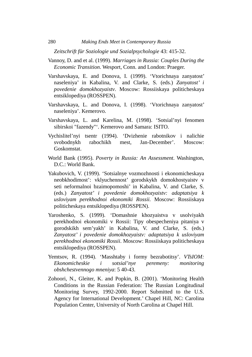*Zeitschrift für Soziologie und Sozialpsychologie* 43: 415-32.

- Vannoy, D. and et al. (1999). *Marriages in Russia: Couples During the Economic Transition*. Wesport, Conn. and London: Praeger.
- Varshavskaya, E. and Donova, I. (1999). 'Vtorichnaya zanyatost' naseleniya' in Kabalina, V. and Clarke, S. (eds.) *Zanyatost' i povedenie domokhozyaistv*. Moscow: Rossiiskaya politicheskaya entsiklopediya (ROSSPEN).
- Varshavskaya, L. and Donova, I. (1998). 'Vtorichnaya zanyatost' naseleniya'. Kemerovo.
- Varshavskaya, L. and Karelina, M. (1998). 'Sotsial'nyi fenomen sibirskoi "fazendy"'. Kemerovo and Samara: ISITO.
- Vychislitel'nyi tsentr (1994). 'Dvizhenie rabotnikov i nalichie svobodnykh rabochikh mest, Jan-December'. Moscow: Goskomstat.
- World Bank (1995). *Poverty in Russia: An Assessment*. Washington, D.C.: World Bank.
- Yakubovich, V. (1999). 'Sotsialnye vozmozhnosti i ekonomicheskaya neobkhodimost': vklyuchennost' gorodskykh domokhostyaistv v seti neformalnoi bzaimopomoshi' in Kabalina, V. and Clarke, S. (eds.) *Zanyatost' i povedenie domokhozyaistv: adaptatsiya k usloviyam perekhodnoi ekonomiki Rossii.* Moscow: Rossiiskaya politicheskaya entsiklopediya (ROSSPEN).
- Yaroshenko, S. (1999). 'Domashnie khozyaistva v usolviyakh perekhodnoi ekonomiki v Rossii: Tipy obespecheniya pitaniya v gorodskikh sem'yakh' in Kabalina, V. and Clarke, S. (eds.) *Zanyatost' i povedenie domokhozyaistv: adaptatsiya k usloviyam perekhodnoi ekonomiki Rossii*. Moscow: Rossiiskaya politicheskaya entsiklopediya (ROSSPEN).
- Yemtsov, R. (1994). 'Masshtaby i formy bezrabotitsy'. *VTsIOM: Ekonomicheskie i sotsial'nye peremeny: monitoring obshchestvennogo mneniya*: 5 40-43.
- Zohoori, N., Gleiter, K. and Popkin, B. (2001). 'Monitoring Health Conditions in the Russian Federation: The Russian Longitudinal Monitoring Survey, 1992-2000. Report Submitted to the U.S. Agency for International Development.' Chapel Hill, NC: Carolina Population Center, University of North Carolina at Chapel Hill.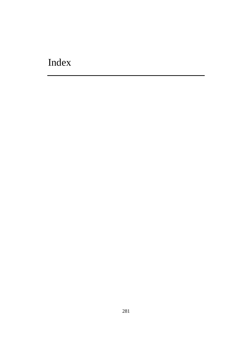## Index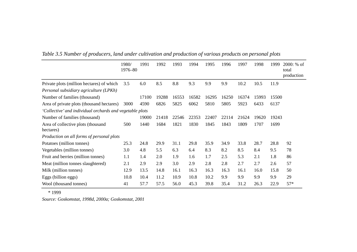|                                                          | 1980/<br>1976-80 | 1991  | 1992  | 1993  | 1994  | 1995  | 1996  | 1997  | 1998  | 1999  | 2000: % of<br>total<br>production |
|----------------------------------------------------------|------------------|-------|-------|-------|-------|-------|-------|-------|-------|-------|-----------------------------------|
| Private plots (million hectares) of which                | 3.5              | 6.0   | 8.5   | 8.8   | 9.3   | 9.9   | 9.9   | 10.2  | 10.5  | 11.9  |                                   |
| Personal subsidiary agriculture (LPKh)                   |                  |       |       |       |       |       |       |       |       |       |                                   |
| Number of families (thousand)                            |                  | 17100 | 19288 | 16553 | 16582 | 16295 | 16250 | 16374 | 15993 | 15500 |                                   |
| Area of private plots (thousand hectares)                | 3000             | 4590  | 6826  | 5825  | 6062  | 5810  | 5805  | 5923  | 6433  | 6137  |                                   |
| 'Collective' and individual orchards and vegetable plots |                  |       |       |       |       |       |       |       |       |       |                                   |
| Number of families (thousand)                            |                  | 19000 | 21418 | 22546 | 22353 | 22407 | 22114 | 21624 | 19620 | 19243 |                                   |
| Area of collective plots (thousand<br>hectares)          | 500              | 1440  | 1684  | 1821  | 1830  | 1845  | 1843  | 1809  | 1707  | 1699  |                                   |
| Production on all forms of personal plots                |                  |       |       |       |       |       |       |       |       |       |                                   |
| Potatoes (million tonnes)                                | 25.3             | 24.8  | 29.9  | 31.1  | 29.8  | 35.9  | 34.9  | 33.8  | 28.7  | 28.8  | 92                                |
| Vegetables (million tonnes)                              | 3.0              | 4.8   | 5.5   | 6.3   | 6.4   | 8.3   | 8.2   | 8.5   | 8.4   | 9.5   | 78                                |
| Fruit and berries (million tonnes)                       | 1.1              | 1.4   | 2.0   | 1.9   | 1.6   | 1.7   | 2.5   | 5.3   | 2.1   | 1.8   | 86                                |
| Meat (million tonnes slaughtered)                        | 2.1              | 2.9   | 2.9   | 3.0   | 2.9   | 2.8   | 2.8   | 2.7   | 2.7   | 2.6   | 57                                |
| Milk (million tonnes)                                    | 12.9             | 13.5  | 14.8  | 16.1  | 16.3  | 16.3  | 16.3  | 16.1  | 16.0  | 15.8  | 50                                |
| Eggs (billion eggs)                                      | 10.8             | 10.4  | 11.2  | 10.9  | 10.8  | 10.2  | 9.9   | 9.9   | 9.9   | 9.9   | 29                                |
| Wool (thousand tonnes)                                   | 41               | 57.7  | 57.5  | 56.0  | 45.3  | 39.8  | 35.4  | 31.2  | 26.3  | 22.9  | $57*$                             |

*Table 3.5 Number of producers, land under cultivation and production of various products on personal plots* 

\* 1999

*Source: Goskomstat, 1998d, 2000a; Goskomstat, 2001*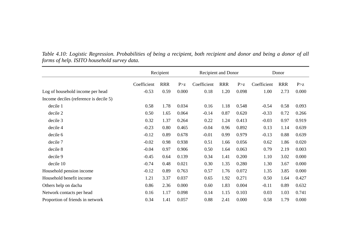|                                        |             | Recipient  |       |             | <b>Recipient and Donor</b> |       | Donor       |            |       |  |
|----------------------------------------|-------------|------------|-------|-------------|----------------------------|-------|-------------|------------|-------|--|
|                                        | Coefficient | <b>RRR</b> | P > z | Coefficient | <b>RRR</b>                 | P > z | Coefficient | <b>RRR</b> | P > z |  |
| Log of household income per head       | $-0.53$     | 0.59       | 0.000 | 0.18        | 1.20                       | 0.098 | 1.00        | 2.73       | 0.000 |  |
| Income deciles (reference is decile 5) |             |            |       |             |                            |       |             |            |       |  |
| decile 1                               | 0.58        | 1.78       | 0.034 | 0.16        | 1.18                       | 0.548 | $-0.54$     | 0.58       | 0.093 |  |
| decile 2                               | 0.50        | 1.65       | 0.064 | $-0.14$     | 0.87                       | 0.620 | $-0.33$     | 0.72       | 0.266 |  |
| decile 3                               | 0.32        | 1.37       | 0.264 | 0.22        | 1.24                       | 0.413 | $-0.03$     | 0.97       | 0.919 |  |
| decile 4                               | $-0.23$     | 0.80       | 0.465 | $-0.04$     | 0.96                       | 0.892 | 0.13        | 1.14       | 0.639 |  |
| decile 6                               | $-0.12$     | 0.89       | 0.678 | $-0.01$     | 0.99                       | 0.979 | $-0.13$     | 0.88       | 0.639 |  |
| decile 7                               | $-0.02$     | 0.98       | 0.938 | 0.51        | 1.66                       | 0.056 | 0.62        | 1.86       | 0.020 |  |
| decile 8                               | $-0.04$     | 0.97       | 0.906 | 0.50        | 1.64                       | 0.063 | 0.79        | 2.19       | 0.003 |  |
| decile 9                               | $-0.45$     | 0.64       | 0.139 | 0.34        | 1.41                       | 0.200 | 1.10        | 3.02       | 0.000 |  |
| decile 10                              | $-0.74$     | 0.48       | 0.021 | 0.30        | 1.35                       | 0.280 | 1.30        | 3.67       | 0.000 |  |
| Household pension income               | $-0.12$     | 0.89       | 0.763 | 0.57        | 1.76                       | 0.072 | 1.35        | 3.85       | 0.000 |  |
| Household benefit income               | 1.21        | 3.37       | 0.037 | 0.65        | 1.92                       | 0.271 | 0.50        | 1.64       | 0.427 |  |
| Others help on dacha                   | 0.86        | 2.36       | 0.000 | 0.60        | 1.83                       | 0.004 | $-0.11$     | 0.89       | 0.632 |  |
| Network contacts per head              | 0.16        | 1.17       | 0.098 | 0.14        | 1.15                       | 0.103 | 0.03        | 1.03       | 0.741 |  |
| Proportion of friends in network       | 0.34        | 1.41       | 0.057 | 0.88        | 2.41                       | 0.000 | 0.58        | 1.79       | 0.000 |  |

*Table 4.10: Logistic Regression. Probabilities of being a recipient, both recipient and donor and being a donor of all forms of help. ISITO household survey data.*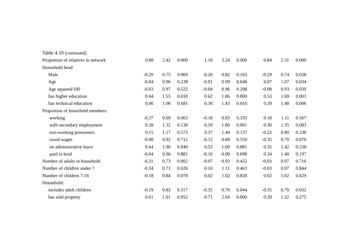| Table 4.10 (continued)             |         |      |       |         |      |       |         |      |       |
|------------------------------------|---------|------|-------|---------|------|-------|---------|------|-------|
| Proportion of relatives in network | 0.88    | 2.42 | 0.000 | 1.18    | 3.24 | 0.000 | 0.84    | 2.31 | 0.000 |
| Household head                     |         |      |       |         |      |       |         |      |       |
| Male                               | $-0.29$ | 0.75 | 0.069 | $-0.20$ | 0.82 | 0.163 | $-0.29$ | 0.74 | 0.038 |
| Age                                | $-0.04$ | 0.96 | 0.238 | $-0.01$ | 0.99 | 0.648 | 0.07    | 1.07 | 0.034 |
| Age squared/100                    | $-0.03$ | 0.97 | 0.522 | $-0.04$ | 0.96 | 0.298 | $-0.08$ | 0.93 | 0.039 |
| has higher education               | 0.44    | 1.55 | 0.010 | 0.62    | 1.86 | 0.000 | 0.53    | 1.69 | 0.001 |
| has technical education            | 0.06    | 1.06 | 0.681 | 0.36    | 1.43 | 0.010 | 0.39    | 1.48 | 0.006 |
| Proportion of household members:   |         |      |       |         |      |       |         |      |       |
| working                            | $-0.37$ | 0.69 | 0.063 | $-0.18$ | 0.83 | 0.335 | 0.10    | 1.11 | 0.567 |
| with secondary employment          | 0.28    | 1.32 | 0.130 | 0.59    | 1.80 | 0.001 | 0.30    | 1.35 | 0.083 |
| non-working pensioners             | 0.15    | 1.17 | 0.573 | 0.37    | 1.44 | 0.137 | $-0.22$ | 0.80 | 0.338 |
| owed wages                         | $-0.08$ | 0.92 | 0.712 | $-0.12$ | 0.89 | 0.550 | $-0.35$ | 0.70 | 0.070 |
| on administrative leave            | 0.64    | 1.90 | 0.040 | 0.53    | 1.69 | 0.081 | 0.35    | 1.42 | 0.238 |
| paid in kind                       | $-0.04$ | 0.96 | 0.881 | $-0.10$ | 0.90 | 0.698 | 0.34    | 1.40 | 0.197 |
| Number of adults in household      | $-0.31$ | 0.73 | 0.002 | $-0.07$ | 0.93 | 0.432 | $-0.03$ | 0.97 | 0.716 |
| Number of children under 7         | $-0.34$ | 0.71 | 0.026 | 0.10    | 1.11 | 0.463 | $-0.03$ | 0.97 | 0.844 |
| Number of children 7-16            | $-0.18$ | 0.84 | 0.078 | 0.02    | 1.02 | 0.828 | 0.02    | 1.02 | 0.829 |
| Household:                         |         |      |       |         |      |       |         |      |       |
| includes adult children            | $-0.19$ | 0.83 | 0.317 | $-0.35$ | 0.70 | 0.044 | $-0.35$ | 0.70 | 0.032 |
| has sold property                  | 0.01    | 1.01 | 0.952 | 0.71    | 2.04 | 0.000 | 0.20    | 1.22 | 0.275 |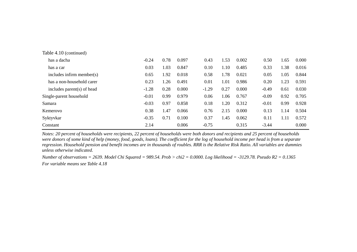| Table 4.10 (continued)        |         |      |       |         |      |       |         |      |       |
|-------------------------------|---------|------|-------|---------|------|-------|---------|------|-------|
| has a dacha                   | $-0.24$ | 0.78 | 0.097 | 0.43    | 1.53 | 0.002 | 0.50    | 1.65 | 0.000 |
| has a car                     | 0.03    | 1.03 | 0.847 | 0.10    | 1.10 | 0.485 | 0.33    | 1.38 | 0.016 |
| includes infirm member( $s$ ) | 0.65    | 1.92 | 0.018 | 0.58    | 1.78 | 0.021 | 0.05    | 1.05 | 0.844 |
| has a non-household carer     | 0.23    | 1.26 | 0.491 | 0.01    | 1.01 | 0.986 | 0.20    | 1.23 | 0.591 |
| includes parent(s) of head    | $-1.28$ | 0.28 | 0.000 | $-1.29$ | 0.27 | 0.000 | $-0.49$ | 0.61 | 0.030 |
| Single-parent household       | $-0.01$ | 0.99 | 0.979 | 0.06    | 1.06 | 0.767 | $-0.09$ | 0.92 | 0.705 |
| Samara                        | $-0.03$ | 0.97 | 0.858 | 0.18    | 1.20 | 0.312 | $-0.01$ | 0.99 | 0.928 |
| Kemerovo                      | 0.38    | 1.47 | 0.066 | 0.76    | 2.15 | 0.000 | 0.13    | 1.14 | 0.504 |
| Syktyvkar                     | $-0.35$ | 0.71 | 0.100 | 0.37    | 1.45 | 0.062 | 0.11    | 1.11 | 0.572 |
| Constant                      | 2.14    |      | 0.006 | $-0.75$ |      | 0.315 | $-3.44$ |      | 0.000 |

*Notes: 20 percent of households were recipients, 22 percent of households were both donors and recipients and 25 percent of households were donors of some kind of help (money, food, goods, loans). The coefficient for the log of household income per head is from a separate regression. Household pension and benefit incomes are in thousands of roubles. RRR is the Relative Risk Ratio. All variables are dummies unless otherwise indicated.* 

*Number of observations = 2639. Model Chi Squared = 989.54. Prob > chi2 = 0.0000. Log likelihood = -3129.78. Pseudo R2 = 0.1365 For variable means see Table 4.18*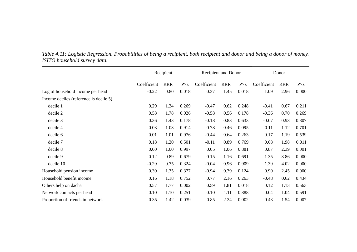|                                        |             | Recipient  |       | Recipient and Donor |            |       | Donor       |            |       |  |
|----------------------------------------|-------------|------------|-------|---------------------|------------|-------|-------------|------------|-------|--|
|                                        | Coefficient | <b>RRR</b> | P > z | Coefficient         | <b>RRR</b> | P > z | Coefficient | <b>RRR</b> | P > z |  |
| Log of household income per head       | $-0.22$     | 0.80       | 0.018 | 0.37                | 1.45       | 0.018 | 1.09        | 2.96       | 0.000 |  |
| Income deciles (reference is decile 5) |             |            |       |                     |            |       |             |            |       |  |
| decile 1                               | 0.29        | 1.34       | 0.269 | $-0.47$             | 0.62       | 0.248 | $-0.41$     | 0.67       | 0.211 |  |
| decile 2                               | 0.58        | 1.78       | 0.026 | $-0.58$             | 0.56       | 0.178 | $-0.36$     | 0.70       | 0.269 |  |
| decile 3                               | 0.36        | 1.43       | 0.178 | $-0.18$             | 0.83       | 0.633 | $-0.07$     | 0.93       | 0.807 |  |
| decile 4                               | 0.03        | 1.03       | 0.914 | $-0.78$             | 0.46       | 0.095 | 0.11        | 1.12       | 0.701 |  |
| decile 6                               | 0.01        | 1.01       | 0.976 | $-0.44$             | 0.64       | 0.263 | 0.17        | 1.19       | 0.539 |  |
| decile 7                               | 0.18        | 1.20       | 0.501 | $-0.11$             | 0.89       | 0.769 | 0.68        | 1.98       | 0.011 |  |
| decile 8                               | 0.00        | 1.00       | 0.997 | 0.05                | 1.06       | 0.881 | 0.87        | 2.39       | 0.001 |  |
| decile 9                               | $-0.12$     | 0.89       | 0.679 | 0.15                | 1.16       | 0.691 | 1.35        | 3.86       | 0.000 |  |
| decile 10                              | $-0.29$     | 0.75       | 0.324 | $-0.04$             | 0.96       | 0.909 | 1.39        | 4.02       | 0.000 |  |
| Household pension income               | 0.30        | 1.35       | 0.377 | $-0.94$             | 0.39       | 0.124 | 0.90        | 2.45       | 0.000 |  |
| Household benefit income               | 0.16        | 1.18       | 0.752 | 0.77                | 2.16       | 0.263 | $-0.48$     | 0.62       | 0.434 |  |
| Others help on dacha                   | 0.57        | 1.77       | 0.002 | 0.59                | 1.81       | 0.018 | 0.12        | 1.13       | 0.563 |  |
| Network contacts per head              | 0.10        | 1.10       | 0.251 | 0.10                | 1.11       | 0.388 | 0.04        | 1.04       | 0.591 |  |
| Proportion of friends in network       | 0.35        | 1.42       | 0.039 | 0.85                | 2.34       | 0.002 | 0.43        | 1.54       | 0.007 |  |

*Table 4.11: Logistic Regression. Probabilities of being a recipient, both recipient and donor and being a donor of money. ISITO household survey data.*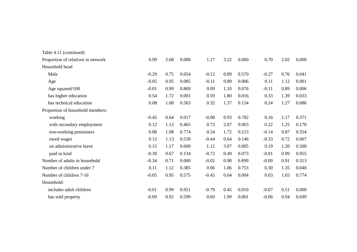| Table 4.11 (continued)             |         |      |       |         |      |       |         |      |       |
|------------------------------------|---------|------|-------|---------|------|-------|---------|------|-------|
| Proportion of relatives in network | 0.99    | 2.68 | 0.000 | 1.17    | 3.22 | 0.000 | 0.70    | 2.02 | 0.000 |
| Household head                     |         |      |       |         |      |       |         |      |       |
| Male                               | $-0.29$ | 0.75 | 0.054 | $-0.12$ | 0.89 | 0.570 | $-0.27$ | 0.76 | 0.041 |
| Age                                | $-0.05$ | 0.95 | 0.085 | $-0.11$ | 0.89 | 0.006 | 0.11    | 1.12 | 0.001 |
| Age squared/100                    | $-0.01$ | 0.99 | 0.869 | 0.09    | 1.10 | 0.076 | $-0.11$ | 0.89 | 0.006 |
| has higher education               | 0.54    | 1.72 | 0.001 | 0.59    | 1.80 | 0.016 | 0.33    | 1.39 | 0.033 |
| has technical education            | 0.08    | 1.08 | 0.563 | 0.32    | 1.37 | 0.154 | 0.24    | 1.27 | 0.086 |
| Proportion of household members:   |         |      |       |         |      |       |         |      |       |
| working                            | $-0.45$ | 0.64 | 0.017 | $-0.08$ | 0.93 | 0.782 | 0.16    | 1.17 | 0.371 |
| with secondary employment          | 0.12    | 1.13 | 0.465 | 0.73    | 2.07 | 0.003 | 0.22    | 1.25 | 0.170 |
| non-working pensioners             | 0.08    | 1.08 | 0.774 | 0.54    | 1.72 | 0.213 | $-0.14$ | 0.87 | 0.554 |
| owed wages                         | 0.12    | 1.13 | 0.539 | $-0.44$ | 0.64 | 0.146 | $-0.33$ | 0.72 | 0.067 |
| on administrative leave            | 0.15    | 1.17 | 0.600 | 1.12    | 3.07 | 0.005 | 0.19    | 1.20 | 0.500 |
| paid in kind                       | $-0.39$ | 0.67 | 0.134 | $-0.72$ | 0.49 | 0.073 | $-0.01$ | 0.99 | 0.955 |
| Number of adults in household      | $-0.34$ | 0.71 | 0.000 | $-0.02$ | 0.98 | 0.899 | $-0.09$ | 0.91 | 0.313 |
| Number of children under 7         | 0.11    | 1.12 | 0.385 | 0.06    | 1.06 | 0.753 | 0.30    | 1.35 | 0.040 |
| Number of children 7-16            | $-0.05$ | 0.95 | 0.575 | $-0.45$ | 0.64 | 0.004 | 0.03    | 1.03 | 0.774 |
| Household:                         |         |      |       |         |      |       |         |      |       |
| includes adult children            | $-0.01$ | 0.99 | 0.951 | $-0.79$ | 0.45 | 0.010 | $-0.67$ | 0.51 | 0.000 |
| has sold property                  | $-0.09$ | 0.92 | 0.599 | 0.69    | 1.99 | 0.001 | $-0.06$ | 0.94 | 0.699 |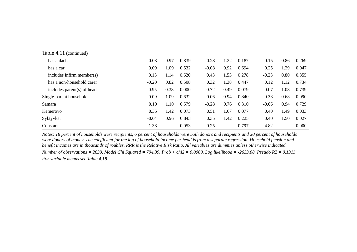| Table 4.11 (continued)     |         |      |       |         |      |       |         |      |       |
|----------------------------|---------|------|-------|---------|------|-------|---------|------|-------|
| has a dacha                | $-0.03$ | 0.97 | 0.839 | 0.28    | 1.32 | 0.187 | $-0.15$ | 0.86 | 0.269 |
| has a car                  | 0.09    | 1.09 | 0.532 | $-0.08$ | 0.92 | 0.694 | 0.25    | 1.29 | 0.047 |
| includes infirm member(s)  | 0.13    | 1.14 | 0.620 | 0.43    | 1.53 | 0.278 | $-0.23$ | 0.80 | 0.355 |
| has a non-household carer  | $-0.20$ | 0.82 | 0.508 | 0.32    | 1.38 | 0.447 | 0.12    | 1.12 | 0.734 |
| includes parent(s) of head | $-0.95$ | 0.38 | 0.000 | $-0.72$ | 0.49 | 0.079 | 0.07    | 1.08 | 0.739 |
| Single-parent household    | 0.09    | 1.09 | 0.632 | $-0.06$ | 0.94 | 0.840 | $-0.38$ | 0.68 | 0.090 |
| Samara                     | 0.10    | 1.10 | 0.579 | $-0.28$ | 0.76 | 0.310 | $-0.06$ | 0.94 | 0.729 |
| Kemerovo                   | 0.35    | 1.42 | 0.073 | 0.51    | 1.67 | 0.077 | 0.40    | 1.49 | 0.033 |
| Syktyvkar                  | $-0.04$ | 0.96 | 0.843 | 0.35    | 1.42 | 0.225 | 0.40    | 1.50 | 0.027 |
| Constant                   | 1.38    |      | 0.053 | $-0.25$ |      | 0.797 | $-4.82$ |      | 0.000 |

*Notes: 18 percent of households were recipients, 6 percent of households were both donors and recipients and 20 percent of households were donors of money. The coefficient for the log of household income per head is from a separate regression. Household pension and benefit incomes are in thousands of roubles. RRR is the Relative Risk Ratio. All variables are dummies unless otherwise indicated. Number of observations = 2639. Model Chi Squared = 794.39. Prob > chi2 = 0.0000. Log likelihood = -2633.08. Pseudo R2 = 0.1311 For variable means see Table 4.18*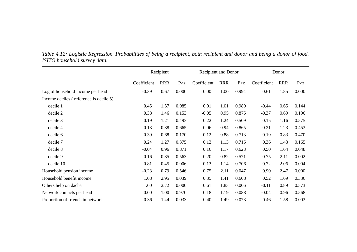|                                        |             | Recipient  |       | <b>Recipient and Donor</b> |            |       | Donor       |            |       |
|----------------------------------------|-------------|------------|-------|----------------------------|------------|-------|-------------|------------|-------|
|                                        | Coefficient | <b>RRR</b> | P > z | Coefficient                | <b>RRR</b> | P > z | Coefficient | <b>RRR</b> | P > z |
| Log of household income per head       | $-0.39$     | 0.67       | 0.000 | 0.00                       | 1.00       | 0.994 | 0.61        | 1.85       | 0.000 |
| Income deciles (reference is decile 5) |             |            |       |                            |            |       |             |            |       |
| decile 1                               | 0.45        | 1.57       | 0.085 | 0.01                       | 1.01       | 0.980 | $-0.44$     | 0.65       | 0.144 |
| decile 2                               | 0.38        | 1.46       | 0.153 | $-0.05$                    | 0.95       | 0.876 | $-0.37$     | 0.69       | 0.196 |
| decile 3                               | 0.19        | 1.21       | 0.493 | 0.22                       | 1.24       | 0.509 | 0.15        | 1.16       | 0.575 |
| decile 4                               | $-0.13$     | 0.88       | 0.665 | $-0.06$                    | 0.94       | 0.865 | 0.21        | 1.23       | 0.453 |
| decile 6                               | $-0.39$     | 0.68       | 0.170 | $-0.12$                    | 0.88       | 0.713 | $-0.19$     | 0.83       | 0.470 |
| decile 7                               | 0.24        | 1.27       | 0.375 | 0.12                       | 1.13       | 0.716 | 0.36        | 1.43       | 0.165 |
| decile 8                               | $-0.04$     | 0.96       | 0.871 | 0.16                       | 1.17       | 0.628 | 0.50        | 1.64       | 0.048 |
| decile 9                               | $-0.16$     | 0.85       | 0.563 | $-0.20$                    | 0.82       | 0.571 | 0.75        | 2.11       | 0.002 |
| decile 10                              | $-0.81$     | 0.45       | 0.006 | 0.13                       | 1.14       | 0.706 | 0.72        | 2.06       | 0.004 |
| Household pension income               | $-0.23$     | 0.79       | 0.546 | 0.75                       | 2.11       | 0.047 | 0.90        | 2.47       | 0.000 |
| Household benefit income               | 1.08        | 2.95       | 0.039 | 0.35                       | 1.41       | 0.608 | 0.52        | 1.69       | 0.336 |
| Others help on dacha                   | 1.00        | 2.72       | 0.000 | 0.61                       | 1.83       | 0.006 | $-0.11$     | 0.89       | 0.573 |
| Network contacts per head              | 0.00        | 1.00       | 0.970 | 0.18                       | 1.19       | 0.088 | $-0.04$     | 0.96       | 0.568 |
| Proportion of friends in network       | 0.36        | 1.44       | 0.033 | 0.40                       | 1.49       | 0.073 | 0.46        | 1.58       | 0.003 |

*Table 4.12: Logistic Regression. Probabilities of being a recipient, both recipient and donor and being a donor of food. ISITO household survey data.*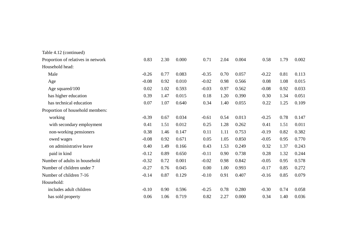| Table 4.12 (continued)             |         |      |       |         |      |       |         |      |       |
|------------------------------------|---------|------|-------|---------|------|-------|---------|------|-------|
| Proportion of relatives in network | 0.83    | 2.30 | 0.000 | 0.71    | 2.04 | 0.004 | 0.58    | 1.79 | 0.002 |
| Household head:                    |         |      |       |         |      |       |         |      |       |
| Male                               | $-0.26$ | 0.77 | 0.083 | $-0.35$ | 0.70 | 0.057 | $-0.22$ | 0.81 | 0.113 |
| Age                                | $-0.08$ | 0.92 | 0.010 | $-0.02$ | 0.98 | 0.566 | 0.08    | 1.08 | 0.015 |
| Age squared/100                    | 0.02    | 1.02 | 0.593 | $-0.03$ | 0.97 | 0.562 | $-0.08$ | 0.92 | 0.033 |
| has higher education               | 0.39    | 1.47 | 0.015 | 0.18    | 1.20 | 0.390 | 0.30    | 1.34 | 0.051 |
| has technical education            | 0.07    | 1.07 | 0.640 | 0.34    | 1.40 | 0.055 | 0.22    | 1.25 | 0.109 |
| Proportion of household members:   |         |      |       |         |      |       |         |      |       |
| working                            | $-0.39$ | 0.67 | 0.034 | $-0.61$ | 0.54 | 0.013 | $-0.25$ | 0.78 | 0.147 |
| with secondary employment          | 0.41    | 1.51 | 0.012 | 0.25    | 1.28 | 0.262 | 0.41    | 1.51 | 0.011 |
| non-working pensioners             | 0.38    | 1.46 | 0.147 | 0.11    | 1.11 | 0.753 | $-0.19$ | 0.82 | 0.382 |
| owed wages                         | $-0.08$ | 0.92 | 0.671 | 0.05    | 1.05 | 0.850 | $-0.05$ | 0.95 | 0.770 |
| on administrative leave            | 0.40    | 1.49 | 0.166 | 0.43    | 1.53 | 0.249 | 0.32    | 1.37 | 0.243 |
| paid in kind                       | $-0.12$ | 0.89 | 0.650 | $-0.11$ | 0.90 | 0.738 | 0.28    | 1.32 | 0.244 |
| Number of adults in household      | $-0.32$ | 0.72 | 0.001 | $-0.02$ | 0.98 | 0.842 | $-0.05$ | 0.95 | 0.578 |
| Number of children under 7         | $-0.27$ | 0.76 | 0.045 | 0.00    | 1.00 | 0.993 | $-0.17$ | 0.85 | 0.272 |
| Number of children 7-16            | $-0.14$ | 0.87 | 0.129 | $-0.10$ | 0.91 | 0.407 | $-0.16$ | 0.85 | 0.079 |
| Household:                         |         |      |       |         |      |       |         |      |       |
| includes adult children            | $-0.10$ | 0.90 | 0.596 | $-0.25$ | 0.78 | 0.280 | $-0.30$ | 0.74 | 0.058 |
| has sold property                  | 0.06    | 1.06 | 0.719 | 0.82    | 2.27 | 0.000 | 0.34    | 1.40 | 0.036 |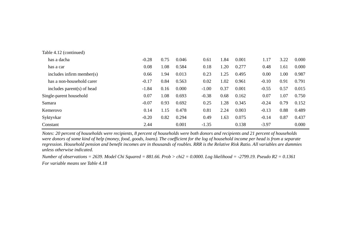| Table 4.12 (continued)        |         |      |       |         |      |       |         |      |       |
|-------------------------------|---------|------|-------|---------|------|-------|---------|------|-------|
| has a dacha                   | $-0.28$ | 0.75 | 0.046 | 0.61    | 1.84 | 0.001 | 1.17    | 3.22 | 0.000 |
| has a car                     | 0.08    | 1.08 | 0.584 | 0.18    | 1.20 | 0.277 | 0.48    | 1.61 | 0.000 |
| includes infirm member( $s$ ) | 0.66    | 1.94 | 0.013 | 0.23    | 1.25 | 0.495 | 0.00    | 1.00 | 0.987 |
| has a non-household carer     | $-0.17$ | 0.84 | 0.563 | 0.02    | 1.02 | 0.961 | $-0.10$ | 0.91 | 0.791 |
| includes parent(s) of head    | $-1.84$ | 0.16 | 0.000 | $-1.00$ | 0.37 | 0.001 | $-0.55$ | 0.57 | 0.015 |
| Single-parent household       | 0.07    | 1.08 | 0.693 | $-0.38$ | 0.68 | 0.162 | 0.07    | 1.07 | 0.750 |
| Samara                        | $-0.07$ | 0.93 | 0.692 | 0.25    | 1.28 | 0.345 | $-0.24$ | 0.79 | 0.152 |
| Kemerovo                      | 0.14    | 1.15 | 0.478 | 0.81    | 2.24 | 0.003 | $-0.13$ | 0.88 | 0.489 |
| Syktyvkar                     | $-0.20$ | 0.82 | 0.294 | 0.49    | 1.63 | 0.075 | $-0.14$ | 0.87 | 0.437 |
| Constant                      | 2.44    |      | 0.001 | $-1.35$ |      | 0.138 | $-3.97$ |      | 0.000 |
|                               |         |      |       |         |      |       |         |      |       |

*Notes: 20 percent of households were recipients, 8 percent of households were both donors and recipients and 21 percent of households were donors of some kind of help (money, food, goods, loans). The coefficient for the log of household income per head is from a separate regression. Household pension and benefit incomes are in thousands of roubles. RRR is the Relative Risk Ratio. All variables are dummies unless otherwise indicated.* 

*Number of observations = 2639. Model Chi Squared = 881.66. Prob > chi2 = 0.0000. Log likelihood = -2799.19. Pseudo R2 = 0.1361 For variable means see Table 4.18*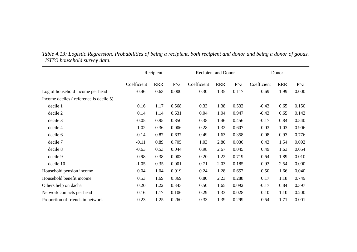|                                        | Recipient   |            |       | <b>Recipient and Donor</b> |            |       | Donor       |            |       |  |
|----------------------------------------|-------------|------------|-------|----------------------------|------------|-------|-------------|------------|-------|--|
|                                        | Coefficient | <b>RRR</b> | P > z | Coefficient                | <b>RRR</b> | P > z | Coefficient | <b>RRR</b> | P > z |  |
| Log of household income per head       | $-0.46$     | 0.63       | 0.000 | 0.30                       | 1.35       | 0.117 | 0.69        | 1.99       | 0.000 |  |
| Income deciles (reference is decile 5) |             |            |       |                            |            |       |             |            |       |  |
| decile 1                               | 0.16        | 1.17       | 0.568 | 0.33                       | 1.38       | 0.532 | $-0.43$     | 0.65       | 0.150 |  |
| decile 2                               | 0.14        | 1.14       | 0.631 | 0.04                       | 1.04       | 0.947 | $-0.43$     | 0.65       | 0.142 |  |
| decile 3                               | $-0.05$     | 0.95       | 0.850 | 0.38                       | 1.46       | 0.456 | $-0.17$     | 0.84       | 0.540 |  |
| decile 4                               | $-1.02$     | 0.36       | 0.006 | 0.28                       | 1.32       | 0.607 | 0.03        | 1.03       | 0.906 |  |
| decile 6                               | $-0.14$     | 0.87       | 0.637 | 0.49                       | 1.63       | 0.358 | $-0.08$     | 0.93       | 0.776 |  |
| decile 7                               | $-0.11$     | 0.89       | 0.705 | 1.03                       | 2.80       | 0.036 | 0.43        | 1.54       | 0.092 |  |
| decile 8                               | $-0.63$     | 0.53       | 0.044 | 0.98                       | 2.67       | 0.045 | 0.49        | 1.63       | 0.054 |  |
| decile 9                               | $-0.98$     | 0.38       | 0.003 | 0.20                       | 1.22       | 0.719 | 0.64        | 1.89       | 0.010 |  |
| decile 10                              | $-1.05$     | 0.35       | 0.001 | 0.71                       | 2.03       | 0.185 | 0.93        | 2.54       | 0.000 |  |
| Household pension income               | 0.04        | 1.04       | 0.919 | 0.24                       | 1.28       | 0.657 | 0.50        | 1.66       | 0.040 |  |
| Household benefit income               | 0.53        | 1.69       | 0.369 | 0.80                       | 2.23       | 0.288 | 0.17        | 1.18       | 0.749 |  |
| Others help on dacha                   | 0.20        | 1.22       | 0.343 | 0.50                       | 1.65       | 0.092 | $-0.17$     | 0.84       | 0.397 |  |
| Network contacts per head              | 0.16        | 1.17       | 0.106 | 0.29                       | 1.33       | 0.028 | 0.10        | 1.10       | 0.200 |  |
| Proportion of friends in network       | 0.23        | 1.25       | 0.260 | 0.33                       | 1.39       | 0.299 | 0.54        | 1.71       | 0.001 |  |

*Table 4.13: Logistic Regression. Probabilities of being a recipient, both recipient and donor and being a donor of goods. ISITO household survey data.*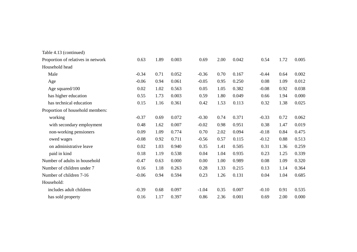| Table 4.13 (continued)             |         |      |       |         |      |       |         |      |       |
|------------------------------------|---------|------|-------|---------|------|-------|---------|------|-------|
| Proportion of relatives in network | 0.63    | 1.89 | 0.003 | 0.69    | 2.00 | 0.042 | 0.54    | 1.72 | 0.005 |
| Household head                     |         |      |       |         |      |       |         |      |       |
| Male                               | $-0.34$ | 0.71 | 0.052 | $-0.36$ | 0.70 | 0.167 | $-0.44$ | 0.64 | 0.002 |
| Age                                | $-0.06$ | 0.94 | 0.061 | $-0.05$ | 0.95 | 0.250 | 0.08    | 1.09 | 0.012 |
| Age squared/100                    | 0.02    | 1.02 | 0.563 | 0.05    | 1.05 | 0.382 | $-0.08$ | 0.92 | 0.038 |
| has higher education               | 0.55    | 1.73 | 0.003 | 0.59    | 1.80 | 0.049 | 0.66    | 1.94 | 0.000 |
| has technical education            | 0.15    | 1.16 | 0.361 | 0.42    | 1.53 | 0.113 | 0.32    | 1.38 | 0.025 |
| Proportion of household members:   |         |      |       |         |      |       |         |      |       |
| working                            | $-0.37$ | 0.69 | 0.072 | $-0.30$ | 0.74 | 0.371 | $-0.33$ | 0.72 | 0.062 |
| with secondary employment          | 0.48    | 1.62 | 0.007 | $-0.02$ | 0.98 | 0.951 | 0.38    | 1.47 | 0.019 |
| non-working pensioners             | 0.09    | 1.09 | 0.774 | 0.70    | 2.02 | 0.094 | $-0.18$ | 0.84 | 0.475 |
| owed wages                         | $-0.08$ | 0.92 | 0.711 | $-0.56$ | 0.57 | 0.115 | $-0.12$ | 0.88 | 0.513 |
| on administrative leave            | 0.02    | 1.03 | 0.940 | 0.35    | 1.41 | 0.505 | 0.31    | 1.36 | 0.259 |
| paid in kind                       | 0.18    | 1.19 | 0.538 | 0.04    | 1.04 | 0.935 | 0.23    | 1.25 | 0.339 |
| Number of adults in household      | $-0.47$ | 0.63 | 0.000 | 0.00    | 1.00 | 0.989 | 0.08    | 1.09 | 0.320 |
| Number of children under 7         | 0.16    | 1.18 | 0.263 | 0.28    | 1.33 | 0.215 | 0.13    | 1.14 | 0.364 |
| Number of children 7-16            | $-0.06$ | 0.94 | 0.594 | 0.23    | 1.26 | 0.131 | 0.04    | 1.04 | 0.685 |
| Household:                         |         |      |       |         |      |       |         |      |       |
| includes adult children            | $-0.39$ | 0.68 | 0.097 | $-1.04$ | 0.35 | 0.007 | $-0.10$ | 0.91 | 0.535 |
| has sold property                  | 0.16    | 1.17 | 0.397 | 0.86    | 2.36 | 0.001 | 0.69    | 2.00 | 0.000 |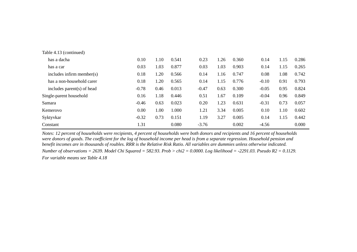| Table 4.13 (continued)        |         |      |       |         |      |       |         |      |       |
|-------------------------------|---------|------|-------|---------|------|-------|---------|------|-------|
| has a dacha                   | 0.10    | 1.10 | 0.541 | 0.23    | 1.26 | 0.360 | 0.14    | 1.15 | 0.286 |
| has a car                     | 0.03    | 1.03 | 0.877 | 0.03    | 1.03 | 0.903 | 0.14    | 1.15 | 0.265 |
| includes infirm member( $s$ ) | 0.18    | 1.20 | 0.566 | 0.14    | 1.16 | 0.747 | 0.08    | 1.08 | 0.742 |
| has a non-household carer     | 0.18    | 1.20 | 0.565 | 0.14    | 1.15 | 0.776 | $-0.10$ | 0.91 | 0.793 |
| includes parent $(s)$ of head | $-0.78$ | 0.46 | 0.013 | $-0.47$ | 0.63 | 0.300 | $-0.05$ | 0.95 | 0.824 |
| Single-parent household       | 0.16    | 1.18 | 0.446 | 0.51    | 1.67 | 0.109 | $-0.04$ | 0.96 | 0.849 |
| Samara                        | $-0.46$ | 0.63 | 0.023 | 0.20    | 1.23 | 0.631 | $-0.31$ | 0.73 | 0.057 |
| Kemerovo                      | 0.00    | 1.00 | 1.000 | 1.21    | 3.34 | 0.005 | 0.10    | 1.10 | 0.602 |
| Syktyvkar                     | $-0.32$ | 0.73 | 0.151 | 1.19    | 3.27 | 0.005 | 0.14    | 1.15 | 0.442 |
| Constant                      | 1.31    |      | 0.080 | $-3.76$ |      | 0.002 | $-4.56$ |      | 0.000 |

*Notes: 12 percent of households were recipients, 4 percent of households were both donors and recipients and 16 percent of households were donors of goods. The coefficient for the log of household income per head is from a separate regression. Household pension and benefit incomes are in thousands of roubles. RRR is the Relative Risk Ratio. All variables are dummies unless otherwise indicated. Number of observations = 2639. Model Chi Squared = 582.93. Prob > chi2 = 0.0000. Log likelihood = -2291.03. Pseudo R2 = 0.1129. For variable means see Table 4.18*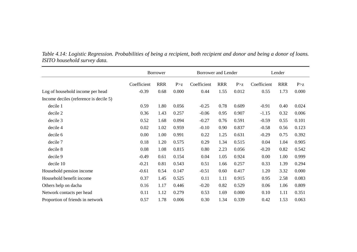|                                        | Borrower    |            |       | Borrower and Lender |            |       | Lender      |            |       |  |
|----------------------------------------|-------------|------------|-------|---------------------|------------|-------|-------------|------------|-------|--|
|                                        | Coefficient | <b>RRR</b> | P > z | Coefficient         | <b>RRR</b> | P > z | Coefficient | <b>RRR</b> | P > z |  |
| Log of household income per head       | $-0.39$     | 0.68       | 0.000 | 0.44                | 1.55       | 0.012 | 0.55        | 1.73       | 0.000 |  |
| Income deciles (reference is decile 5) |             |            |       |                     |            |       |             |            |       |  |
| decile 1                               | 0.59        | 1.80       | 0.056 | $-0.25$             | 0.78       | 0.609 | $-0.91$     | 0.40       | 0.024 |  |
| decile 2                               | 0.36        | 1.43       | 0.257 | $-0.06$             | 0.95       | 0.907 | $-1.15$     | 0.32       | 0.006 |  |
| decile 3                               | 0.52        | 1.68       | 0.094 | $-0.27$             | 0.76       | 0.591 | $-0.59$     | 0.55       | 0.101 |  |
| decile 4                               | 0.02        | 1.02       | 0.959 | $-0.10$             | 0.90       | 0.837 | $-0.58$     | 0.56       | 0.123 |  |
| decile 6                               | 0.00        | 1.00       | 0.991 | 0.22                | 1.25       | 0.631 | $-0.29$     | 0.75       | 0.392 |  |
| decile 7                               | 0.18        | 1.20       | 0.575 | 0.29                | 1.34       | 0.515 | 0.04        | 1.04       | 0.905 |  |
| decile 8                               | 0.08        | 1.08       | 0.815 | 0.80                | 2.23       | 0.056 | $-0.20$     | 0.82       | 0.542 |  |
| decile 9                               | $-0.49$     | 0.61       | 0.154 | 0.04                | 1.05       | 0.924 | 0.00        | 1.00       | 0.999 |  |
| decile 10                              | $-0.21$     | 0.81       | 0.543 | 0.51                | 1.66       | 0.257 | 0.33        | 1.39       | 0.294 |  |
| Household pension income               | $-0.61$     | 0.54       | 0.147 | $-0.51$             | 0.60       | 0.417 | 1.20        | 3.32       | 0.000 |  |
| Household benefit income               | 0.37        | 1.45       | 0.525 | 0.11                | 1.11       | 0.915 | 0.95        | 2.58       | 0.083 |  |
| Others help on dacha                   | 0.16        | 1.17       | 0.446 | $-0.20$             | 0.82       | 0.529 | 0.06        | 1.06       | 0.809 |  |
| Network contacts per head              | 0.11        | 1.12       | 0.279 | 0.53                | 1.69       | 0.000 | 0.10        | 1.11       | 0.351 |  |
| Proportion of friends in network       | 0.57        | 1.78       | 0.006 | 0.30                | 1.34       | 0.339 | 0.42        | 1.53       | 0.063 |  |

*Table 4.14: Logistic Regression. Probabilities of being a recipient, both recipient and donor and being a donor of loans. ISITO household survey data.*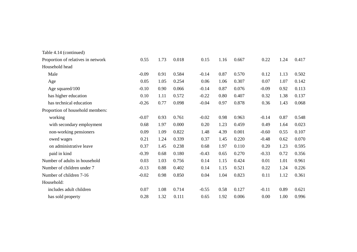| Table 4.14 (continued)             |         |      |       |         |      |       |         |      |       |
|------------------------------------|---------|------|-------|---------|------|-------|---------|------|-------|
| Proportion of relatives in network | 0.55    | 1.73 | 0.018 | 0.15    | 1.16 | 0.667 | 0.22    | 1.24 | 0.417 |
| Household head                     |         |      |       |         |      |       |         |      |       |
| Male                               | $-0.09$ | 0.91 | 0.584 | $-0.14$ | 0.87 | 0.570 | 0.12    | 1.13 | 0.502 |
| Age                                | 0.05    | 1.05 | 0.254 | 0.06    | 1.06 | 0.307 | 0.07    | 1.07 | 0.142 |
| Age squared/100                    | $-0.10$ | 0.90 | 0.066 | $-0.14$ | 0.87 | 0.076 | $-0.09$ | 0.92 | 0.113 |
| has higher education               | 0.10    | 1.11 | 0.572 | $-0.22$ | 0.80 | 0.407 | 0.32    | 1.38 | 0.137 |
| has technical education            | $-0.26$ | 0.77 | 0.098 | $-0.04$ | 0.97 | 0.878 | 0.36    | 1.43 | 0.068 |
| Proportion of household members:   |         |      |       |         |      |       |         |      |       |
| working                            | $-0.07$ | 0.93 | 0.761 | $-0.02$ | 0.98 | 0.963 | $-0.14$ | 0.87 | 0.548 |
| with secondary employment          | 0.68    | 1.97 | 0.000 | 0.20    | 1.23 | 0.459 | 0.49    | 1.64 | 0.023 |
| non-working pensioners             | 0.09    | 1.09 | 0.822 | 1.48    | 4.39 | 0.001 | $-0.60$ | 0.55 | 0.107 |
| owed wages                         | 0.21    | 1.24 | 0.339 | 0.37    | 1.45 | 0.220 | $-0.48$ | 0.62 | 0.070 |
| on administrative leave            | 0.37    | 1.45 | 0.238 | 0.68    | 1.97 | 0.110 | 0.20    | 1.23 | 0.595 |
| paid in kind                       | $-0.39$ | 0.68 | 0.180 | $-0.43$ | 0.65 | 0.270 | $-0.33$ | 0.72 | 0.356 |
| Number of adults in household      | 0.03    | 1.03 | 0.756 | 0.14    | 1.15 | 0.424 | 0.01    | 1.01 | 0.961 |
| Number of children under 7         | $-0.13$ | 0.88 | 0.402 | 0.14    | 1.15 | 0.521 | 0.22    | 1.24 | 0.226 |
| Number of children 7-16            | $-0.02$ | 0.98 | 0.850 | 0.04    | 1.04 | 0.823 | 0.11    | 1.12 | 0.361 |
| Household:                         |         |      |       |         |      |       |         |      |       |
| includes adult children            | 0.07    | 1.08 | 0.714 | $-0.55$ | 0.58 | 0.127 | $-0.11$ | 0.89 | 0.621 |
| has sold property                  | 0.28    | 1.32 | 0.111 | 0.65    | 1.92 | 0.006 | 0.00    | 1.00 | 0.996 |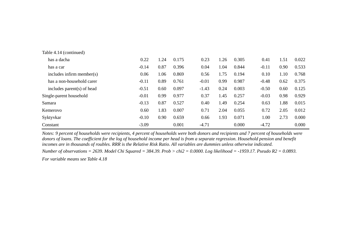| 0.022<br>0.533<br>0.768 |
|-------------------------|
|                         |
|                         |
|                         |
| 0.375                   |
| 0.125                   |
| 0.929                   |
| 0.015                   |
| 0.012                   |
| 0.000                   |
| 0.000                   |
|                         |

*Notes: 9 percent of households were recipients, 4 percent of households were both donors and recipients and 7 percent of households were donors of loans. The coefficient for the log of household income per head is from a separate regression. Household pension and benefit incomes are in thousands of roubles. RRR is the Relative Risk Ratio. All variables are dummies unless otherwise indicated.* 

*Number of observations = 2639. Model Chi Squared = 384.39. Prob > chi2 = 0.0000. Log likelihood = -1959.17. Pseudo R2 = 0.0893.*

*For variable means see Table 4.18*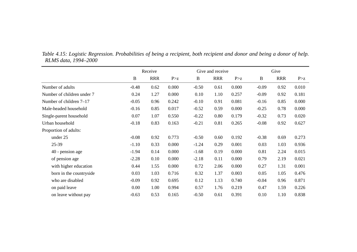|                            |         | Receive    |       |         | Give and receive |       | Give    |            |       |  |
|----------------------------|---------|------------|-------|---------|------------------|-------|---------|------------|-------|--|
|                            | B       | <b>RRR</b> | P > z | B       | <b>RRR</b>       | P > z | B       | <b>RRR</b> | P > z |  |
| Number of adults           | $-0.48$ | 0.62       | 0.000 | $-0.50$ | 0.61             | 0.000 | $-0.09$ | 0.92       | 0.010 |  |
| Number of children under 7 | 0.24    | 1.27       | 0.000 | 0.10    | 1.10             | 0.257 | $-0.09$ | 0.92       | 0.181 |  |
| Number of children $7-17$  | $-0.05$ | 0.96       | 0.242 | $-0.10$ | 0.91             | 0.081 | $-0.16$ | 0.85       | 0.000 |  |
| Male-headed household      | $-0.16$ | 0.85       | 0.017 | $-0.52$ | 0.59             | 0.000 | $-0.25$ | 0.78       | 0.000 |  |
| Single-parent household    | 0.07    | 1.07       | 0.550 | $-0.22$ | 0.80             | 0.179 | $-0.32$ | 0.73       | 0.020 |  |
| Urban household            | $-0.18$ | 0.83       | 0.163 | $-0.21$ | 0.81             | 0.265 | $-0.08$ | 0.92       | 0.627 |  |
| Proportion of adults:      |         |            |       |         |                  |       |         |            |       |  |
| under 25                   | $-0.08$ | 0.92       | 0.773 | $-0.50$ | 0.60             | 0.192 | $-0.38$ | 0.69       | 0.273 |  |
| 25-39                      | $-1.10$ | 0.33       | 0.000 | $-1.24$ | 0.29             | 0.001 | 0.03    | 1.03       | 0.936 |  |
| 40 - pension age           | $-1.94$ | 0.14       | 0.000 | $-1.68$ | 0.19             | 0.000 | 0.81    | 2.24       | 0.015 |  |
| of pension age             | $-2.28$ | 0.10       | 0.000 | $-2.18$ | 0.11             | 0.000 | 0.79    | 2.19       | 0.021 |  |
| with higher education      | 0.44    | 1.55       | 0.000 | 0.72    | 2.06             | 0.000 | 0.27    | 1.31       | 0.001 |  |
| born in the countryside    | 0.03    | 1.03       | 0.716 | 0.32    | 1.37             | 0.003 | 0.05    | 1.05       | 0.476 |  |
| who are disabled           | $-0.09$ | 0.92       | 0.695 | 0.12    | 1.13             | 0.740 | $-0.04$ | 0.96       | 0.871 |  |
| on paid leave              | 0.00    | 1.00       | 0.994 | 0.57    | 1.76             | 0.219 | 0.47    | 1.59       | 0.226 |  |
| on leave without pay       | $-0.63$ | 0.53       | 0.165 | $-0.50$ | 0.61             | 0.391 | 0.10    | 1.10       | 0.838 |  |

*Table 4.15: Logistic Regression. Probabilities of being a recipient, both recipient and donor and being a donor of help. RLMS data, 1994–2000*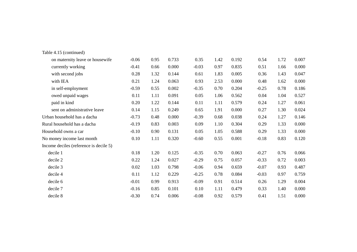| Table 4.15 (continued)                 |         |      |       |         |      |       |         |      |       |
|----------------------------------------|---------|------|-------|---------|------|-------|---------|------|-------|
| on maternity leave or housewife        | $-0.06$ | 0.95 | 0.733 | 0.35    | 1.42 | 0.192 | 0.54    | 1.72 | 0.007 |
| currently working                      | $-0.41$ | 0.66 | 0.000 | $-0.03$ | 0.97 | 0.835 | 0.51    | 1.66 | 0.000 |
| with second jobs                       | 0.28    | 1.32 | 0.144 | 0.61    | 1.83 | 0.005 | 0.36    | 1.43 | 0.047 |
| with IEA                               | 0.21    | 1.24 | 0.063 | 0.93    | 2.53 | 0.000 | 0.48    | 1.62 | 0.000 |
| in self-employment                     | $-0.59$ | 0.55 | 0.002 | $-0.35$ | 0.70 | 0.204 | $-0.25$ | 0.78 | 0.186 |
| owed unpaid wages                      | 0.11    | 1.11 | 0.091 | 0.05    | 1.06 | 0.562 | 0.04    | 1.04 | 0.527 |
| paid in kind                           | 0.20    | 1.22 | 0.144 | 0.11    | 1.11 | 0.579 | 0.24    | 1.27 | 0.061 |
| sent on administrative leave           | 0.14    | 1.15 | 0.249 | 0.65    | 1.91 | 0.000 | 0.27    | 1.30 | 0.024 |
| Urban household has a dacha            | $-0.73$ | 0.48 | 0.000 | $-0.39$ | 0.68 | 0.038 | 0.24    | 1.27 | 0.146 |
| Rural household has a dacha            | $-0.19$ | 0.83 | 0.003 | 0.09    | 1.10 | 0.304 | 0.29    | 1.33 | 0.000 |
| Household owns a car                   | $-0.10$ | 0.90 | 0.131 | 0.05    | 1.05 | 0.588 | 0.29    | 1.33 | 0.000 |
| No money income last month             | 0.10    | 1.11 | 0.320 | $-0.60$ | 0.55 | 0.001 | $-0.18$ | 0.83 | 0.120 |
| Income deciles (reference is decile 5) |         |      |       |         |      |       |         |      |       |
| decile 1                               | 0.18    | 1.20 | 0.125 | $-0.35$ | 0.70 | 0.063 | $-0.27$ | 0.76 | 0.066 |
| decile 2                               | 0.22    | 1.24 | 0.027 | $-0.29$ | 0.75 | 0.057 | $-0.33$ | 0.72 | 0.003 |
| decile 3                               | 0.02    | 1.03 | 0.798 | $-0.06$ | 0.94 | 0.659 | $-0.07$ | 0.93 | 0.487 |
| decile 4                               | 0.11    | 1.12 | 0.229 | $-0.25$ | 0.78 | 0.084 | $-0.03$ | 0.97 | 0.759 |
| decile 6                               | $-0.01$ | 0.99 | 0.913 | $-0.09$ | 0.91 | 0.514 | 0.26    | 1.29 | 0.004 |
| decile 7                               | $-0.16$ | 0.85 | 0.101 | 0.10    | 1.11 | 0.479 | 0.33    | 1.40 | 0.000 |
| decile 8                               | $-0.30$ | 0.74 | 0.006 | $-0.08$ | 0.92 | 0.579 | 0.41    | 1.51 | 0.000 |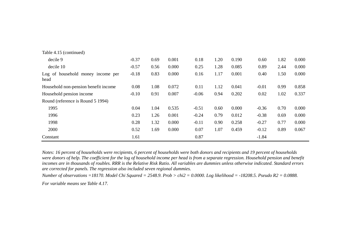| Table 4.15 (continued)                    |         |      |       |         |      |       |         |      |       |
|-------------------------------------------|---------|------|-------|---------|------|-------|---------|------|-------|
| decile 9                                  | $-0.37$ | 0.69 | 0.001 | 0.18    | 1.20 | 0.190 | 0.60    | 1.82 | 0.000 |
| decile 10                                 | $-0.57$ | 0.56 | 0.000 | 0.25    | 1.28 | 0.085 | 0.89    | 2.44 | 0.000 |
| Log of household money income per<br>head | $-0.18$ | 0.83 | 0.000 | 0.16    | 1.17 | 0.001 | 0.40    | 1.50 | 0.000 |
| Household non-pension benefit income      | 0.08    | 1.08 | 0.072 | 0.11    | 1.12 | 0.041 | $-0.01$ | 0.99 | 0.858 |
| Household pension income                  | $-0.10$ | 0.91 | 0.007 | $-0.06$ | 0.94 | 0.202 | 0.02    | 1.02 | 0.337 |
| Round (reference is Round 5 1994)         |         |      |       |         |      |       |         |      |       |
| 1995                                      | 0.04    | 1.04 | 0.535 | $-0.51$ | 0.60 | 0.000 | $-0.36$ | 0.70 | 0.000 |
| 1996                                      | 0.23    | 1.26 | 0.001 | $-0.24$ | 0.79 | 0.012 | $-0.38$ | 0.69 | 0.000 |
| 1998                                      | 0.28    | 1.32 | 0.000 | $-0.11$ | 0.90 | 0.258 | $-0.27$ | 0.77 | 0.000 |
| 2000                                      | 0.52    | 1.69 | 0.000 | 0.07    | 1.07 | 0.459 | $-0.12$ | 0.89 | 0.067 |
| Constant                                  | 1.61    |      |       | 0.87    |      |       | $-1.84$ |      |       |

*Notes: 16 percent of households were recipients, 6 percent of households were both donors and recipients and 19 percent of households were donors of help. The coefficient for the log of household income per head is from a separate regression. Household pension and benefit incomes are in thousands of roubles. RRR is the Relative Risk Ratio. All variables are dummies unless otherwise indicated. Standard errors are corrected for panels. The regression also included seven regional dummies.* 

*Number of observations =18170. Model Chi Squared = 2548.9. Prob > chi2 = 0.0000. Log likelihood = -18208.5. Pseudo R2 = 0.0888. For variable means see Table 4.17.*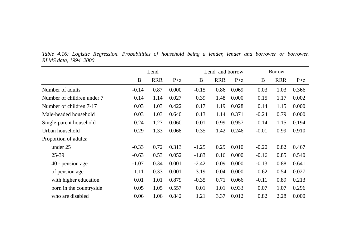|                            |         | Lend       |       |         | Lend and borrow |       | <b>Borrow</b> |            |       |  |
|----------------------------|---------|------------|-------|---------|-----------------|-------|---------------|------------|-------|--|
|                            | B       | <b>RRR</b> | P > z | B       | <b>RRR</b>      | P > z | B             | <b>RRR</b> | P > z |  |
| Number of adults           | $-0.14$ | 0.87       | 0.000 | $-0.15$ | 0.86            | 0.069 | 0.03          | 1.03       | 0.366 |  |
| Number of children under 7 | 0.14    | 1.14       | 0.027 | 0.39    | 1.48            | 0.000 | 0.15          | 1.17       | 0.002 |  |
| Number of children 7-17    | 0.03    | 1.03       | 0.422 | 0.17    | 1.19            | 0.028 | 0.14          | 1.15       | 0.000 |  |
| Male-headed household      | 0.03    | 1.03       | 0.640 | 0.13    | 1.14            | 0.371 | $-0.24$       | 0.79       | 0.000 |  |
| Single-parent household    | 0.24    | 1.27       | 0.060 | $-0.01$ | 0.99            | 0.957 | 0.14          | 1.15       | 0.194 |  |
| Urban household            | 0.29    | 1.33       | 0.068 | 0.35    | 1.42            | 0.246 | $-0.01$       | 0.99       | 0.910 |  |
| Proportion of adults:      |         |            |       |         |                 |       |               |            |       |  |
| under 25                   | $-0.33$ | 0.72       | 0.313 | $-1.25$ | 0.29            | 0.010 | $-0.20$       | 0.82       | 0.467 |  |
| 25-39                      | $-0.63$ | 0.53       | 0.052 | $-1.83$ | 0.16            | 0.000 | $-0.16$       | 0.85       | 0.540 |  |
| 40 - pension age           | $-1.07$ | 0.34       | 0.001 | $-2.42$ | 0.09            | 0.000 | $-0.13$       | 0.88       | 0.641 |  |
| of pension age             | $-1.11$ | 0.33       | 0.001 | $-3.19$ | 0.04            | 0.000 | $-0.62$       | 0.54       | 0.027 |  |
| with higher education      | 0.01    | 1.01       | 0.879 | $-0.35$ | 0.71            | 0.066 | $-0.11$       | 0.89       | 0.213 |  |
| born in the countryside    | 0.05    | 1.05       | 0.557 | 0.01    | 1.01            | 0.933 | 0.07          | 1.07       | 0.296 |  |
| who are disabled           | 0.06    | 1.06       | 0.842 | 1.21    | 3.37            | 0.012 | 0.82          | 2.28       | 0.000 |  |

*Table 4.16: Logistic Regression. Probabilities of household being a lender, lender and borrower or borrower. RLMS data, 1994–2000*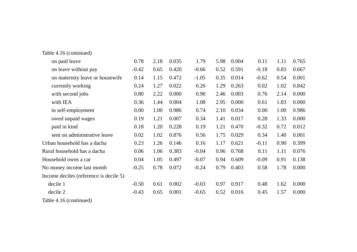| on paid leave                          | 0.78    | 2.18 | 0.035 | 1.79    | 5.98 | 0.004 | 0.11    | 1.11 | 0.765 |
|----------------------------------------|---------|------|-------|---------|------|-------|---------|------|-------|
| on leave without pay                   | $-0.42$ | 0.65 | 0.420 | $-0.66$ | 0.52 | 0.591 | $-0.18$ | 0.83 | 0.667 |
| on maternity leave or housewife        | 0.14    | 1.15 | 0.472 | $-1.05$ | 0.35 | 0.014 | $-0.62$ | 0.54 | 0.001 |
| currently working                      | 0.24    | 1.27 | 0.022 | 0.26    | 1.29 | 0.263 | 0.02    | 1.02 | 0.842 |
| with second jobs                       | 0.80    | 2.22 | 0.000 | 0.90    | 2.46 | 0.003 | 0.76    | 2.14 | 0.000 |
| with IEA                               | 0.36    | 1.44 | 0.004 | 1.08    | 2.95 | 0.000 | 0.61    | 1.83 | 0.000 |
| in self-employment                     | 0.00    | 1.00 | 0.986 | 0.74    | 2.10 | 0.034 | 0.00    | 1.00 | 0.986 |
| owed unpaid wages                      | 0.19    | 1.21 | 0.007 | 0.34    | 1.41 | 0.017 | 0.28    | 1.33 | 0.000 |
| paid in kind                           | 0.18    | 1.20 | 0.228 | 0.19    | 1.21 | 0.470 | $-0.32$ | 0.72 | 0.012 |
| sent on administrative leave           | 0.02    | 1.02 | 0.876 | 0.56    | 1.75 | 0.029 | 0.34    | 1.40 | 0.001 |
| Urban household has a dacha            | 0.23    | 1.26 | 0.146 | 0.16    | 1.17 | 0.621 | $-0.11$ | 0.90 | 0.399 |
| Rural household has a dacha            | 0.06    | 1.06 | 0.383 | $-0.04$ | 0.96 | 0.768 | 0.11    | 1.11 | 0.076 |
| Household owns a car                   | 0.04    | 1.05 | 0.497 | $-0.07$ | 0.94 | 0.609 | $-0.09$ | 0.91 | 0.138 |
| No money income last month             | $-0.25$ | 0.78 | 0.072 | $-0.24$ | 0.79 | 0.403 | 0.58    | 1.78 | 0.000 |
| Income deciles (reference is decile 5) |         |      |       |         |      |       |         |      |       |
| decile 1                               | $-0.50$ | 0.61 | 0.002 | $-0.03$ | 0.97 | 0.917 | 0.48    | 1.62 | 0.000 |
| decile 2                               | $-0.43$ | 0.65 | 0.001 | $-0.65$ | 0.52 | 0.016 | 0.45    | 1.57 | 0.000 |
| Table 4.16 (continued)                 |         |      |       |         |      |       |         |      |       |

Table 4.16 (continued)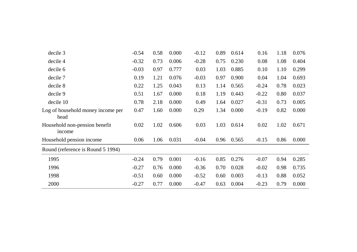| decile 3                                  | $-0.54$ | 0.58 | 0.000 | $-0.12$ | 0.89 | 0.614 | 0.16    | 1.18 | 0.076 |
|-------------------------------------------|---------|------|-------|---------|------|-------|---------|------|-------|
| decile 4                                  | $-0.32$ | 0.73 | 0.006 | $-0.28$ | 0.75 | 0.230 | 0.08    | 1.08 | 0.404 |
| decile 6                                  | $-0.03$ | 0.97 | 0.777 | 0.03    | 1.03 | 0.885 | 0.10    | 1.10 | 0.299 |
| decile 7                                  | 0.19    | 1.21 | 0.076 | $-0.03$ | 0.97 | 0.900 | 0.04    | 1.04 | 0.693 |
| decile 8                                  | 0.22    | 1.25 | 0.043 | 0.13    | 1.14 | 0.565 | $-0.24$ | 0.78 | 0.023 |
| decile 9                                  | 0.51    | 1.67 | 0.000 | 0.18    | 1.19 | 0.443 | $-0.22$ | 0.80 | 0.037 |
| decile 10                                 | 0.78    | 2.18 | 0.000 | 0.49    | 1.64 | 0.027 | $-0.31$ | 0.73 | 0.005 |
| Log of household money income per<br>head | 0.47    | 1.60 | 0.000 | 0.29    | 1.34 | 0.000 | $-0.19$ | 0.82 | 0.000 |
| Household non-pension benefit<br>income   | 0.02    | 1.02 | 0.606 | 0.03    | 1.03 | 0.614 | 0.02    | 1.02 | 0.671 |
| Household pension income                  | 0.06    | 1.06 | 0.031 | $-0.04$ | 0.96 | 0.565 | $-0.15$ | 0.86 | 0.000 |
| Round (reference is Round 5 1994)         |         |      |       |         |      |       |         |      |       |
| 1995                                      | $-0.24$ | 0.79 | 0.001 | $-0.16$ | 0.85 | 0.276 | $-0.07$ | 0.94 | 0.285 |
| 1996                                      | $-0.27$ | 0.76 | 0.000 | $-0.36$ | 0.70 | 0.028 | $-0.02$ | 0.98 | 0.735 |
| 1998                                      | $-0.51$ | 0.60 | 0.000 | $-0.52$ | 0.60 | 0.003 | $-0.13$ | 0.88 | 0.052 |
| 2000                                      | $-0.27$ | 0.77 | 0.000 | $-0.47$ | 0.63 | 0.004 | $-0.23$ | 0.79 | 0.000 |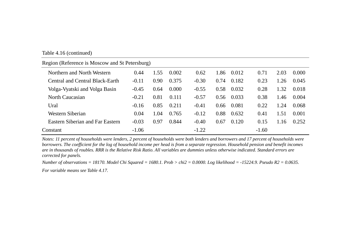Table 4.16 (continued)

| Region (Reference is Moscow and St Petersburg) |  |
|------------------------------------------------|--|
|------------------------------------------------|--|

| Northern and North Western       | 0.44    | 1.55 | 0.002 | 0.62    | 1.86 | 0.012 | 0.71    | 2.03 | 0.000 |
|----------------------------------|---------|------|-------|---------|------|-------|---------|------|-------|
| Central and Central Black-Earth  | $-0.11$ | 0.90 | 0.375 | $-0.30$ | 0.74 | 0.182 | 0.23    | 1.26 | 0.045 |
| Volga-Vyatski and Volga Basin    | $-0.45$ | 0.64 | 0.000 | $-0.55$ | 0.58 | 0.032 | 0.28    | 1.32 | 0.018 |
| North Caucasian                  | $-0.21$ | 0.81 | 0.111 | $-0.57$ | 0.56 | 0.033 | 0.38    | 1.46 | 0.004 |
| Ural                             | $-0.16$ | 0.85 | 0.211 | $-0.41$ | 0.66 | 0.081 | 0.22    | 1.24 | 0.068 |
| Western Siberian                 | 0.04    | 1.04 | 0.765 | $-0.12$ | 0.88 | 0.632 | 0.41    | 1.51 | 0.001 |
| Eastern Siberian and Far Eastern | $-0.03$ | 0.97 | 0.844 | $-0.40$ | 0.67 | 0.120 | 0.15    | 1.16 | 0.252 |
| Constant                         | $-1.06$ |      |       | $-1.22$ |      |       | $-1.60$ |      |       |

*Notes: 11 percent of households were lenders, 2 percent of households were both lenders and borrowers and 17 percent of households were borrowers. The coefficient for the log of household income per head is from a separate regression. Household pension and benefit incomes are in thousands of roubles. RRR is the Relative Risk Ratio. All variables are dummies unless otherwise indicated. Standard errors are corrected for panels.* 

*Number of observations = 18170. Model Chi Squared = 1680.1. Prob > chi2 = 0.0000. Log likelihood = -15224.9. Pseudo R2 = 0.0635.* 

*For variable means see Table 4.17.*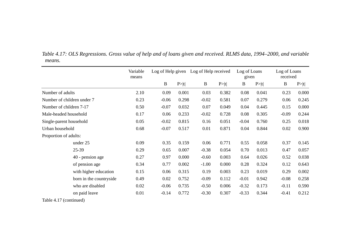|                            |                         | Variable<br>means | Log of Help given Log of Help received |       |          |       | Log of Loans<br>given |       | Log of Loans<br>received |       |
|----------------------------|-------------------------|-------------------|----------------------------------------|-------|----------|-------|-----------------------|-------|--------------------------|-------|
|                            |                         |                   | $\bf{B}$                               | P> t  | $\bf{B}$ | P> t  | $\bf{B}$              | P> t  | $\, {\bf B}$             | P> t  |
| Number of adults           |                         | 2.10              | 0.09                                   | 0.001 | 0.03     | 0.382 | 0.08                  | 0.041 | 0.23                     | 0.000 |
| Number of children under 7 |                         | 0.23              | $-0.06$                                | 0.298 | $-0.02$  | 0.581 | 0.07                  | 0.279 | 0.06                     | 0.245 |
| Number of children 7-17    |                         | 0.50              | $-0.07$                                | 0.032 | 0.07     | 0.049 | 0.04                  | 0.445 | 0.15                     | 0.000 |
| Male-headed household      |                         | 0.17              | 0.06                                   | 0.233 | $-0.02$  | 0.728 | 0.08                  | 0.305 | $-0.09$                  | 0.244 |
| Single-parent household    |                         | 0.05              | $-0.02$                                | 0.815 | 0.16     | 0.051 | $-0.04$               | 0.760 | 0.25                     | 0.018 |
| Urban household            |                         | 0.68              | $-0.07$                                | 0.517 | 0.01     | 0.871 | 0.04                  | 0.844 | 0.02                     | 0.900 |
| Proportion of adults:      |                         |                   |                                        |       |          |       |                       |       |                          |       |
|                            | under 25                | 0.09              | 0.35                                   | 0.159 | 0.06     | 0.771 | 0.55                  | 0.058 | 0.37                     | 0.145 |
|                            | 25-39                   | 0.29              | 0.65                                   | 0.007 | $-0.38$  | 0.054 | 0.70                  | 0.013 | 0.47                     | 0.057 |
|                            | 40 - pension age        | 0.27              | 0.97                                   | 0.000 | $-0.60$  | 0.003 | 0.64                  | 0.026 | 0.52                     | 0.038 |
|                            | of pension age          | 0.34              | 0.77                                   | 0.002 | $-1.00$  | 0.000 | 0.28                  | 0.324 | 0.12                     | 0.643 |
|                            | with higher education   | 0.15              | 0.06                                   | 0.315 | 0.19     | 0.003 | 0.23                  | 0.019 | 0.29                     | 0.002 |
|                            | born in the countryside | 0.49              | 0.02                                   | 0.752 | $-0.09$  | 0.112 | $-0.01$               | 0.942 | $-0.08$                  | 0.258 |
|                            | who are disabled        | 0.02              | $-0.06$                                | 0.735 | $-0.50$  | 0.006 | $-0.32$               | 0.173 | $-0.11$                  | 0.590 |
|                            | on paid leave           | 0.01              | $-0.14$                                | 0.772 | $-0.30$  | 0.307 | $-0.33$               | 0.344 | $-0.41$                  | 0.212 |
|                            |                         |                   |                                        |       |          |       |                       |       |                          |       |

*Table 4.17: OLS Regressions. Gross value of help and of loans given and received. RLMS data, 1994–2000, and variable means.* 

Table 4.17 (continued)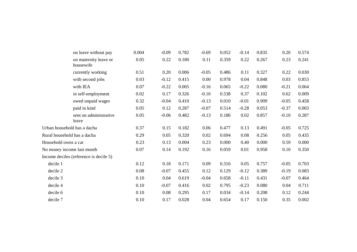|                             | on leave without pay                   | 0.004 | $-0.09$ | 0.782 | $-0.69$ | 0.052 | $-0.14$ | 0.835 | 0.20    | 0.574 |
|-----------------------------|----------------------------------------|-------|---------|-------|---------|-------|---------|-------|---------|-------|
|                             | on maternity leave or<br>housewife     | 0.05  | 0.22    | 0.180 | 0.11    | 0.359 | 0.22    | 0.267 | 0.23    | 0.241 |
|                             | currently working                      | 0.51  | 0.20    | 0.006 | $-0.05$ | 0.486 | 0.11    | 0.327 | 0.22    | 0.030 |
|                             | with second jobs                       | 0.03  | $-0.12$ | 0.415 | 0.00    | 0.978 | 0.04    | 0.848 | 0.03    | 0.853 |
|                             | with IEA                               | 0.07  | $-0.22$ | 0.005 | $-0.16$ | 0.065 | $-0.22$ | 0.080 | $-0.21$ | 0.064 |
|                             | in self-employment                     | 0.02  | 0.17    | 0.326 | $-0.10$ | 0.538 | 0.37    | 0.102 | 0.62    | 0.009 |
|                             | owed unpaid wages                      | 0.32  | $-0.04$ | 0.410 | $-0.13$ | 0.010 | $-0.01$ | 0.909 | $-0.05$ | 0.458 |
|                             | paid in kind                           | 0.05  | 0.12    | 0.287 | $-0.07$ | 0.514 | $-0.28$ | 0.053 | $-0.37$ | 0.003 |
|                             | sent on administrative<br>leave        | 0.05  | $-0.06$ | 0.482 | $-0.13$ | 0.186 | 0.02    | 0.857 | $-0.10$ | 0.287 |
| Urban household has a dacha |                                        | 0.37  | 0.15    | 0.182 | 0.06    | 0.477 | 0.13    | 0.491 | $-0.05$ | 0.725 |
| Rural household has a dacha |                                        | 0.29  | 0.05    | 0.320 | 0.02    | 0.694 | 0.08    | 0.256 | 0.05    | 0.435 |
| Household owns a car        |                                        | 0.23  | 0.13    | 0.004 | 0.23    | 0.000 | 0.40    | 0.000 | 0.59    | 0.000 |
|                             | No money income last month             | 0.07  | 0.14    | 0.192 | 0.16    | 0.059 | 0.01    | 0.958 | 0.10    | 0.350 |
|                             | Income deciles (reference is decile 5) |       |         |       |         |       |         |       |         |       |
| decile 1                    |                                        | 0.12  | 0.18    | 0.171 | 0.09    | 0.316 | 0.05    | 0.757 | $-0.05$ | 0.703 |
| decile 2                    |                                        | 0.08  | $-0.07$ | 0.455 | 0.12    | 0.129 | $-0.12$ | 0.389 | $-0.19$ | 0.083 |
| decile 3                    |                                        | 0.10  | 0.04    | 0.619 | $-0.04$ | 0.658 | $-0.11$ | 0.431 | $-0.07$ | 0.464 |
| decile 4                    |                                        | 0.10  | $-0.07$ | 0.416 | 0.02    | 0.795 | $-0.23$ | 0.080 | 0.04    | 0.711 |
| decile 6                    |                                        | 0.10  | 0.08    | 0.295 | 0.17    | 0.034 | $-0.14$ | 0.208 | 0.12    | 0.244 |
| decile 7                    |                                        | 0.10  | 0.17    | 0.028 | 0.04    | 0.654 | 0.17    | 0.150 | 0.35    | 0.002 |